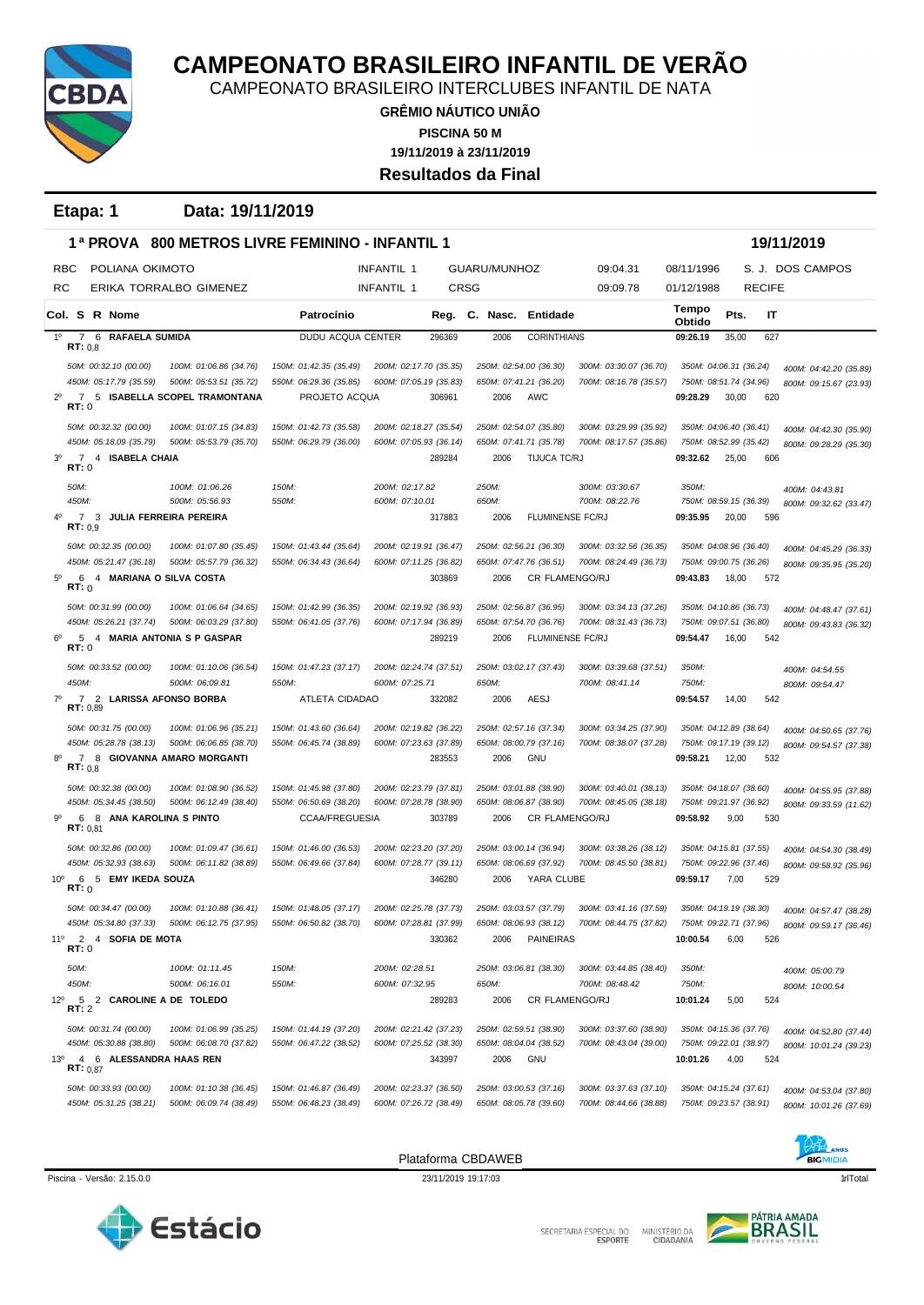

CAMPEONATO BRASILEIRO INTERCLUBES INFANTIL DE NATA

**GRÊMIO NÁUTICO UNIÃO 19/11/2019 à 23/11/2019 PISCINA 50 M Resultados da Final**

**Etapa: 1 Data: 19/11/2019**

|                | 1ª PROVA                                               | <b>800 METROS LIVRE FEMININO - INFANTIL 1</b>    |                                                  |                                                  |        |              |                                                  |                                                  |                                                  |       |               | 19/11/2019                                       |
|----------------|--------------------------------------------------------|--------------------------------------------------|--------------------------------------------------|--------------------------------------------------|--------|--------------|--------------------------------------------------|--------------------------------------------------|--------------------------------------------------|-------|---------------|--------------------------------------------------|
| RBC            | POLIANA OKIMOTO                                        |                                                  |                                                  | <b>INFANTIL 1</b>                                |        | GUARU/MUNHOZ |                                                  | 09:04.31                                         | 08/11/1996                                       |       |               | S. J. DOS CAMPOS                                 |
| RC             |                                                        | ERIKA TORRALBO GIMENEZ                           |                                                  | INFANTIL 1                                       | CRSG   |              |                                                  | 09:09.78                                         | 01/12/1988                                       |       | <b>RECIFE</b> |                                                  |
|                | Col. S R Nome                                          |                                                  | Patrocínio                                       |                                                  | Reg.   | C. Nasc.     | Entidade                                         |                                                  | Tempo<br>Obtido                                  | Pts.  | IT            |                                                  |
| $1^{\circ}$    | 6<br><b>RAFAELA SUMIDA</b><br>7<br>RT: 0.8             |                                                  | DUDU ACQUA CENTER                                |                                                  | 296369 | 2006         | <b>CORINTHIANS</b>                               |                                                  | 09:26.19                                         | 35,00 | 627           |                                                  |
|                | 50M: 00:32.10 (00.00)                                  | 100M: 01:06.86 (34.76)                           | 150M: 01:42.35 (35.49)                           | 200M: 02:17.70 (35.35)                           |        |              | 250M: 02:54.00 (36.30)                           | 300M: 03:30.07 (36.70)                           | 350M: 04:06.31 (36.24)                           |       |               | 400M: 04:42.20 (35.89)                           |
|                | 450M: 05:17.79 (35.59)                                 | 500M: 05:53.51 (35.72)                           | 550M: 06:29.36 (35.85)                           | 600M: 07:05.19 (35.83)                           |        |              | 650M: 07:41.21 (36.20)                           | 700M: 08:16.78 (35.57)                           | 750M: 08:51.74 (34.96)                           |       |               | 800M: 09:15.67 (23.93)                           |
| $2^{\circ}$    | RT: 0                                                  | 7 5 ISABELLA SCOPEL TRAMONTANA                   | PROJETO ACQUA                                    |                                                  | 306961 | 2006         | AWC                                              |                                                  | 09:28.29                                         | 30,00 | 620           |                                                  |
|                | 50M: 00:32.32 (00.00)                                  | 100M: 01:07.15 (34.83)                           | 150M: 01:42.73 (35.58)                           | 200M: 02:18.27 (35.54)                           |        |              | 250M: 02:54.07 (35.80)                           | 300M: 03:29.99 (35.92)                           | 350M: 04:06.40 (36.41)                           |       |               | 400M: 04:42.30 (35.90)                           |
|                | 450M: 05:18.09 (35.79)                                 | 500M: 05:53.79 (35.70)                           | 550M: 06:29.79 (36.00)                           | 600M: 07:05.93 (36.14)                           |        |              | 650M: 07:41.71 (35.78)                           | 700M: 08:17.57 (35.86)                           | 750M: 08:52.99 (35.42)                           |       |               | 800M: 09:28.29 (35.30)                           |
| 3 <sup>0</sup> | $\overline{7}$<br>4 ISABELA CHAIA<br>RT: 0             |                                                  |                                                  |                                                  | 289284 | 2006         | TIJUCA TC/RJ                                     |                                                  | 09:32.62                                         | 25,00 | 606           |                                                  |
|                | 50M:                                                   | 100M: 01:06.26                                   | 150M:                                            | 200M: 02:17.82                                   |        | 250M:        |                                                  | 300M: 03:30.67                                   | 350M:                                            |       |               | 400M: 04:43.81                                   |
|                | 450M:<br>$\overline{7}$                                | 500M: 05:56.93                                   | 550M:                                            | 600M: 07:10.01                                   |        | 650M:        |                                                  | 700M: 08:22.76                                   | 750M: 08:59.15 (36.39)                           |       |               | 800M: 09:32.62 (33.47)                           |
|                | 3<br>RT: 0.9                                           | <b>JULIA FERREIRA PEREIRA</b>                    |                                                  |                                                  | 317883 | 2006         | FLUMINENSE FC/RJ                                 |                                                  | 09:35.95                                         | 20,00 | 596           |                                                  |
|                | 50M: 00:32.35 (00.00)                                  | 100M: 01:07.80 (35.45)                           | 150M: 01:43.44 (35.64)                           | 200M: 02:19.91 (36.47)                           |        |              | 250M: 02:56.21 (36.30)                           | 300M: 03:32.56 (36.35)                           | 350M: 04:08.96 (36.40)                           |       |               | 400M: 04:45.29 (36.33)                           |
|                | 450M: 05:21.47 (36.18)                                 | 500M: 05:57.79 (36.32)                           | 550M: 06:34.43 (36.64)                           | 600M: 07:11.25 (36.82)                           |        |              | 650M: 07:47.76 (36.51)                           | 700M: 08:24.49 (36.73)                           | 750M: 09:00.75 (36.26)                           |       |               | 800M: 09:35.95 (35.20)                           |
| $5^{\circ}$    | 4 MARIANA O SILVA COSTA<br>6<br>RT:0                   |                                                  |                                                  |                                                  | 303869 | 2006         | CR FLAMENGO/RJ                                   |                                                  | 09:43.83                                         | 18,00 | 572           |                                                  |
|                | 50M: 00:31.99 (00.00)                                  | 100M: 01:06.64 (34.65)                           | 150M: 01:42.99 (36.35)                           | 200M: 02:19.92 (36.93)                           |        |              | 250M: 02:56.87 (36.95)                           | 300M: 03:34.13 (37.26)                           | 350M: 04:10.86 (36.73)                           |       |               | 400M: 04:48.47 (37.61)                           |
|                | 450M: 05:26.21 (37.74)<br>5 4 MARIA ANTONIA S P GASPAR | 500M: 06:03.29 (37.80)                           | 550M: 06:41.05 (37.76)                           | 600M: 07:17.94 (36.89)                           |        |              | 650M: 07:54.70 (36.76)                           | 700M: 08:31.43 (36.73)                           | 750M: 09:07.51 (36.80)                           |       |               | 800M: 09:43.83 (36.32)                           |
| 6°             | RT: 0                                                  |                                                  |                                                  |                                                  | 289219 | 2006         | FLUMINENSE FC/RJ                                 |                                                  | 09:54.47                                         | 16,00 | 542           |                                                  |
|                | 50M: 00:33.52 (00.00)                                  | 100M: 01:10.06 (36.54)                           | 150M: 01:47.23 (37.17)                           | 200M: 02:24.74 (37.51)                           |        |              | 250M: 03:02.17 (37.43)                           | 300M: 03:39.68 (37.51)                           | 350M:                                            |       |               | 400M: 04:54.55                                   |
|                | 450M:                                                  | 500M: 06:09.81                                   | 550M:                                            | 600M: 07:25.71                                   |        | 650M:        |                                                  | 700M: 08:41.14                                   | 750M:                                            |       |               | 800M: 09:54.47                                   |
| 7°             | 2 LARISSA AFONSO BORBA<br>$\overline{7}$<br>RT: 0,89   |                                                  | ATLETA CIDADAO                                   |                                                  | 332082 | 2006         | AESJ                                             |                                                  | 09:54.57                                         | 14,00 | 542           |                                                  |
|                | 50M: 00:31.75 (00.00)                                  | 100M: 01:06.96 (35.21)                           | 150M: 01:43.60 (36.64)                           | 200M: 02:19.82 (36.22)                           |        |              | 250M: 02:57.16 (37.34)                           | 300M: 03:34.25 (37.90)                           | 350M: 04:12.89 (38.64)                           |       |               | 400M: 04:50.65 (37.76)                           |
|                | 450M: 05:28.78 (38.13)                                 | 500M: 06:06.85 (38.70)                           | 550M: 06:45.74 (38.89)                           | 600M: 07:23.63 (37.89)                           |        |              | 650M: 08:00.79 (37.16)                           | 700M: 08:38.07 (37.28)                           | 750M: 09:17.19 (39.12)                           |       |               | 800M: 09:54.57 (37.38)                           |
| $8^{\circ}$    | 7<br>RT: 0,8                                           | 8 GIOVANNA AMARO MORGANTI                        |                                                  |                                                  | 283553 | 2006         | <b>GNU</b>                                       |                                                  | 09:58.21                                         | 12,00 | 532           |                                                  |
|                | 50M: 00:32.38 (00.00)                                  | 100M: 01:08.90 (36.52)                           | 150M: 01:45.98 (37.80)                           | 200M: 02:23.79 (37.81)                           |        |              | 250M: 03:01.88 (38.90)                           | 300M: 03:40.01 (38.13)                           | 350M: 04:18.07 (38.60)                           |       |               | 400M: 04:55.95 (37.88)                           |
|                | 450M: 05:34.45 (38.50)                                 | 500M: 06:12.49 (38.40)                           | 550M: 06:50.69 (38.20)                           | 600M: 07:28.78 (38.90)                           |        |              | 650M: 08:06.87 (38.90)                           | 700M: 08:45.05 (38.18)                           | 750M: 09:21.97 (36.92)                           |       |               | 800M: 09:33.59 (11.62)                           |
| $9^{\circ}$    | 6 8 ANA KAROLINA S PINTO<br>RT: 0.81                   |                                                  | <b>CCAA/FREGUESIA</b>                            |                                                  | 303789 | 2006         | <b>CR FLAMENGO/RJ</b>                            |                                                  | 09:58.92                                         | 9,00  | 530           |                                                  |
|                | 50M: 00:32.86 (00.00)                                  | 100M: 01:09.47 (36.61)                           | 150M: 01:46.00 (36.53)                           | 200M: 02:23.20 (37.20)                           |        |              | 250M: 03:00.14 (36.94)                           | 300M: 03:38.26 (38.12)                           | 350M: 04:15.81 (37.55)                           |       |               | 400M: 04:54.30 (38.49)                           |
|                | 450M: 05:32.93 (38.63)                                 | 500M: 06:11.82 (38.89)                           | 550M: 06:49.66 (37.84)                           | 600M: 07:28.77 (39.11)                           |        |              | 650M: 08:06.69 (37.92)                           | 700M: 08:45.50 (38.81)                           | 750M: 09:22.96 (37.46)                           |       |               | 800M: 09:58.92 (35.96)                           |
| $10^{\circ}$   | 6 5 EMY IKEDA SOUZA<br>RT: 0                           |                                                  |                                                  |                                                  | 346280 | 2006         | YARA CLUBE                                       |                                                  | 09:59.17                                         | 7,00  | 529           |                                                  |
|                | 50M: 00:34.47 (00.00)                                  | 100M: 01:10.88 (36.41)                           | 150M: 01:48.05 (37.17)                           | 200M: 02:25.78 (37.73)                           |        |              | 250M: 03:03.57 (37.79)                           | 300M: 03:41.16 (37.59)                           | 350M: 04:19.19 (38.30)                           |       |               | 400M: 04:57.47 (38.28)                           |
|                | 450M: 05:34.80 (37.33)                                 | 500M: 06:12.75 (37.95)                           | 550M: 06:50.82 (38.70)                           | 600M: 07:28.81 (37.99)                           |        |              | 650M: 08:06.93 (38.12)                           | 700M: 08:44.75 (37.82)                           | 750M: 09:22.71 (37.96)                           |       |               | 800M: 09:59.17 (36.46)                           |
| 11°            | 2 4 SOFIA DE MOTA<br>RT:0                              |                                                  |                                                  |                                                  | 330362 | 2006         | <b>PAINEIRAS</b>                                 |                                                  | 10:00.54                                         | 6,00  | 526           |                                                  |
|                | 50M:                                                   | 100M: 01:11.45                                   | 150M:                                            | 200M: 02:28.51                                   |        |              | 250M: 03:06.81 (38.30)                           | 300M: 03:44.85 (38.40)                           | 350M:                                            |       |               | 400M: 05:00.79                                   |
|                | 450M:                                                  | 500M: 06:16.01                                   | 550M:                                            | 600M: 07:32.95                                   |        | 650M:        |                                                  | 700M: 08:48.42                                   | 750M:                                            |       |               | 800M: 10:00.54                                   |
| $12^{\circ}$   | 5 2 CAROLINE A DE TOLEDO<br>RT: 2                      |                                                  |                                                  |                                                  | 289283 | 2006         | CR FLAMENGO/RJ                                   |                                                  | 10:01.24                                         | 5,00  | 524           |                                                  |
|                | 50M: 00:31.74 (00.00)                                  | 100M: 01:06.99 (35.25)                           | 150M: 01:44.19 (37.20)                           | 200M: 02:21.42 (37.23)                           |        |              | 250M: 02:59.51 (38.90)                           | 300M: 03:37.60 (38.90)                           | 350M: 04:15.36 (37.76)                           |       |               | 400M: 04:52.80 (37.44)                           |
| $13^{\circ}$   | 450M: 05:30.88 (38.80)<br>4 6 ALESSANDRA HAAS REN      | 500M: 06:08.70 (37.82)                           | 550M: 06:47.22 (38.52)                           | 600M: 07:25.52 (38.30)                           | 343997 | 2006         | 650M: 08:04.04 (38.52)<br><b>GNU</b>             | 700M: 08:43.04 (39.00)                           | 750M: 09:22.01 (38.97)<br>10:01.26               | 4,00  | 524           | 800M: 10:01.24 (39.23)                           |
|                | <b>RT:</b> 0,87                                        |                                                  |                                                  |                                                  |        |              |                                                  |                                                  |                                                  |       |               |                                                  |
|                | 50M: 00:33.93 (00.00)<br>450M: 05:31.25 (38.21)        | 100M: 01:10.38 (36.45)<br>500M: 06:09.74 (38.49) | 150M: 01:46.87 (36.49)<br>550M: 06:48.23 (38.49) | 200M: 02:23.37 (36.50)<br>600M: 07:26.72 (38.49) |        |              | 250M: 03:00.53 (37.16)<br>650M: 08:05.78 (39.60) | 300M: 03:37.63 (37.10)<br>700M: 08:44.66 (38.88) | 350M: 04:15.24 (37.61)<br>750M: 09:23.57 (38.91) |       |               | 400M: 04:53.04 (37.80)<br>800M: 10:01.26 (37.69) |
|                |                                                        |                                                  |                                                  |                                                  |        |              |                                                  |                                                  |                                                  |       |               |                                                  |



Piscina - Versão: 2.15.0.0 11Total 23/11/2019 19:17:03 23/11/2019 19:17:03 11Total 19:17:03 11Total 11Total 11Total 11Total 11Total 11Total 11Total 11Total 11Total 11Total 11Total 11Total 11Total 11Total 11Total 11Total 11

Plataforma CBDAWEB



SECRETARIA ESPECIAL DO MINISTÉRIO DA<br>CIDADANIA

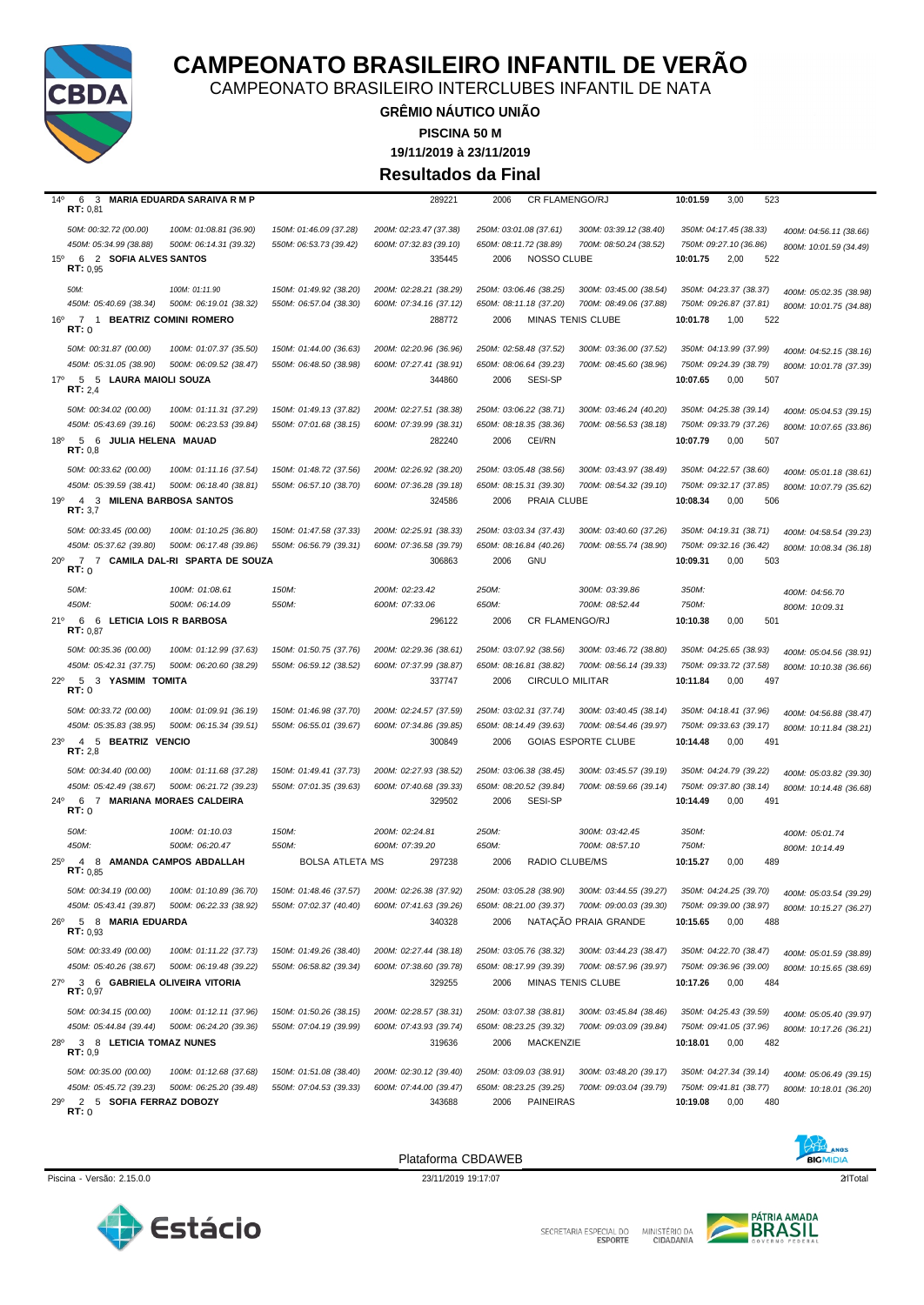

CAMPEONATO BRASILEIRO INTERCLUBES INFANTIL DE NATA

**GRÊMIO NÁUTICO UNIÃO**

**PISCINA 50 M**

**19/11/2019 à 23/11/2019**

**Resultados da Final**

| $14^{\circ}$<br>6<br>3<br>RT: 0,81                                              | <b>MARIA EDUARDA SARAIVA R M P</b>            |                        | 289221                           | 2006<br><b>CR FLAMENGO/RJ</b>                 |                            | 3,00<br>10:01.59<br>523                           |                        |
|---------------------------------------------------------------------------------|-----------------------------------------------|------------------------|----------------------------------|-----------------------------------------------|----------------------------|---------------------------------------------------|------------------------|
| 50M: 00:32.72 (00.00)                                                           | 100M: 01:08.81 (36.90)                        | 150M: 01:46.09 (37.28) | 200M: 02:23.47 (37.38)           | 250M: 03:01.08 (37.61)                        | 300M: 03:39.12 (38.40)     | 350M: 04:17.45 (38.33)                            | 400M: 04:56.11 (38.66) |
| 450M: 05:34.99 (38.88)<br>$15^{\circ}$<br>6<br>2 SOFIA ALVES SANTOS<br>RT: 0.95 | 500M: 06:14.31 (39.32)                        | 550M: 06:53.73 (39.42) | 600M: 07:32.83 (39.10)<br>335445 | 650M: 08:11.72 (38.89)<br>NOSSO CLUBE<br>2006 | 700M: 08:50.24 (38.52)     | 750M: 09:27.10 (36.86)<br>10:01.75<br>2,00<br>522 | 800M: 10:01.59 (34.49) |
| 50M:                                                                            | 100M: 01:11.90                                | 150M: 01:49.92 (38.20) | 200M: 02:28.21 (38.29)           | 250M: 03:06.46 (38.25)                        | 300M: 03:45.00 (38.54)     | 350M: 04:23.37 (38.37)                            | 400M: 05:02.35 (38.98) |
| 450M: 05:40.69 (38.34)                                                          | 500M: 06:19.01 (38.32)                        | 550M: 06:57.04 (38.30) | 600M: 07:34.16 (37.12)           | 650M: 08:11.18 (37.20)                        | 700M: 08:49.06 (37.88)     | 750M: 09:26.87 (37.81)                            | 800M: 10:01.75 (34.88) |
| 16°<br>$\overline{7}$<br>$\overline{1}$<br>RT: 0                                | <b>BEATRIZ COMINI ROMERO</b>                  |                        | 288772                           | 2006                                          | MINAS TENIS CLUBE          | 10:01.78<br>1,00<br>522                           |                        |
| 50M: 00:31.87 (00.00)                                                           | 100M: 01:07.37 (35.50)                        | 150M: 01:44.00 (36.63) | 200M: 02:20.96 (36.96)           | 250M: 02:58.48 (37.52)                        | 300M: 03:36.00 (37.52)     | 350M: 04:13.99 (37.99)                            | 400M: 04:52.15 (38.16) |
| 450M: 05:31.05 (38.90)                                                          | 500M: 06:09.52 (38.47)                        | 550M: 06:48.50 (38.98) | 600M: 07:27.41 (38.91)           | 650M: 08:06.64 (39.23)                        | 700M: 08:45.60 (38.96)     | 750M: 09:24.39 (38.79)                            | 800M: 10:01.78 (37.39) |
| $17^{\circ}$<br>5 5 LAURA MAIOLI SOUZA<br>RT: 2,4                               |                                               |                        | 344860                           | SESI-SP<br>2006                               |                            | 10:07.65<br>0,00<br>507                           |                        |
| 50M: 00:34.02 (00.00)                                                           | 100M: 01:11.31 (37.29)                        | 150M: 01:49.13 (37.82) | 200M: 02:27.51 (38.38)           | 250M: 03:06.22 (38.71)                        | 300M: 03:46.24 (40.20)     | 350M: 04:25.38 (39.14)                            | 400M: 05:04.53 (39.15) |
| 450M: 05:43.69 (39.16)                                                          | 500M: 06:23.53 (39.84)                        | 550M: 07:01.68 (38.15) | 600M: 07:39.99 (38.31)           | 650M: 08:18.35 (38.36)                        | 700M: 08:56.53 (38.18)     | 750M: 09:33.79 (37.26)                            | 800M: 10:07.65 (33.86) |
| 18 <sup>0</sup><br>5 6 JULIA HELENA MAUAD<br>RT: 0,8                            |                                               |                        | 282240                           | CEI/RN<br>2006                                |                            | 10:07.79<br>0,00<br>507                           |                        |
| 50M: 00:33.62 (00.00)                                                           | 100M: 01:11.16 (37.54)                        | 150M: 01:48.72 (37.56) | 200M: 02:26.92 (38.20)           | 250M: 03:05.48 (38.56)                        | 300M: 03:43.97 (38.49)     | 350M: 04:22.57 (38.60)                            | 400M: 05:01.18 (38.61) |
| 450M: 05:39.59 (38.41)                                                          | 500M: 06:18.40 (38.81)                        | 550M: 06:57.10 (38.70) | 600M: 07:36.28 (39.18)           | 650M: 08:15.31 (39.30)                        | 700M: 08:54.32 (39.10)     | 750M: 09:32.17 (37.85)                            | 800M: 10:07.79 (35.62) |
| 19 <sup>o</sup><br>$\overline{4}$<br>3<br>RT: 3.7                               | <b>MILENA BARBOSA SANTOS</b>                  |                        | 324586                           | PRAIA CLUBE<br>2006                           |                            | 10:08.34<br>0,00<br>506                           |                        |
| 50M: 00:33.45 (00.00)                                                           | 100M: 01:10.25 (36.80)                        | 150M: 01:47.58 (37.33) | 200M: 02:25.91 (38.33)           | 250M: 03:03.34 (37.43)                        | 300M: 03:40.60 (37.26)     | 350M: 04:19.31 (38.71)                            | 400M: 04:58.54 (39.23) |
| 450M: 05:37.62 (39.80)                                                          | 500M: 06:17.48 (39.86)                        | 550M: 06:56.79 (39.31) | 600M: 07:36.58 (39.79)           | 650M: 08:16.84 (40.26)                        | 700M: 08:55.74 (38.90)     | 750M: 09:32.16 (36.42)                            | 800M: 10:08.34 (36.18) |
| $20^{\circ}$<br>7<br>7<br>RT:0                                                  | CAMILA DAL-RI SPARTA DE SOUZA                 |                        | 306863                           | 2006<br>GNU                                   |                            | 10:09.31<br>0,00<br>503                           |                        |
| 50M:                                                                            | 100M: 01:08.61                                | 150M:                  | 200M: 02:23.42                   | 250M:                                         | 300M: 03:39.86             | 350M:                                             | 400M: 04:56.70         |
| 450M:                                                                           | 500M: 06:14.09                                | 550M:                  | 600M: 07:33.06                   | 650M:                                         | 700M: 08:52.44             | 750M:                                             | 800M: 10:09.31         |
| 21°<br>6 6 LETICIA LOIS R BARBOSA<br>RT: 0.87                                   |                                               |                        | 296122                           | CR FLAMENGO/RJ<br>2006                        |                            | 0,00<br>501<br>10:10.38                           |                        |
| 50M: 00:35.36 (00.00)                                                           | 100M: 01:12.99 (37.63)                        | 150M: 01:50.75 (37.76) | 200M: 02:29.36 (38.61)           | 250M: 03:07.92 (38.56)                        | 300M: 03:46.72 (38.80)     | 350M: 04:25.65 (38.93)                            | 400M: 05:04.56 (38.91) |
| 450M: 05:42.31 (37.75)                                                          | 500M: 06:20.60 (38.29)                        | 550M: 06:59.12 (38.52) | 600M: 07:37.99 (38.87)           | 650M: 08:16.81 (38.82)                        | 700M: 08:56.14 (39.33)     | 750M: 09:33.72 (37.58)                            | 800M: 10:10.38 (36.66) |
| $22^{\circ}$<br>-5<br>3 YASMIM TOMITA<br>RT:0                                   |                                               |                        | 337747                           | <b>CIRCULO MILITAR</b><br>2006                |                            | 497<br>10:11.84<br>0,00                           |                        |
| 50M: 00:33.72 (00.00)                                                           | 100M: 01:09.91 (36.19)                        | 150M: 01:46.98 (37.70) | 200M: 02:24.57 (37.59)           | 250M: 03:02.31 (37.74)                        | 300M: 03:40.45 (38.14)     | 350M: 04:18.41 (37.96)                            | 400M: 04:56.88 (38.47) |
| 450M: 05:35.83 (38.95)                                                          | 500M: 06:15.34 (39.51)                        | 550M: 06:55.01 (39.67) | 600M: 07:34.86 (39.85)           | 650M: 08:14.49 (39.63)                        | 700M: 08:54.46 (39.97)     | 750M: 09:33.63 (39.17)                            | 800M: 10:11.84 (38.21) |
| 4 5 BEATRIZ VENCIO<br>$23^{\circ}$<br>RT: 2,8                                   |                                               |                        | 300849                           | 2006                                          | <b>GOIAS ESPORTE CLUBE</b> | 10:14.48<br>491<br>0,00                           |                        |
| 50M: 00:34.40 (00.00)                                                           | 100M: 01:11.68 (37.28)                        | 150M: 01:49.41 (37.73) | 200M: 02:27.93 (38.52)           | 250M: 03:06.38 (38.45)                        | 300M: 03:45.57 (39.19)     | 350M: 04:24.79 (39.22)                            | 400M: 05:03.82 (39.30) |
| 450M: 05:42.49 (38.67)                                                          | 500M: 06:21.72 (39.23)                        | 550M: 07:01.35 (39.63) | 600M: 07:40.68 (39.33)           | 650M: 08:20.52 (39.84)                        | 700M: 08:59.66 (39.14)     | 750M: 09:37.80 (38.14)                            | 800M: 10:14.48 (36.68) |
| $24^{\circ}$<br>6<br>7<br>RT: 0                                                 | MARIANA MORAES CALDEIRA                       |                        | 329502                           | SESI-SP<br>2006                               |                            | 10:14.49<br>0,00<br>491                           |                        |
| 50M:                                                                            | 100M: 01:10.03                                | 150M:                  | 200M: 02:24.81                   | 250M:                                         | 300M: 03:42.45             | 350M:                                             | 400M: 05:01.74         |
| 450M:                                                                           | 500M: 06:20.47                                | 550M:                  | 600M: 07:39.20                   | 650M:                                         | 700M: 08:57.10             | 750M:                                             | 800M: 10:14.49         |
| $25^{\circ}$<br>$\overline{4}$<br>RT: 0.85                                      | 8 AMANDA CAMPOS ABDALLAH                      | <b>BOLSA ATLETA MS</b> | 297238                           | RADIO CLUBE/MS<br>2006                        |                            | 10:15.27<br>489<br>0,00                           |                        |
| 50M: 00:34.19 (00.00)                                                           | 100M: 01:10.89 (36.70)                        |                        |                                  | 250M: 03:05.28 (38.90)                        | 300M: 03:44.55 (39.27)     | 350M: 04:24.25 (39.70)                            | 400M: 05:03.54 (39.29) |
|                                                                                 | 450M: 05:43.41 (39.87) 500M: 06:22.33 (38.92) | 550M: 07:02.37 (40.40) | 600M: 07:41.63 (39.26)           | 650M: 08:21.00 (39.37) 700M: 09:00.03 (39.30) |                            | 750M: 09:39.00 (38.97)                            | 800M: 10:15.27 (36.27) |
| 5 8 MARIA EDUARDA<br>$26^{\circ}$<br>RT: 0.93                                   |                                               |                        | 340328                           | 2006                                          | NATAÇÃO PRAIA GRANDE       | 10:15.65<br>0,00<br>488                           |                        |
| 50M: 00:33.49 (00.00)                                                           | 100M: 01:11.22 (37.73)                        | 150M: 01:49.26 (38.40) | 200M: 02:27.44 (38.18)           | 250M: 03:05.76 (38.32)                        | 300M: 03:44.23 (38.47)     | 350M: 04:22.70 (38.47)                            | 400M: 05:01.59 (38.89) |
| 450M: 05:40.26 (38.67)                                                          | 500M: 06:19.48 (39.22)                        | 550M: 06:58.82 (39.34) | 600M: 07:38.60 (39.78)           | 650M: 08:17.99 (39.39)                        | 700M: 08:57.96 (39.97)     | 750M: 09:36.96 (39.00)                            | 800M: 10:15.65 (38.69) |
| $27^\circ$<br>3 6 GABRIELA OLIVEIRA VITORIA<br>RT: 0,97                         |                                               |                        | 329255                           | 2006                                          | MINAS TENIS CLUBE          | 0,00<br>484<br>10:17.26                           |                        |
| 50M: 00:34.15 (00.00)                                                           | 100M: 01:12.11 (37.96)                        | 150M: 01:50.26 (38.15) | 200M: 02:28.57 (38.31)           | 250M: 03:07.38 (38.81)                        | 300M: 03:45.84 (38.46)     | 350M: 04:25.43 (39.59)                            | 400M: 05:05.40 (39.97) |
| 450M: 05:44.84 (39.44)                                                          | 500M: 06:24.20 (39.36)                        | 550M: 07:04.19 (39.99) | 600M: 07:43.93 (39.74)           | 650M: 08:23.25 (39.32)                        | 700M: 09:03.09 (39.84)     | 750M: 09:41.05 (37.96)                            | 800M: 10:17.26 (36.21) |
| 3 8 LETICIA TOMAZ NUNES<br>28°<br>RT: 0,9                                       |                                               |                        | 319636                           | MACKENZIE<br>2006                             |                            | 0,00<br>10:18.01<br>482                           |                        |
| 50M: 00:35.00 (00.00)                                                           | 100M: 01:12.68 (37.68)                        | 150M: 01:51.08 (38.40) | 200M: 02:30.12 (39.40)           | 250M: 03:09.03 (38.91)                        | 300M: 03:48.20 (39.17)     | 350M: 04:27.34 (39.14)                            | 400M: 05:06.49 (39.15) |
| 450M: 05:45.72 (39.23)                                                          | 500M: 06:25.20 (39.48)                        | 550M: 07:04.53 (39.33) | 600M: 07:44.00 (39.47)           | 650M: 08:23.25 (39.25)                        | 700M: 09:03.04 (39.79)     | 750M: 09:41.81 (38.77)                            | 800M: 10:18.01 (36.20) |
| 2 5 SOFIA FERRAZ DOBOZY<br>29°<br>RT: 0                                         |                                               |                        | 343688                           | 2006<br><b>PAINEIRAS</b>                      |                            | 10:19.08<br>0,00<br>480                           |                        |



Piscina - Versão: 2.15.0.0 23/11/2019 19:17:07 23/11/2019 19:17:07 23/11/2019 19:17:07 23/11/2019 19:17:07 21





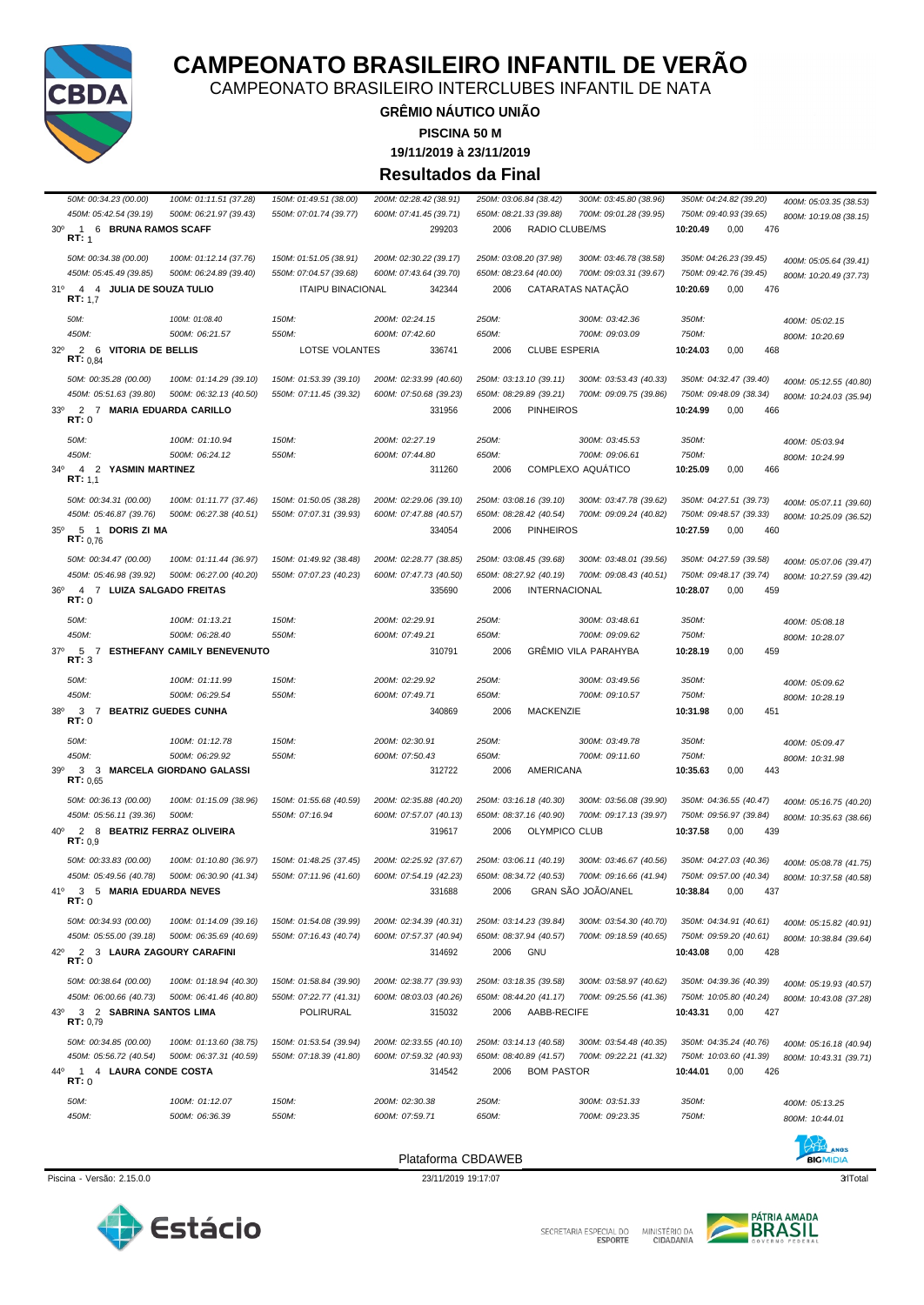

SECRETARIA ESPECIAL DO MINISTÉRIO DA<br>CIDADANIA



BICMIDIA

Piscina - Versão: 2.15.0.0 23/11/2019 19:17:07 qrlTotal 3

Plataforma CBDAWEB

450M: 05:42.54 (39.19) 500M: 06:21.97 (39.43) 550M: 07:01.74 (39.77) 600M: 07:41.45 (39.71) 650M: 08:21.33 (39.88) 700M: 09:01.28 (39.95) 750M: 09:40.93 (39.65) 800M: 10:19 08 (38.15) 30º 1 6 **BRUNA RAMOS SCAFF** 299203 2006 RADIO CLUBE/MS **10:20.49** 0,00 476 <u>ыт:</u> 50M: 00:34.38 (00.00) 100M: 01:12.14 (37.76) 150M: 01:51.05 (38.91) 200M: 02:30.22 (39.17) 250M: 03:08.20 (37.98) 300M: 03:46.78 (38.58) 350M: 04:26.23 (39.45) 400M: 05:05.64 (39.41) 450M: 05:45.49 (39.85) 500M: 06:24.89 (39.40) 550M: 07:04.57 (39.68) 600M: 07:43.64 (39.70) 650M: 08:23.64 (40.00) 700M: 09:03.31 (39.67) 750M: 09:42.76 (39.45) 800M: 10:20.49 (37.73) 31º 4 4 **JULIA DE SOUZA TULIO** ITAIPU BINACIONAL 342344 2006 CATARATAS NATAÇÃO **10:20.69** 0,00 476 **RT:** 1,7 *50M: 100M: 01:08.40 150M: 200M: 02:24.15 250M: 300M: 03:42.36 350M: 400M: 05:02.15 450M: 500M: 06:21.57 550M: 600M: 07:42.60 650M: 700M: 09:03.09 750M: 800M: 10:20.69* 32º 2 6 **VITORIA DE BELLIS** LOTSE VOLANTES 336741 2006 CLUBE ESPERIA **10:24.03** 0,00 468 **RT:** 0,84 50M: 00:35.28 (00.00) 100M: 01:14.29 (39.10) 150M: 01:53.39 (39.10) 200M: 02:33.99 (40.60) 250M: 03:13.10 (39.11) 300M: 03:53.43 (40.33) 350M: 04:32.47 (39.40) 400M: 05:12.55 (40.80) 450M: 05:51.63 (39.80) 500M: 06:32.13 (40.50) 550M: 07:11.45 (39.32) 600M: 07:50.68 (39.23) 650M: 08:29.89 (39.21) 700M: 09:09.75 (39.86) 750M: 09:48.09 (38.34) 800M: 10:24.03 (35.94) 33º 2 7 **MARIA EDUARDA CARILLO** 331956 2006 PINHEIROS **10:24.99** 0,00 466 **RT:** 0 *50M: 100M: 01:10.94 150M: 200M: 02:27.19 250M: 300M: 03:45.53 350M: 400M: 05:03.94 450M: 500M: 06:24.12 550M: 600M: 07:44.80 650M: 700M: 09:06.61 750M: 800M: 10:24.99* 34º 4 2 **YASMIN MARTINEZ** 311260 2006 COMPLEXO AQUÁTICO **10:25.09** 0,00 466 **RT:** 1,1 1000.34.31 (00.00) 100M: 01:11.77 (37.46) 150M: 01:50.05 (38.28) 200M: 02:29.06 (39.10) 250M: 03:08.16 (39.10) 300M: 03:47.78 (39.62) 350M: 04:27.51 (39.73) 400M: 05:07.11 (39.60)<br>450M: 05:46.87 (39.76) 500M: 06:27.38 (40. 650M: 08:28.42 (40.54) 700M: 09:09.24 (40.82) 750M: 09:48.57 (39.33) 800M: 10:25.09 (36.52) 35º 5 1 **DORIS ZI MA** 334054 2006 PINHEIROS **10:27.59** 0,00 460 **RT:** 0,76 50M: 00:34.47 (00.00) 100M: 01:11.44 (36.97) 150M: 01:49.92 (38.48) 200M: 02:28.77 (38.85) 250M: 03:08.45 (39.68) 300M: 03:48.01 (39.56) 350M: 04:27.59 (39.58) 400M: 05:07.06 (39.47) 450M: 05:46.98 (39.92) 500M: 06:27.00 (40.20) 550M: 07:07.23 (40.23) 600M: 07:47.73 (40.50) 650M: 08:27.92 (40.19) 700M: 09:08.43 (40.51) 750M: 09:48.17 (39.74) 800M: 10:27.59 (39.42) 36º 4 7 **LUIZA SALGADO FREITAS** 335690 2006 INTERNACIONAL **10:28.07** 0,00 459 **RT:** 0 *50M: 100M: 01:13.21 150M: 200M: 02:29.91 250M: 300M: 03:48.61 350M: 400M: 05:08.18 450M: 500M: 06:28.40 550M: 600M: 07:49.21 650M: 700M: 09:09.62 750M: 800M: 10:28.07* 37º 5 7 **ESTHEFANY CAMILY BENEVENUTO** 310791 2006 GRÊMIO VILA PARAHYBA **10:28.19** 0,00 459 **RT:** 3 *50M: 100M: 01:11.99 150M: 200M: 02:29.92 250M: 300M: 03:49.56 350M: 400M: 05:09.62 450M: 500M: 06:29.54 550M: 600M: 07:49.71 650M: 700M: 09:10.57 750M: 800M: 10:28.19* 38º 3 7 **BEATRIZ GUEDES CUNHA** 340869 2006 MACKENZIE **10:31.98** 0,00 451 **RT:** 0 *50M: 100M: 01:12.78 150M: 200M: 02:30.91 250M: 300M: 03:49.78 350M: 400M: 05:09.47 450M: 500M: 06:29.92 550M: 600M: 07:50.43 650M: 700M: 09:11.60 750M: 800M: 10:31.98* 39º 3 3 **MARCELA GIORDANO GALASSI** 312722 2006 AMERICANA **10:35.63** 0,00 443 **RT:** 0,65 50M: 00:36.13 (00.00) 100M: 01:15.09 (38.96) 150M: 01:55.68 (40.59) 200M: 02:35.88 (40.20) 250M: 03:16.18 (40.30) 300M: 03:56.08 (39.90) 350M: 04:36.55 (40.47) 400M: 05:16.75 (40.20) *450M: 05:56.11 (39.36) 500M: 550M: 07:16.94 600M: 07:57.07 (40.13) 650M: 08:37.16 (40.90) 700M: 09:17.13 (39.97) 750M: 09:56.97 (39.84) 800M: 10:35.63 (38.66)* 40º 2 8 **BEATRIZ FERRAZ OLIVEIRA** 319617 2006 OLYMPICO CLUB **10:37.58** 0,00 439 **RT:**  $0,9$ 1000.33.83 (00.00) 100M: 01:10.80 (36.97) 150M: 01:48.25 (37.45) 200M: 02:25.92 (37.67) 250M: 03:06.11 (40.19) 300M: 03:46.67 (40.56) 350M: 04:27.03 (40.36) 400M: 05:08.78 (41.75)<br>150M: 05:49.56 (40.78) 500M: 06:30.90 (41. 550M: 07:11.96 (41.60) 600M: 07:54.19 (42.23) 650M: 08:34.72 (40.53) 700M: 09:16.66 (41.94) 750M: 09:57.00 (40.34) 800M: 10:37.58 (40.58) 41º 3 5 **MARIA EDUARDA NEVES** 331688 2006 GRAN SÃO JOÃO/ANEL **10:38.84** 0,00 437 **RT:** 0 50M: 00:34.93 (00.00) 100M: 01:14.09 (39.16) 150M: 01:54.08 (39.99) 200M: 02:34.39 (40.31) 250M: 03:14.23 (39.84) 300M: 03:54.30 (40.70) 350M: 04:34.91 (40.61) 400M: 05:15.82 (40.91) 450M: 05:55.00 (39.18) 500M: 06:35.69 (40.69) 550M: 07:16.43 (40.74) 600M: 07:57.37 (40.94) 650M: 08:37.94 (40.57) 700M: 09:18.59 (40.65) 750M: 09:59.20 (40.61) 800M: 10:38.84 (39.64) 42º 2 3 **LAURA ZAGOURY CARAFINI** 314692 2006 GNU **10:43.08** 0,00 428 **RT:** 0 *50M: 00:38.64 (00.00) 100M: 01:18.94 (40.30) 150M: 01:58.84 (39.90) 200M: 02:38.77 (39.93) 250M: 03:18.35 (39.58) 300M: 03:58.97 (40.62) 350M: 04:39.36 (40.39) 400M: 05:19.93 (40.57)* 550M: 07:22.77 (41.31) 600M: 08:03.03 (40.26) 650M: 08:44.20 (41.17) 700M: 09:25.56 (41.36) 750M: 10:05.80 (40.24) 800M: 10:43.08 (37.28) 43º 3 2 **SABRINA SANTOS LIMA** POLIRURAL 315032 2006 AABB-RECIFE **10:43.31** 0,00 427 **PT:** 0.79 50M: 00:34.85 (00.00) 100M: 01:13.60 (38.75) 150M: 01:53.54 (39.94) 200M: 02:33.55 (40.10) 250M: 03:14.13 (40.58) 300M: 03:54.48 (40.35) 350M: 04:35.24 (40.76) 400M: 05:16.18 (40.94) 450M: 05:56.72 (40.54) 500M: 06:37.31 (40.59) 550M: 07:18.39 (41.80) 600M: 07:59.32 (40.93) 650M: 08:40.89 (41.57) 700M: 09:22.21 (41.32) 750M: 10:03.60 (41.39) 800M: 10:43.31 (39.71) 44º 1 4 **LAURA CONDE COSTA** 314542 2006 BOM PASTOR **10:44.01** 0,00 426 **RT:** 0 *50M: 100M: 01:12.07 150M: 200M: 02:30.38 250M: 300M: 03:51.33 350M: 400M: 05:13.25 450M: 500M: 06:36.39 550M: 600M: 07:59.71 650M: 700M: 09:23.35 750M: 800M: 10:44.01*



### **GRÊMIO NÁUTICO UNIÃO** CAMPEONATO BRASILEIRO INTERCLUBES INFANTIL DE NATA

**CAMPEONATO BRASILEIRO INFANTIL DE VERÃO**

**PISCINA 50 M**

**19/11/2019 à 23/11/2019**

**Resultados da Final**

*50M: 00:34.23 (00.00) 100M: 01:11.51 (37.28) 150M: 01:49.51 (38.00) 200M: 02:28.42 (38.91) 250M: 03:06.84 (38.42) 300M: 03:45.80 (38.96) 350M: 04:24.82 (39.20) 400M: 05:03.35 (38.53)*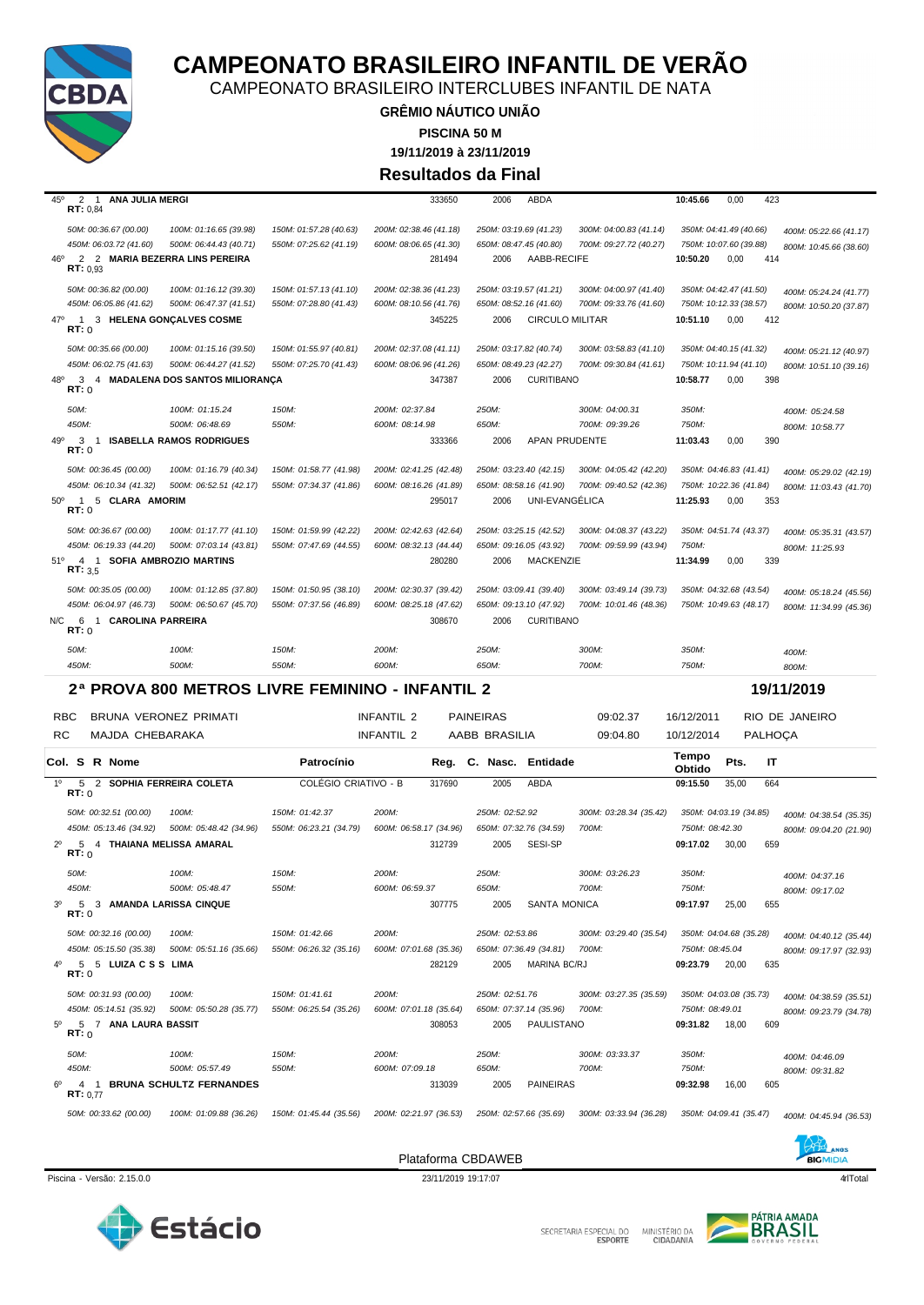

CAMPEONATO BRASILEIRO INTERCLUBES INFANTIL DE NATA

**GRÊMIO NÁUTICO UNIÃO 19/11/2019 à 23/11/2019 PISCINA 50 M Resultados da Final**

| $45^{\circ}$     | 2<br>$\overline{1}$<br>ANA JULIA MERGI<br>RT: 0,84                                                       |                                                                                        |                                                   | 333650                                                     | 2006<br>ABDA                                                                       |                                                   | 10:45.66                            | 0,00                                                            | 423                                                                |
|------------------|----------------------------------------------------------------------------------------------------------|----------------------------------------------------------------------------------------|---------------------------------------------------|------------------------------------------------------------|------------------------------------------------------------------------------------|---------------------------------------------------|-------------------------------------|-----------------------------------------------------------------|--------------------------------------------------------------------|
| 46°              | 50M: 00:36.67 (00.00)<br>450M: 06:03.72 (41.60)<br>2 2 MARIA BEZERRA LINS PEREIRA<br>RT: 0.93            | 100M: 01:16.65 (39.98)<br>500M: 06:44.43 (40.71)                                       | 150M: 01:57.28 (40.63)<br>550M: 07:25.62 (41.19)  | 200M: 02:38.46 (41.18)<br>600M: 08:06.65 (41.30)<br>281494 | 250M: 03:19.69 (41.23)<br>650M: 08:47.45 (40.80)<br>2006<br>AABB-RECIFE            | 300M: 04:00.83 (41.14)<br>700M: 09:27.72 (40.27)  | 10:50.20                            | 350M: 04:41.49 (40.66)<br>750M: 10:07.60 (39.88)<br>0,00<br>414 | 400M: 05:22.66 (41.17)<br>800M: 10:45.66 (38.60)                   |
| $47^\circ$       | 50M: 00:36.82 (00.00)<br>450M: 06:05.86 (41.62)<br>$\overline{1}$<br>RT:0                                | 100M: 01:16.12 (39.30)<br>500M: 06:47.37 (41.51)<br>3 HELENA GONÇALVES COSME           | 150M: 01:57.13 (41.10)<br>550M: 07:28.80 (41.43)  | 200M: 02:38.36 (41.23)<br>600M: 08:10.56 (41.76)<br>345225 | 250M: 03:19.57 (41.21)<br>650M: 08:52.16 (41.60)<br>2006<br><b>CIRCULO MILITAR</b> | 300M: 04:00.97 (41.40)<br>700M: 09:33.76 (41.60)  | 10:51.10                            | 350M: 04:42.47 (41.50)<br>750M: 10:12.33 (38.57)<br>0,00<br>412 | 400M: 05:24.24 (41.77)<br>800M: 10:50.20 (37.87)                   |
| 48°              | 50M: 00:35.66 (00.00)<br>450M: 06:02.75 (41.63)<br>RT: 0                                                 | 100M: 01:15.16 (39.50)<br>500M: 06:44.27 (41.52)<br>3 4 MADALENA DOS SANTOS MILIORANÇA | 150M: 01:55.97 (40.81)<br>550M: 07:25.70 (41.43)  | 200M: 02:37.08 (41.11)<br>600M: 08:06.96 (41.26)<br>347387 | 250M: 03:17.82 (40.74)<br>650M: 08:49.23 (42.27)<br><b>CURITIBANO</b><br>2006      | 300M: 03:58.83 (41.10)<br>700M: 09:30.84 (41.61)  | 10:58.77                            | 350M: 04:40.15 (41.32)<br>750M: 10:11.94 (41.10)<br>398<br>0,00 | 400M: 05:21.12 (40.97)<br>800M: 10:51.10 (39.16)                   |
| 49°              | 50M:<br>450M:<br>3<br>$\mathbf{1}$<br>RT:0                                                               | 100M: 01:15.24<br>500M: 06:48.69<br><b>ISABELLA RAMOS RODRIGUES</b>                    | 150M:<br>550M:                                    | 200M: 02:37.84<br>600M: 08:14.98<br>333366                 | 250M:<br>650M:<br>APAN PRUDENTE<br>2006                                            | 300M: 04:00.31<br>700M: 09:39.26                  | 350M:<br>750M:<br>11:03.43          | 390<br>0,00                                                     | 400M: 05:24.58<br>800M: 10:58.77                                   |
| $50^{\circ}$     | 50M: 00:36.45 (00.00)<br>450M: 06:10.34 (41.32)<br>5 CLARA AMORIM<br>$\mathbf{1}$<br>RT:0                | 100M: 01:16.79 (40.34)<br>500M: 06:52.51 (42.17)                                       | 150M: 01:58.77 (41.98)<br>550M: 07:34.37 (41.86)  | 200M: 02:41.25 (42.48)<br>600M: 08:16.26 (41.89)<br>295017 | 250M: 03:23.40 (42.15)<br>650M: 08:58.16 (41.90)<br>UNI-EVANGÉLICA<br>2006         | 300M: 04:05.42 (42.20)<br>700M: 09:40.52 (42.36)  | 11:25.93                            | 350M: 04:46.83 (41.41)<br>750M: 10:22.36 (41.84)<br>0,00<br>353 | 400M: 05:29.02 (42.19)<br>800M: 11:03.43 (41.70)                   |
| 51°              | 50M: 00:36.67 (00.00)<br>450M: 06:19.33 (44.20)<br>4 1<br>RT: 3,5                                        | 100M: 01:17.77 (41.10)<br>500M: 07:03.14 (43.81)<br><b>SOFIA AMBROZIO MARTINS</b>      | 150M: 01:59.99 (42.22)<br>550M: 07:47.69 (44.55)  | 200M: 02:42.63 (42.64)<br>600M: 08:32.13 (44.44)<br>280280 | 250M: 03:25.15 (42.52)<br>650M: 09:16.05 (43.92)<br>2006<br>MACKENZIE              | 300M: 04:08.37 (43.22)<br>700M: 09:59.99 (43.94)  | 750M:<br>11:34.99                   | 350M: 04:51.74 (43.37)<br>339<br>0,00                           | 400M: 05:35.31 (43.57)<br>800M: 11:25.93                           |
| N/C              | 50M: 00:35.05 (00.00)<br>450M: 06:04.97 (46.73)<br>6<br>1 CAROLINA PARREIRA                              | 100M: 01:12.85 (37.80)<br>500M: 06:50.67 (45.70)                                       | 150M: 01:50.95 (38.10)<br>550M: 07:37.56 (46.89)  | 200M: 02:30.37 (39.42)<br>600M: 08:25.18 (47.62)<br>308670 | 250M: 03:09.41 (39.40)<br>650M: 09:13.10 (47.92)<br><b>CURITIBANO</b><br>2006      | 300M: 03:49.14 (39.73)<br>700M: 10:01.46 (48.36)  |                                     | 350M: 04:32.68 (43.54)<br>750M: 10:49.63 (48.17)                | 400M: 05:18.24 (45.56)<br>800M: 11:34.99 (45.36)                   |
|                  | RT:0                                                                                                     |                                                                                        |                                                   |                                                            |                                                                                    |                                                   |                                     |                                                                 |                                                                    |
|                  | 50M:                                                                                                     | 100M:                                                                                  | 150M:                                             | 200M:                                                      | 250M:                                                                              | 300M:                                             | 350M:                               |                                                                 | 400M:                                                              |
|                  | 450M:                                                                                                    | 500M:                                                                                  | 550M:                                             | 600M:                                                      | 650M:                                                                              | 700M:                                             | 750M:                               |                                                                 | 800M:                                                              |
|                  |                                                                                                          |                                                                                        | 2ª PROVA 800 METROS LIVRE FEMININO - INFANTIL 2   |                                                            |                                                                                    |                                                   |                                     |                                                                 | 19/11/2019                                                         |
| <b>RBC</b><br>RC | BRUNA VERONEZ PRIMATI<br>MAJDA CHEBARAKA                                                                 |                                                                                        |                                                   | <b>INFANTIL 2</b><br>INFANTIL 2                            | <b>PAINEIRAS</b><br>AABB BRASILIA                                                  | 09:02.37<br>09:04.80                              | 16/12/2011<br>10/12/2014            | PALHOÇA                                                         | RIO DE JANEIRO                                                     |
|                  | Col. S R Nome                                                                                            |                                                                                        | Patrocínio                                        | Reg.                                                       | C. Nasc.<br>Entidade                                                               |                                                   | Tempo                               | Pts.<br>IT                                                      |                                                                    |
| $1^{\circ}$      | 5<br>$\overline{2}$                                                                                      | SOPHIA FERREIRA COLETA                                                                 | COLÉGIO CRIATIVO - B                              | 317690                                                     | 2005<br>ABDA                                                                       |                                                   | Obtido<br>09:15.50                  | 35,00<br>664                                                    |                                                                    |
| $2^{\circ}$      | RT:0<br>50M: 00:32.51 (00.00)<br>450M: 05:13.46 (34.92)<br>5<br>4 THAIANA MELISSA AMARAL<br>RT:0<br>50M: | 100M:<br>500M: 05:48.42 (34.96)<br>100M:                                               | 150M: 01:42.37<br>550M: 06:23.21 (34.79)<br>150M: | 200M:<br>600M: 06:58.17 (34.96)<br>312739<br>200M:         | 250M: 02:52.92<br>650M: 07:32.76 (34.59)<br>SESI-SP<br>2005<br>250M:               | 300M: 03:28.34 (35.42)<br>700M:<br>300M: 03:26.23 | 750M: 08:42.30<br>09:17.02<br>350M: | 350M: 04:03.19 (34.85)<br>30,00<br>659                          | 400M: 04:38.54 (35.35)<br>800M: 09:04.20 (21.90)<br>400M: 04:37.16 |
| 3 <sup>o</sup>   | 450M:<br>5<br>3 AMANDA LARISSA CINQUE<br><b>RT: 0</b>                                                    | 500M: 05:48.47                                                                         | 550M:                                             | 600M: 06:59.37<br>307775                                   | 650M:<br><b>SANTA MONICA</b><br>2005                                               | 700M:                                             | 750M:<br>09:17.97                   | 25,00<br>655                                                    | 800M: 09:17.02                                                     |
|                  | 50M: 00:32.16 (00.00)<br>450M: 05:15.50 (35.38)<br>5 5 LUIZACSS LIMA<br>RT:0                             | 100M:<br>500M: 05:51.16 (35.66)                                                        | 150M: 01:42.66<br>550M: 06:26.32 (35.16)          | 200M:<br>600M: 07:01.68 (35.36)<br>282129                  | 250M: 02:53.86<br>650M: 07:36.49 (34.81)<br>MARINA BC/RJ<br>2005                   | 300M: 03:29.40 (35.54)<br>700M:                   | 750M: 08:45.04<br>09:23.79          | 350M: 04:04.68 (35.28)<br>20,00<br>635                          | 400M: 04:40.12 (35.44)<br>800M: 09:17.97 (32.93)                   |
| $5^{\circ}$      | 50M: 00:31.93 (00.00)<br>450M: 05:14.51 (35.92)<br>5 7 ANA LAURA BASSIT<br>RT:0                          | 100M:<br>500M: 05:50.28 (35.77)                                                        | 150M: 01:41.61<br>550M: 06:25.54 (35.26)          | 200M:<br>600M: 07:01.18 (35.64)<br>308053                  | 250M: 02:51.76<br>650M: 07:37.14 (35.96)<br>PAULISTANO<br>2005                     | 300M: 03:27.35 (35.59)<br>700M:                   | 750M: 08:49.01<br>09:31.82          | 350M: 04:03.08 (35.73)<br>609<br>18,00                          | 400M: 04:38.59 (35.51)<br>800M: 09:23.79 (34.78)                   |
|                  | 50M:<br>450M:<br>RT: 0.77                                                                                | 100M:<br>500M: 05:57.49<br>4 1 BRUNA SCHULTZ FERNANDES                                 | 150M:<br>550M:                                    | 200M:<br>600M: 07:09.18<br>313039                          | 250M:<br>650M:<br><b>PAINEIRAS</b><br>2005                                         | 300M: 03:33.37<br>700M:                           | 350M:<br>750M:<br>09:32.98          | 16,00<br>605                                                    | 400M: 04:46.09<br>800M: 09:31.82                                   |





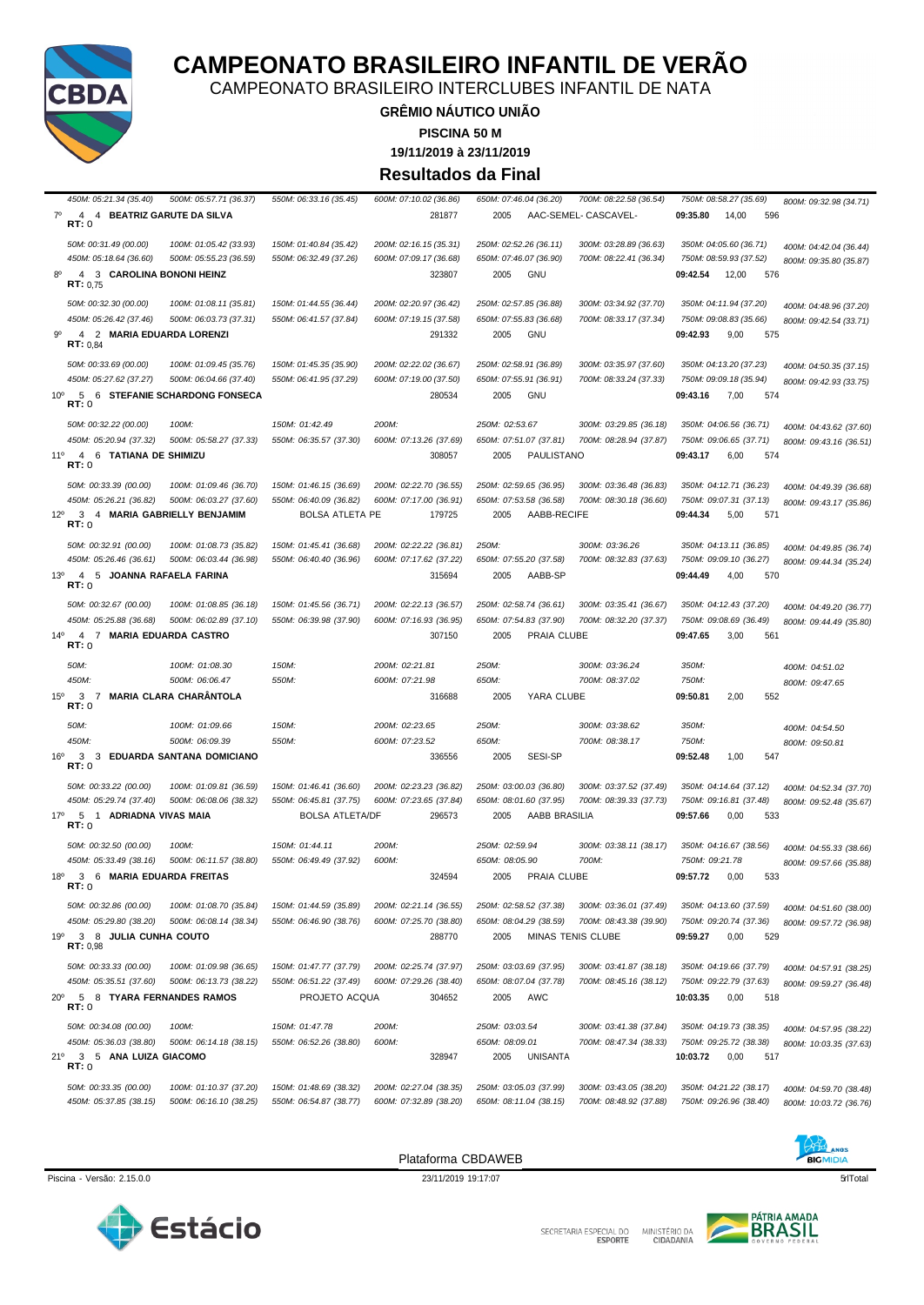

SECRETARIA ESPECIAL DO MINISTÉRIO DA<br>ESPORTE CIDADANIA



ANOS **BIGMIDIA** 

Piscina - Versão: 2.15.0.0 23/11/2019 19:17:07 qrlTotal 5

Plataforma CBDAWEB

| 450M: 05:21.34 (35.40)                           | 500M: 05:57.71 (36.37)                              | 550M: 06:33.16 (35.45)                           | 600M: 07:10.02 (36.86)                           | 650M: 07:46.04 (36.20)                           | 700M: 08:22.58 (36.54)                           | 750M: 08:58.27 (35.69)                           | 800M: 09:32.98 (34.71)                           |
|--------------------------------------------------|-----------------------------------------------------|--------------------------------------------------|--------------------------------------------------|--------------------------------------------------|--------------------------------------------------|--------------------------------------------------|--------------------------------------------------|
| $7^\circ$                                        | 4 4 BEATRIZ GARUTE DA SILVA                         |                                                  | 281877                                           | 2005                                             | AAC-SEMEL- CASCAVEL-                             | 09:35.80<br>14,00                                | 596                                              |
| RT:0                                             |                                                     |                                                  |                                                  |                                                  |                                                  |                                                  |                                                  |
| 50M: 00:31.49 (00.00)                            | 100M: 01:05.42 (33.93)                              | 150M: 01:40.84 (35.42)                           | 200M: 02:16.15 (35.31)                           | 250M: 02:52.26 (36.11)                           | 300M: 03:28.89 (36.63)                           | 350M: 04:05.60 (36.71)                           | 400M: 04:42.04 (36.44)                           |
| 450M: 05:18.64 (36.60)                           | 500M: 05:55.23 (36.59)                              | 550M: 06:32.49 (37.26)                           | 600M: 07:09.17 (36.68)                           | 650M: 07:46.07 (36.90)                           | 700M: 08:22.41 (36.34)                           | 750M: 08:59.93 (37.52)                           | 800M: 09:35.80 (35.87)                           |
| $8^{\circ}$                                      | 4 3 CAROLINA BONONI HEINZ                           |                                                  | 323807                                           | 2005<br>GNU                                      |                                                  | 09:42.54<br>12,00                                | 576                                              |
| RT: 0,75                                         |                                                     |                                                  |                                                  |                                                  |                                                  |                                                  |                                                  |
| 50M: 00:32.30 (00.00)                            | 100M: 01:08.11 (35.81)                              | 150M: 01:44.55 (36.44)                           | 200M: 02:20.97 (36.42)                           | 250M: 02:57.85 (36.88)                           | 300M: 03:34.92 (37.70)                           | 350M: 04:11.94 (37.20)                           | 400M: 04:48.96 (37.20)                           |
| 450M: 05:26.42 (37.46)                           | 500M: 06:03.73 (37.31)                              | 550M: 06:41.57 (37.84)                           | 600M: 07:19.15 (37.58)                           | 650M: 07:55.83 (36.68)                           | 700M: 08:33.17 (37.34)                           | 750M: 09:08.83 (35.66)                           | 800M: 09:42.54 (33.71)                           |
| 90                                               | 4 2 MARIA EDUARDA LORENZI                           |                                                  | 291332                                           | <b>GNU</b><br>2005                               |                                                  | 9,00<br>09:42.93                                 | 575                                              |
| <b>RT</b> : $0.84$                               |                                                     |                                                  |                                                  |                                                  |                                                  |                                                  |                                                  |
| 50M: 00:33.69 (00.00)                            | 100M: 01:09.45 (35.76)                              | 150M: 01:45.35 (35.90)                           | 200M: 02:22.02 (36.67)                           | 250M: 02:58.91 (36.89)                           | 300M: 03:35.97 (37.60)                           | 350M: 04:13.20 (37.23)                           | 400M: 04:50.35 (37.15)                           |
| 450M: 05:27.62 (37.27)                           | 500M: 06:04.66 (37.40)                              | 550M: 06:41.95 (37.29)                           | 600M: 07:19.00 (37.50)                           | 650M: 07:55.91 (36.91)                           | 700M: 08:33.24 (37.33)                           | 750M: 09:09.18 (35.94)                           | 800M: 09:42.93 (33.75)                           |
| $10^{\circ}$                                     | 5 6 STEFANIE SCHARDONG FONSECA                      |                                                  | 280534                                           | <b>GNU</b><br>2005                               |                                                  | 09:43.16<br>7,00                                 | 574                                              |
| RT:0                                             |                                                     |                                                  |                                                  |                                                  |                                                  |                                                  |                                                  |
| 50M: 00:32.22 (00.00)                            | 100M:                                               | 150M: 01:42.49                                   | 200M:                                            | 250M: 02:53.67                                   | 300M: 03:29.85 (36.18)                           | 350M: 04:06.56 (36.71)                           | 400M: 04:43.62 (37.60)                           |
| 450M: 05:20.94 (37.32)                           | 500M: 05:58.27 (37.33)                              | 550M: 06:35.57 (37.30)                           | 600M: 07:13.26 (37.69)                           | 650M: 07:51.07 (37.81)                           | 700M: 08:28.94 (37.87)                           | 750M: 09:06.65 (37.71)                           | 800M: 09:43.16 (36.51)                           |
| 11°<br>4 6 TATIANA DE SHIMIZU                    |                                                     |                                                  | 308057                                           | 2005<br>PAULISTANO                               |                                                  | 09:43.17<br>6,00                                 | 574                                              |
| RT:0                                             |                                                     |                                                  |                                                  |                                                  |                                                  |                                                  |                                                  |
| 50M: 00:33.39 (00.00)                            | 100M: 01:09.46 (36.70)                              | 150M: 01:46.15 (36.69)                           | 200M: 02:22.70 (36.55)                           | 250M: 02:59.65 (36.95)                           | 300M: 03:36.48 (36.83)                           | 350M: 04:12.71 (36.23)                           | 400M: 04:49.39 (36.68)                           |
| 450M: 05:26.21 (36.82)                           | 500M: 06:03.27 (37.60)                              | 550M: 06:40.09 (36.82)                           | 600M: 07:17.00 (36.91)                           | 650M: 07:53.58 (36.58)                           | 700M: 08:30.18 (36.60)                           | 750M: 09:07.31 (37.13)                           |                                                  |
| 12°                                              | 3 4 MARIA GABRIELLY BENJAMIM                        | <b>BOLSA ATLETA PE</b>                           | 179725                                           | AABB-RECIFE<br>2005                              |                                                  | 09:44.34<br>5,00                                 | 800M: 09:43.17 (35.86)<br>571                    |
| RT:0                                             |                                                     |                                                  |                                                  |                                                  |                                                  |                                                  |                                                  |
| 50M: 00:32.91 (00.00)                            | 100M: 01:08.73 (35.82)                              | 150M: 01:45.41 (36.68)                           | 200M: 02:22.22 (36.81)                           | 250M:                                            | 300M: 03:36.26                                   | 350M: 04:13.11 (36.85)                           |                                                  |
| 450M: 05:26.46 (36.61)                           | 500M: 06:03.44 (36.98)                              | 550M: 06:40.40 (36.96)                           | 600M: 07:17.62 (37.22)                           | 650M: 07:55.20 (37.58)                           | 700M: 08:32.83 (37.63)                           | 750M: 09:09.10 (36.27)                           | 400M: 04:49.85 (36.74)                           |
| 13 <sup>o</sup>                                  | 4 5 JOANNA RAFAELA FARINA                           |                                                  | 315694                                           | AABB-SP<br>2005                                  |                                                  | 09:44.49<br>4,00                                 | 800M: 09:44.34 (35.24)<br>570                    |
| RT: 0                                            |                                                     |                                                  |                                                  |                                                  |                                                  |                                                  |                                                  |
| 50M: 00:32.67 (00.00)                            | 100M: 01:08.85 (36.18)                              | 150M: 01:45.56 (36.71)                           | 200M: 02:22.13 (36.57)                           | 250M: 02:58.74 (36.61)                           | 300M: 03:35.41 (36.67)                           | 350M: 04:12.43 (37.20)                           |                                                  |
| 450M: 05:25.88 (36.68)                           | 500M: 06:02.89 (37.10)                              | 550M: 06:39.98 (37.90)                           | 600M: 07:16.93 (36.95)                           | 650M: 07:54.83 (37.90)                           | 700M: 08:32.20 (37.37)                           | 750M: 09:08.69 (36.49)                           | 400M: 04:49.20 (36.77)                           |
| $14^{\circ}$<br>$\overline{4}$<br>$\overline{7}$ | <b>MARIA EDUARDA CASTRO</b>                         |                                                  | 307150                                           | PRAIA CLUBE<br>2005                              |                                                  | 09:47.65<br>3,00                                 | 800M: 09:44.49 (35.80)<br>561                    |
|                                                  |                                                     |                                                  |                                                  |                                                  |                                                  |                                                  |                                                  |
| RT: 0                                            |                                                     |                                                  |                                                  |                                                  |                                                  |                                                  |                                                  |
|                                                  |                                                     |                                                  |                                                  |                                                  |                                                  |                                                  |                                                  |
| 50M:                                             | 100M: 01:08.30                                      | 150M:                                            | 200M: 02:21.81                                   | 250M:                                            | 300M: 03:36.24                                   | 350M:                                            | 400M: 04:51.02                                   |
| 450M:                                            | 500M: 06:06.47                                      | 550M:                                            | 600M: 07:21.98                                   | 650M:                                            | 700M: 08:37.02                                   | 750M:                                            | 800M: 09:47.65                                   |
| 15°<br>3<br>-7<br>RT: 0                          | <b>MARIA CLARA CHARÂNTOLA</b>                       |                                                  | 316688                                           | YARA CLUBE<br>2005                               |                                                  | 2,00<br>09:50.81                                 | 552                                              |
|                                                  |                                                     |                                                  |                                                  |                                                  |                                                  |                                                  |                                                  |
| 50M:                                             | 100M: 01:09.66                                      | 150M:                                            | 200M: 02:23.65                                   | 250M:                                            | 300M: 03:38.62                                   | 350M:                                            | 400M: 04:54.50                                   |
| 450M:                                            | 500M: 06:09.39                                      | 550M:                                            | 600M: 07:23.52                                   | 650M:                                            | 700M: 08:38.17                                   | 750M:                                            | 800M: 09:50.81                                   |
| $16^{\circ}$<br>3 <sub>3</sub><br>RT:0           | EDUARDA SANTANA DOMICIANO                           |                                                  | 336556                                           | SESI-SP<br>2005                                  |                                                  | 09:52.48<br>1,00                                 | 547                                              |
|                                                  |                                                     |                                                  |                                                  |                                                  |                                                  |                                                  |                                                  |
| 50M: 00:33.22 (00.00)<br>450M: 05:29.74 (37.40)  | 100M: 01:09.81 (36.59)<br>500M: 06:08.06 (38.32)    | 150M: 01:46.41 (36.60)<br>550M: 06:45.81 (37.75) | 200M: 02:23.23 (36.82)<br>600M: 07:23.65 (37.84) | 250M: 03:00.03 (36.80)<br>650M: 08:01.60 (37.95) | 300M: 03:37.52 (37.49)<br>700M: 08:39.33 (37.73) | 350M: 04:14.64 (37.12)<br>750M: 09:16.81 (37.48) | 400M: 04:52.34 (37.70)                           |
| 17º 5 1 ADRIADNA VIVAS MAIA                      |                                                     |                                                  |                                                  |                                                  |                                                  |                                                  | 800M: 09:52.48 (35.67)                           |
| RT:0                                             |                                                     | <b>BOLSA ATLETA/DF</b>                           | 296573                                           | AABB BRASILIA<br>2005                            |                                                  | 09:57.66<br>0,00                                 | 533                                              |
| 50M: 00:32.50 (00.00)                            | 100M:                                               | 150M: 01:44.11                                   | 200M:                                            | 250M: 02:59.94                                   | 300M: 03:38.11 (38.17)                           | 350M: 04:16.67 (38.56)                           |                                                  |
| 450M: 05:33.49 (38.16)                           | 500M: 06:11.57 (38.80)                              | 550M: 06:49.49 (37.92)                           | 600M:                                            | 650M: 08:05.90                                   | 700M:                                            | 750M: 09:21.78                                   | 400M: 04:55.33 (38.66)                           |
| 18º                                              | 3 6 MARIA EDUARDA FREITAS                           |                                                  | 324594                                           | 2005<br>PRAIA CLUBE                              |                                                  | 09:57.72<br>0,00                                 | 800M: 09:57.66 (35.88)<br>533                    |
| RT: 0                                            |                                                     |                                                  |                                                  |                                                  |                                                  |                                                  |                                                  |
|                                                  |                                                     |                                                  |                                                  | 250M: 02:58.52 (37.38)                           |                                                  | 350M: 04:13.60 (37.59)                           |                                                  |
| 50M: 00:32.86 (00.00)<br>450M: 05:29.80 (38.20)  | 100M: 01:08.70 (35.84)<br>500M: 06:08.14 (38.34)    | 150M: 01:44.59 (35.89)<br>550M: 06:46.90 (38.76) | 200M: 02:21.14 (36.55)<br>600M: 07:25.70 (38.80) | 650M: 08:04.29 (38.59)                           | 300M: 03:36.01 (37.49)<br>700M: 08:43.38 (39.90) | 750M: 09:20.74 (37.36)                           | 400M: 04:51.60 (38.00)                           |
|                                                  |                                                     |                                                  |                                                  |                                                  |                                                  |                                                  | 800M: 09:57.72 (36.98)                           |
| 19º<br>3 8 JULIA CUNHA COUTO<br>RT: 0.98         |                                                     |                                                  | 288770                                           | 2005                                             | MINAS TENIS CLUBE                                | 09:59.27<br>0,00                                 | 529                                              |
| 50M: 00:33.33 (00.00)                            | 100M: 01:09.98 (36.65)                              | 150M: 01:47.77 (37.79)                           | 200M: 02:25.74 (37.97)                           | 250M: 03:03.69 (37.95)                           | 300M: 03:41.87 (38.18)                           | 350M: 04:19.66 (37.79)                           |                                                  |
| 450M: 05:35.51 (37.60)                           |                                                     | 550M: 06:51.22 (37.49)                           |                                                  | 650M: 08:07.04 (37.78)                           | 700M: 08:45.16 (38.12)                           | 750M: 09:22.79 (37.63)                           | 400M: 04:57.91 (38.25)                           |
| $20^{\circ}$                                     | 500M: 06:13.73 (38.22)<br>5 8 TYARA FERNANDES RAMOS |                                                  | 600M: 07:29.26 (38.40)                           |                                                  |                                                  |                                                  | 800M: 09:59.27 (36.48)                           |
| RT:0                                             |                                                     | PROJETO ACQUA                                    | 304652                                           | 2005<br>AWC                                      |                                                  | 10:03.35<br>0,00                                 | 518                                              |
|                                                  | 100M:                                               | 150M: 01:47.78                                   | 200M:                                            |                                                  |                                                  |                                                  |                                                  |
| 50M: 00:34.08 (00.00)<br>450M: 05:36.03 (38.80)  |                                                     |                                                  | 600M:                                            | 250M: 03:03.54<br>650M: 08:09.01                 | 300M: 03:41.38 (37.84)<br>700M: 08:47.34 (38.33) | 350M: 04:19.73 (38.35)                           | 400M: 04:57.95 (38.22)                           |
|                                                  | 500M: 06:14.18 (38.15)                              | 550M: 06:52.26 (38.80)                           |                                                  |                                                  |                                                  | 750M: 09:25.72 (38.38)                           | 800M: 10:03.35 (37.63)                           |
| 21°<br>3 5 ANA LUIZA GIACOMO<br>RT: 0            |                                                     |                                                  | 328947                                           | 2005<br><b>UNISANTA</b>                          |                                                  | 10:03.72<br>0,00                                 | 517                                              |
|                                                  |                                                     |                                                  |                                                  |                                                  |                                                  |                                                  |                                                  |
| 50M: 00:33.35 (00.00)<br>450M: 05:37.85 (38.15)  | 100M: 01:10.37 (37.20)<br>500M: 06:16.10 (38.25)    | 150M: 01:48.69 (38.32)<br>550M: 06:54.87 (38.77) | 200M: 02:27.04 (38.35)<br>600M: 07:32.89 (38.20) | 250M: 03:05.03 (37.99)<br>650M: 08:11.04 (38.15) | 300M: 03:43.05 (38.20)<br>700M: 08:48.92 (37.88) | 350M: 04:21.22 (38.17)<br>750M: 09:26.96 (38.40) | 400M: 04:59.70 (38.48)<br>800M: 10:03.72 (36.76) |



### **CAMPEONATO BRASILEIRO INFANTIL DE VERÃO**

CAMPEONATO BRASILEIRO INTERCLUBES INFANTIL DE NATA

**GRÊMIO NÁUTICO UNIÃO**

**PISCINA 50 M**

**19/11/2019 à 23/11/2019**

**Resultados da Final**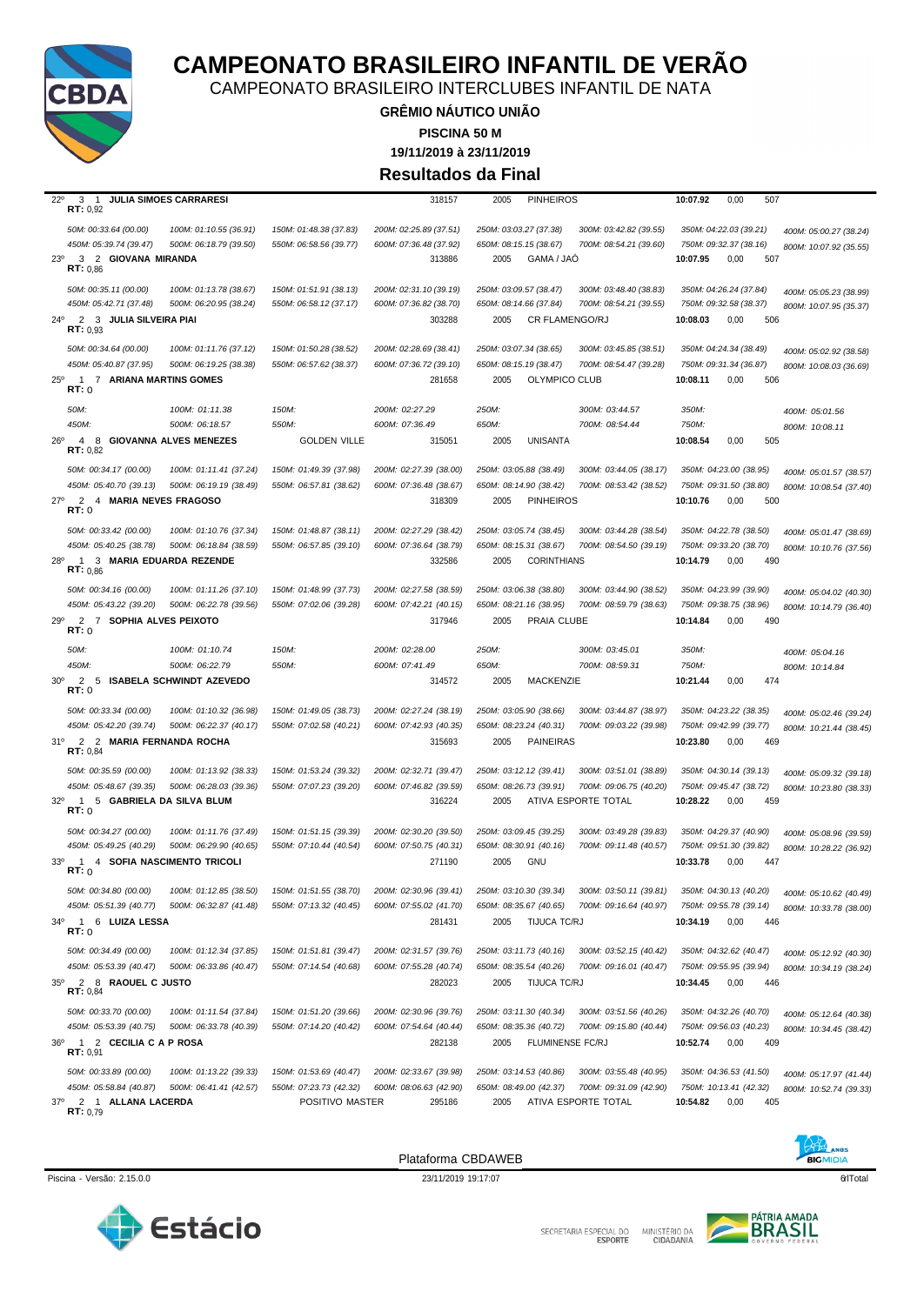

CAMPEONATO BRASILEIRO INTERCLUBES INFANTIL DE NATA

**GRÊMIO NÁUTICO UNIÃO PISCINA 50 M**

**19/11/2019 à 23/11/2019**

**Resultados da Final**

| $22^{\circ}$<br>3<br><b>JULIA SIMOES CARRARESI</b><br>$\overline{1}$<br>RT: 0,92                    |                                                  | 318157                                           | 2005<br><b>PINHEIROS</b>                                                                             | 0,00<br>10:07.92<br>507                                                                              |
|-----------------------------------------------------------------------------------------------------|--------------------------------------------------|--------------------------------------------------|------------------------------------------------------------------------------------------------------|------------------------------------------------------------------------------------------------------|
| 50M: 00:33.64 (00.00)<br>100M: 01:10.55 (36.91)                                                     | 150M: 01:48.38 (37.83)                           | 200M: 02:25.89 (37.51)                           | 250M: 03:03.27 (37.38)<br>300M: 03:42.82 (39.55)                                                     | 350M: 04:22.03 (39.21)<br>400M: 05:00.27 (38.24)                                                     |
| 450M: 05:39.74 (39.47)<br>500M: 06:18.79 (39.50)                                                    | 550M: 06:58.56 (39.77)                           | 600M: 07:36.48 (37.92)                           | 650M: 08:15.15 (38.67)<br>700M: 08:54.21 (39.60)                                                     | 750M: 09:32.37 (38.16)<br>800M: 10:07.92 (35.55)                                                     |
| 3 2 GIOVANA MIRANDA<br>$23^\circ$<br>RT: 0.86                                                       |                                                  | 313886                                           | GAMA / JAO<br>2005                                                                                   | 10:07.95<br>0,00<br>507                                                                              |
| 50M: 00:35.11 (00.00)<br>100M: 01:13.78 (38.67)                                                     | 150M: 01:51.91 (38.13)                           | 200M: 02:31.10 (39.19)                           | 250M: 03:09.57 (38.47)<br>300M: 03:48.40 (38.83)                                                     | 350M: 04:26.24 (37.84)<br>400M: 05:05.23 (38.99)                                                     |
| 500M: 06:20.95 (38.24)<br>450M: 05:42.71 (37.48)                                                    | 550M: 06:58.12 (37.17)                           | 600M: 07:36.82 (38.70)                           | 650M: 08:14.66 (37.84)<br>700M: 08:54.21 (39.55)                                                     | 750M: 09:32.58 (38.37)<br>800M: 10:07.95 (35.37)                                                     |
| 2 3 JULIA SILVEIRA PIAI<br>24°<br>RT: 0.93                                                          |                                                  | 303288                                           | 2005<br><b>CR FLAMENGO/RJ</b>                                                                        | 10:08.03<br>0,00<br>506                                                                              |
| 50M: 00:34.64 (00.00)<br>100M: 01:11.76 (37.12)                                                     | 150M: 01:50.28 (38.52)                           | 200M: 02:28.69 (38.41)                           | 250M: 03:07.34 (38.65)<br>300M: 03:45.85 (38.51)                                                     | 350M: 04:24.34 (38.49)<br>400M: 05:02.92 (38.58)                                                     |
| 450M: 05:40.87 (37.95)<br>500M: 06:19.25 (38.38)                                                    | 550M: 06:57.62 (38.37)                           | 600M: 07:36.72 (39.10)                           | 650M: 08:15.19 (38.47)<br>700M: 08:54.47 (39.28)                                                     | 750M: 09:31.34 (36.87)<br>800M: 10:08.03 (36.69)                                                     |
| $25^{\circ}$<br>7 ARIANA MARTINS GOMES<br>$\mathbf{1}$                                              |                                                  | 281658                                           | OLYMPICO CLUB<br>2005                                                                                | 10:08.11<br>0,00<br>506                                                                              |
| RT:0                                                                                                |                                                  |                                                  |                                                                                                      |                                                                                                      |
| 50M:<br>100M: 01:11.38                                                                              | 150M:                                            | 200M: 02:27.29                                   | 250M:<br>300M: 03:44.57                                                                              | 350M:<br>400M: 05:01.56                                                                              |
| 450M:<br>500M: 06:18.57<br>$26^{\circ}$<br>$\overline{4}$<br><b>GIOVANNA ALVES MENEZES</b><br>8     | 550M:<br><b>GOLDEN VILLE</b>                     | 600M: 07:36.49<br>315051                         | 700M: 08:54.44<br>650M:<br><b>UNISANTA</b><br>2005                                                   | 750M:<br>800M: 10:08.11<br>0,00<br>10:08.54<br>505                                                   |
| RT: 0,82                                                                                            |                                                  |                                                  |                                                                                                      |                                                                                                      |
| 50M: 00:34.17 (00.00)<br>100M: 01:11.41 (37.24)                                                     | 150M: 01:49.39 (37.98)                           | 200M: 02:27.39 (38.00)                           | 250M: 03:05.88 (38.49)<br>300M: 03:44.05 (38.17)                                                     | 350M: 04:23.00 (38.95)<br>400M: 05:01.57 (38.57)                                                     |
| 450M: 05:40.70 (39.13)<br>500M: 06:19.19 (38.49)                                                    | 550M: 06:57.81 (38.62)                           | 600M: 07:36.48 (38.67)                           | 700M: 08:53.42 (38.52)<br>650M: 08:14.90 (38.42)                                                     | 750M: 09:31.50 (38.80)<br>800M: 10:08.54 (37.40)                                                     |
| $27^\circ$<br>2<br>4 MARIA NEVES FRAGOSO<br>RT:0                                                    |                                                  | 318309                                           | <b>PINHEIROS</b><br>2005                                                                             | 10:10.76<br>0,00<br>500                                                                              |
| 50M: 00:33.42 (00.00)<br>100M: 01:10.76 (37.34)                                                     | 150M: 01:48.87 (38.11)                           | 200M: 02:27.29 (38.42)                           | 250M: 03:05.74 (38.45)<br>300M: 03:44.28 (38.54)                                                     | 350M: 04:22.78 (38.50)<br>400M: 05:01.47 (38.69)                                                     |
| 450M: 05:40.25 (38.78)<br>500M: 06:18.84 (38.59)                                                    | 550M: 06:57.85 (39.10)                           | 600M: 07:36.64 (38.79)                           | 650M: 08:15.31 (38.67)<br>700M: 08:54.50 (39.19)                                                     | 750M: 09:33.20 (38.70)<br>800M: 10:10.76 (37.56)                                                     |
| $28^{\circ}$<br>1 3 MARIA EDUARDA REZENDE<br>RT: 0,86                                               |                                                  | 332586                                           | <b>CORINTHIANS</b><br>2005                                                                           | 490<br>10:14.79<br>0,00                                                                              |
|                                                                                                     |                                                  |                                                  |                                                                                                      |                                                                                                      |
| 50M: 00:34.16 (00.00)<br>100M: 01:11.26 (37.10)<br>450M: 05:43.22 (39.20)<br>500M: 06:22.78 (39.56) | 150M: 01:48.99 (37.73)<br>550M: 07:02.06 (39.28) | 200M: 02:27.58 (38.59)<br>600M: 07:42.21 (40.15) | 250M: 03:06.38 (38.80)<br>300M: 03:44.90 (38.52)<br>650M: 08:21.16 (38.95)<br>700M: 08:59.79 (38.63) | 350M: 04:23.99 (39.90)<br>400M: 05:04.02 (40.30)<br>750M: 09:38.75 (38.96)<br>800M: 10:14.79 (36.40) |
| $\overline{2}$<br>29°<br>7 SOPHIA ALVES PEIXOTO                                                     |                                                  | 317946                                           | PRAIA CLUBE<br>2005                                                                                  | 0,00<br>490<br>10:14.84                                                                              |
| RT: 0                                                                                               |                                                  |                                                  |                                                                                                      |                                                                                                      |
| 50M:<br>100M: 01:10.74                                                                              | 150M:                                            | 200M: 02:28.00                                   | 250M:<br>300M: 03:45.01                                                                              | 350M:<br>400M: 05:04.16                                                                              |
|                                                                                                     |                                                  |                                                  |                                                                                                      |                                                                                                      |
| 450M:<br>500M: 06:22.79                                                                             | 550M:                                            | 600M: 07:41.49                                   | 650M:<br>700M: 08:59.31                                                                              | 750M:<br>800M: 10:14.84                                                                              |
| $\overline{2}$<br>$30^{\circ}$<br><b>ISABELA SCHWINDT AZEVEDO</b><br>5<br>RT:0                      |                                                  | 314572                                           | <b>MACKENZIE</b><br>2005                                                                             | 0,00<br>10:21.44<br>474                                                                              |
| 50M: 00:33.34 (00.00)<br>100M: 01:10.32 (36.98)                                                     | 150M: 01:49.05 (38.73)                           | 200M: 02:27.24 (38.19)                           | 250M: 03:05.90 (38.66)<br>300M: 03:44.87 (38.97)                                                     | 350M: 04:23.22 (38.35)<br>400M: 05:02.46 (39.24)                                                     |
| 450M: 05:42.20 (39.74)<br>500M: 06:22.37 (40.17)                                                    | 550M: 07:02.58 (40.21)                           | 600M: 07:42.93 (40.35)                           | 650M: 08:23.24 (40.31)<br>700M: 09:03.22 (39.98)                                                     | 750M: 09:42.99 (39.77)<br>800M: 10:21.44 (38.45)                                                     |
| 31°<br>2<br>2 MARIA FERNANDA ROCHA<br>RT: 0,84                                                      |                                                  | 315693                                           | <b>PAINEIRAS</b><br>2005                                                                             | 10:23.80<br>0,00<br>469                                                                              |
| 50M: 00:35.59 (00.00)<br>100M: 01:13.92 (38.33)                                                     | 150M: 01:53.24 (39.32)                           | 200M: 02:32.71 (39.47)                           | 250M: 03:12.12 (39.41)<br>300M: 03:51.01 (38.89)                                                     | 350M: 04:30.14 (39.13)                                                                               |
| 450M: 05:48.67 (39.35)<br>500M: 06:28.03 (39.36)                                                    | 550M: 07:07.23 (39.20)                           | 600M: 07:46.82 (39.59)                           | 650M: 08:26.73 (39.91)<br>700M: 09:06.75 (40.20)                                                     | 400M: 05:09.32 (39.18)<br>750M: 09:45.47 (38.72)<br>800M: 10:23.80 (38.33)                           |
| 5 GABRIELA DA SILVA BLUM<br>$32^{\circ}$<br>$\mathbf{1}$                                            |                                                  | 316224                                           | ATIVA ESPORTE TOTAL<br>2005                                                                          | 10:28.22<br>0,00<br>459                                                                              |
| RT: 0                                                                                               |                                                  |                                                  |                                                                                                      |                                                                                                      |
| 50M: 00:34.27 (00.00)<br>100M: 01:11.76 (37.49)<br>450M: 05:49.25 (40.29)<br>500M: 06:29.90 (40.65) | 150M: 01:51.15 (39.39)<br>550M: 07:10.44 (40.54) | 200M: 02:30.20 (39.50)<br>600M: 07:50.75 (40.31) | 250M: 03:09.45 (39.25)<br>300M: 03:49.28 (39.83)<br>650M: 08:30.91 (40.16)<br>700M: 09:11.48 (40.57) | 350M: 04:29.37 (40.90)<br>400M: 05:08.96 (39.59)<br>750M: 09:51.30 (39.82)                           |
| 4 SOFIA NASCIMENTO TRICOLI<br>$33^{\circ}$<br>$\mathbf{1}$                                          |                                                  | 271190                                           | <b>GNU</b><br>2005                                                                                   | 800M: 10:28.22 (36.92)<br>10:33.78<br>447<br>0,00                                                    |
| RT: 0                                                                                               |                                                  |                                                  |                                                                                                      |                                                                                                      |
| 50M: 00:34.80 (00.00)<br>100M: 01:12.85 (38.50)                                                     | 150M: 01:51.55 (38.70)                           | 200M: 02:30.96 (39.41)                           | 250M: 03:10.30 (39.34) 300M: 03:50.11 (39.81)                                                        | 350M: 04:30.13 (40.20)<br>400M: 05:10.62 (40.49)                                                     |
| 450M: 05:51.39 (40.77)<br>500M: 06:32.87 (41.48)                                                    | 550M: 07:13.32 (40.45)                           | 600M: 07:55.02 (41.70)                           | 650M: 08:35.67 (40.65) 700M: 09:16.64 (40.97)                                                        | 750M: 09:55.78 (39.14)<br>800M: 10:33.78 (38.00)                                                     |
| $\overline{1}$<br>6 LUIZA LESSA<br>34°<br>RT: 0                                                     |                                                  | 281431                                           | 2005<br>TIJUCA TC/RJ                                                                                 | 10:34.19<br>0,00<br>446                                                                              |
| 50M: 00:34.49 (00.00)<br>100M: 01:12.34 (37.85)                                                     | 150M: 01:51.81 (39.47)                           | 200M: 02:31.57 (39.76)                           | 250M: 03:11.73 (40.16)<br>300M: 03:52.15 (40.42)                                                     | 350M: 04:32.62 (40.47)<br>400M: 05:12.92 (40.30)                                                     |
| 450M: 05:53.39 (40.47)<br>500M: 06:33.86 (40.47)                                                    | 550M: 07:14.54 (40.68)                           | 600M: 07:55.28 (40.74)                           | 650M: 08:35.54 (40.26)<br>700M: 09:16.01 (40.47)                                                     | 750M: 09:55.95 (39.94)<br>800M: 10:34.19 (38.24)                                                     |
| 2 8 RAQUEL C JUSTO<br>$35^{\circ}$<br>RT: 0.84                                                      |                                                  | 282023                                           | TIJUCA TC/RJ<br>2005                                                                                 | 0,00<br>446<br>10:34.45                                                                              |
|                                                                                                     |                                                  |                                                  |                                                                                                      |                                                                                                      |
| 50M: 00:33.70 (00.00)<br>100M: 01:11.54 (37.84)<br>450M: 05:53.39 (40.75)<br>500M: 06:33.78 (40.39) | 150M: 01:51.20 (39.66)<br>550M: 07:14.20 (40.42) | 200M: 02:30.96 (39.76)<br>600M: 07:54.64 (40.44) | 250M: 03:11.30 (40.34)<br>300M: 03:51.56 (40.26)<br>650M: 08:35.36 (40.72)<br>700M: 09:15.80 (40.44) | 350M: 04:32.26 (40.70)<br>400M: 05:12.64 (40.38)<br>750M: 09:56.03 (40.23)                           |
| 1 2 CECILIA C A P ROSA<br>$36^{\circ}$                                                              |                                                  | 282138                                           | FLUMINENSE FC/RJ<br>2005                                                                             | 800M: 10:34.45 (38.42)<br>0,00<br>409<br>10:52.74                                                    |
| RT: 0,91                                                                                            |                                                  |                                                  |                                                                                                      |                                                                                                      |
| 50M: 00:33.89 (00.00)<br>100M: 01:13.22 (39.33)                                                     | 150M: 01:53.69 (40.47)                           | 200M: 02:33.67 (39.98)                           | 250M: 03:14.53 (40.86)<br>300M: 03:55.48 (40.95)                                                     | 350M: 04:36.53 (41.50)<br>400M: 05:17.97 (41.44)                                                     |
| 450M: 05:58.84 (40.87)<br>500M: 06:41.41 (42.57)<br>2 1 ALLANA LACERDA<br>37°                       | 550M: 07:23.73 (42.32)<br>POSITIVO MASTER        | 600M: 08:06.63 (42.90)<br>295186                 | 650M: 08:49.00 (42.37)<br>700M: 09:31.09 (42.90)<br>ATIVA ESPORTE TOTAL<br>2005                      | 750M: 10:13.41 (42.32)<br>800M: 10:52.74 (39.33)<br>10:54.82<br>0,00<br>405                          |



Plataforma CBDAWEB





SECRETARIA ESPECIAL DO MINISTÉRIO DA<br>CIDADANIA

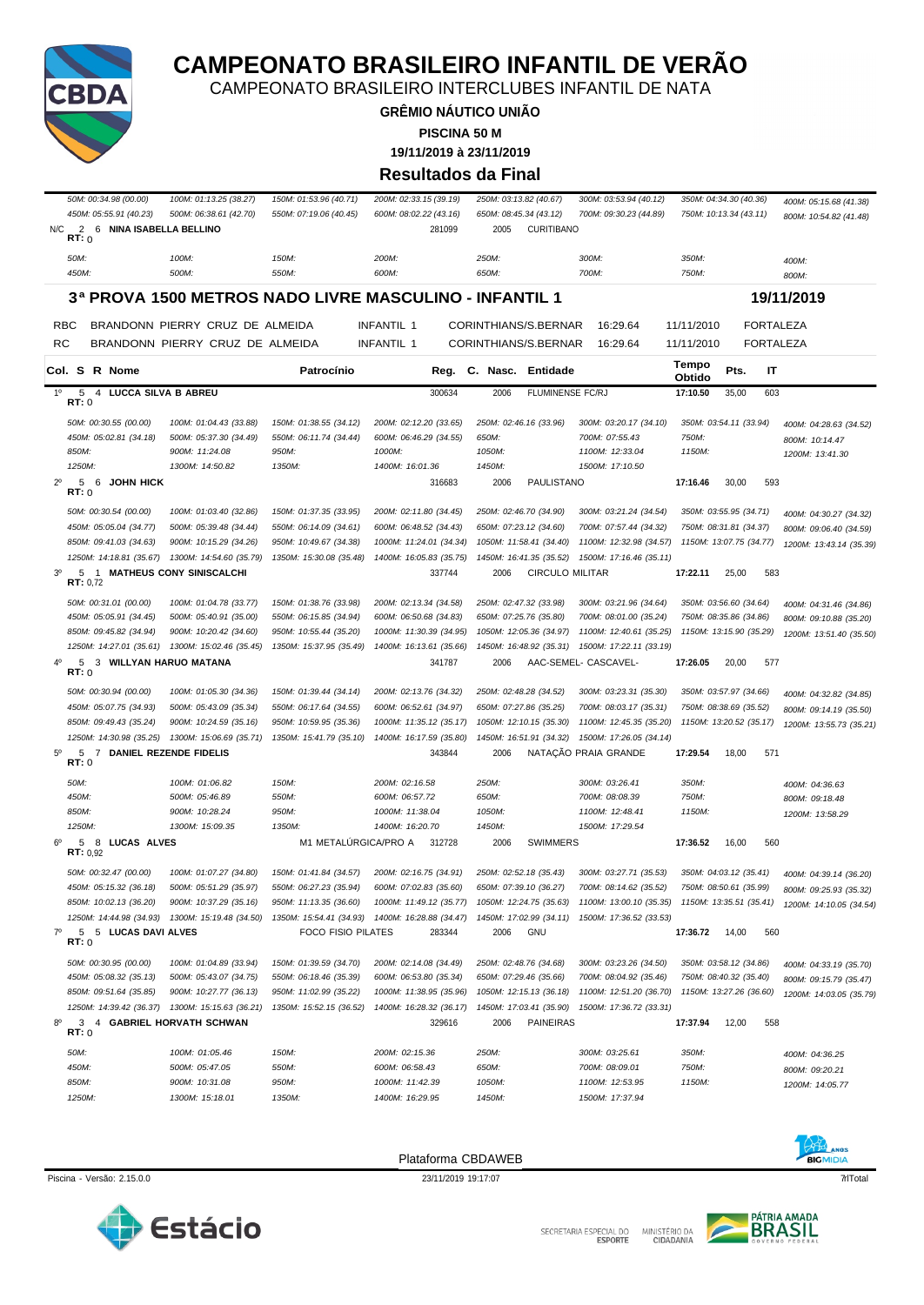

CAMPEONATO BRASILEIRO INTERCLUBES INFANTIL DE NATA

**GRÊMIO NÁUTICO UNIÃO**

**PISCINA 50 M**

**19/11/2019 à 23/11/2019**

#### **Resultados da Final**

|             | <i>50M: 00:34.98 (00.00)</i><br>450M: 05:55.91 (40.23)     | 100M: 01:13.25 (38.27)<br>500M: 06:38.61 (42.70)       | 150M: 01:53.96 (40.71)<br>550M: 07:19.06 (40.45) | 200M: 02:33.15 (39.19)<br>600M: 08:02.22 (43.16)          | 250M: 03:13.82 (40.67)<br>650M: 08:45.34 (43.12)                                                | 300M: 03:53.94 (40.12)<br>700M: 09:30.23 (44.89)   |                 | 350M: 04:34.30 (40.36)<br>750M: 10:13.34 (43.11) | 400M: 05:15.68 (41.38)<br>800M: 10:54.82 (41.48) |
|-------------|------------------------------------------------------------|--------------------------------------------------------|--------------------------------------------------|-----------------------------------------------------------|-------------------------------------------------------------------------------------------------|----------------------------------------------------|-----------------|--------------------------------------------------|--------------------------------------------------|
| N/C         | 2 6 NINA ISABELLA BELLINO<br>RT: 0                         |                                                        |                                                  | 281099                                                    | <b>CURITIBANO</b><br>2005                                                                       |                                                    |                 |                                                  |                                                  |
|             | 50M:                                                       | 100M:                                                  | 150M:                                            | 200M:                                                     | 250M:                                                                                           | 300M:                                              | 350M:           |                                                  | 400M:                                            |
|             | 450M:                                                      | 500M:                                                  | 550M:                                            | 600M:                                                     | 650M:                                                                                           | 700M:                                              | 750M:           |                                                  | 800M:                                            |
|             |                                                            | 3ª PROVA 1500 METROS NADO LIVRE MASCULINO - INFANTIL 1 |                                                  |                                                           |                                                                                                 |                                                    |                 |                                                  | 19/11/2019                                       |
|             | RBC                                                        | BRANDONN PIERRY CRUZ DE ALMEIDA                        |                                                  | INFANTIL 1                                                | CORINTHIANS/S.BERNAR                                                                            | 16:29.64                                           | 11/11/2010      | <b>FORTALEZA</b>                                 |                                                  |
| RC          |                                                            | BRANDONN PIERRY CRUZ DE ALMEIDA                        |                                                  | INFANTIL 1                                                | CORINTHIANS/S.BERNAR                                                                            | 16:29.64                                           | 11/11/2010      | <b>FORTALEZA</b>                                 |                                                  |
|             | Col. S R Nome                                              |                                                        | Patrocínio                                       | Reg.                                                      | C. Nasc. Entidade                                                                               |                                                    | Tempo<br>Obtido | Pts.<br>IT                                       |                                                  |
| $1^{\circ}$ | $\overline{4}$<br><b>LUCCA SILVA B ABREU</b><br>5<br>RT: 0 |                                                        |                                                  | 300634                                                    | 2006<br><b>FLUMINENSE FC/RJ</b>                                                                 |                                                    | 17:10.50        | 35,00<br>603                                     |                                                  |
|             | 50M: 00:30.55 (00.00)                                      | 100M: 01:04.43 (33.88)                                 | 150M: 01:38.55 (34.12)                           | 200M: 02:12.20 (33.65)                                    | 250M: 02:46.16 (33.96)                                                                          | 300M: 03:20.17 (34.10)                             |                 | 350M: 03:54.11 (33.94)                           | 400M: 04:28.63 (34.52)                           |
|             | 450M: 05:02.81 (34.18)                                     | 500M: 05:37.30 (34.49)                                 | 550M: 06:11.74 (34.44)                           | 600M: 06:46.29 (34.55)                                    | 650M:                                                                                           | 700M: 07:55.43                                     | 750M:           |                                                  | 800M: 10:14.47                                   |
|             | 850M:                                                      | 900M: 11:24.08                                         | 950M:                                            | 1000M:                                                    | 1050M:                                                                                          | 1100M: 12:33.04                                    | 1150M:          |                                                  | 1200M: 13:41.30                                  |
|             | 1250M:                                                     | 1300M: 14:50.82                                        | 1350M:                                           | 1400M: 16:01.36                                           | 1450M:                                                                                          | 1500M: 17:10.50                                    |                 |                                                  |                                                  |
| $2^{\circ}$ | 5<br>6<br>JOHN HICK<br>RT:0                                |                                                        |                                                  | 316683                                                    | PAULISTANO<br>2006                                                                              |                                                    | 17:16.46        | 30,00<br>593                                     |                                                  |
|             | 50M: 00:30.54 (00.00)                                      | 100M: 01:03.40 (32.86)                                 | 150M: 01:37.35 (33.95)                           | 200M: 02:11.80 (34.45)                                    | 250M: 02:46.70 (34.90)                                                                          | 300M: 03:21.24 (34.54)                             |                 | 350M: 03:55.95 (34.71)                           | 400M: 04:30.27 (34.32)                           |
|             | 450M: 05:05.04 (34.77)                                     | 500M: 05:39.48 (34.44)                                 | 550M: 06:14.09 (34.61)                           | 600M: 06:48.52 (34.43)                                    | 650M: 07:23.12 (34.60)                                                                          | 700M: 07:57.44 (34.32)                             |                 | 750M: 08:31.81 (34.37)                           | 800M: 09:06.40 (34.59)                           |
|             | 850M: 09:41.03 (34.63)                                     | 900M: 10:15.29 (34.26)                                 | 950M: 10:49.67 (34.38)                           | 1000M: 11:24.01 (34.34)                                   | 1050M: 11:58.41 (34.40)                                                                         | 1100M: 12:32.98 (34.57)                            |                 | 1150M: 13:07.75 (34.77)                          | 1200M: 13:43.14 (35.39)                          |
|             | 1250M: 14:18.81 (35.67)                                    | 1300M: 14:54.60 (35.79)                                | 1350M: 15:30.08 (35.48)                          | 1400M: 16:05.83 (35.75)                                   | 1450M: 16:41.35 (35.52)                                                                         | 1500M: 17:16.46 (35.11)                            |                 |                                                  |                                                  |
| $3^{\circ}$ | 5<br>RT: 0,72                                              | 1 MATHEUS CONY SINISCALCHI                             |                                                  | 337744                                                    | <b>CIRCULO MILITAR</b><br>2006                                                                  |                                                    | 17:22.11        | 25,00<br>583                                     |                                                  |
|             | 50M: 00:31.01 (00.00)                                      | 100M: 01:04.78 (33.77)                                 | 150M: 01:38.76 (33.98)                           | 200M: 02:13.34 (34.58)                                    | 250M: 02:47.32 (33.98)                                                                          | 300M: 03:21.96 (34.64)                             |                 | 350M: 03:56.60 (34.64)                           | 400M: 04:31.46 (34.86)                           |
|             | 450M: 05:05.91 (34.45)                                     | 500M: 05:40.91 (35.00)                                 | 550M: 06:15.85 (34.94)                           | 600M: 06:50.68 (34.83)                                    | 650M: 07:25.76 (35.80)                                                                          | 700M: 08:01.00 (35.24)                             |                 | 750M: 08:35.86 (34.86)                           | 800M: 09:10.88 (35.20)                           |
|             | 850M: 09:45.82 (34.94)                                     | 900M: 10:20.42 (34.60)                                 | 950M: 10:55.44 (35.20)                           | 1000M: 11:30.39 (34.95)                                   | 1050M: 12:05.36 (34.97)                                                                         | 1100M: 12:40.61 (35.25)                            |                 | 1150M: 13:15.90 (35.29)                          | 1200M: 13:51.40 (35.50)                          |
|             | 1250M: 14:27.01 (35.61)                                    | 1300M: 15:02.46 (35.45)                                | 1350M: 15:37.95 (35.49)                          | 1400M: 16:13.61 (35.66)                                   | 1450M: 16:48.92 (35.31)                                                                         | 1500M: 17:22.11 (33.19)                            |                 |                                                  |                                                  |
| 40          | 5 3 WILLYAN HARUO MATANA<br>RT:0                           |                                                        |                                                  | 341787                                                    | 2006                                                                                            | AAC-SEMEL- CASCAVEL-                               | 17:26.05        | 20,00<br>577                                     |                                                  |
|             | 50M: 00:30.94 (00.00)                                      | 100M: 01:05.30 (34.36)                                 | 150M: 01:39.44 (34.14)                           | 200M: 02:13.76 (34.32)                                    | 250M: 02:48.28 (34.52)                                                                          | 300M: 03:23.31 (35.30)                             |                 | 350M: 03:57.97 (34.66)                           | 400M: 04:32.82 (34.85)                           |
|             | 450M: 05:07.75 (34.93)                                     | 500M: 05:43.09 (35.34)                                 | 550M: 06:17.64 (34.55)                           | 600M: 06:52.61 (34.97)                                    | 650M: 07:27.86 (35.25)                                                                          | 700M: 08:03.17 (35.31)                             |                 | 750M: 08:38.69 (35.52)                           | 800M: 09:14.19 (35.50)                           |
|             | 850M: 09:49.43 (35.24)                                     | 900M: 10:24.59 (35.16)                                 | 950M: 10:59.95 (35.36)                           | 1000M: 11:35.12 (35.17)                                   | 1050M: 12:10.15 (35.30)                                                                         | 1100M: 12:45.35 (35.20)                            |                 | 1150M: 13:20.52 (35.17)                          | 1200M: 13:55.73 (35.21)                          |
|             | 1250M: 14:30.98 (35.25)                                    | 1300M: 15:06.69 (35.71)                                | 1350M: 15:41.79 (35.10)                          | 1400M: 16:17.59 (35.80)                                   | 1450M: 16:51.91 (34.32)                                                                         | 1500M: 17:26.05 (34.14)                            |                 |                                                  |                                                  |
| $5^{\circ}$ | 5<br>7<br>RT:0                                             | DANIEL REZENDE FIDELIS                                 |                                                  | 343844                                                    | 2006                                                                                            | NATAÇÃO PRAIA GRANDE                               | 17:29.54        | 18,00<br>571                                     |                                                  |
|             | 50M:                                                       | 100M: 01:06.82                                         | 150M:                                            | 200M: 02:16.58                                            | 250M:                                                                                           | 300M: 03:26.41                                     | 350M:           |                                                  | 400M: 04:36.63                                   |
|             | 450M:                                                      | 500M: 05:46.89                                         | 550M:                                            | 600M: 06:57.72                                            | 650M:                                                                                           | 700M: 08:08.39                                     | 750M:           |                                                  | 800M: 09:18.48                                   |
|             | 850M:<br>1250M:                                            | 900M: 10:28.24<br>1300M: 15:09.35                      | 950M:<br>1350M:                                  | 1000M: 11:38.04<br>1400M: 16:20.70                        | 1050M:<br>1450M:                                                                                | 1100M: 12:48.41<br>1500M: 17:29.54                 | 1150M:          |                                                  | 1200M: 13:58.29                                  |
| $6^{\circ}$ | 5 8 LUCAS ALVES                                            |                                                        | M1 METALÚRGICA/PRO A                             | 312728                                                    | <b>SWIMMERS</b><br>2006                                                                         |                                                    | 17:36.52        | 16,00<br>560                                     |                                                  |
|             | RT: 0.92                                                   |                                                        |                                                  |                                                           |                                                                                                 |                                                    |                 |                                                  |                                                  |
|             | 50M: 00:32.47 (00.00)                                      | 100M: 01:07.27 (34.80)                                 | 150M: 01:41.84 (34.57)                           | 200M: 02:16.75 (34.91)                                    | 250M: 02:52.18 (35.43)                                                                          | 300M: 03:27.71 (35.53)                             |                 | 350M: 04:03.12 (35.41)                           | 400M: 04:39.14 (36.20)                           |
|             | 450M: 05:15.32 (36.18)                                     | 500M: 05:51.29 (35.97)                                 | 550M: 06:27.23 (35.94)                           | 600M: 07:02.83 (35.60)                                    | 650M: 07:39.10 (36.27)                                                                          | 700M: 08:14.62 (35.52)                             |                 | 750M: 08:50.61 (35.99)                           | 800M: 09:25.93 (35.32)                           |
|             | 850M: 10:02.13 (36.20)                                     | 900M: 10:37.29 (35.16)                                 | 950M: 11:13.35 (36.60)                           | 1000M: 11:49.12 (35.77)                                   | 1050M: 12:24.75 (35.63) 1100M: 13:00.10 (35.35) 1150M: 13:35.51 (35.41) 1200M: 14:10.05 (34.54) |                                                    |                 |                                                  |                                                  |
| $7^\circ$   | 5 5 LUCAS DAVI ALVES                                       | 1250M: 14:44.98 (34.93) 1300M: 15:19.48 (34.50)        | FOCO FISIO PILATES                               | 1350M: 15:54.41 (34.93) 1400M: 16:28.88 (34.47)<br>283344 | 1450M: 17:02.99 (34.11) 1500M: 17:36.52 (33.53)<br><b>GNU</b><br>2006                           |                                                    | 17:36.72        | 14,00<br>560                                     |                                                  |
|             | RT:0                                                       |                                                        |                                                  |                                                           |                                                                                                 |                                                    |                 |                                                  |                                                  |
|             | 50M: 00:30.95 (00.00)                                      | 100M: 01:04.89 (33.94)                                 | 150M: 01:39.59 (34.70)                           | 200M: 02:14.08 (34.49)                                    | 250M: 02:48.76 (34.68)                                                                          | 300M: 03:23.26 (34.50)                             |                 | 350M: 03:58.12 (34.86)                           | 400M: 04:33.19 (35.70)                           |
|             | 450M: 05:08.32 (35.13)                                     | 500M: 05:43.07 (34.75)                                 | 550M: 06:18.46 (35.39)<br>950M: 11:02.99 (35.22) | 600M: 06:53.80 (35.34)                                    | 650M: 07:29.46 (35.66)                                                                          | 700M: 08:04.92 (35.46)                             |                 | 750M: 08:40.32 (35.40)                           | 800M: 09:15.79 (35.47)                           |
|             | 850M: 09:51.64 (35.85)<br>1250M: 14:39.42 (36.37)          | 900M: 10:27.77 (36.13)<br>1300M: 15:15.63 (36.21)      | 1350M: 15:52.15 (36.52)                          | 1000M: 11:38.95 (35.96)<br>1400M: 16:28.32 (36.17)        | 1050M: 12:15.13 (36.18)<br>1450M: 17:03.41 (35.90)                                              | 1100M: 12:51.20 (36.70)<br>1500M: 17:36.72 (33.31) |                 | 1150M: 13:27.26 (36.60)                          | 1200M: 14:03.05 (35.79)                          |
| 8°          | 3 4 GABRIEL HORVATH SCHWAN                                 |                                                        |                                                  | 329616                                                    | <b>PAINEIRAS</b><br>2006                                                                        |                                                    | 17:37.94        | 12,00<br>558                                     |                                                  |
|             | RT: 0                                                      |                                                        |                                                  |                                                           |                                                                                                 |                                                    |                 |                                                  |                                                  |
|             | 50M:                                                       | 100M: 01:05.46                                         | 150M:                                            | 200M: 02:15.36                                            | 250M:                                                                                           | 300M: 03:25.61                                     | 350M:           |                                                  | 400M: 04:36.25                                   |
|             | 450M:                                                      | 500M: 05:47.05                                         | 550M:                                            | 600M: 06:58.43                                            | 650M:                                                                                           | 700M: 08:09.01                                     | 750M:           |                                                  | 800M: 09:20.21                                   |
|             | 850M:<br>1250M:                                            | 900M: 10:31.08<br>1300M: 15:18.01                      | 950M:<br>1350M:                                  | 1000M: 11:42.39<br>1400M: 16:29.95                        | 1050M:<br>1450M:                                                                                | 1100M: 12:53.95<br>1500M: 17:37.94                 | 1150M:          |                                                  | 1200M: 14:05.77                                  |
|             |                                                            |                                                        |                                                  |                                                           |                                                                                                 |                                                    |                 |                                                  |                                                  |



Piscina - Versão: 2.15.0.0 23/11/2019 19:17:07 23/11/2019 19:17:07 7 23/11/2019 19:17:07 7 23/11/2019 19:17:07 Plataforma CBDAWEB



SECRETARIA ESPECIAL DO MINISTÉRIO DA<br>CIDADANIA

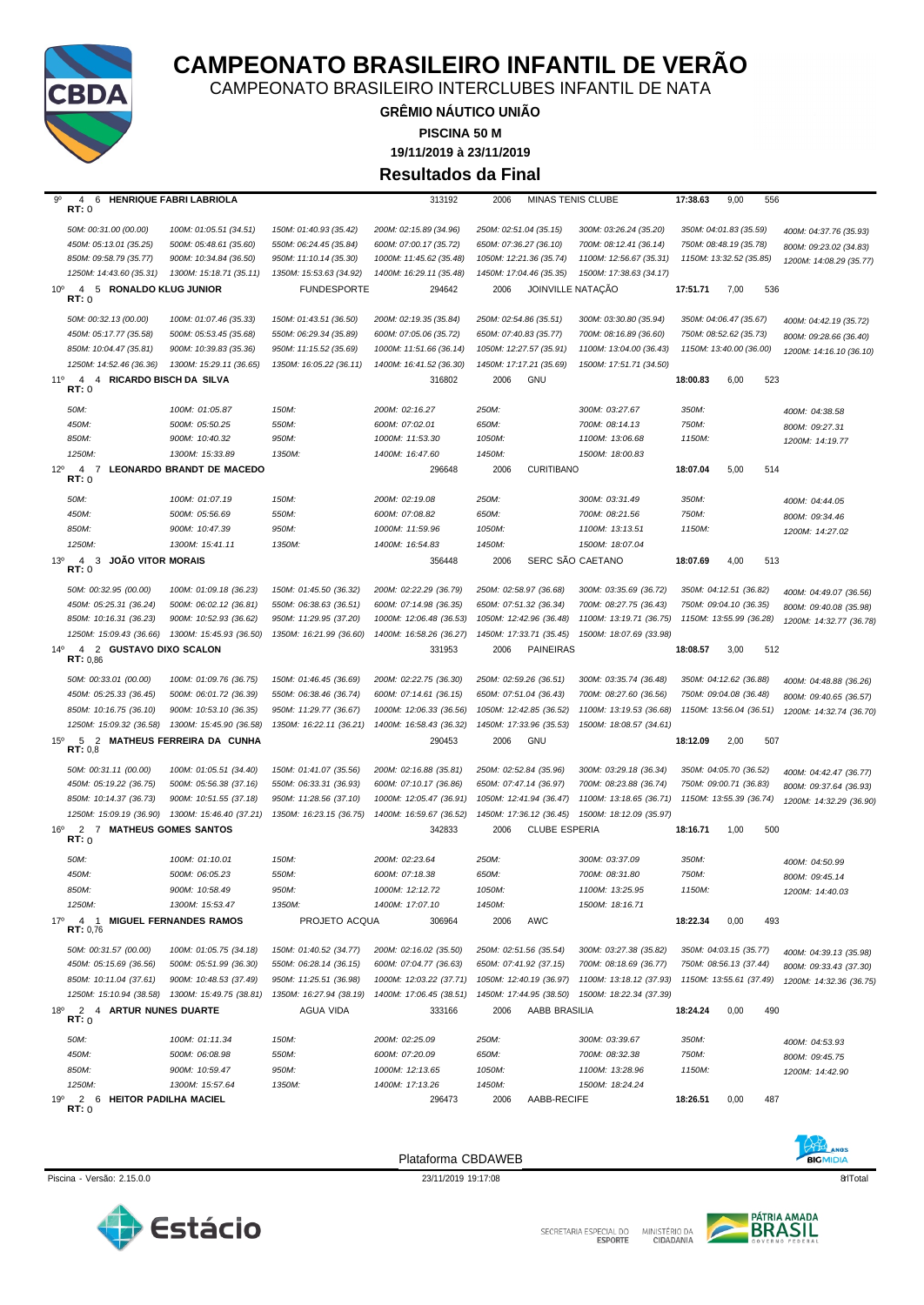

MINISTÉRIO DA<br>CIDADANIA SECRETARIA ESPECIAL DO



Piscina - Versão: 2.15.0.0 23/11/2019 19:17:08 qrlTotal 8

Plataforma CBDAWEB



| 50M:                                                                       | 100M: 01:05.87                   | 150M:                   | 200M: 02:16.27          | 250M:  |                         | 300M: 03:27.67          | 350M:    |                         |     | 400M: 04:38.58          |
|----------------------------------------------------------------------------|----------------------------------|-------------------------|-------------------------|--------|-------------------------|-------------------------|----------|-------------------------|-----|-------------------------|
| 450M:                                                                      | 500M: 05:50.25                   | 550M:                   | 600M: 07:02.01          | 650M:  |                         | 700M: 08:14.13          | 750M:    |                         |     | 800M: 09:27.31          |
| 850M:                                                                      | 900M: 10:40.32                   | 950M:                   | 1000M: 11:53.30         | 1050M: |                         | 1100M: 13:06.68         | 1150M:   |                         |     | 1200M: 14:19.77         |
| 1250M:                                                                     | 1300M: 15:33.89                  | 1350M:                  | 1400M: 16:47.60         | 1450M: |                         | 1500M: 18:00.83         |          |                         |     |                         |
| $12^{\circ}$<br>$\overline{4}$<br>$\overline{7}$                           | <b>LEONARDO BRANDT DE MACEDO</b> |                         | 296648                  | 2006   | <b>CURITIBANO</b>       |                         | 18:07.04 | 5.00                    | 514 |                         |
| RT:0                                                                       |                                  |                         |                         |        |                         |                         |          |                         |     |                         |
| 50M:                                                                       | 100M: 01:07.19                   | 150M:                   | 200M: 02:19.08          | 250M:  |                         | 300M: 03:31.49          | 350M:    |                         |     | 400M: 04:44.05          |
| 450M:                                                                      | 500M: 05:56.69                   | 550M:                   | 600M: 07:08.82          | 650M:  |                         | 700M: 08:21.56          | 750M:    |                         |     | 800M: 09:34.46          |
| 850M:                                                                      | 900M: 10:47.39                   | 950M:                   | 1000M: 11:59.96         | 1050M: |                         | 1100M: 13:13.51         | 1150M:   |                         |     | 1200M: 14:27.02         |
| 1250M:                                                                     | 1300M: 15:41.11                  | 1350M:                  | 1400M: 16:54.83         | 1450M: |                         | 1500M: 18:07.04         |          |                         |     |                         |
| <b>JOÃO VITOR MORAIS</b><br>13 <sup>0</sup><br>$\overline{4}$<br>3<br>RT:0 |                                  |                         | 356448                  | 2006   |                         | SERC SÃO CAETANO        | 18:07.69 | 4,00                    | 513 |                         |
|                                                                            |                                  |                         |                         |        |                         |                         |          |                         |     |                         |
| 50M: 00:32.95 (00.00)                                                      | 100M: 01:09.18 (36.23)           | 150M: 01:45.50 (36.32)  | 200M: 02:22.29 (36.79)  |        | 250M: 02:58.97 (36.68)  | 300M: 03:35.69 (36.72)  |          | 350M: 04:12.51 (36.82)  |     | 400M: 04:49.07 (36.56)  |
| 450M: 05:25.31 (36.24)                                                     | 500M: 06:02.12 (36.81)           | 550M: 06:38.63 (36.51)  | 600M: 07:14.98 (36.35)  |        | 650M: 07:51.32 (36.34)  | 700M: 08:27.75 (36.43)  |          | 750M: 09:04.10 (36.35)  |     | 800M: 09:40.08 (35.98)  |
| 850M: 10:16.31 (36.23)                                                     | 900M: 10:52.93 (36.62)           | 950M: 11:29.95 (37.20)  | 1000M: 12:06.48 (36.53) |        | 1050M: 12:42.96 (36.48) | 1100M: 13:19.71 (36.75) |          | 1150M: 13:55.99 (36.28) |     | 1200M: 14:32.77 (36.78) |
| 1250M: 15:09.43 (36.66)                                                    | 1300M: 15:45.93 (36.50)          | 1350M: 16:21.99 (36.60) | 1400M: 16:58.26 (36.27) |        | 1450M: 17:33.71 (35.45) | 1500M: 18:07.69 (33.98) |          |                         |     |                         |
| $14^{\circ}$<br>4 2 GUSTAVO DIXO SCALON<br>RT: 0.86                        |                                  |                         | 331953                  | 2006   | <b>PAINEIRAS</b>        |                         | 18:08.57 | 3,00                    | 512 |                         |
| 50M: 00:33.01 (00.00)                                                      | 100M: 01:09.76 (36.75)           | 150M: 01:46.45 (36.69)  | 200M: 02:22.75 (36.30)  |        | 250M: 02:59.26 (36.51)  | 300M: 03:35.74 (36.48)  |          | 350M: 04:12.62 (36.88)  |     | 400M: 04:48.88 (36.26)  |
| 450M: 05:25.33 (36.45)                                                     | 500M: 06:01.72 (36.39)           | 550M: 06:38.46 (36.74)  | 600M: 07:14.61 (36.15)  |        | 650M: 07:51.04 (36.43)  | 700M: 08:27.60 (36.56)  |          | 750M: 09:04.08 (36.48)  |     | 800M: 09:40.65 (36.57)  |
| 850M: 10:16.75 (36.10)                                                     | 900M: 10:53.10 (36.35)           | 950M: 11:29.77 (36.67)  | 1000M: 12:06.33 (36.56) |        | 1050M: 12:42.85 (36.52) | 1100M: 13:19.53 (36.68) |          | 1150M: 13:56.04 (36.51) |     | 1200M: 14:32.74 (36.70) |
| 1250M: 15:09.32 (36.58)                                                    | 1300M: 15:45.90 (36.58)          | 1350M: 16:22.11 (36.21) | 1400M: 16:58.43 (36.32) |        | 1450M: 17:33.96 (35.53) | 1500M: 18:08.57 (34.61) |          |                         |     |                         |
| 15 <sup>o</sup><br>5<br>RT: 0.8                                            | 2 MATHEUS FERREIRA DA CUNHA      |                         | 290453                  | 2006   | GNU                     |                         | 18:12.09 | 2,00                    | 507 |                         |
| 50M: 00:31.11 (00.00)                                                      | 100M: 01:05.51 (34.40)           | 150M: 01:41.07 (35.56)  | 200M: 02:16.88 (35.81)  |        | 250M: 02:52.84 (35.96)  | 300M: 03:29.18 (36.34)  |          | 350M: 04:05.70 (36.52)  |     | 400M: 04:42.47 (36.77)  |
| 450M: 05:19.22 (36.75)                                                     | 500M: 05:56.38 (37.16)           | 550M: 06:33.31 (36.93)  | 600M: 07:10.17 (36.86)  |        | 650M: 07:47.14 (36.97)  | 700M: 08:23.88 (36.74)  |          | 750M: 09:00.71 (36.83)  |     | 800M: 09:37.64 (36.93)  |
| 850M: 10:14.37 (36.73)                                                     | 900M: 10:51.55 (37.18)           | 950M: 11:28.56 (37.10)  | 1000M: 12:05.47 (36.91) |        | 1050M: 12:41.94 (36.47) | 1100M: 13:18.65 (36.71) |          | 1150M: 13:55.39 (36.74) |     | 1200M: 14:32.29 (36.90) |
| 1250M: 15:09.19 (36.90)                                                    | 1300M: 15:46.40 (37.21)          | 1350M: 16:23.15 (36.75) | 1400M: 16:59.67 (36.52) |        | 1450M: 17:36.12 (36.45) | 1500M: 18:12.09 (35.97) |          |                         |     |                         |
| $16^{\circ}$<br>2<br>7 MATHEUS GOMES SANTOS                                |                                  |                         | 342833                  | 2006   | <b>CLUBE ESPERIA</b>    |                         | 18:16.71 | 1,00                    | 500 |                         |
| RT:0                                                                       |                                  |                         |                         |        |                         |                         |          |                         |     |                         |
| 50M:                                                                       | 100M: 01:10.01                   | 150M:                   | 200M: 02:23.64          | 250M:  |                         | 300M: 03:37.09          | 350M:    |                         |     | 400M: 04:50.99          |
| 450M:                                                                      | 500M: 06:05.23                   | 550M:                   | 600M: 07:18.38          | 650M:  |                         | 700M: 08:31.80          | 750M:    |                         |     | 800M: 09:45.14          |
| 850M:                                                                      | 900M: 10:58.49                   | 950M:                   | 1000M: 12:12.72         | 1050M: |                         | 1100M: 13:25.95         | 1150M:   |                         |     | 1200M: 14:40.03         |
| 1250M:                                                                     | 1300M: 15:53.47                  | 1350M:                  | 1400M: 17:07.10         | 1450M: |                         | 1500M: 18:16.71         |          |                         |     |                         |
| 17 <sup>o</sup><br>$\overline{4}$<br>$\overline{1}$<br>RT: 0.76            | <b>MIGUEL FERNANDES RAMOS</b>    | PROJETO ACQUA           | 306964                  | 2006   | AWC                     |                         | 18:22.34 | 0,00                    | 493 |                         |
| 50M: 00:31.57 (00.00)                                                      | 100M: 01:05.75 (34.18)           | 150M: 01:40.52 (34.77)  | 200M: 02:16.02 (35.50)  |        | 250M: 02:51.56 (35.54)  | 300M: 03:27.38 (35.82)  |          | 350M: 04:03.15 (35.77)  |     | 400M: 04:39.13 (35.98)  |
| 450M: 05:15.69 (36.56)                                                     | 500M: 05:51.99 (36.30)           | 550M: 06:28.14 (36.15)  | 600M: 07:04.77 (36.63)  |        | 650M: 07:41.92 (37.15)  | 700M: 08:18.69 (36.77)  |          | 750M: 08:56.13 (37.44)  |     | 800M: 09:33.43 (37.30)  |
| 850M: 10:11.04 (37.61)                                                     | 900M: 10:48.53 (37.49)           | 950M: 11:25.51 (36.98)  | 1000M: 12:03.22 (37.71) |        | 1050M: 12:40.19 (36.97) | 1100M: 13:18.12 (37.93) |          | 1150M: 13:55.61 (37.49) |     | 1200M: 14:32.36 (36.75) |
| 1250M: 15:10.94 (38.58)                                                    | 1300M: 15:49.75 (38.81)          | 1350M: 16:27.94 (38.19) | 1400M: 17:06.45 (38.51) |        | 1450M: 17:44.95 (38.50) | 1500M: 18:22.34 (37.39) |          |                         |     |                         |
| 18°<br>2 4 ARTUR NUNES DUARTE                                              |                                  | AGUA VIDA               | 333166                  | 2006   | AABB BRASILIA           |                         | 18:24.24 | 0,00                    | 490 |                         |
| RT: 0                                                                      |                                  |                         |                         |        |                         |                         |          |                         |     |                         |
| 50M:                                                                       | 100M: 01:11.34                   | 150M:                   | 200M: 02:25.09          | 250M:  |                         | 300M: 03:39.67          | 350M:    |                         |     | 400M: 04:53.93          |
| 450M:                                                                      | 500M: 06:08.98                   | 550M:                   | 600M: 07:20.09          | 650M:  |                         | 700M: 08:32.38          | 750M:    |                         |     | 800M: 09:45.75          |
| 850M:                                                                      | 900M: 10:59.47                   | 950M:                   | 1000M: 12:13.65         | 1050M: |                         | 1100M: 13:28.96         | 1150M:   |                         |     | 1200M: 14:42.90         |
| 1250M:                                                                     | 1300M: 15:57.64                  | 1350M:                  | 1400M: 17:13.26         | 1450M: |                         | 1500M: 18:24.24         |          |                         |     |                         |
| 2<br>19°<br>6<br>RT: 0                                                     | HEITOR PADILHA MACIEL            |                         | 296473                  | 2006   | AABB-RECIFE             |                         | 18:26.51 | 0,00                    | 487 |                         |

9º 4 6 **HENRIQUE FABRI LABRIOLA** 313192 2006 MINAS TENIS CLUBE **17:38.63** 9,00 556 **RT:** 0

*1250M: 14:43.60 (35.31) 1300M: 15:18.71 (35.11) 1350M: 15:53.63 (34.92) 1400M: 16:29.11 (35.48) 1450M: 17:04.46 (35.35) 1500M: 17:38.63 (34.17)*

*1250M: 14:52.46 (36.36) 1300M: 15:29.11 (36.65) 1350M: 16:05.22 (36.11) 1400M: 16:41.52 (36.30) 1450M: 17:17.21 (35.69) 1500M: 17:51.71 (34.50)*

10º 4 5 **RONALDO KLUG JUNIOR** FUNDESPORTE 294642 2006 JOINVILLE NATAÇÃO **17:51.71** 7,00 536 **RT:** 0



50M: 00:32.13 (00.00) 100M: 01:07.46 (35.33) 150M: 01:43.51 (36.50) 200M: 02:19.35 (35.84) 250M: 02:54.86 (35.51) 300M: 03:30.80 (35.94) 350M: 04:06.47 (35.67) 400M: 04:42.19 (35.72) 450M: 05:17.77 (35.58) 500M: 05:53.45 (35.68) 550M: 06:29.34 (35.89) 600M: 07:05.06 (35.72) 650M: 07:40.83 (35.77) 700M: 08:16.89 (36.60) 750M: 08:52.62 (35.73) 800M: 09:28.66 (36.40)

**19/11/2019 à 23/11/2019 PISCINA 50 M Resultados da Final**

850M: 09:58.79 (35.77) 900M: 10:34.84 (36.50) 950M: 11:10.14 (35.30) 1000M: 11:45.62 (35.48) 1050M: 12:21.36 (35.74) 1100M: 12:56.67 (35.31) 1150M: 13:32.52 (35.85) 1200M: 14:08.29 (35.77)

**GRÊMIO NÁUTICO UNIÃO**

850M: 10:04.47 (35.81) 900M: 10:39.83 (35.36) 950M: 11:15.52 (35.69) 1000M: 11:51.66 (36.14) 1050M: 12:27.57 (35.91) 1100M: 13:04.00 (36.43) 1150M: 13:40.00 (36.00) 1200M: 14:16.10 (36.10) 11º 4 4 **RICARDO BISCH DA SILVA** 316802 2006 GNU **18:00.83** 6,00 523 **RT:** 0

50M: 00:31.00 (00.00) 100M: 01:05.51 (34.51) 150M: 01:40.93 (35.42) 200M: 02:15.89 (34.96) 250M: 02:51.04 (35.15) 300M: 03:26.24 (35.20) 350M: 04:01.83 (35.59) 400M: 04:37.76 (35.93) 450M: 05:13.01 (35.25) 500M: 05:48.61 (35.60) 550M: 06:24.45 (35.84) 600M: 07:00.17 (35.72) 650M: 07:36.27 (36.10) 700M: 08:12.41 (36.14) 750M: 08:48.19 (35.78) 800M: 09:23.02 (34.83)

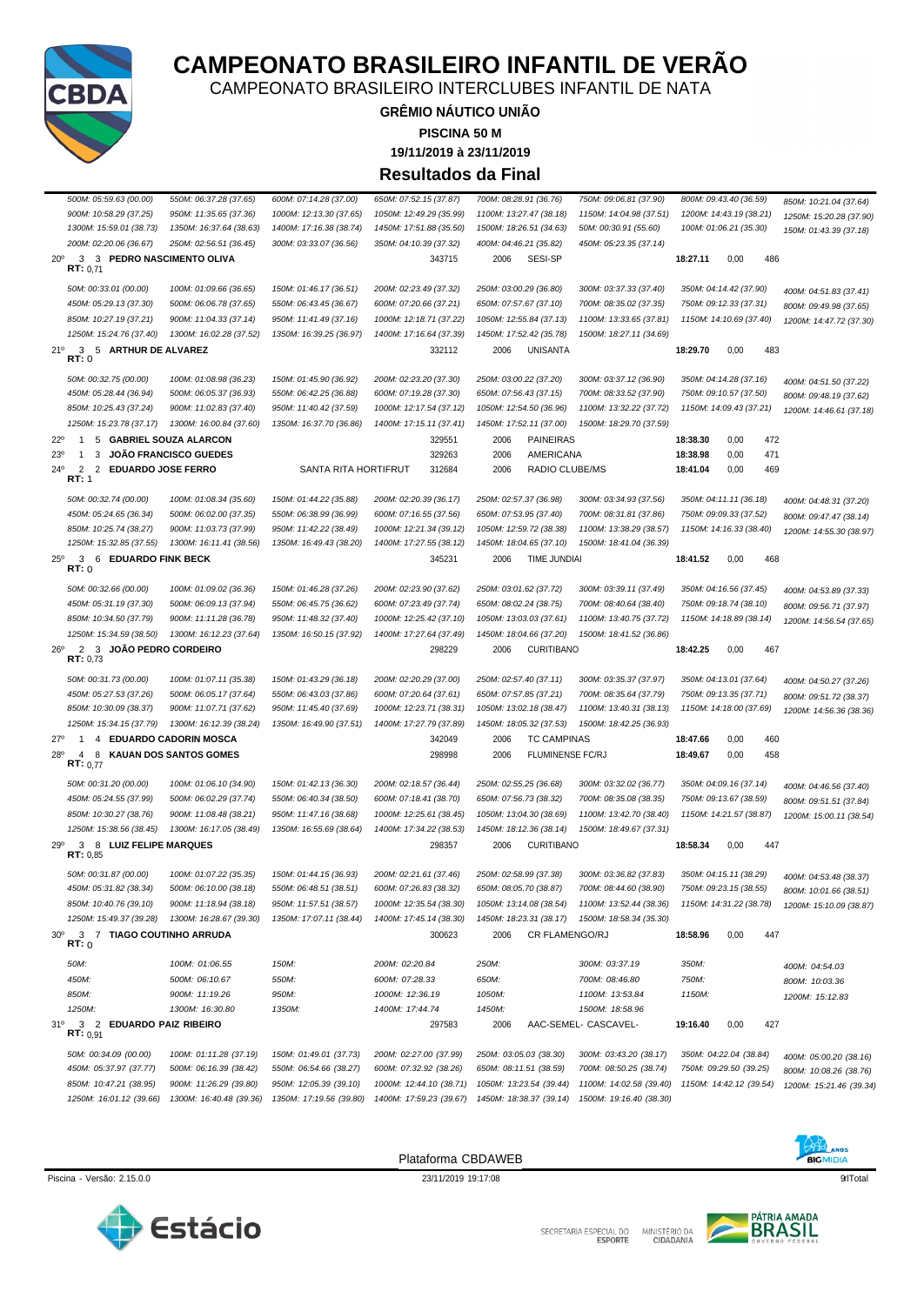

MINISTÉRIO DA<br>CIDADANIA SECRETARIA ESPECIAL DO



Piscina - Versão: 2.15.0.0 23/11/2019 19:17:08 91Total

Plataforma CBDAWEB



| 850M: 10:25.43 (37.24)                                           | 900M: 11:02.83 (37.40)        | 950M: 11:40.42 (37.59)  | 1000M: 12:17.54 (37.12) | 1050M: 12:54.50 (36.96) | 1100M: 13:32.22 (37.72) |          | 1150M: 14:09.43 (37.21) | 1200M: 14:46.61 (37.18)                          |
|------------------------------------------------------------------|-------------------------------|-------------------------|-------------------------|-------------------------|-------------------------|----------|-------------------------|--------------------------------------------------|
| 1250M: 15:23.78 (37.17)                                          | 1300M: 16:00.84 (37.60)       | 1350M: 16:37.70 (36.86) | 1400M: 17:15.11 (37.41) | 1450M: 17:52.11 (37.00) | 1500M: 18:29.70 (37.59) |          |                         |                                                  |
| $22^{\circ}$<br>5 GABRIEL SOUZA ALARCON<br>$\mathbf{1}$          |                               |                         | 329551                  | 2006                    | <b>PAINEIRAS</b>        | 18:38.30 | 0,00                    | 472                                              |
| 23 <sup>0</sup><br>1<br>3                                        | <b>JOÃO FRANCISCO GUEDES</b>  |                         | 329263                  | 2006                    | AMERICANA               | 18:38.98 | 0,00                    | 471                                              |
| $\overline{2}$<br>$24^{\circ}$<br>2<br><b>EDUARDO JOSE FERRO</b> |                               | SANTA RITA HORTIFRUT    | 312684                  | 2006                    | RADIO CLUBE/MS          | 18:41.04 | 0,00                    | 469                                              |
| RT: 1                                                            |                               |                         |                         |                         |                         |          |                         |                                                  |
| 50M: 00:32.74 (00.00)                                            | 100M: 01:08.34 (35.60)        | 150M: 01:44.22 (35.88)  | 200M: 02:20.39 (36.17)  | 250M: 02:57.37 (36.98)  | 300M: 03:34.93 (37.56)  |          | 350M: 04:11.11 (36.18)  | 400M: 04:48.31 (37.20)                           |
| 450M: 05:24.65 (36.34)                                           | 500M: 06:02.00 (37.35)        | 550M: 06:38.99 (36.99)  | 600M: 07:16.55 (37.56)  | 650M: 07:53.95 (37.40)  | 700M: 08:31.81 (37.86)  |          | 750M: 09:09.33 (37.52)  | 800M: 09:47.47 (38.14)                           |
| 850M: 10:25.74 (38.27)                                           | 900M: 11:03.73 (37.99)        | 950M: 11:42.22 (38.49)  | 1000M: 12:21.34 (39.12) | 1050M: 12:59.72 (38.38) | 1100M: 13:38.29 (38.57) |          | 1150M: 14:16.33 (38.40) | 1200M: 14:55.30 (38.97)                          |
| 1250M: 15:32.85 (37.55)                                          | 1300M: 16:11.41 (38.56)       | 1350M: 16:49.43 (38.20) | 1400M: 17:27.55 (38.12) | 1450M: 18:04.65 (37.10) | 1500M: 18:41.04 (36.39) |          |                         |                                                  |
| $25^{\circ}$<br>3 6 EDUARDO FINK BECK                            |                               |                         | 345231                  | 2006                    | TIME JUNDIAI            | 18:41.52 | 0,00                    | 468                                              |
| RT:0                                                             |                               |                         |                         |                         |                         |          |                         |                                                  |
| 50M: 00:32.66 (00.00)                                            | 100M: 01:09.02 (36.36)        | 150M: 01:46.28 (37.26)  | 200M: 02:23.90 (37.62)  | 250M: 03:01.62 (37.72)  | 300M: 03:39.11 (37.49)  |          | 350M: 04:16.56 (37.45)  | 400M: 04:53.89 (37.33)                           |
| 450M: 05:31.19 (37.30)                                           | 500M: 06:09.13 (37.94)        | 550M: 06:45.75 (36.62)  | 600M: 07:23.49 (37.74)  | 650M: 08:02.24 (38.75)  | 700M: 08:40.64 (38.40)  |          | 750M: 09:18.74 (38.10)  | 800M: 09:56.71 (37.97)                           |
| 850M: 10:34.50 (37.79)                                           | 900M: 11:11.28 (36.78)        | 950M: 11:48.32 (37.40)  | 1000M: 12:25.42 (37.10) | 1050M: 13:03.03 (37.61) | 1100M: 13:40.75 (37.72) |          | 1150M: 14:18.89 (38.14) | 1200M: 14:56.54 (37.65)                          |
| 1250M: 15:34.59 (38.50)                                          | 1300M: 16:12.23 (37.64)       | 1350M: 16:50.15 (37.92) | 1400M: 17:27.64 (37.49) | 1450M: 18:04.66 (37.20) | 1500M: 18:41.52 (36.86) |          |                         |                                                  |
| $26^{\circ}$<br>2 3 JOÃO PEDRO CORDEIRO                          |                               |                         | 298229                  | 2006                    | <b>CURITIBANO</b>       | 18:42.25 | 0,00                    | 467                                              |
| RT: 0.73                                                         |                               |                         |                         |                         |                         |          |                         |                                                  |
| 50M: 00:31.73 (00.00)                                            | 100M: 01:07.11 (35.38)        | 150M: 01:43.29 (36.18)  | 200M: 02:20.29 (37.00)  | 250M: 02:57.40 (37.11)  | 300M: 03:35.37 (37.97)  |          | 350M: 04:13.01 (37.64)  | 400M: 04:50.27 (37.26)                           |
| 450M: 05:27.53 (37.26)                                           | 500M: 06:05.17 (37.64)        | 550M: 06:43.03 (37.86)  | 600M: 07:20.64 (37.61)  | 650M: 07:57.85 (37.21)  | 700M: 08:35.64 (37.79)  |          | 750M: 09:13.35 (37.71)  | 800M: 09:51.72 (38.37)                           |
| 850M: 10:30.09 (38.37)                                           | 900M: 11:07.71 (37.62)        | 950M: 11:45.40 (37.69)  | 1000M: 12:23.71 (38.31) | 1050M: 13:02.18 (38.47) | 1100M: 13:40.31 (38.13) |          | 1150M: 14:18.00 (37.69) | 1200M: 14:56.36 (38.36)                          |
| 1250M: 15:34.15 (37.79)                                          | 1300M: 16:12.39 (38.24)       | 1350M: 16:49.90 (37.51) | 1400M: 17:27.79 (37.89) | 1450M: 18:05.32 (37.53) | 1500M: 18:42.25 (36.93) |          |                         |                                                  |
| 27°<br>4 EDUARDO CADORIN MOSCA<br>1                              |                               |                         | 342049                  | 2006                    | <b>TC CAMPINAS</b>      | 18:47.66 | 0,00                    | 460                                              |
| 28°<br>$\overline{4}$<br>8                                       | <b>KAUAN DOS SANTOS GOMES</b> |                         | 298998                  | 2006                    | FLUMINENSE FC/RJ        | 18:49.67 | 0,00                    | 458                                              |
|                                                                  |                               |                         |                         |                         |                         |          |                         |                                                  |
| RT: 0.77                                                         |                               |                         |                         |                         |                         |          |                         |                                                  |
| 50M: 00:31.20 (00.00)                                            | 100M: 01:06.10 (34.90)        | 150M: 01:42.13 (36.30)  | 200M: 02:18.57 (36.44)  | 250M: 02:55.25 (36.68)  | 300M: 03:32.02 (36.77)  |          | 350M: 04:09.16 (37.14)  | 400M: 04:46.56 (37.40)                           |
| 450M: 05:24.55 (37.99)                                           | 500M: 06:02.29 (37.74)        | 550M: 06:40.34 (38.50)  | 600M: 07:18.41 (38.70)  | 650M: 07:56.73 (38.32)  | 700M: 08:35.08 (38.35)  |          | 750M: 09:13.67 (38.59)  | 800M: 09:51.51 (37.84)                           |
| 850M: 10:30.27 (38.76)                                           | 900M: 11:08.48 (38.21)        | 950M: 11:47.16 (38.68)  | 1000M: 12:25.61 (38.45) | 1050M: 13:04.30 (38.69) | 1100M: 13:42.70 (38.40) |          | 1150M: 14:21.57 (38.87) | 1200M: 15:00.11 (38.54)                          |
| 1250M: 15:38.56 (38.45)                                          | 1300M: 16:17.05 (38.49)       | 1350M: 16:55.69 (38.64) | 1400M: 17:34.22 (38.53) | 1450M: 18:12.36 (38.14) | 1500M: 18:49.67 (37.31) |          |                         |                                                  |
| 290<br>3 8 LUIZ FELIPE MARQUES<br>RT: 0.85                       |                               |                         | 298357                  | 2006                    | <b>CURITIBANO</b>       | 18:58.34 | 0,00                    | 447                                              |
| 50M: 00:31.87 (00.00)                                            | 100M: 01:07.22 (35.35)        | 150M: 01:44.15 (36.93)  | 200M: 02:21.61 (37.46)  | 250M: 02:58.99 (37.38)  | 300M: 03:36.82 (37.83)  |          | 350M: 04:15.11 (38.29)  |                                                  |
| 450M: 05:31.82 (38.34)                                           | 500M: 06:10.00 (38.18)        | 550M: 06:48.51 (38.51)  | 600M: 07:26.83 (38.32)  | 650M: 08:05.70 (38.87)  | 700M: 08:44.60 (38.90)  |          | 750M: 09:23.15 (38.55)  | 400M: 04:53.48 (38.37)<br>800M: 10:01.66 (38.51) |
| 850M: 10:40.76 (39.10)                                           | 900M: 11:18.94 (38.18)        | 950M: 11:57.51 (38.57)  | 1000M: 12:35.54 (38.30) | 1050M: 13:14.08 (38.54) | 1100M: 13:52.44 (38.36) |          | 1150M: 14:31.22 (38.78) | 1200M: 15:10.09 (38.87)                          |
| 1250M: 15:49.37 (39.28)                                          | 1300M: 16:28.67 (39.30)       | 1350M: 17:07.11 (38.44) | 1400M: 17:45.14 (38.30) | 1450M: 18:23.31 (38.17) | 1500M: 18:58.34 (35.30) |          |                         |                                                  |
| 30 <sup>o</sup><br>3 7 TIAGO COUTINHO ARRUDA<br>RT:0             |                               |                         | 300623                  | 2006                    | CR FLAMENGO/RJ          | 18:58.96 | 0,00                    | 447                                              |
|                                                                  |                               |                         |                         |                         |                         |          |                         |                                                  |
| 50M:                                                             | 100M: 01:06.55                | 150M:                   | 200M: 02:20.84          | 250M:                   | 300M: 03:37.19          | 350M:    |                         | 400M: 04:54.03                                   |
| 450M:                                                            | 500M: 06:10.67                | 550M:                   | 600M: 07:28.33          | 650M:                   | 700M: 08:46.80          | 750M:    |                         | 800M: 10:03.36                                   |
| 850M:                                                            | 900M: 11:19.26                | 950M:                   | 1000M: 12:36.19         | 1050M:                  | 1100M: 13:53.84         | 1150M:   |                         | 1200M: 15:12.83                                  |
| 1250M:                                                           | 1300M: 16:30.80               | 1350M:                  | 1400M: 17:44.74         | 1450M:                  | 1500M: 18:58.96         |          |                         |                                                  |
| 31°<br>3 <sub>2</sub><br><b>EDUARDO PAIZ RIBEIRO</b><br>RT: 0.91 |                               |                         | 297583                  | 2006                    | AAC-SEMEL- CASCAVEL-    | 19:16.40 | 0,00                    | 427                                              |
| 50M: 00:34.09 (00.00)                                            | 100M: 01:11.28 (37.19)        | 150M: 01:49.01 (37.73)  | 200M: 02:27.00 (37.99)  | 250M: 03:05.03 (38.30)  | 300M: 03:43.20 (38.17)  |          | 350M: 04:22.04 (38.84)  | 400M: 05:00.20 (38.16)                           |
| 450M: 05:37.97 (37.77)                                           | 500M: 06:16.39 (38.42)        | 550M: 06:54.66 (38.27)  | 600M: 07:32.92 (38.26)  | 650M: 08:11.51 (38.59)  | 700M: 08:50.25 (38.74)  |          | 750M: 09:29.50 (39.25)  | 800M: 10:08.26 (38.76)                           |
| 850M: 10:47.21 (38.95)                                           | 900M: 11:26.29 (39.80)        | 950M: 12:05.39 (39.10)  | 1000M: 12:44.10 (38.71) | 1050M: 13:23.54 (39.44) | 1100M: 14:02.58 (39.40) |          | 1150M: 14:42.12 (39.54) | 1200M: 15:21.46 (39.34)                          |
| 1250M: 16:01.12 (39.66)                                          | 1300M: 16:40.48 (39.36)       | 1350M: 17:19.56 (39.80) | 1400M: 17:59.23 (39.67) | 1450M: 18:38.37 (39.14) | 1500M: 19:16.40 (38.30) |          |                         |                                                  |



### **CAMPEONATO BRASILEIRO INFANTIL DE VERÃO**

CAMPEONATO BRASILEIRO INTERCLUBES INFANTIL DE NATA

### **GRÊMIO NÁUTICO UNIÃO PISCINA 50 M**

**19/11/2019 à 23/11/2019**

**Resultados da Final**

*200M: 02:20.06 (36.67) 250M: 02:56.51 (36.45) 300M: 03:33.07 (36.56) 350M: 04:10.39 (37.32) 400M: 04:46.21 (35.82) 450M: 05:23.35 (37.14)*

*1250M: 15:24.76 (37.40) 1300M: 16:02.28 (37.52) 1350M: 16:39.25 (36.97) 1400M: 17:16.64 (37.39) 1450M: 17:52.42 (35.78) 1500M: 18:27.11 (34.69)*

20º 3 3 **PEDRO NASCIMENTO OLIVA** 343715 2006 SESI-SP **18:27.11** 0,00 486 **RT:** 0,71

21º 3 5 **ARTHUR DE ALVAREZ** 332112 2006 UNISANTA **18:29.70** 0,00 483 **RT:** 0

500M: 05:59.63 (00.00) 550M: 06:37.28 (37.65) 600M: 07:14.28 (37.00) 650M: 07:52.15 (37.87) 700M: 08:28.91 (36.76) 750M: 09:06.81 (37.90) 800M: 09:43.40 (36.59) 850M: 10:21.04 (37.64) 900M: 10:58.29 (37.25) 950M: 11:35.65 (37.36) 1000M: 12:13.30 (37.65) 1050M: 12:49.29 (35.99) 1100M: 13:27.47 (38.18) 1150M: 14:04.98 (37.51) 1200M: 14:43.19 (38.21) 1250M: 15:20.28 (37.90) 1300M: 15:59.01 (38.73) 1350M: 16:37.64 (38.63) 1400M: 17:16.38 (38.74) 1450M: 17:51.88 (35.50) 1500M: 18:26.51 (34.63) 50M: 00:30.91 (55.60) 100M: 01:06.21 (35.30) 150M: 01:43.39 (37.18)

50M: 00:33.01 (00.00) 100M: 01:09.66 (36.65) 150M: 01:46.17 (36.51) 200M: 02:23.49 (37.32) 250M: 03:00.29 (36.80) 300M: 03:37.33 (37.40) 350M: 04:14.42 (37.90) 400M: 04:51.83 (37.41) 450M: 05:29.13 (37.30) 500M: 06:06.78 (37.65) 550M: 06:43.45 (36.67) 600M: 07:20.66 (37.21) 650M: 07:57.67 (37.10) 700M: 08:35.02 (37.35) 750M: 09:12.33 (37.31) 800M: 09:49.98 (37.65) 850M: 10:27.19 (37.21) 900M: 11:04.33 (37.14) 950M: 11:41.49 (37.16) 1000M: 12:18.71 (37.22) 1050M: 12:55.84 (37.13) 1100M: 13:33.65 (37.81) 1150M: 14:10.69 (37.40) 1200M: 14:47.72 (37.30)

50M: 00:32.75 (00.00) 100M: 01:08.98 (36.23) 150M: 01:45.90 (36.92) 200M: 02:23.20 (37.30) 250M: 03:00.22 (37.20) 300M: 03:37.12 (36.90) 350M: 04:14.28 (37.16) 400M: 04:51.50 (37.22) 450M: 05:28.44 (36.94) 500M: 06:05.37 (36.93) 550M: 06:42.25 (36.88) 600M: 07:19.28 (37.30) 650M: 07:56.43 (37.15) 700M: 08:33.52 (37.90) 750M: 09:10.57 (37.50) 800M: 09:48.19 (37.62)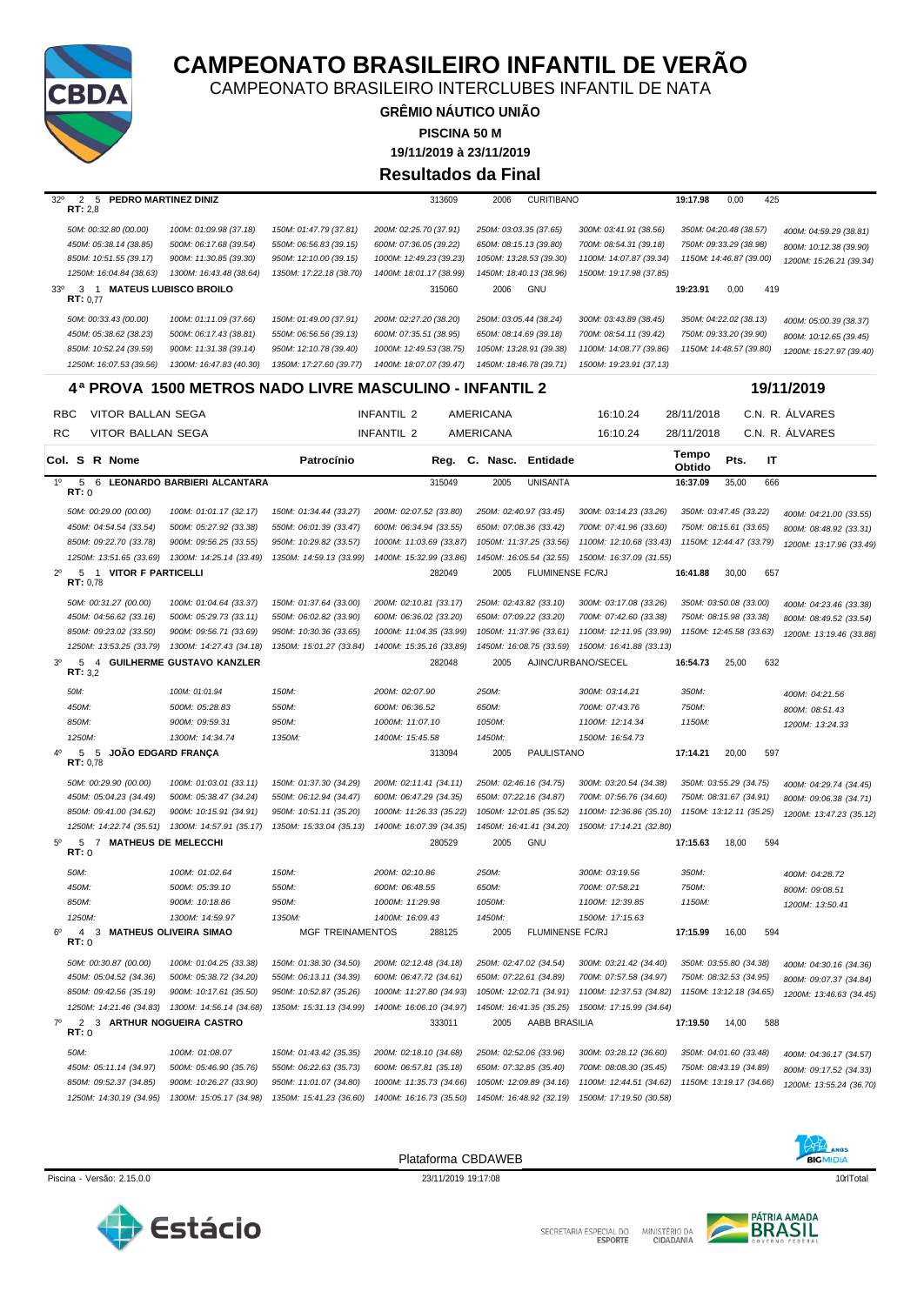

CAMPEONATO BRASILEIRO INTERCLUBES INFANTIL DE NATA

**GRÊMIO NÁUTICO UNIÃO 19/11/2019 à 23/11/2019 PISCINA 50 M Resultados da Final**

| 32°            | $\overline{2}$<br>5<br>RT: 2,8  | PEDRO MARTINEZ DINIZ      |                               |                                                        | 313609                  | 2006                   | <b>CURITIBANO</b>       |                         | 19:17.98        | 0,00                    | 425 |                         |
|----------------|---------------------------------|---------------------------|-------------------------------|--------------------------------------------------------|-------------------------|------------------------|-------------------------|-------------------------|-----------------|-------------------------|-----|-------------------------|
|                | 50M: 00:32.80 (00.00)           |                           | 100M: 01:09.98 (37.18)        | 150M: 01:47.79 (37.81)                                 | 200M: 02:25.70 (37.91)  | 250M: 03:03.35 (37.65) |                         | 300M: 03:41.91 (38.56)  |                 | 350M: 04:20.48 (38.57)  |     | 400M: 04:59.29 (38.81)  |
|                |                                 |                           |                               |                                                        |                         |                        |                         |                         |                 |                         |     |                         |
|                | 450M: 05:38.14 (38.85)          |                           | 500M: 06:17.68 (39.54)        | 550M: 06:56.83 (39.15)                                 | 600M: 07:36.05 (39.22)  | 650M: 08:15.13 (39.80) |                         | 700M: 08:54.31 (39.18)  |                 | 750M: 09:33.29 (38.98)  |     | 800M: 10:12.38 (39.90)  |
|                | 850M: 10:51.55 (39.17)          |                           | 900M: 11:30.85 (39.30)        | 950M: 12:10.00 (39.15)                                 | 1000M: 12:49.23 (39.23) |                        | 1050M: 13:28.53 (39.30) | 1100M: 14:07.87 (39.34) |                 | 1150M: 14:46.87 (39.00) |     | 1200M: 15:26.21 (39.34) |
|                |                                 | 1250M: 16:04.84 (38.63)   | 1300M: 16:43.48 (38.64)       | 1350M: 17:22.18 (38.70)                                | 1400M: 18:01.17 (38.99) |                        | 1450M: 18:40.13 (38.96) | 1500M: 19:17.98 (37.85) |                 |                         |     |                         |
| $33^{\circ}$   | RT: 0.77                        |                           | 3 1 MATEUS LUBISCO BROILO     |                                                        | 315060                  | 2006                   | <b>GNU</b>              |                         | 19:23.91        | 0,00                    | 419 |                         |
|                | 50M: 00:33.43 (00.00)           |                           | 100M: 01:11.09 (37.66)        | 150M: 01:49.00 (37.91)                                 | 200M: 02:27.20 (38.20)  | 250M: 03:05.44 (38.24) |                         | 300M: 03:43.89 (38.45)  |                 | 350M: 04:22.02 (38.13)  |     | 400M: 05:00.39 (38.37)  |
|                | 450M: 05:38.62 (38.23)          |                           | 500M: 06:17.43 (38.81)        | 550M: 06:56.56 (39.13)                                 | 600M: 07:35.51 (38.95)  | 650M: 08:14.69 (39.18) |                         | 700M: 08:54.11 (39.42)  |                 | 750M: 09:33.20 (39.90)  |     | 800M: 10:12.65 (39.45)  |
|                | 850M: 10:52.24 (39.59)          |                           | 900M: 11:31.38 (39.14)        | 950M: 12:10.78 (39.40)                                 | 1000M: 12:49.53 (38.75) |                        | 1050M: 13:28.91 (39.38) | 1100M: 14:08.77 (39.86) |                 | 1150M: 14:48.57 (39.80) |     |                         |
|                |                                 | 1250M: 16:07.53 (39.56)   | 1300M: 16:47.83 (40.30)       | 1350M: 17:27.60 (39.77)                                | 1400M: 18:07.07 (39.47) |                        | 1450M: 18:46.78 (39.71) | 1500M: 19:23.91 (37.13) |                 |                         |     | 1200M: 15:27.97 (39.40) |
|                |                                 |                           |                               | 4ª PROVA_1500 METROS NADO LIVRE MASCULINO - INFANTIL 2 |                         |                        |                         |                         |                 |                         |     | 19/11/2019              |
|                | <b>RBC</b>                      | VITOR BALLAN SEGA         |                               |                                                        | <b>INFANTIL 2</b>       | AMERICANA              |                         | 16:10.24                | 28/11/2018      |                         |     | C.N. R. ALVARES         |
|                |                                 |                           |                               |                                                        |                         |                        |                         |                         |                 |                         |     |                         |
| RC.            |                                 | VITOR BALLAN SEGA         |                               |                                                        | <b>INFANTIL 2</b>       | AMERICANA              |                         | 16:10.24                | 28/11/2018      |                         |     | C.N. R. ALVARES         |
|                | Col. S R Nome                   |                           |                               | Patrocínio                                             | Reg.                    | C. Nasc.               | Entidade                |                         | Tempo<br>Obtido | Pts.                    | IT  |                         |
| 1 <sup>0</sup> | 5<br>RT: 0                      |                           | 6 LEONARDO BARBIERI ALCANTARA |                                                        | 315049                  | 2005                   | <b>UNISANTA</b>         |                         | 16:37.09        | 35,00                   | 666 |                         |
|                | 50M: 00:29.00 (00.00)           |                           | 100M: 01:01.17 (32.17)        | 150M: 01:34.44 (33.27)                                 | 200M: 02:07.52 (33.80)  | 250M: 02:40.97 (33.45) |                         | 300M: 03:14.23 (33.26)  |                 | 350M: 03:47.45 (33.22)  |     | 400M: 04:21.00 (33.55)  |
|                |                                 | 450M: 04:54.54 (33.54)    | 500M: 05:27.92 (33.38)        | 550M: 06:01.39 (33.47)                                 | 600M: 06:34.94 (33.55)  | 650M: 07:08.36 (33.42) |                         | 700M: 07:41.96 (33.60)  |                 | 750M: 08:15.61 (33.65)  |     | 800M: 08:48.92 (33.31)  |
|                | 850M: 09:22.70 (33.78)          |                           | 900M: 09:56.25 (33.55)        | 950M: 10:29.82 (33.57)                                 | 1000M: 11:03.69 (33.87) |                        | 1050M: 11:37.25 (33.56) | 1100M: 12:10.68 (33.43) |                 | 1150M: 12:44.47 (33.79) |     |                         |
|                |                                 |                           | 1300M: 14:25.14 (33.49)       |                                                        |                         |                        | 1450M: 16:05.54 (32.55) | 1500M: 16:37.09 (31.55) |                 |                         |     | 1200M: 13:17.96 (33.49) |
|                |                                 | 1250M: 13:51.65 (33.69)   |                               | 1350M: 14:59.13 (33.99)                                | 1400M: 15:32.99 (33.86) |                        |                         |                         |                 |                         |     |                         |
| $2^{\circ}$    | 5<br>$\overline{1}$<br>RT: 0.78 | <b>VITOR F PARTICELLI</b> |                               |                                                        | 282049                  | 2005                   | <b>FLUMINENSE FC/RJ</b> |                         | 16:41.88        | 30,00                   | 657 |                         |
|                | 50M: 00:31.27 (00.00)           |                           | 100M: 01:04.64 (33.37)        | 150M: 01:37.64 (33.00)                                 | 200M: 02:10.81 (33.17)  | 250M: 02:43.82 (33.10) |                         | 300M: 03:17.08 (33.26)  |                 | 350M: 03:50.08 (33.00)  |     | 400M: 04:23.46 (33.38)  |
|                |                                 | 450M: 04:56.62 (33.16)    | 500M: 05:29.73 (33.11)        | 550M: 06:02.82 (33.90)                                 | 600M: 06:36.02 (33.20)  |                        | 650M: 07:09.22 (33.20)  | 700M: 07:42.60 (33.38)  |                 | 750M: 08:15.98 (33.38)  |     | 800M: 08:49.52 (33.54)  |
|                | 850M: 09:23.02 (33.50)          |                           | 900M: 09:56.71 (33.69)        | 950M: 10:30.36 (33.65)                                 | 1000M: 11:04.35 (33.99) |                        | 1050M: 11:37.96 (33.61) | 1100M: 12:11.95 (33.99) |                 | 1150M: 12:45.58 (33.63) |     | 1200M: 13:19.46 (33.88) |
|                |                                 | 1250M: 13:53.25 (33.79)   | 1300M: 14:27.43 (34.18)       | 1350M: 15:01.27 (33.84)                                | 1400M: 15:35.16 (33.89) |                        | 1450M: 16:08.75 (33.59) | 1500M: 16:41.88 (33.13) |                 |                         |     |                         |
| 3 <sup>0</sup> | 5                               |                           | 4 GUILHERME GUSTAVO KANZLER   |                                                        | 282048                  | 2005                   |                         | AJINC/URBANO/SECEL      | 16:54.73        | 25,00                   | 632 |                         |
|                | RT: 3,2                         |                           |                               |                                                        |                         |                        |                         |                         |                 |                         |     |                         |
|                | 50M:                            |                           | 100M: 01:01.94                | 150M:                                                  | 200M: 02:07.90          | 250M:                  |                         | 300M: 03:14.21          | 350M:           |                         |     | 400M: 04:21.56          |
|                | 450M:                           |                           | 500M: 05:28.83                | 550M:                                                  | 600M: 06:36.52          | 650M:                  |                         | 700M: 07:43.76          | 750M:           |                         |     | 800M: 08:51.43          |
|                | 850M:                           |                           | 900M: 09:59.31                | 950M:                                                  | 1000M: 11:07.10         | 1050M:                 |                         | 1100M: 12:14.34         | 1150M:          |                         |     | 1200M: 13:24.33         |
|                | 1250M:                          |                           | 1300M: 14:34.74               | 1350M:                                                 | 1400M: 15:45.58         | 1450M:                 |                         | 1500M: 16:54.73         |                 |                         |     |                         |
|                | 5                               | 5 JOÃO EDGARD FRANÇA      |                               |                                                        | 313094                  | 2005                   | PAULISTANO              |                         | 17:14.21        | 20,00                   | 597 |                         |
|                | RT: 0,78                        |                           |                               |                                                        |                         |                        |                         |                         |                 |                         |     |                         |
|                | 50M: 00:29.90 (00.00)           |                           | 100M: 01:03.01 (33.11)        | 150M: 01:37.30 (34.29)                                 | 200M: 02:11.41 (34.11)  | 250M: 02:46.16 (34.75) |                         | 300M: 03:20.54 (34.38)  |                 | 350M: 03:55.29 (34.75)  |     | 400M: 04:29.74 (34.45)  |
|                |                                 | 450M: 05:04.23 (34.49)    | 500M: 05:38.47 (34.24)        | 550M: 06:12.94 (34.47)                                 | 600M: 06:47.29 (34.35)  | 650M: 07:22.16 (34.87) |                         | 700M: 07:56.76 (34.60)  |                 | 750M: 08:31.67 (34.91)  |     | 800M: 09:06.38 (34.71)  |
|                | 850M: 09:41.00 (34.62)          |                           | 900M: 10:15.91 (34.91)        | 950M: 10:51.11 (35.20)                                 | 1000M: 11:26.33 (35.22) |                        | 1050M: 12:01.85 (35.52) | 1100M: 12:36.86 (35.10) |                 | 1150M: 13:12.11 (35.25) |     | 1200M: 13:47.23 (35.12) |
|                |                                 | 1250M: 14:22.74 (35.51)   | 1300M: 14:57.91 (35.17)       | 1350M: 15:33.04 (35.13)                                | 1400M: 16:07.39 (34.35) |                        | 1450M: 16:41.41 (34.20) | 1500M: 17:14.21 (32.80) |                 |                         |     |                         |
| $5^{\circ}$    | -5<br>$\overline{7}$<br>RT:0    |                           | <b>MATHEUS DE MELECCHI</b>    |                                                        | 280529                  | 2005                   | <b>GNU</b>              |                         | 17:15.63        | 18,00                   | 594 |                         |
|                | 50M:                            |                           | 100M: 01:02.64                | 150M:                                                  | 200M: 02:10.86          | 250M:                  |                         | 300M: 03:19.56          | 350M:           |                         |     | 400M: 04:28.72          |
|                | 450M:                           |                           | 500M: 05:39.10                | 550M:                                                  | 600M: 06:48.55          | 650M:                  |                         | 700M: 07:58.21          | 750M:           |                         |     | 800M: 09:08.51          |
|                | 850M:                           |                           | 900M: 10:18.86                | 950M:                                                  | 1000M: 11:29.98         | 1050M:                 |                         | 1100M: 12:39.85         | 1150M:          |                         |     |                         |
|                | 1250M:                          |                           | 1300M: 14:59.97               | 1350M:                                                 | 1400M: 16:09.43         | 1450M:                 |                         | 1500M: 17:15.63         |                 |                         |     | 1200M: 13:50.41         |
|                |                                 |                           |                               |                                                        |                         |                        |                         |                         |                 |                         |     |                         |
| 6°             | 4<br>3<br>RT: 0                 |                           | <b>MATHEUS OLIVEIRA SIMAO</b> | MGF TREINAMENTOS                                       | 288125                  | 2005                   | FLUMINENSE FC/RJ        |                         | 17:15.99        | 16,00                   | 594 |                         |
|                | 50M: 00:30.87 (00.00)           |                           | 100M: 01:04.25 (33.38)        | 150M: 01:38.30 (34.50)                                 | 200M: 02:12.48 (34.18)  | 250M: 02:47.02 (34.54) |                         | 300M: 03:21.42 (34.40)  |                 | 350M: 03:55.80 (34.38)  |     | 400M: 04:30.16 (34.36)  |
|                |                                 | 450M: 05:04.52 (34.36)    | 500M: 05:38.72 (34.20)        | 550M: 06:13.11 (34.39)                                 | 600M: 06:47.72 (34.61)  | 650M: 07:22.61 (34.89) |                         | 700M: 07:57.58 (34.97)  |                 | 750M: 08:32.53 (34.95)  |     | 800M: 09:07.37 (34.84)  |
|                |                                 | 850M: 09:42.56 (35.19)    | 900M: 10:17.61 (35.50)        | 950M: 10:52.87 (35.26)                                 | 1000M: 11:27.80 (34.93) |                        | 1050M: 12:02.71 (34.91) | 1100M: 12:37.53 (34.82) |                 | 1150M: 13:12.18 (34.65) |     | 1200M: 13:46.63 (34.45) |
|                |                                 | 1250M: 14:21.46 (34.83)   | 1300M: 14:56.14 (34.68)       | 1350M: 15:31.13 (34.99)                                | 1400M: 16:06.10 (34.97) |                        | 1450M: 16:41.35 (35.25) | 1500M: 17:15.99 (34.64) |                 |                         |     |                         |
| $7^\circ$      | 2<br>RT:0                       |                           | 3 ARTHUR NOGUEIRA CASTRO      |                                                        | 333011                  | 2005                   | AABB BRASILIA           |                         | 17:19.50        | 14,00                   | 588 |                         |
|                |                                 |                           |                               |                                                        |                         |                        |                         |                         |                 |                         |     |                         |
|                | 50M:                            |                           | 100M: 01:08.07                | 150M: 01:43.42 (35.35)                                 | 200M: 02:18.10 (34.68)  | 250M: 02:52.06 (33.96) |                         | 300M: 03:28.12 (36.60)  |                 | 350M: 04:01.60 (33.48)  |     | 400M: 04:36.17 (34.57)  |
|                |                                 | 450M: 05:11.14 (34.97)    | 500M: 05:46.90 (35.76)        | 550M: 06:22.63 (35.73)                                 | 600M: 06:57.81 (35.18)  | 650M: 07:32.85 (35.40) |                         | 700M: 08:08.30 (35.45)  |                 | 750M: 08:43.19 (34.89)  |     | 800M: 09:17.52 (34.33)  |
|                |                                 | 850M: 09:52.37 (34.85)    | 900M: 10:26.27 (33.90)        | 950M: 11:01.07 (34.80)                                 | 1000M: 11:35.73 (34.66) |                        | 1050M: 12:09.89 (34.16) | 1100M: 12:44.51 (34.62) |                 | 1150M: 13:19.17 (34.66) |     | 1200M: 13:55.24 (36.70) |
|                |                                 | 1250M: 14:30.19 (34.95)   | 1300M: 15:05.17 (34.98)       | 1350M: 15:41.23 (36.60)                                | 1400M: 16:16.73 (35.50) |                        | 1450M: 16:48.92 (32.19) | 1500M: 17:19.50 (30.58) |                 |                         |     |                         |
|                |                                 |                           |                               |                                                        |                         |                        |                         |                         |                 |                         |     |                         |



Plataforma CBDAWEB





Piscina - Versão: 2.15.0.0 10rlTotal 23/11/2019 19:17:08 23/11/2019 19:17:08 10rlTotal 23/11/2019 19:17:08 10rlTotal 23/11/2019 19:17:08 10rlTotal 23/11/2019 19:17:08 10rlTotal 23/11/2019 19:17:08 10rlTotal 23/11/2019 19:1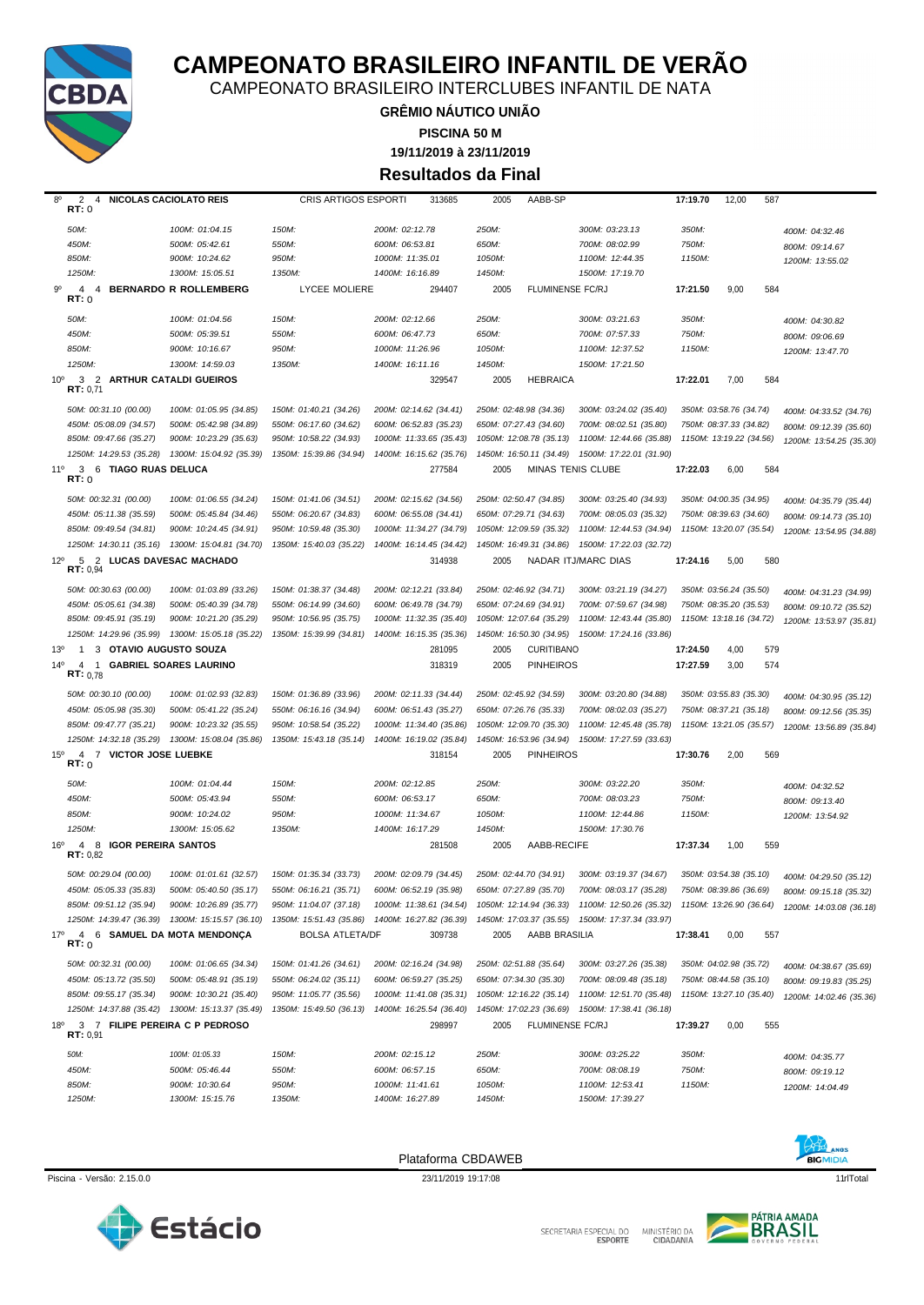

SECRETARIA ESPECIAL DO MINISTÉRIO DA<br>CIDADANIA



Piscina - Versão: 2.15.0.0 23/11/2019 19:17:08 23/11/2019 19:17:08 11dTotal Plataforma CBDAWEB



| $8^{\circ}$     | 2<br>4<br>RT: 0                            | <b>NICOLAS CACIOLATO REIS</b>                   | CRIS ARTIGOS ESPORTI    | 313685                                          | 2005<br>AABB-SP                 |                                                                                                 | 17:19.70 | 12,00<br>587            |                         |
|-----------------|--------------------------------------------|-------------------------------------------------|-------------------------|-------------------------------------------------|---------------------------------|-------------------------------------------------------------------------------------------------|----------|-------------------------|-------------------------|
|                 | 50M:                                       | 100M: 01:04.15                                  | 150M:                   | 200M: 02:12.78                                  | 250M:                           | 300M: 03:23.13                                                                                  | 350M:    |                         | 400M: 04:32.46          |
|                 | 450M:                                      | 500M: 05:42.61                                  | 550M:                   | 600M: 06:53.81                                  | 650M:                           | 700M: 08:02.99                                                                                  | 750M:    |                         | 800M: 09:14.67          |
|                 | 850M:                                      | 900M: 10:24.62                                  | 950M:                   | 1000M: 11:35.01                                 | 1050M:                          | 1100M: 12:44.35                                                                                 | 1150M:   |                         | 1200M: 13:55.02         |
|                 | 1250M:                                     | 1300M: 15:05.51                                 | 1350M:                  | 1400M: 16:16.89                                 | 1450M:                          | 1500M: 17:19.70                                                                                 |          |                         |                         |
| 9°              | $\overline{4}$<br>$\overline{4}$<br>RT:0   | <b>BERNARDO R ROLLEMBERG</b>                    | <b>LYCEE MOLIERE</b>    | 294407                                          | <b>FLUMINENSE FC/RJ</b><br>2005 |                                                                                                 | 17:21.50 | 9,00<br>584             |                         |
|                 | 50M:                                       | 100M: 01:04.56                                  | 150M:                   | 200M: 02:12.66                                  | 250M:                           | 300M: 03:21.63                                                                                  | 350M:    |                         | 400M: 04:30.82          |
|                 | 450M:                                      | 500M: 05:39.51                                  | 550M:                   | 600M: 06:47.73                                  | 650M:                           | 700M: 07:57.33                                                                                  | 750M:    |                         | 800M: 09:06.69          |
|                 | 850M:                                      | 900M: 10:16.67                                  | 950M:                   | 1000M: 11:26.96                                 | 1050M:                          | 1100M: 12:37.52                                                                                 | 1150M:   |                         | 1200M: 13:47.70         |
|                 | 1250M:                                     | 1300M: 14:59.03                                 | 1350M:                  | 1400M: 16:11.16                                 | 1450M:                          | 1500M: 17:21.50                                                                                 |          |                         |                         |
| $10^{\circ}$    | 3 2 ARTHUR CATALDI GUEIROS<br>RT: 0.71     |                                                 |                         | 329547                                          | <b>HEBRAICA</b><br>2005         |                                                                                                 | 17:22.01 | 7,00<br>584             |                         |
|                 | 50M: 00:31.10 (00.00)                      | 100M: 01:05.95 (34.85)                          | 150M: 01:40.21 (34.26)  | 200M: 02:14.62 (34.41)                          | 250M: 02:48.98 (34.36)          | 300M: 03:24.02 (35.40)                                                                          |          | 350M: 03:58.76 (34.74)  | 400M: 04:33.52 (34.76)  |
|                 | 450M: 05:08.09 (34.57)                     | 500M: 05:42.98 (34.89)                          | 550M: 06:17.60 (34.62)  | 600M: 06:52.83 (35.23)                          | 650M: 07:27.43 (34.60)          | 700M: 08:02.51 (35.80)                                                                          |          | 750M: 08:37.33 (34.82)  | 800M: 09:12.39 (35.60)  |
|                 | 850M: 09:47.66 (35.27)                     | 900M: 10:23.29 (35.63)                          | 950M: 10:58.22 (34.93)  | 1000M: 11:33.65 (35.43)                         | 1050M: 12:08.78 (35.13)         | 1100M: 12:44.66 (35.88)                                                                         |          | 1150M: 13:19.22 (34.56) | 1200M: 13:54.25 (35.30) |
|                 | 1250M: 14:29.53 (35.28)                    | 1300M: 15:04.92 (35.39)                         | 1350M: 15:39.86 (34.94) | 1400M: 16:15.62 (35.76)                         | 1450M: 16:50.11 (34.49)         | 1500M: 17:22.01 (31.90)                                                                         |          |                         |                         |
| 11°             | 3 6 TIAGO RUAS DELUCA<br>RT: 0             |                                                 |                         | 277584                                          | 2005                            | MINAS TENIS CLUBE                                                                               | 17:22.03 | 6,00<br>584             |                         |
|                 | 50M: 00:32.31 (00.00)                      | 100M: 01:06.55 (34.24)                          | 150M: 01:41.06 (34.51)  | 200M: 02:15.62 (34.56)                          | 250M: 02:50.47 (34.85)          | 300M: 03:25.40 (34.93)                                                                          |          | 350M: 04:00.35 (34.95)  | 400M: 04:35.79 (35.44)  |
|                 | 450M: 05:11.38 (35.59)                     | 500M: 05:45.84 (34.46)                          | 550M: 06:20.67 (34.83)  | 600M: 06:55.08 (34.41)                          | 650M: 07:29.71 (34.63)          | 700M: 08:05.03 (35.32)                                                                          |          | 750M: 08:39.63 (34.60)  | 800M: 09:14.73 (35.10)  |
|                 | 850M: 09:49.54 (34.81)                     | 900M: 10:24.45 (34.91)                          | 950M: 10:59.48 (35.30)  | 1000M: 11:34.27 (34.79)                         | 1050M: 12:09.59 (35.32)         | 1100M: 12:44.53 (34.94)                                                                         |          | 1150M: 13:20.07 (35.54) | 1200M: 13:54.95 (34.88) |
|                 | 1250M: 14:30.11 (35.16)                    | 1300M: 15:04.81 (34.70)                         | 1350M: 15:40.03 (35.22) | 1400M: 16:14.45 (34.42)                         | 1450M: 16:49.31 (34.86)         | 1500M: 17:22.03 (32.72)                                                                         |          |                         |                         |
| $12^{\circ}$    | 5 2 LUCAS DAVESAC MACHADO<br>RT: 0.94      |                                                 |                         | 314938                                          | 2005                            | NADAR ITJ/MARC DIAS                                                                             | 17:24.16 | 5,00<br>580             |                         |
|                 | 50M: 00:30.63 (00.00)                      | 100M: 01:03.89 (33.26)                          | 150M: 01:38.37 (34.48)  | 200M: 02:12.21 (33.84)                          | 250M: 02:46.92 (34.71)          | 300M: 03:21.19 (34.27)                                                                          |          | 350M: 03:56.24 (35.50)  | 400M: 04:31.23 (34.99)  |
|                 | 450M: 05:05.61 (34.38)                     | 500M: 05:40.39 (34.78)                          | 550M: 06:14.99 (34.60)  | 600M: 06:49.78 (34.79)                          | 650M: 07:24.69 (34.91)          | 700M: 07:59.67 (34.98)                                                                          |          | 750M: 08:35.20 (35.53)  | 800M: 09:10.72 (35.52)  |
|                 | 850M: 09:45.91 (35.19)                     | 900M: 10:21.20 (35.29)                          | 950M: 10:56.95 (35.75)  | 1000M: 11:32.35 (35.40)                         | 1050M: 12:07.64 (35.29)         | 1100M: 12:43.44 (35.80)                                                                         |          | 1150M: 13:18.16 (34.72) | 1200M: 13:53.97 (35.81) |
|                 | 1250M: 14:29.96 (35.99)                    | 1300M: 15:05.18 (35.22)                         | 1350M: 15:39.99 (34.81) | 1400M: 16:15.35 (35.36)                         | 1450M: 16:50.30 (34.95)         | 1500M: 17:24.16 (33.86)                                                                         |          |                         |                         |
| 13 <sup>o</sup> | 3 OTAVIO AUGUSTO SOUZA<br>$\mathbf{1}$     |                                                 |                         | 281095                                          | <b>CURITIBANO</b><br>2005       |                                                                                                 | 17:24.50 | 4,00<br>579             |                         |
| $14^{\circ}$    | 4 1<br>RT: 0,78                            | <b>GABRIEL SOARES LAURINO</b>                   |                         | 318319                                          | <b>PINHEIROS</b><br>2005        |                                                                                                 | 17:27.59 | 3,00<br>574             |                         |
|                 | 50M: 00:30.10 (00.00)                      | 100M: 01:02.93 (32.83)                          | 150M: 01:36.89 (33.96)  | 200M: 02:11.33 (34.44)                          | 250M: 02:45.92 (34.59)          | 300M: 03:20.80 (34.88)                                                                          |          | 350M: 03:55.83 (35.30)  | 400M: 04:30.95 (35.12)  |
|                 | 450M: 05:05.98 (35.30)                     | 500M: 05:41.22 (35.24)                          | 550M: 06:16.16 (34.94)  | 600M: 06:51.43 (35.27)                          | 650M: 07:26.76 (35.33)          | 700M: 08:02.03 (35.27)                                                                          |          | 750M: 08:37.21 (35.18)  | 800M: 09:12.56 (35.35)  |
|                 | 850M: 09:47.77 (35.21)                     | 900M: 10:23.32 (35.55)                          | 950M: 10:58.54 (35.22)  | 1000M: 11:34.40 (35.86)                         | 1050M: 12:09.70 (35.30)         | 1100M: 12:45.48 (35.78)                                                                         |          | 1150M: 13:21.05 (35.57) | 1200M: 13:56.89 (35.84) |
| $15^{\circ}$    | 1250M: 14:32.18 (35.29)<br>$\overline{4}$  | 1300M: 15:08.04 (35.86)                         | 1350M: 15:43.18 (35.14) | 1400M: 16:19.02 (35.84)                         | 1450M: 16:53.96 (34.94)         | 1500M: 17:27.59 (33.63)                                                                         |          |                         |                         |
|                 | 7 VICTOR JOSE LUEBKE<br>RT:0               |                                                 |                         | 318154                                          | <b>PINHEIROS</b><br>2005        |                                                                                                 | 17:30.76 | 2,00<br>569             |                         |
|                 | 50M:                                       | 100M: 01:04.44                                  | 150M:                   | 200M: 02:12.85                                  | 250M:                           | 300M: 03:22.20                                                                                  | 350M:    |                         | 400M: 04:32.52          |
|                 | 450M:                                      | 500M: 05:43.94                                  | 550M:                   | 600M: 06:53.17                                  | 650M:                           | 700M: 08:03.23                                                                                  | 750M:    |                         | 800M: 09:13.40          |
|                 | 850M:                                      | 900M: 10:24.02                                  | 950M:                   | 1000M: 11:34.67                                 | 1050M:                          | 1100M: 12:44.86                                                                                 | 1150M:   |                         | 1200M: 13:54.92         |
|                 | 1250M:                                     | 1300M: 15:05.62                                 | 1350M:                  | 1400M: 16:17.29                                 | 1450M:                          | 1500M: 17:30.76                                                                                 |          |                         |                         |
| $16^{\circ}$    | 4 8 IGOR PEREIRA SANTOS<br>RT: 0,82        |                                                 |                         | 281508                                          | AABB-RECIFE<br>2005             |                                                                                                 | 17:37.34 | 1,00<br>559             |                         |
|                 |                                            |                                                 |                         |                                                 |                                 |                                                                                                 |          | 350M: 03:54.38 (35.10)  | 400M: 04:29.50 (35.12)  |
|                 | 50M: 00:29.04 (00.00)                      | 100M: 01:01.61 (32.57)                          | 150M: 01:35.34 (33.73)  | 200M: 02:09.79 (34.45)                          | 250M: 02:44.70 (34.91)          | 300M: 03:19.37 (34.67)                                                                          |          |                         |                         |
|                 | 450M: 05:05.33 (35.83)                     | 500M: 05:40.50 (35.17)                          | 550M: 06:16.21 (35.71)  | 600M: 06:52.19 (35.98)                          | 650M: 07:27.89 (35.70)          | 700M: 08:03.17 (35.28)                                                                          |          | 750M: 08:39.86 (36.69)  | 800M: 09:15.18 (35.32)  |
|                 | 850M: 09:51.12 (35.94)                     | 900M: 10:26.89 (35.77)                          | 950M: 11:04.07 (37.18)  | 1000M: 11:38.61 (34.54)                         |                                 | 1050M: 12:14.94 (36.33) 1100M: 12:50.26 (35.32) 1150M: 13:26.90 (36.64) 1200M: 14:03.08 (36.18) |          |                         |                         |
|                 |                                            | 1250M: 14:39.47 (36.39) 1300M: 15:15.57 (36.10) |                         | 1350M: 15:51.43 (35.86) 1400M: 16:27.82 (36.39) |                                 | 1450M: 17:03.37 (35.55) 1500M: 17:37.34 (33.97)                                                 |          |                         |                         |
| 17°             | 4 6 SAMUEL DA MOTA MENDONÇA<br>RT:0        |                                                 | <b>BOLSA ATLETA/DF</b>  | 309738                                          | AABB BRASILIA<br>2005           |                                                                                                 | 17:38.41 | 0,00<br>557             |                         |
|                 | 50M: 00:32.31 (00.00)                      | 100M: 01:06.65 (34.34)                          | 150M: 01:41.26 (34.61)  | 200M: 02:16.24 (34.98)                          | 250M: 02:51.88 (35.64)          | 300M: 03:27.26 (35.38)                                                                          |          | 350M: 04:02.98 (35.72)  | 400M: 04:38.67 (35.69)  |
|                 | 450M: 05:13.72 (35.50)                     | 500M: 05:48.91 (35.19)                          | 550M: 06:24.02 (35.11)  | 600M: 06:59.27 (35.25)                          | 650M: 07:34.30 (35.30)          | 700M: 08:09.48 (35.18)                                                                          |          | 750M: 08:44.58 (35.10)  | 800M: 09:19.83 (35.25)  |
|                 | 850M: 09:55.17 (35.34)                     | 900M: 10:30.21 (35.40)                          | 950M: 11:05.77 (35.56)  | 1000M: 11:41.08 (35.31)                         | 1050M: 12:16.22 (35.14)         | 1100M: 12:51.70 (35.48)                                                                         |          | 1150M: 13:27.10 (35.40) | 1200M: 14:02.46 (35.36) |
|                 | 1250M: 14:37.88 (35.42)                    | 1300M: 15:13.37 (35.49)                         | 1350M: 15:49.50 (36.13) | 1400M: 16:25.54 (36.40)                         |                                 | 1450M: 17:02.23 (36.69) 1500M: 17:38.41 (36.18)                                                 |          |                         |                         |
| $18^{\circ}$    | 3 7 FILIPE PEREIRA C P PEDROSO<br>RT: 0,91 |                                                 |                         | 298997                                          | FLUMINENSE FC/RJ<br>2005        |                                                                                                 | 17:39.27 | 0,00<br>555             |                         |
|                 | 50M:                                       | 100M: 01:05.33                                  | 150M:                   | 200M: 02:15.12                                  | 250M:                           | 300M: 03:25.22                                                                                  | 350M:    |                         | 400M: 04:35.77          |
|                 | 450M:                                      | 500M: 05:46.44                                  | 550M:                   | 600M: 06:57.15                                  | 650M:                           | 700M: 08:08.19                                                                                  | 750M:    |                         | 800M: 09:19.12          |
|                 | 850M:<br>1250M:                            | 900M: 10:30.64<br>1300M: 15:15.76               | 950M:<br>1350M:         | 1000M: 11:41.61<br>1400M: 16:27.89              | 1050M:<br>1450M:                | 1100M: 12:53.41<br>1500M: 17:39.27                                                              | 1150M:   |                         | 1200M: 14:04.49         |





**19/11/2019 à 23/11/2019 Resultados da Final**

**CAMPEONATO BRASILEIRO INFANTIL DE VERÃO**

CAMPEONATO BRASILEIRO INTERCLUBES INFANTIL DE NATA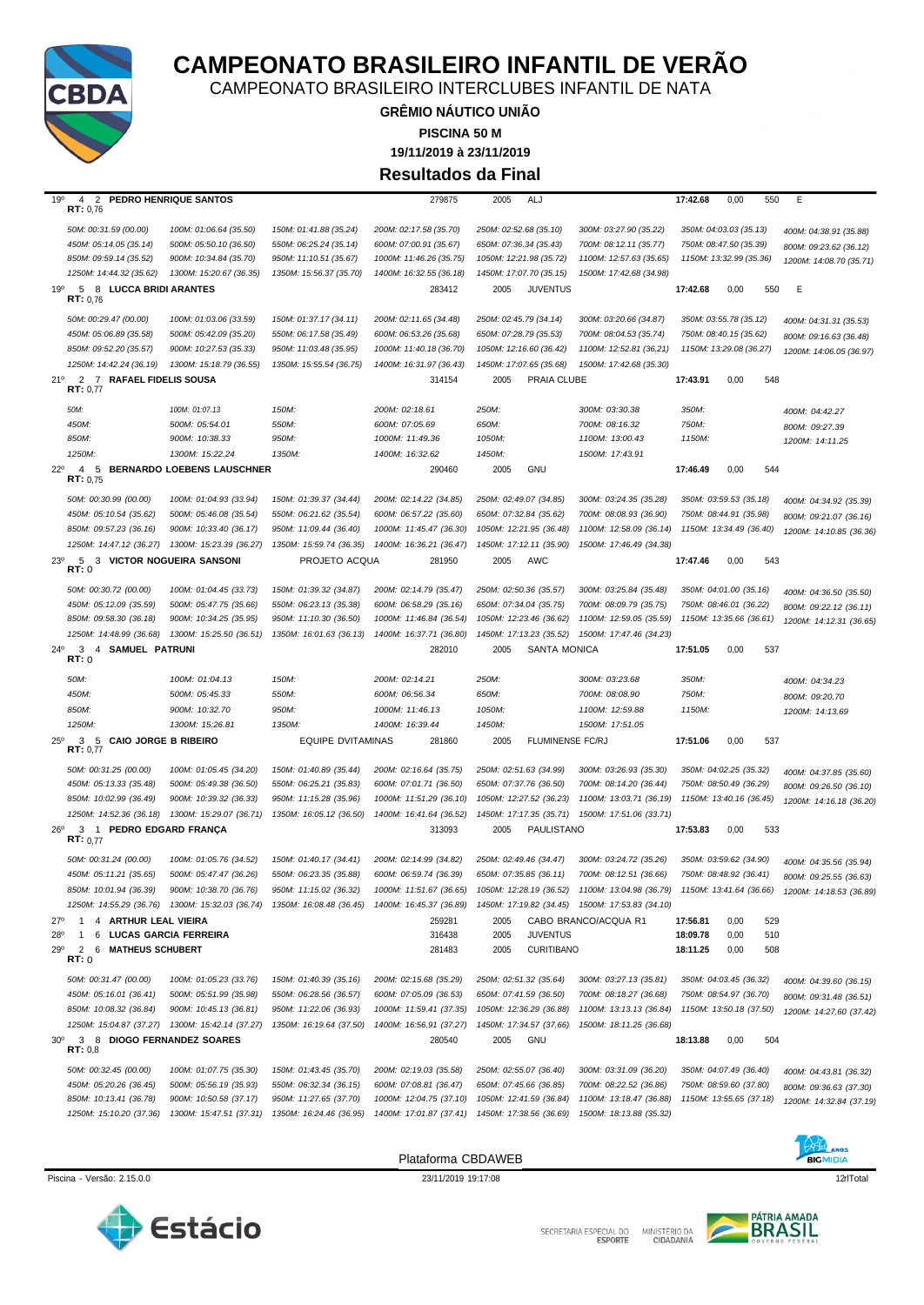

SECRETARIA ESPECIAL DO MINISTÉRIO DA<br>CIDADANIA



Piscina - Versão: 2.15.0.0 23/11/2019 19:17:08 23/11/2019 19:17:08 12dTotal 23/11/2019 19:17:08 12dTotal 23/11/2019 19:17:08 12dTotal 23/11/2019 19:17:08 12dTotal 23/11/2019 19:17:08 12dTotal 23/11/2019 19:17:08 12dTotal 2

Plataforma CBDAWEB

**BIGMIDIA** 

|              | 50M: 00:31.59 (00.00)                             | 100M: 01:06.64 (35.50)                            | 150M: 01:41.88 (35.24)                            | 200M: 02:17.58 (35.70)                             | 250M: 02:52.68 (35.10)                             | 300M: 03:27.90 (35.22)                             |          | 350M: 04:03.03 (35.13)  | 400M: 04:38.91 (35.88)  |
|--------------|---------------------------------------------------|---------------------------------------------------|---------------------------------------------------|----------------------------------------------------|----------------------------------------------------|----------------------------------------------------|----------|-------------------------|-------------------------|
|              | 450M: 05:14.05 (35.14)                            | 500M: 05:50.10 (36.50)                            | 550M: 06:25.24 (35.14)                            | 600M: 07:00.91 (35.67)                             | 650M: 07:36.34 (35.43)                             | 700M: 08:12.11 (35.77)                             |          | 750M: 08:47.50 (35.39)  | 800M: 09:23.62 (36.12)  |
|              | 850M: 09:59.14 (35.52)                            | 900M: 10:34.84 (35.70)                            | 950M: 11:10.51 (35.67)                            | 1000M: 11:46.26 (35.75)                            | 1050M: 12:21.98 (35.72)                            | 1100M: 12:57.63 (35.65)                            |          | 1150M: 13:32.99 (35.36) | 1200M: 14:08.70 (35.71) |
|              | 1250M: 14:44.32 (35.62)                           | 1300M: 15:20.67 (36.35)                           | 1350M: 15:56.37 (35.70)                           | 1400M: 16:32.55 (36.18)                            | 1450M: 17:07.70 (35.15)                            | 1500M: 17:42.68 (34.98)                            |          |                         |                         |
| 19°          | 5 8 LUCCA BRIDI ARANTES                           |                                                   |                                                   | 283412                                             | 2005<br><b>JUVENTUS</b>                            |                                                    | 17:42.68 | 0,00<br>550             | Ε                       |
|              | RT: 0.76                                          |                                                   |                                                   |                                                    |                                                    |                                                    |          |                         |                         |
|              | 50M: 00:29.47 (00.00)                             | 100M: 01:03.06 (33.59)                            | 150M: 01:37.17 (34.11)                            | 200M: 02:11.65 (34.48)                             | 250M: 02:45.79 (34.14)                             | 300M: 03:20.66 (34.87)                             |          | 350M: 03:55.78 (35.12)  | 400M: 04:31.31 (35.53)  |
|              | 450M: 05:06.89 (35.58)                            | 500M: 05:42.09 (35.20)                            | 550M: 06:17.58 (35.49)                            | 600M: 06:53.26 (35.68)                             | 650M: 07:28.79 (35.53)                             | 700M: 08:04.53 (35.74)                             |          | 750M: 08:40.15 (35.62)  | 800M: 09:16.63 (36.48)  |
|              | 850M: 09:52.20 (35.57)                            | 900M: 10:27.53 (35.33)                            | 950M: 11:03.48 (35.95)                            | 1000M: 11:40.18 (36.70)                            | 1050M: 12:16.60 (36.42)                            | 1100M: 12:52.81 (36.21)                            |          | 1150M: 13:29.08 (36.27) | 1200M: 14:06.05 (36.97) |
|              | 1250M: 14:42.24 (36.19)                           | 1300M: 15:18.79 (36.55)                           | 1350M: 15:55.54 (36.75)                           | 1400M: 16:31.97 (36.43)                            | 1450M: 17:07.65 (35.68)                            | 1500M: 17:42.68 (35.30)                            |          |                         |                         |
| 21°          | 2 7 RAFAEL FIDELIS SOUSA                          |                                                   |                                                   | 314154                                             | 2005<br><b>PRAIA CLUBE</b>                         |                                                    | 17:43.91 | 0,00<br>548             |                         |
|              | RT: 0.77                                          |                                                   |                                                   |                                                    |                                                    |                                                    |          |                         |                         |
|              | 50M:                                              | 100M: 01:07.13                                    | 150M:                                             | 200M: 02:18.61                                     | 250M:                                              | 300M: 03:30.38                                     | 350M:    |                         |                         |
|              | 450M:                                             | 500M: 05:54.01                                    | 550M:                                             | 600M: 07:05.69                                     | 650M:                                              | 700M: 08:16.32                                     | 750M:    |                         | 400M: 04:42.27          |
|              | 850M:                                             | 900M: 10:38.33                                    | 950M:                                             | 1000M: 11:49.36                                    | 1050M:                                             | 1100M: 13:00.43                                    | 1150M:   |                         | 800M: 09:27.39          |
|              | 1250M:                                            | 1300M: 15:22.24                                   | 1350M:                                            | 1400M: 16:32.62                                    | 1450M:                                             | 1500M: 17:43.91                                    |          |                         | 1200M: 14:11.25         |
|              |                                                   |                                                   |                                                   |                                                    |                                                    |                                                    |          |                         |                         |
| $22^{\circ}$ | $\overline{4}$<br>5<br>RT: 0.75                   | <b>BERNARDO LOEBENS LAUSCHNER</b>                 |                                                   | 290460                                             | GNU<br>2005                                        |                                                    | 17:46.49 | 0,00<br>544             |                         |
|              |                                                   |                                                   |                                                   |                                                    |                                                    |                                                    |          |                         |                         |
|              | 50M: 00:30.99 (00.00)                             | 100M: 01:04.93 (33.94)                            | 150M: 01:39.37 (34.44)                            | 200M: 02:14.22 (34.85)                             | 250M: 02:49.07 (34.85)                             | 300M: 03:24.35 (35.28)                             |          | 350M: 03:59.53 (35.18)  | 400M: 04:34.92 (35.39)  |
|              | 450M: 05:10.54 (35.62)                            | 500M: 05:46.08 (35.54)                            | 550M: 06:21.62 (35.54)                            | 600M: 06:57.22 (35.60)                             | 650M: 07:32.84 (35.62)                             | 700M: 08:08.93 (36.90)                             |          | 750M: 08:44.91 (35.98)  | 800M: 09:21.07 (36.16)  |
|              | 850M: 09:57.23 (36.16)                            | 900M: 10:33.40 (36.17)                            | 950M: 11:09.44 (36.40)                            | 1000M: 11:45.47 (36.30)                            | 1050M: 12:21.95 (36.48)                            | 1100M: 12:58.09 (36.14)                            |          | 1150M: 13:34.49 (36.40) | 1200M: 14:10.85 (36.36) |
|              | 1250M: 14:47.12 (36.27)                           | 1300M: 15:23.39 (36.27)                           | 1350M: 15:59.74 (36.35)                           | 1400M: 16:36.21 (36.47)                            | 1450M: 17:12.11 (35.90)                            | 1500M: 17:46.49 (34.38)                            |          |                         |                         |
| $23^{\circ}$ | 5 3 VICTOR NOGUEIRA SANSONI<br>RT:0               |                                                   | PROJETO ACQUA                                     | 281950                                             | 2005<br>AWC                                        |                                                    | 17:47.46 | 0,00<br>543             |                         |
|              | 50M: 00:30.72 (00.00)                             | 100M: 01:04.45 (33.73)                            | 150M: 01:39.32 (34.87)                            | 200M: 02:14.79 (35.47)                             | 250M: 02:50.36 (35.57)                             | 300M: 03:25.84 (35.48)                             |          | 350M: 04:01.00 (35.16)  | 400M: 04:36.50 (35.50)  |
|              | 450M: 05:12.09 (35.59)                            | 500M: 05:47.75 (35.66)                            | 550M: 06:23.13 (35.38)                            | 600M: 06:58.29 (35.16)                             | 650M: 07:34.04 (35.75)                             | 700M: 08:09.79 (35.75)                             |          | 750M: 08:46.01 (36.22)  | 800M: 09:22.12 (36.11)  |
|              | 850M: 09:58.30 (36.18)                            | 900M: 10:34.25 (35.95)                            | 950M: 11:10.30 (36.50)                            | 1000M: 11:46.84 (36.54)                            | 1050M: 12:23.46 (36.62)                            | 1100M: 12:59.05 (35.59)                            |          | 1150M: 13:35.66 (36.61) | 1200M: 14:12.31 (36.65) |
|              | 1250M: 14:48.99 (36.68)                           | 1300M: 15:25.50 (36.51)                           | 1350M: 16:01.63 (36.13)                           | 1400M: 16:37.71 (36.80)                            | 1450M: 17:13.23 (35.52)                            | 1500M: 17:47.46 (34.23)                            |          |                         |                         |
| $24^{\circ}$ | 3<br>4 SAMUEL PATRUNI                             |                                                   |                                                   | 282010                                             | 2005<br>SANTA MONICA                               |                                                    | 17:51.05 | 0,00<br>537             |                         |
|              | RT: 0                                             |                                                   |                                                   |                                                    |                                                    |                                                    |          |                         |                         |
|              | 50M:                                              | 100M: 01:04.13                                    | 150M:                                             | 200M: 02:14.21                                     | 250M:                                              | 300M: 03:23.68                                     | 350M:    |                         | 400M: 04:34.23          |
|              | 450M:                                             | 500M: 05:45.33                                    | 550M:                                             | 600M: 06:56.34                                     | 650M:                                              | 700M: 08:08.90                                     | 750M:    |                         | 800M: 09:20.70          |
|              | 850M:                                             | 900M: 10:32.70                                    | 950M:                                             | 1000M: 11:46.13                                    | 1050M:                                             | 1100M: 12:59.88                                    | 1150M:   |                         |                         |
|              | 1250M:                                            | 1300M: 15:26.81                                   | 1350M:                                            | 1400M: 16:39.44                                    | 1450M:                                             | 1500M: 17:51.05                                    |          |                         | 1200M: 14:13.69         |
| $25^{\circ}$ | 3 5 CAIO JORGE B RIBEIRO                          |                                                   | <b>EQUIPE DVITAMINAS</b>                          | 281860                                             | FLUMINENSE FC/RJ<br>2005                           |                                                    | 17:51.06 | 0,00<br>537             |                         |
|              | RT: 0,77                                          |                                                   |                                                   |                                                    |                                                    |                                                    |          |                         |                         |
|              | 50M: 00:31.25 (00.00)                             | 100M: 01:05.45 (34.20)                            | 150M: 01:40.89 (35.44)                            | 200M: 02:16.64 (35.75)                             | 250M: 02:51.63 (34.99)                             | 300M: 03:26.93 (35.30)                             |          | 350M: 04:02.25 (35.32)  | 400M: 04:37.85 (35.60)  |
|              | 450M: 05:13.33 (35.48)                            |                                                   | 550M: 06:25.21 (35.83)                            |                                                    |                                                    |                                                    |          |                         |                         |
|              | 850M: 10:02.99 (36.49)                            | 500M: 05:49.38 (36.50)                            |                                                   | 600M: 07:01.71 (36.50)                             | 650M: 07:37.76 (36.50)                             | 700M: 08:14.20 (36.44)                             |          | 750M: 08:50.49 (36.29)  | 800M: 09:26.50 (36.10)  |
|              |                                                   | 900M: 10:39.32 (36.33)                            | 950M: 11:15.28 (35.96)                            | 1000M: 11:51.29 (36.10)                            | 1050M: 12:27.52 (36.23)                            | 1100M: 13:03.71 (36.19)                            |          | 1150M: 13:40.16 (36.45) | 1200M: 14:16.18 (36.20) |
|              | 1250M: 14:52.36 (36.18)                           | 1300M: 15:29.07 (36.71)                           | 1350M: 16:05.12 (36.50)                           | 1400M: 16:41.64 (36.52)                            | 1450M: 17:17.35 (35.71)                            | 1500M: 17:51.06 (33.71)                            |          |                         |                         |
| $26^{\circ}$ | 3 1<br>RT: 0.77                                   | PEDRO EDGARD FRANÇA                               |                                                   | 313093                                             | PAULISTANO<br>2005                                 |                                                    | 17:53.83 | 0,00<br>533             |                         |
|              | 50M: 00:31.24 (00.00)                             | 100M: 01:05.76 (34.52)                            | 150M: 01:40.17 (34.41)                            | 200M: 02:14.99 (34.82)                             | 250M: 02:49.46 (34.47)                             | 300M: 03:24.72 (35.26)                             |          |                         |                         |
|              | 450M: 05:11.21 (35.65)                            | 500M: 05:47.47 (36.26)                            | 550M: 06:23.35 (35.88)                            | 600M: 06:59.74 (36.39)                             | 650M: 07:35.85 (36.11)                             | 700M: 08:12.51 (36.66)                             |          | 350M: 03:59.62 (34.90)  | 400M: 04:35.56 (35.94)  |
|              |                                                   |                                                   | 950M: 11:15.02 (36.32)                            | 1000M: 11:51.67 (36.65)                            |                                                    | 1100M: 13:04.98 (36.79)                            |          | 750M: 08:48.92 (36.41)  | 800M: 09:25.55 (36.63)  |
|              | 850M: 10:01.94 (36.39)                            | 900M: 10:38.70 (36.76)                            |                                                   |                                                    | 1050M: 12:28.19 (36.52)                            |                                                    |          | 1150M: 13:41.64 (36.66) | 1200M: 14:18.53 (36.89) |
|              | 1250M: 14:55.29 (36.76)                           | 1300M: 15:32.03 (36.74)                           | 1350M: 16:08.48 (36.45)                           | 1400M: 16:45.37 (36.89)                            | 1450M: 17:19.82 (34.45)                            | 1500M: 17:53.83 (34.10)                            |          |                         |                         |
|              | <b>ARTHUR LEAL VIEIRA</b>                         |                                                   |                                                   | 259281                                             | 2005                                               | CABO BRANCO/ACQUA R1                               | 17:56.81 | 0,00<br>529             |                         |
| 28°          | $\mathbf{1}$<br>6                                 | LUCAS GARCIA FERREIRA                             |                                                   | 316438                                             | <b>JUVENTUS</b><br>2005                            |                                                    | 18:09.78 | 0,00<br>510             |                         |
| 29°          | <b>MATHEUS SCHUBERT</b><br>2<br>6<br>RT: 0        |                                                   |                                                   | 281483                                             | <b>CURITIBANO</b><br>2005                          |                                                    | 18:11.25 | 0,00<br>508             |                         |
|              |                                                   |                                                   |                                                   |                                                    |                                                    |                                                    |          |                         |                         |
|              | 50M: 00:31.47 (00.00)                             | 100M: 01:05.23 (33.76)                            | 150M: 01:40.39 (35.16)                            | 200M: 02:15.68 (35.29)                             | 250M: 02:51.32 (35.64)                             | 300M: 03:27.13 (35.81)                             |          | 350M: 04:03.45 (36.32)  | 400M: 04:39.60 (36.15)  |
|              | 450M: 05:16.01 (36.41)                            | 500M: 05:51.99 (35.98)                            | 550M: 06:28.56 (36.57)                            | 600M: 07:05.09 (36.53)                             | 650M: 07:41.59 (36.50)                             | 700M: 08:18.27 (36.68)                             |          | 750M: 08:54.97 (36.70)  | 800M: 09:31.48 (36.51)  |
|              | 850M: 10:08.32 (36.84)                            | 900M: 10:45.13 (36.81)                            | 950M: 11:22.06 (36.93)                            | 1000M: 11:59.41 (37.35)                            | 1050M: 12:36.29 (36.88)                            | 1100M: 13:13.13 (36.84)                            |          | 1150M: 13:50.18 (37.50) | 1200M: 14:27.60 (37.42) |
|              | 1250M: 15:04.87 (37.27)                           | 1300M: 15:42.14 (37.27)                           | 1350M: 16:19.64 (37.50)                           | 1400M: 16:56.91 (37.27)                            | 1450M: 17:34.57 (37.66)                            | 1500M: 18:11.25 (36.68)                            |          |                         |                         |
| $30^{\circ}$ | $\mathbf{3}$<br>RT: 0,8                           | 8 DIOGO FERNANDEZ SOARES                          |                                                   | 280540                                             | 2005<br><b>GNU</b>                                 |                                                    | 18:13.88 | 0,00<br>504             |                         |
|              |                                                   |                                                   | 150M: 01:43.45 (35.70)                            |                                                    | 250M: 02:55.07 (36.40)                             | 300M: 03:31.09 (36.20)                             |          |                         |                         |
|              | 50M: 00:32.45 (00.00)                             | 100M: 01:07.75 (35.30)                            |                                                   | 200M: 02:19.03 (35.58)                             |                                                    |                                                    |          | 350M: 04:07.49 (36.40)  | 400M: 04:43.81 (36.32)  |
|              | 450M: 05:20.26 (36.45)                            | 500M: 05:56.19 (35.93)                            | 550M: 06:32.34 (36.15)                            | 600M: 07:08.81 (36.47)                             | 650M: 07:45.66 (36.85)                             | 700M: 08:22.52 (36.86)                             |          | 750M: 08:59.60 (37.80)  | 800M: 09:36.63 (37.30)  |
|              | 850M: 10:13.41 (36.78)<br>1250M: 15:10.20 (37.36) | 900M: 10:50.58 (37.17)<br>1300M: 15:47.51 (37.31) | 950M: 11:27.65 (37.70)<br>1350M: 16:24.46 (36.95) | 1000M: 12:04.75 (37.10)<br>1400M: 17:01.87 (37.41) | 1050M: 12:41.59 (36.84)<br>1450M: 17:38.56 (36.69) | 1100M: 13:18.47 (36.88)<br>1500M: 18:13.88 (35.32) |          | 1150M: 13:55.65 (37.18) | 1200M: 14:32.84 (37.19) |



### **CAMPEONATO BRASILEIRO INFANTIL DE VERÃO**

CAMPEONATO BRASILEIRO INTERCLUBES INFANTIL DE NATA

**GRÊMIO NÁUTICO UNIÃO**

**PISCINA 50 M**

**19/11/2019 à 23/11/2019**

**Resultados da Final**

19º 4 2 **PEDRO HENRIQUE SANTOS** 279875 2005 ALJ **17:42.68** 0,00 550 E **RT:** 0,76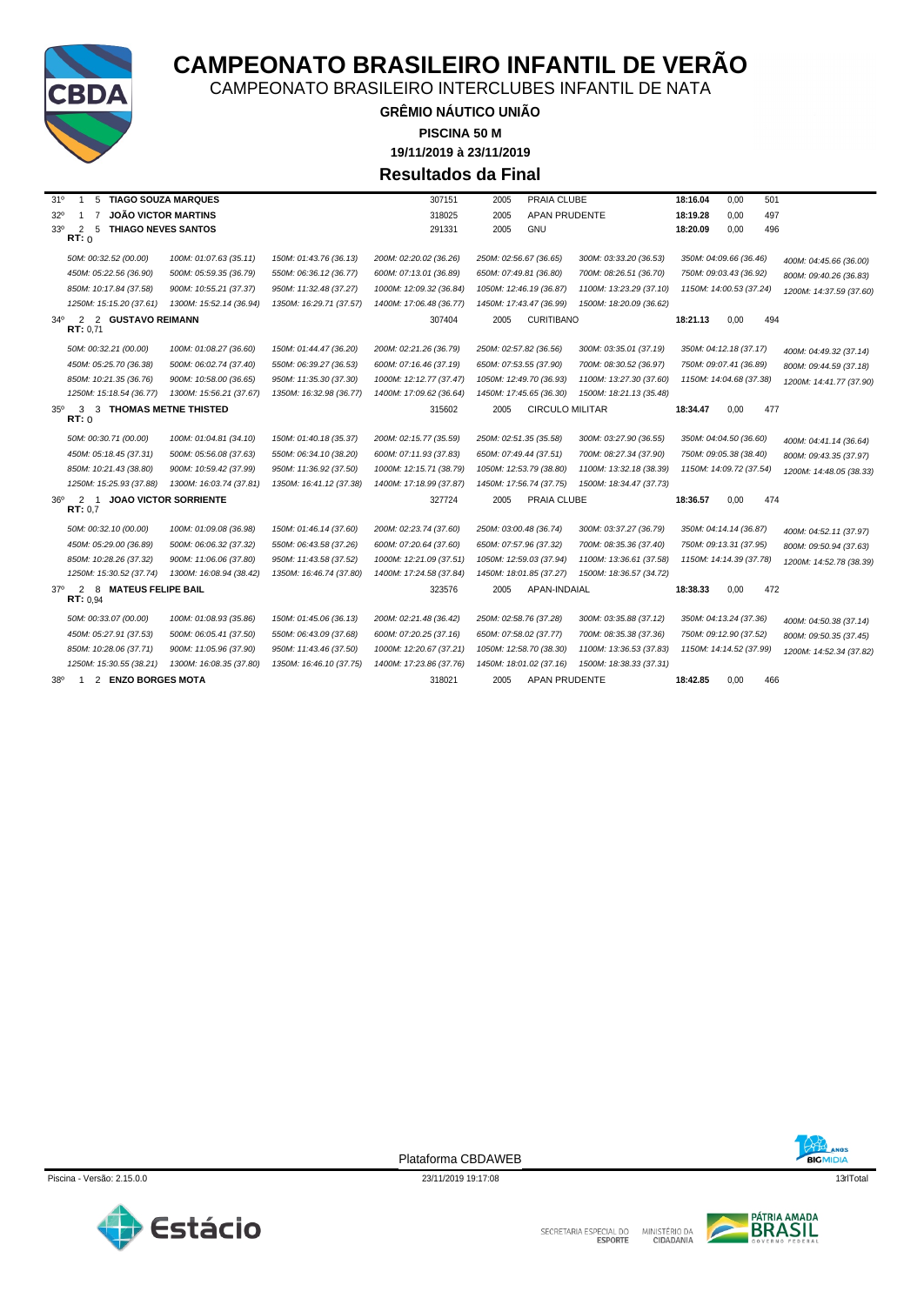

CAMPEONATO BRASILEIRO INTERCLUBES INFANTIL DE NATA

**GRÊMIO NÁUTICO UNIÃO 19/11/2019 à 23/11/2019 PISCINA 50 M Resultados da Final**

| 5 TIAGO SOUZA MARQUES<br>31°<br>$\mathbf{1}$                                 |                              |                         | 307151                  | PRAIA CLUBE<br>2005            |                         | 18:16.04 | 0,00                    | 501                     |
|------------------------------------------------------------------------------|------------------------------|-------------------------|-------------------------|--------------------------------|-------------------------|----------|-------------------------|-------------------------|
| <b>JOÃO VICTOR MARTINS</b><br>$32^{\circ}$<br>$\overline{7}$<br>$\mathbf{1}$ |                              |                         | 318025                  | 2005<br><b>APAN PRUDENTE</b>   |                         | 18:19.28 | 0,00                    | 497                     |
| $33^{\circ}$<br>2<br>5<br><b>THIAGO NEVES SANTOS</b>                         |                              |                         | 291331                  | 2005<br><b>GNU</b>             |                         | 18:20.09 | 0,00                    | 496                     |
| RT: 0                                                                        |                              |                         |                         |                                |                         |          |                         |                         |
| 50M: 00:32.52 (00.00)                                                        | 100M: 01:07.63 (35.11)       | 150M: 01:43.76 (36.13)  | 200M: 02:20.02 (36.26)  | 250M: 02:56.67 (36.65)         | 300M: 03:33.20 (36.53)  |          | 350M: 04:09.66 (36.46)  | 400M: 04:45.66 (36.00)  |
| 450M: 05:22.56 (36.90)                                                       | 500M: 05:59.35 (36.79)       | 550M: 06:36.12 (36.77)  | 600M: 07:13.01 (36.89)  | 650M: 07:49.81 (36.80)         | 700M: 08:26.51 (36.70)  |          | 750M: 09:03.43 (36.92)  | 800M: 09:40.26 (36.83)  |
| 850M: 10:17.84 (37.58)                                                       | 900M: 10:55.21 (37.37)       | 950M: 11:32.48 (37.27)  | 1000M: 12:09.32 (36.84) | 1050M: 12:46.19 (36.87)        | 1100M: 13:23.29 (37.10) |          | 1150M: 14:00.53 (37.24) | 1200M: 14:37.59 (37.60) |
| 1250M: 15:15.20 (37.61)                                                      | 1300M: 15:52.14 (36.94)      | 1350M: 16:29.71 (37.57) | 1400M: 17:06.48 (36.77) | 1450M: 17:43.47 (36.99)        | 1500M: 18:20.09 (36.62) |          |                         |                         |
| $34^{\circ}$<br>2 2 GUSTAVO REIMANN                                          |                              |                         | 307404                  | <b>CURITIBANO</b><br>2005      |                         | 18:21.13 | 0,00                    | 494                     |
| RT: 0.71                                                                     |                              |                         |                         |                                |                         |          |                         |                         |
| 50M: 00:32.21 (00.00)                                                        | 100M: 01:08.27 (36.60)       | 150M: 01:44.47 (36.20)  | 200M: 02:21.26 (36.79)  | 250M: 02:57.82 (36.56)         | 300M: 03:35.01 (37.19)  |          | 350M: 04:12.18 (37.17)  | 400M: 04:49.32 (37.14)  |
| 450M: 05:25.70 (36.38)                                                       | 500M: 06:02.74 (37.40)       | 550M: 06:39.27 (36.53)  | 600M: 07:16.46 (37.19)  | 650M: 07:53.55 (37.90)         | 700M: 08:30.52 (36.97)  |          | 750M: 09:07.41 (36.89)  | 800M: 09:44.59 (37.18)  |
| 850M: 10:21.35 (36.76)                                                       | 900M: 10:58.00 (36.65)       | 950M: 11:35.30 (37.30)  | 1000M: 12:12.77 (37.47) | 1050M: 12:49.70 (36.93)        | 1100M: 13:27.30 (37.60) |          | 1150M: 14:04.68 (37.38) | 1200M: 14:41.77 (37.90) |
| 1250M: 15:18.54 (36.77)                                                      | 1300M: 15:56.21 (37.67)      | 1350M: 16:32.98 (36.77) | 1400M: 17:09.62 (36.64) | 1450M: 17:45.65 (36.30)        | 1500M: 18:21.13 (35.48) |          |                         |                         |
| 3 3 THOMAS METNE THISTED<br>$35^\circ$                                       |                              |                         | 315602                  | <b>CIRCULO MILITAR</b><br>2005 |                         | 18:34.47 | 0,00                    | 477                     |
| RT:0                                                                         |                              |                         |                         |                                |                         |          |                         |                         |
| 50M: 00:30.71 (00.00)                                                        | 100M: 01:04.81 (34.10)       | 150M: 01:40.18 (35.37)  | 200M: 02:15.77 (35.59)  | 250M: 02:51.35 (35.58)         | 300M: 03:27.90 (36.55)  |          | 350M: 04:04.50 (36.60)  | 400M: 04:41.14 (36.64)  |
| 450M: 05:18.45 (37.31)                                                       | 500M: 05:56.08 (37.63)       | 550M: 06:34.10 (38.20)  | 600M: 07:11.93 (37.83)  | 650M: 07:49.44 (37.51)         | 700M: 08:27.34 (37.90)  |          | 750M: 09:05.38 (38.40)  | 800M: 09:43.35 (37.97)  |
| 850M: 10:21.43 (38.80)                                                       | 900M: 10:59.42 (37.99)       | 950M: 11:36.92 (37.50)  | 1000M: 12:15.71 (38.79) | 1050M: 12:53.79 (38.80)        | 1100M: 13:32.18 (38.39) |          | 1150M: 14:09.72 (37.54) | 1200M: 14:48.05 (38.33) |
| 1250M: 15:25.93 (37.88)                                                      | 1300M: 16:03.74 (37.81)      | 1350M: 16:41.12 (37.38) | 1400M: 17:18.99 (37.87) | 1450M: 17:56.74 (37.75)        | 1500M: 18:34.47 (37.73) |          |                         |                         |
| 2<br>$36^{\circ}$<br>$\overline{1}$<br>RT: 0.7                               | <b>JOAO VICTOR SORRIENTE</b> |                         | 327724                  | 2005<br>PRAIA CLUBE            |                         | 18:36.57 | 0,00                    | 474                     |
| 50M: 00:32.10 (00.00)                                                        | 100M: 01:09.08 (36.98)       | 150M: 01:46.14 (37.60)  | 200M: 02:23.74 (37.60)  | 250M: 03:00.48 (36.74)         | 300M: 03:37.27 (36.79)  |          | 350M: 04:14.14 (36.87)  | 400M: 04:52.11 (37.97)  |
| 450M: 05:29.00 (36.89)                                                       | 500M: 06:06.32 (37.32)       | 550M: 06:43.58 (37.26)  | 600M: 07:20.64 (37.60)  | 650M: 07:57.96 (37.32)         | 700M: 08:35.36 (37.40)  |          | 750M: 09:13.31 (37.95)  | 800M: 09:50.94 (37.63)  |
| 850M: 10:28.26 (37.32)                                                       | 900M: 11:06.06 (37.80)       | 950M: 11:43.58 (37.52)  | 1000M: 12:21.09 (37.51) | 1050M: 12:59.03 (37.94)        | 1100M: 13:36.61 (37.58) |          | 1150M: 14:14.39 (37.78) | 1200M: 14:52.78 (38.39) |
| 1250M: 15:30.52 (37.74)                                                      | 1300M: 16:08.94 (38.42)      | 1350M: 16:46.74 (37.80) | 1400M: 17:24.58 (37.84) | 1450M: 18:01.85 (37.27)        | 1500M: 18:36.57 (34.72) |          |                         |                         |
| 8 MATEUS FELIPE BAIL<br>$37^\circ$<br>2<br><b>RT:</b> $0.94$                 |                              |                         | 323576                  | APAN-INDAIAL<br>2005           |                         | 18:38.33 | 0,00                    | 472                     |
| 50M: 00:33.07 (00.00)                                                        | 100M: 01:08.93 (35.86)       | 150M: 01:45.06 (36.13)  | 200M: 02:21.48 (36.42)  | 250M: 02:58.76 (37.28)         | 300M: 03:35.88 (37.12)  |          | 350M: 04:13.24 (37.36)  | 400M: 04:50.38 (37.14)  |
| 450M: 05:27.91 (37.53)                                                       | 500M: 06:05.41 (37.50)       | 550M: 06:43.09 (37.68)  | 600M: 07:20.25 (37.16)  | 650M: 07:58.02 (37.77)         | 700M: 08:35.38 (37.36)  |          | 750M: 09:12.90 (37.52)  | 800M: 09:50.35 (37.45)  |
| 850M: 10:28.06 (37.71)                                                       | 900M: 11:05.96 (37.90)       | 950M: 11:43.46 (37.50)  | 1000M: 12:20.67 (37.21) | 1050M: 12:58.70 (38.30)        | 1100M: 13:36.53 (37.83) |          | 1150M: 14:14.52 (37.99) | 1200M: 14:52.34 (37.82) |
| 1250M: 15:30.55 (38.21)                                                      | 1300M: 16:08.35 (37.80)      | 1350M: 16:46.10 (37.75) | 1400M: 17:23.86 (37.76) | 1450M: 18:01.02 (37.16)        | 1500M: 18:38.33 (37.31) |          |                         |                         |
| $38^{\circ}$<br>2 ENZO BORGES MOTA<br>-1                                     |                              |                         | 318021                  | <b>APAN PRUDENTE</b><br>2005   |                         | 18:42.85 | 0.00                    | 466                     |



Piscina - Versão: 2.15.0.0 13rlTotal 23/11/2019 19:17:08 13rlTotal 23/11/2019 19:17:08 13rlTotal 23/11/2019 19:17:08 13rlTotal 23/11/2019 19:17:08 13rlTotal 23/11/2019 19:17:08 13rlTotal 23/11/2019 19:17:08 13rlTotal 20:17





**BIGMIDIA**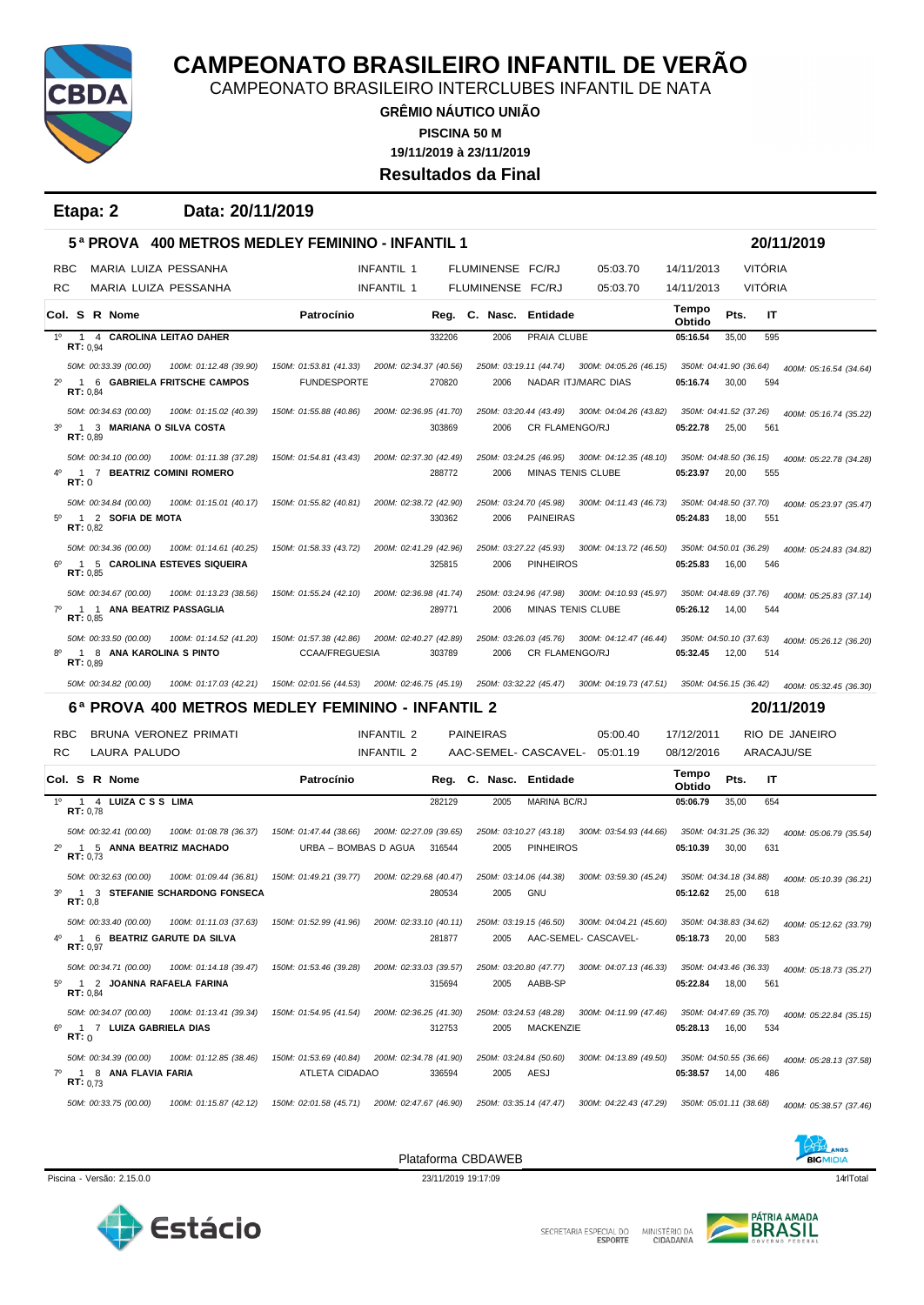

CAMPEONATO BRASILEIRO INTERCLUBES INFANTIL DE NATA

**GRÊMIO NÁUTICO UNIÃO 19/11/2019 à 23/11/2019 PISCINA 50 M Resultados da Final**

**Etapa: 2 Data: 20/11/2019**

|                |                   | 5ª PROVA                     |                                                  | <b>400 METROS MEDLEY FEMININO - INFANTIL 1</b> |                        |        |                        |                        |                                               |                        |       |                | 20/11/2019             |
|----------------|-------------------|------------------------------|--------------------------------------------------|------------------------------------------------|------------------------|--------|------------------------|------------------------|-----------------------------------------------|------------------------|-------|----------------|------------------------|
| <b>RBC</b>     |                   | MARIA LUIZA PESSANHA         |                                                  |                                                | <b>INFANTIL 1</b>      |        | FLUMINENSE FC/RJ       |                        | 05:03.70                                      | 14/11/2013             |       | <b>VITÓRIA</b> |                        |
| RC             |                   | MARIA LUIZA PESSANHA         |                                                  |                                                | INFANTIL 1             |        | FLUMINENSE FC/RJ       |                        | 05:03.70                                      | 14/11/2013             |       | <b>VITÓRIA</b> |                        |
|                |                   | Col. S R Nome                |                                                  | Patrocínio                                     |                        |        | Reg. C. Nasc.          | Entidade               |                                               | Tempo<br>Obtido        | Pts.  | IT             |                        |
| $1^{\circ}$    | <b>RT:</b> $0.94$ | 1 4 CAROLINA LEITAO DAHER    |                                                  |                                                |                        | 332206 | 2006                   | PRAIA CLUBE            |                                               | 05:16.54               | 35,00 | 595            |                        |
|                |                   | 50M: 00:33.39 (00.00)        | 100M: 01:12.48 (39.90)                           | 150M: 01:53.81 (41.33)                         | 200M: 02:34.37 (40.56) |        | 250M: 03:19.11 (44.74) |                        | 300M: 04:05.26 (46.15)                        | 350M: 04:41.90 (36.64) |       |                | 400M: 05:16.54 (34.64) |
| $2^{\circ}$    | RT: 0,84          |                              | 1 6 GABRIELA FRITSCHE CAMPOS                     | <b>FUNDESPORTE</b>                             |                        | 270820 | 2006                   |                        | NADAR ITJ/MARC DIAS                           | 05:16.74               | 30,00 | 594            |                        |
|                |                   | 50M: 00:34.63 (00.00)        | 100M: 01:15.02 (40.39)                           | 150M: 01:55.88 (40.86)                         | 200M: 02:36.95 (41.70) |        |                        |                        | 250M: 03:20.44 (43.49) 300M: 04:04.26 (43.82) | 350M: 04:41.52 (37.26) |       |                | 400M: 05:16.74 (35.22) |
| 3 <sup>o</sup> | RT: 0,89          | 1 3 MARIANA O SILVA COSTA    |                                                  |                                                |                        | 303869 | 2006                   | <b>CR FLAMENGO/RJ</b>  |                                               | 05:22.78               | 25,00 | 561            |                        |
|                |                   | 50M: 00:34.10 (00.00)        | 100M: 01:11.38 (37.28)                           | 150M: 01:54.81 (43.43)                         | 200M: 02:37.30 (42.49) |        | 250M: 03:24.25 (46.95) |                        | 300M: 04:12.35 (48.10)                        | 350M: 04:48.50 (36.15) |       |                | 400M: 05:22.78 (34.28) |
|                | <b>RT: 0</b>      | 1 7 BEATRIZ COMINI ROMERO    |                                                  |                                                |                        | 288772 | 2006                   | MINAS TENIS CLUBE      |                                               | 05:23.97               | 20,00 | 555            |                        |
|                |                   | 50M: 00:34.84 (00.00)        | 100M: 01:15.01 (40.17)                           | 150M: 01:55.82 (40.81)                         | 200M: 02:38.72 (42.90) |        | 250M: 03:24.70 (45.98) |                        | 300M: 04:11.43 (46.73)                        | 350M: 04:48.50 (37.70) |       |                | 400M: 05:23.97 (35.47) |
| $5^{\circ}$    | RT: 0,82          | 1 2 SOFIA DE MOTA            |                                                  |                                                |                        | 330362 | 2006                   | <b>PAINEIRAS</b>       |                                               | 05:24.83               | 18,00 | 551            |                        |
|                |                   | 50M: 00:34.36 (00.00)        | 100M: 01:14.61 (40.25)                           | 150M: 01:58.33 (43.72)                         | 200M: 02:41.29 (42.96) |        | 250M: 03:27.22 (45.93) |                        | 300M: 04:13.72 (46.50)                        | 350M: 04:50.01 (36.29) |       |                | 400M: 05:24.83 (34.82) |
| $6^{\circ}$    | RT: 0,85          |                              | 1 5 CAROLINA ESTEVES SIQUEIRA                    |                                                |                        | 325815 | 2006                   | <b>PINHEIROS</b>       |                                               | 05:25.83               | 16,00 | 546            |                        |
|                |                   | 50M: 00:34.67 (00.00)        | 100M: 01:13.23 (38.56)                           | 150M: 01:55.24 (42.10)                         | 200M: 02:36.98 (41.74) |        | 250M: 03:24.96 (47.98) |                        | 300M: 04:10.93 (45.97)                        | 350M: 04:48.69 (37.76) |       |                | 400M: 05:25.83 (37.14) |
| $7^\circ$      | RT: 0.85          | 1 1 ANA BEATRIZ PASSAGLIA    |                                                  |                                                |                        | 289771 | 2006                   | MINAS TENIS CLUBE      |                                               | 05:26.12               | 14,00 | 544            |                        |
|                |                   | 50M: 00:33.50 (00.00)        | 100M: 01:14.52 (41.20)                           | 150M: 01:57.38 (42.86)                         | 200M: 02:40.27 (42.89) |        |                        | 250M: 03:26.03 (45.76) | 300M: 04:12.47 (46.44)                        | 350M: 04:50.10 (37.63) |       |                | 400M: 05:26.12 (36.20) |
|                | <b>RT:</b> $0.89$ | 1 8 ANA KAROLINA S PINTO     |                                                  | <b>CCAA/FREGUESIA</b>                          |                        | 303789 | 2006                   | <b>CR FLAMENGO/RJ</b>  |                                               | 05:32.45               | 12,00 | 514            |                        |
|                |                   |                              |                                                  |                                                |                        |        |                        |                        |                                               |                        |       |                |                        |
|                |                   | 50M: 00:34.82 (00.00)        | 100M: 01:17.03 (42.21)                           | 150M: 02:01.56 (44.53) 200M: 02:46.75 (45.19)  |                        |        | 250M: 03:32.22 (45.47) |                        | 300M: 04:19.73 (47.51)                        | 350M: 04:56.15 (36.42) |       |                | 400M: 05:32.45 (36.30) |
|                |                   |                              | 6ª PROVA 400 METROS MEDLEY FEMININO - INFANTIL 2 |                                                |                        |        |                        |                        |                                               |                        |       |                | 20/11/2019             |
| <b>RBC</b>     |                   | BRUNA VERONEZ PRIMATI        |                                                  |                                                | INFANTIL 2             |        | <b>PAINEIRAS</b>       |                        | 05:00.40                                      | 17/12/2011             |       |                | RIO DE JANEIRO         |
| RC             |                   | LAURA PALUDO                 |                                                  |                                                | INFANTIL 2             |        |                        |                        | AAC-SEMEL- CASCAVEL- 05:01.19                 | 08/12/2016             |       |                | ARACAJU/SE             |
|                |                   | Col. S R Nome                |                                                  | Patrocínio                                     |                        |        | Reg. C. Nasc. Entidade |                        |                                               | Tempo<br>Obtido        | Pts.  | IT             |                        |
| 1°             | RT: 0.78          | 1 4 LUIZACSS LIMA            |                                                  |                                                |                        | 282129 | 2005                   | MARINA BC/RJ           |                                               | 05:06.79               | 35,00 | 654            |                        |
|                |                   | 50M: 00:32.41 (00.00)        | 100M: 01:08.78 (36.37)                           | 150M: 01:47.44 (38.66)                         | 200M: 02:27.09 (39.65) |        | 250M: 03:10.27 (43.18) |                        | 300M: 03:54.93 (44.66)                        | 350M: 04:31.25 (36.32) |       |                | 400M: 05:06.79 (35.54) |
| $2^{\circ}$    | RT: 0,73          | 1 5 ANNA BEATRIZ MACHADO     |                                                  | URBA - BOMBAS D AGUA                           |                        | 316544 | 2005                   | <b>PINHEIROS</b>       |                                               | 05:10.39               | 30,00 | 631            |                        |
|                |                   | 50M: 00:32.63 (00.00)        | 100M: 01:09.44 (36.81)                           | 150M: 01:49.21 (39.77)                         | 200M: 02:29.68 (40.47) |        | 250M: 03:14.06 (44.38) |                        | 300M: 03:59.30 (45.24)                        | 350M: 04:34.18 (34.88) |       |                | 400M: 05:10.39 (36.21) |
| $3^{\circ}$    | RT: 0,8           |                              | 1 3 STEFANIE SCHARDONG FONSECA                   |                                                |                        | 280534 | 2005                   | GNU                    |                                               | 05:12.62               | 25,00 | 618            |                        |
|                |                   | 50M: 00:33.40 (00.00)        | 100M: 01:11.03 (37.63)                           | 150M: 01:52.99 (41.96)                         | 200M: 02:33.10 (40.11) |        | 250M: 03:19.15 (46.50) |                        | 300M: 04:04.21 (45.60)                        | 350M: 04:38.83 (34.62) |       |                | 400M: 05:12.62 (33.79) |
| 4 <sup>0</sup> | RT: 0,97          | 1 6 BEATRIZ GARUTE DA SILVA  |                                                  |                                                |                        | 281877 | 2005                   |                        | AAC-SEMEL- CASCAVEL-                          | 05:18.73               | 20,00 | 583            |                        |
|                |                   | 50M: 00:34.71 (00.00)        | 100M: 01:14.18 (39.47)                           | 150M: 01:53.46 (39.28)                         | 200M: 02:33.03 (39.57) |        | 250M: 03:20.80 (47.77) |                        | 300M: 04:07.13 (46.33)                        | 350M: 04:43.46 (36.33) |       |                | 400M: 05:18.73 (35.27) |
|                | <b>RT:</b> $0,84$ | 5º 1 2 JOANNA RAFAELA FARINA |                                                  |                                                |                        | 315694 | 2005                   | AABB-SP                |                                               | 05:22.84               | 18,00 | 561            |                        |
|                |                   | 50M: 00:34.07 (00.00)        | 100M: 01:13.41 (39.34)                           | 150M: 01:54.95 (41.54)                         | 200M: 02:36.25 (41.30) |        | 250M: 03:24.53 (48.28) |                        | 300M: 04:11.99 (47.46)                        | 350M: 04:47.69 (35.70) |       |                | 400M: 05:22.84 (35.15) |
| $6^{\circ}$    | RT: 0             | 1 7 LUIZA GABRIELA DIAS      |                                                  |                                                |                        | 312753 | 2005                   | <b>MACKENZIE</b>       |                                               | 05:28.13               | 16,00 | 534            |                        |
|                |                   | 50M: 00:34.39 (00.00)        | 100M: 01:12.85 (38.46)                           | 150M: 01:53.69 (40.84)                         | 200M: 02:34.78 (41.90) |        | 250M: 03:24.84 (50.60) |                        | 300M: 04:13.89 (49.50)                        | 350M: 04:50.55 (36.66) |       |                | 400M: 05:28.13 (37.58) |
| $7^\circ$      | <b>RT:</b> $0.73$ | 1 8 ANA FLAVIA FARIA         |                                                  | ATLETA CIDADAO                                 |                        | 336594 | 2005                   | AESJ                   |                                               | 05:38.57               | 14,00 | 486            |                        |



Piscina - Versão: 2.15.0.0 23/11/2019 19:17:09 23/11/2019 19:17:09 23/11/2019 19:17:09 14dTotal



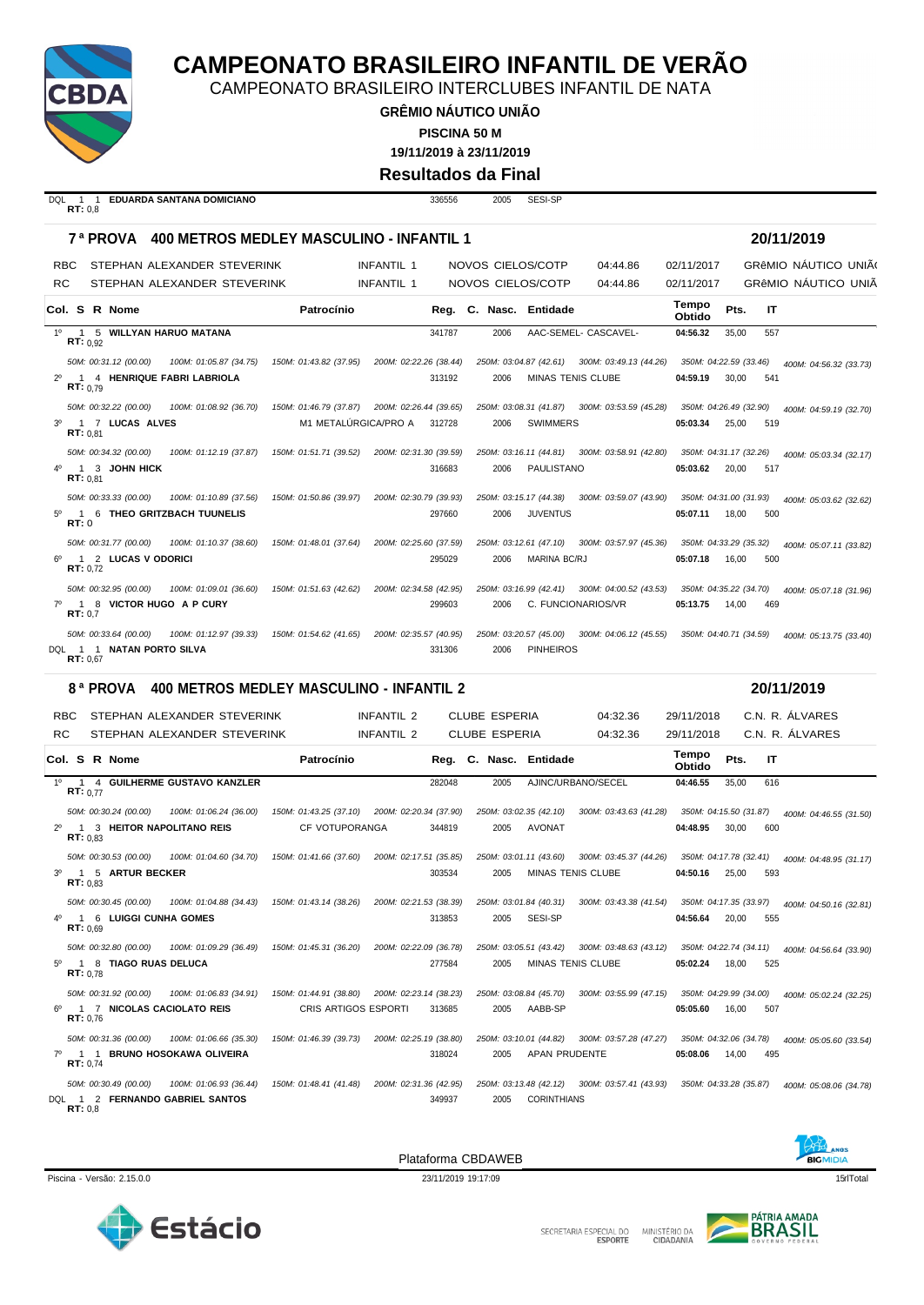

CAMPEONATO BRASILEIRO INTERCLUBES INFANTIL DE NATA

**GRÊMIO NÁUTICO UNIÃO**

**PISCINA 50 M**

**19/11/2019 à 23/11/2019**

**Resultados da Final**

| DOL |         | 1 1 EDUARDA SANTANA DOMICIANO |  |
|-----|---------|-------------------------------|--|
|     | RT: 0.8 |                               |  |

DQL 1 1 **EDUARDA SANTANA DOMICIANO** 336556 2005 SESI-SP

|            |                                       | <b>7<sup>8</sup> PROVA 400 METROS MEDLEY MASCULINO - INFANTIL 1</b>  |                        |                        |        |                      |                        |                                               |                 |                        | 20/11/2019                  |
|------------|---------------------------------------|----------------------------------------------------------------------|------------------------|------------------------|--------|----------------------|------------------------|-----------------------------------------------|-----------------|------------------------|-----------------------------|
| <b>RBC</b> |                                       | STEPHAN ALEXANDER STEVERINK                                          |                        | <b>INFANTIL 1</b>      |        | NOVOS CIELOS/COTP    |                        | 04:44.86                                      | 02/11/2017      |                        | <b>GRÊMIO NÁUTICO UNIÃO</b> |
| <b>RC</b>  |                                       | STEPHAN ALEXANDER STEVERINK                                          |                        | <b>INFANTIL 1</b>      |        | NOVOS CIELOS/COTP    |                        | 04:44.86                                      | 02/11/2017      |                        | GRÊMIO NÁUTICO UNIÃ         |
|            | <b>Col. S R Nome</b>                  |                                                                      | Patrocínio             |                        |        |                      | Reg. C. Nasc. Entidade |                                               | Tempo<br>Obtido | Pts.<br>IT             |                             |
|            | RT: 0.92                              | 1º 1 5 WILLYAN HARUO MATANA                                          |                        |                        | 341787 | 2006                 |                        | AAC-SEMEL- CASCAVEL-                          | 04:56.32        | 35.00<br>557           |                             |
|            | 50M: 00:31.12 (00.00)                 | 100M: 01:05.87 (34.75)                                               | 150M: 01:43.82 (37.95) | 200M: 02:22.26 (38.44) |        |                      |                        | 250M: 03:04.87 (42.61) 300M: 03:49.13 (44.26) |                 | 350M: 04:22.59 (33.46) | 400M: 04:56.32 (33.73)      |
|            | RT: 0.79                              | 1 4 HENRIQUE FABRI LABRIOLA                                          |                        |                        | 313192 | 2006                 |                        | MINAS TENIS CLUBE                             | 04:59.19        | 30.00<br>541           |                             |
|            | 50M: 00:32.22 (00.00)                 | 100M: 01:08.92 (36.70) 150M: 01:46.79 (37.87) 200M: 02:26.44 (39.65) |                        |                        |        |                      |                        | 250M: 03:08.31 (41.87) 300M: 03:53.59 (45.28) |                 | 350M: 04:26.49 (32.90) | 400M: 04:59.19 (32.70)      |
|            | 3º 1 7 LUCAS ALVES<br>RT: 0.81        |                                                                      | M1 METALÚRGICA/PRO A   |                        | 312728 | 2006                 | <b>SWIMMERS</b>        |                                               | 05:03.34        | 25.00<br>519           |                             |
|            | 50M: 00:34.32 (00.00)                 | 100M: 01:12.19 (37.87)                                               | 150M: 01:51.71 (39.52) | 200M: 02:31.30 (39.59) |        |                      |                        | 250M: 03:16.11 (44.81) 300M: 03:58.91 (42.80) |                 | 350M: 04:31.17 (32.26) | 400M: 05:03.34 (32.17)      |
|            | 1 3 JOHN HICK<br>RT: 0.81             |                                                                      |                        |                        | 316683 | 2006                 | PAULISTANO             |                                               | 05:03.62        | 20.00<br>517           |                             |
|            | 50M: 00:33.33 (00.00)                 | 100M: 01:10.89 (37.56)                                               | 150M: 01:50.86 (39.97) | 200M: 02:30.79 (39.93) |        |                      | 250M: 03:15.17 (44.38) | 300M: 03:59.07 (43.90)                        |                 | 350M: 04:31.00 (31.93) | 400M: 05:03.62 (32.62)      |
| RT:0       |                                       | 1 6 THEO GRITZBACH TUUNELIS                                          |                        |                        | 297660 | 2006                 | <b>JUVENTUS</b>        |                                               | 05:07.11        | 18.00<br>500           |                             |
|            | 50M: 00:31.77 (00.00)                 | 100M: 01:10.37 (38.60)                                               | 150M: 01:48.01 (37.64) | 200M: 02:25.60 (37.59) |        |                      | 250M: 03:12.61 (47.10) | 300M: 03:57.97 (45.36)                        |                 | 350M: 04:33.29 (35.32) | 400M: 05:07.11 (33.82)      |
|            | 6º 1 2 LUCAS V ODORICI<br>RT: 0.72    |                                                                      |                        |                        | 295029 | 2006                 | MARINA BC/RJ           |                                               | 05:07.18        | 16,00<br>500           |                             |
|            | 50M: 00:32.95 (00.00)                 | 100M: 01:09.01 (36.60)                                               | 150M: 01:51.63 (42.62) | 200M: 02:34.58 (42.95) |        |                      |                        | 250M: 03:16.99 (42.41) 300M: 04:00.52 (43.53) |                 | 350M: 04:35.22 (34.70) | 400M: 05:07.18 (31.96)      |
|            | RT: 0.7                               | 7º 1 8 VICTOR HUGO A P CURY                                          |                        |                        | 299603 | 2006                 |                        | C. FUNCIONARIOS/VR                            | 05:13.75        | 14.00<br>469           |                             |
|            | 50M: 00:33.64 (00.00)                 | 100M: 01:12.97 (39.33)                                               | 150M: 01:54.62 (41.65) | 200M: 02:35.57 (40.95) |        |                      | 250M: 03:20.57 (45.00) | 300M: 04:06.12 (45.55)                        |                 | 350M: 04:40.71 (34.59) | 400M: 05:13.75 (33.40)      |
|            | DQL 1 1 NATAN PORTO SILVA<br>RT: 0.67 |                                                                      |                        |                        | 331306 | 2006                 | <b>PINHEIROS</b>       |                                               |                 |                        |                             |
|            | 8 <sup>a</sup> PROVA                  | 400 METROS MEDLEY MASCULINO - INFANTIL 2                             |                        |                        |        |                      |                        |                                               |                 |                        | 20/11/2019                  |
| RBC        |                                       | STEPHAN ALEXANDER STEVERINK                                          |                        | <b>INFANTIL 2</b>      |        | <b>CLUBE ESPERIA</b> |                        | 04:32.36                                      | 29/11/2018      |                        | C.N. R. ÁLVARES             |
| <b>RC</b>  |                                       | STEPHAN ALEXANDER STEVERINK                                          |                        | <b>INFANTIL 2</b>      |        | <b>CLUBE ESPERIA</b> |                        | 04:32.36                                      | 29/11/2018      |                        | C.N. R. ÁLVARES             |

|    |          | Col. S R Nome              |                                                | Patrocínio                                    |                        |        |      | Reg. C. Nasc. Entidade   |                                                                      | Tempo<br>Obtido        | Pts.  | IT  |                                                |
|----|----------|----------------------------|------------------------------------------------|-----------------------------------------------|------------------------|--------|------|--------------------------|----------------------------------------------------------------------|------------------------|-------|-----|------------------------------------------------|
|    | RT: 0.77 |                            | 1º 1 4 GUILHERME GUSTAVO KANZLER               |                                               |                        | 282048 | 2005 | AJINC/URBANO/SECEL       |                                                                      | 04:46.55               | 35.00 | 616 |                                                |
|    |          | 50M: 00:30.24 (00.00)      | 100M: 01:06.24 (36.00)                         | 150M: 01:43.25 (37.10) 200M: 02:20.34 (37.90) |                        |        |      | 250M: 03:02.35 (42.10)   | 300M: 03:43.63 (41.28)                                               |                        |       |     | 350M: 04:15.50 (31.87)  400M: 04:46.55 (31.50) |
|    | RT: 0.83 | 1 3 HEITOR NAPOLITANO REIS |                                                | <b>CF VOTUPORANGA</b>                         |                        | 344819 | 2005 | AVONAT                   |                                                                      | 04:48.95               | 30,00 | 600 |                                                |
|    |          | 50M: 00:30.53 (00.00)      | 100M: 01:04.60 (34.70)  150M: 01:41.66 (37.60) |                                               | 200M: 02:17.51 (35.85) |        |      |                          | 250M: 03:01.11 (43.60) 300M: 03:45.37 (44.26)                        | 350M: 04:17.78 (32.41) |       |     | 400M: 04:48.95 (31.17)                         |
|    | RT: 0.83 | 1 5 ARTUR BECKER           |                                                |                                               |                        | 303534 | 2005 | <b>MINAS TENIS CLUBE</b> |                                                                      | 04:50.16               | 25,00 | 593 |                                                |
|    |          | 50M: 00:30.45 (00.00)      | 100M: 01:04.88 (34.43)  150M: 01:43.14 (38.26) |                                               | 200M: 02:21.53 (38.39) |        |      | 250M: 03:01.84 (40.31)   | 300M: 03:43.38 (41.54)                                               | 350M: 04:17.35 (33.97) |       |     | 400M: 04:50.16 (32.81)                         |
| 40 | RT: 0.69 | 1 6 LUIGGI CUNHA GOMES     |                                                |                                               |                        | 313853 | 2005 | SESI-SP                  |                                                                      | 04:56.64               | 20.00 | 555 |                                                |
|    |          | 50M: 00:32.80 (00.00)      | 100M: 01:09.29 (36.49)  150M: 01:45.31 (36.20) |                                               | 200M: 02:22.09 (36.78) |        |      |                          | 250M: 03:05.51 (43.42) 300M: 03:48.63 (43.12)                        | 350M: 04:22.74 (34.11) |       |     | 400M: 04:56.64 (33.90)                         |
| 50 | RT: 0.78 | 1 8 TIAGO RUAS DELUCA      |                                                |                                               |                        | 277584 | 2005 | MINAS TENIS CLUBE        |                                                                      | 05:02.24               | 18,00 | 525 |                                                |
|    |          | 50M: 00:31.92 (00.00)      | 100M: 01:06.83 (34.91)                         | 150M: 01:44.91 (38.80)                        | 200M: 02:23.14 (38.23) |        |      | 250M: 03:08.84 (45.70)   | 300M: 03:55.99 (47.15)                                               | 350M: 04:29.99 (34.00) |       |     | 400M: 05:02.24 (32.25)                         |
|    | RT: 0.76 | 1 7 NICOLAS CACIOLATO REIS |                                                | CRIS ARTIGOS ESPORTI                          |                        | 313685 | 2005 | AABB-SP                  |                                                                      | 05:05.60               | 16,00 | 507 |                                                |
|    |          | 50M: 00:31.36 (00.00)      | 100M: 01:06.66 (35.30)                         | 150M: 01:46.39 (39.73)                        | 200M: 02:25.19 (38.80) |        |      |                          | 250M: 03:10.01 (44.82) 300M: 03:57.28 (47.27)                        | 350M: 04:32.06 (34.78) |       |     | 400M: 05:05.60 (33.54)                         |
|    | RT: 0.74 |                            | 7º 1 1 BRUNO HOSOKAWA OLIVEIRA                 |                                               |                        | 318024 | 2005 | <b>APAN PRUDENTE</b>     |                                                                      | 05:08.06               | 14.00 | 495 |                                                |
|    |          | 50M: 00:30.49 (00.00)      | 100M: 01:06.93 (36.44)                         | 150M: 01:48.41 (41.48)                        | 200M: 02:31.36 (42.95) |        |      |                          | 250M: 03:13.48 (42.12) 300M: 03:57.41 (43.93) 350M: 04:33.28 (35.87) |                        |       |     | 400M: 05:08.06 (34.78)                         |
|    | RT: 0.8  |                            | DQL 1 2 FERNANDO GABRIEL SANTOS                |                                               |                        | 349937 | 2005 | <b>CORINTHIANS</b>       |                                                                      |                        |       |     |                                                |





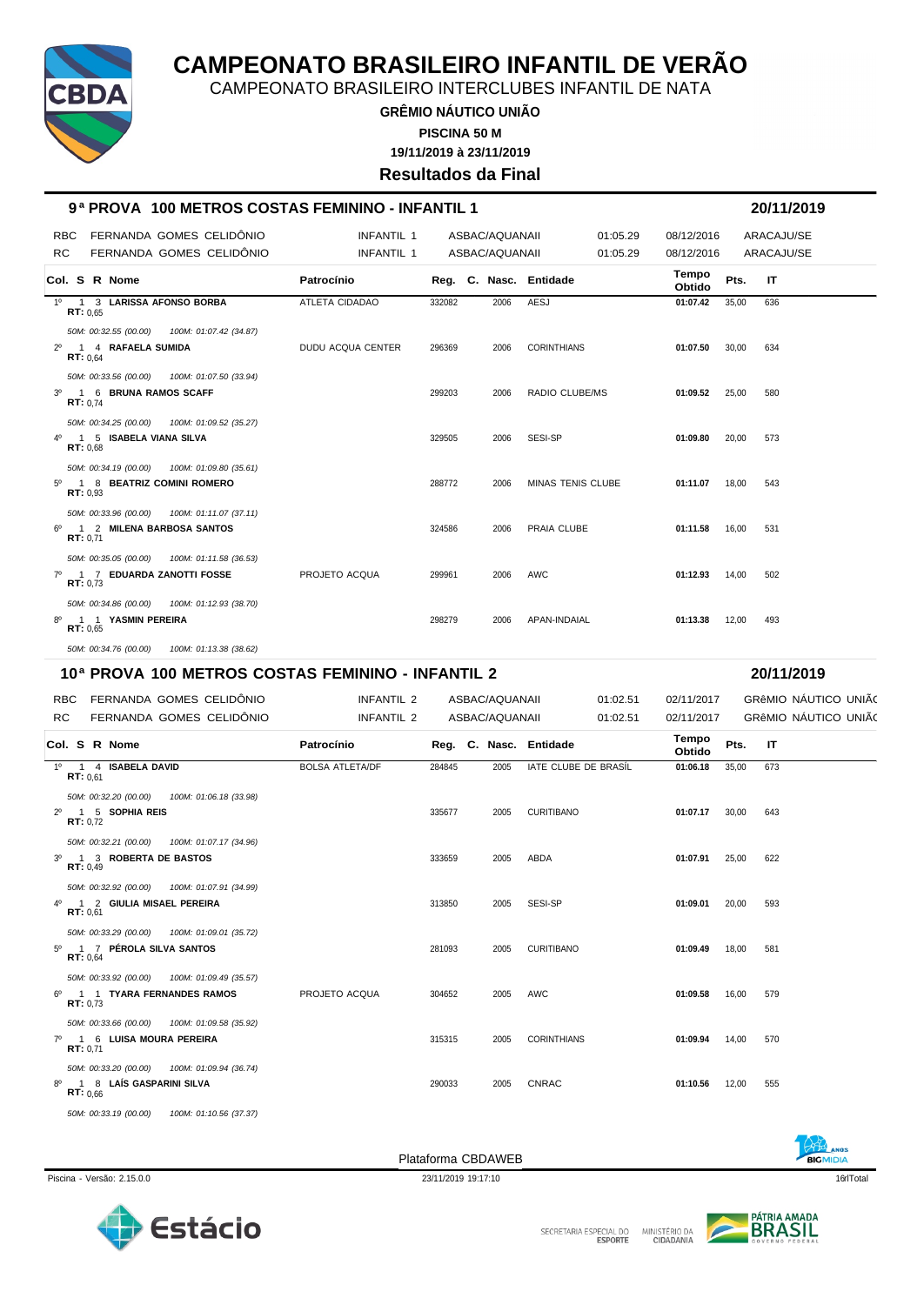

CAMPEONATO BRASILEIRO INTERCLUBES INFANTIL DE NATA

**GRÊMIO NÁUTICO UNIÃO 19/11/2019 à 23/11/2019 PISCINA 50 M**

**Resultados da Final**

**9 ª PROVA 100 METROS COSTAS FEMININO - INFANTIL 1 20/11/2019**

| <b>RBC</b><br>RC | FERNANDA GOMES CELIDÔNIO<br>FERNANDA GOMES CELIDÔNIO                                          | <b>INFANTIL 1</b><br><b>INFANTIL 1</b> |        | ASBAC/AQUANAII<br>ASBAC/AQUANAII | 01:05.29<br>01:05.29 | 08/12/2016<br>08/12/2016 |              | ARACAJU/SE<br>ARACAJU/SE                     |
|------------------|-----------------------------------------------------------------------------------------------|----------------------------------------|--------|----------------------------------|----------------------|--------------------------|--------------|----------------------------------------------|
|                  | Col. S R Nome                                                                                 | Patrocínio                             |        | Reg. C. Nasc. Entidade           |                      | Tempo<br>Obtido          | Pts.<br>IT   |                                              |
| $1^{\circ}$      | 1 3 LARISSA AFONSO BORBA<br>RT: 0.65                                                          | <b>ATLETA CIDADAO</b>                  | 332082 | 2006                             | <b>AESJ</b>          | 01:07.42                 | 35,00<br>636 |                                              |
| $2^{\circ}$      | 50M: 00:32.55 (00.00)<br>100M: 01:07.42 (34.87)<br>1 4 RAFAELA SUMIDA<br><b>RT:</b> $0.64$    | DUDU ACQUA CENTER                      | 296369 | 2006                             | <b>CORINTHIANS</b>   | 01:07.50                 | 30,00<br>634 |                                              |
| 30               | 50M: 00:33.56 (00.00)<br>100M: 01:07.50 (33.94)<br>1 6 BRUNA RAMOS SCAFF<br><b>RT:</b> $0,74$ |                                        | 299203 | 2006                             | RADIO CLUBE/MS       | 01:09.52                 | 580<br>25,00 |                                              |
| 4°               | 50M: 00:34.25 (00.00)<br>100M: 01:09.52 (35.27)<br>1 5 ISABELA VIANA SILVA<br>RT: 0.68        |                                        | 329505 | 2006                             | SESI-SP              | 01:09.80                 | 20,00<br>573 |                                              |
| $5^\circ$        | 50M: 00:34.19 (00.00)<br>100M: 01:09.80 (35.61)<br>1 8 BEATRIZ COMINI ROMERO<br>RT: 0,93      |                                        | 288772 | 2006                             | MINAS TENIS CLUBE    | 01:11.07                 | 18,00<br>543 |                                              |
| 6°               | 50M: 00:33.96 (00.00)<br>100M: 01:11.07 (37.11)<br>1 2 MILENA BARBOSA SANTOS<br>RT: 0.71      |                                        | 324586 | 2006                             | PRAIA CLUBE          | 01:11.58                 | 16,00<br>531 |                                              |
| $7^\circ$        | 50M: 00:35.05 (00.00)<br>100M: 01:11.58 (36.53)<br>1 7 EDUARDA ZANOTTI FOSSE<br>RT: 0,73      | PROJETO ACQUA                          | 299961 | 2006                             | AWC                  | 01:12.93                 | 14,00<br>502 |                                              |
| 8°               | 50M: 00:34.86 (00.00)<br>100M: 01:12.93 (38.70)<br>1 1 YASMIN PEREIRA<br>RT: 0,65             |                                        | 298279 | 2006                             | APAN-INDAIAL         | 01:13.38                 | 12,00<br>493 |                                              |
|                  | 50M: 00:34.76 (00.00)<br>100M: 01:13.38 (38.62)                                               |                                        |        |                                  |                      |                          |              |                                              |
|                  |                                                                                               |                                        |        |                                  |                      |                          |              |                                              |
|                  | 10ª PROVA 100 METROS COSTAS FEMININO - INFANTIL 2                                             |                                        |        |                                  |                      |                          |              | 20/11/2019                                   |
| RBC<br>RC        | FERNANDA GOMES CELIDÔNIO<br>FERNANDA GOMES CELIDONIO                                          | INFANTIL 2<br>INFANTIL 2               |        | ASBAC/AQUANAII<br>ASBAC/AQUANAII | 01:02.51<br>01:02.51 | 02/11/2017<br>02/11/2017 |              | GRÊMIO NAUTICO UNIÃO<br>GRÊMIO NÁUTICO UNIÃO |
|                  | Col. S R Nome                                                                                 | Patrocínio                             |        | Reg. C. Nasc. Entidade           |                      | Tempo<br>Obtido          | Pts.<br>IT   |                                              |
| $1^{\circ}$      | 1 4 ISABELA DAVID                                                                             | <b>BOLSA ATLETA/DF</b>                 | 284845 | 2005                             | IATE CLUBE DE BRASÍL | 01:06.18                 | 35,00<br>673 |                                              |
| $2^{\circ}$      | RT: 0.61<br>50M: 00:32.20 (00.00)<br>100M: 01:06.18 (33.98)<br>1 5 SOPHIA REIS<br>RT: 0.72    |                                        | 335677 | 2005                             | <b>CURITIBANO</b>    | 01:07.17                 | 30,00<br>643 |                                              |
| $3^{\circ}$      | 50M: 00:32.21 (00.00)<br>100M: 01:07.17 (34.96)<br>1 3 ROBERTA DE BASTOS<br>RT: 0,49          |                                        | 333659 | 2005                             | ABDA                 | 01:07.91                 | 622<br>25,00 |                                              |
|                  | 50M: 00:32.92 (00.00)<br>100M: 01:07.91 (34.99)<br>4º 1 2 GIULIA MISAEL PEREIRA<br>RT: 0,61   |                                        | 313850 | 2005                             | SESI-SP              | 01:09.01                 | 20,00<br>593 |                                              |
|                  | 50M: 00:33.29 (00.00) 100M: 01:09.01 (35.72)<br>5º 1 7 PÉROLA SILVA SANTOS<br>RT: 0,64        |                                        | 281093 | 2005                             | <b>CURITIBANO</b>    | 01:09.49                 | 18,00<br>581 |                                              |
| $6^{\circ}$      | 50M: 00:33.92 (00.00) 100M: 01:09.49 (35.57)<br>1 1 TYARA FERNANDES RAMOS<br>RT: 0.73         | PROJETO ACQUA                          | 304652 | 2005                             | AWC                  | 01:09.58                 | 16,00<br>579 |                                              |
|                  | 50M: 00:33.66 (00.00)<br>100M: 01:09.58 (35.92)<br>7º 1 6 LUISA MOURA PEREIRA<br>RT: 0,71     |                                        | 315315 | 2005                             | <b>CORINTHIANS</b>   | 01:09.94                 | 14,00<br>570 |                                              |

*50M: 00:33.19 (00.00) 100M: 01:10.56 (37.37)*



8º 1 8 **LAÍS GASPARINI SILVA** 290033 2005 CNRAC **01:10.56** 12,00 555 **RT:** 0,66







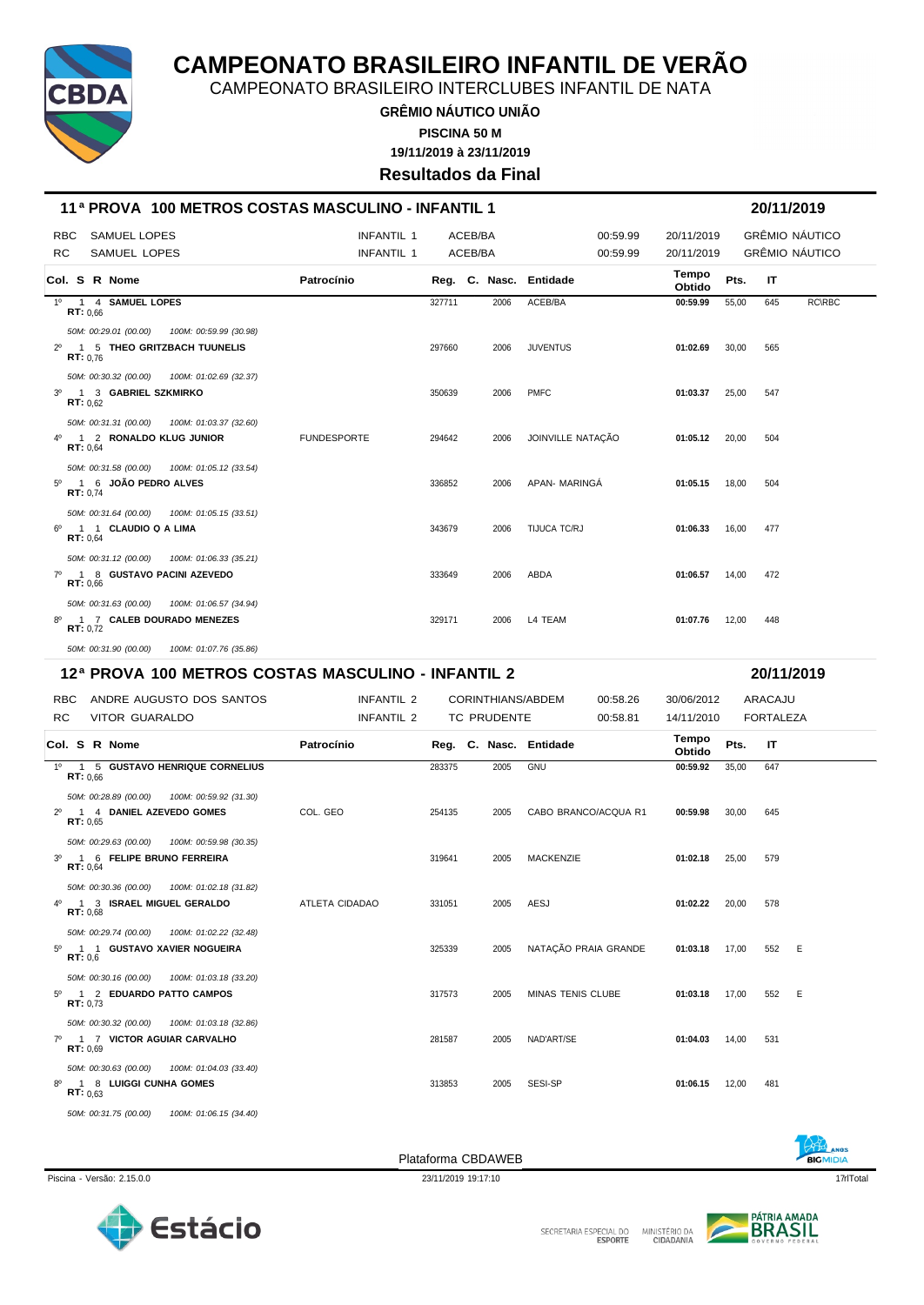

CAMPEONATO BRASILEIRO INTERCLUBES INFANTIL DE NATA

**GRÊMIO NÁUTICO UNIÃO 19/11/2019 à 23/11/2019 PISCINA 50 M**

**Resultados da Final**

| 11 <sup>a</sup> PROVA 100 METROS COSTAS MASCULINO - INFANTIL 1                                                         |                                        |                    |                   |                          |                          |       |                  |                                  |
|------------------------------------------------------------------------------------------------------------------------|----------------------------------------|--------------------|-------------------|--------------------------|--------------------------|-------|------------------|----------------------------------|
| <b>RBC</b><br><b>SAMUEL LOPES</b><br><b>RC</b><br>SAMUEL LOPES                                                         | <b>INFANTIL 1</b><br><b>INFANTIL 1</b> | ACEB/BA<br>ACEB/BA |                   | 00:59.99<br>00:59.99     | 20/11/2019<br>20/11/2019 |       |                  | GRÊMIO NÁUTICO<br>GRÊMIO NÁUTICO |
| Col. S R Nome                                                                                                          | Patrocínio                             |                    | Reg. C. Nasc.     | Entidade                 | Tempo<br>Obtido          | Pts.  | IT               |                                  |
| $1^{\circ}$<br>1 4 SAMUEL LOPES<br>RT: 0.66                                                                            |                                        | 327711             | 2006              | ACEB/BA                  | 00:59.99                 | 55,00 | 645              | <b>RC\RBC</b>                    |
| 50M: 00:29.01 (00.00)<br>100M: 00:59.99 (30.98)<br>2º 1 5 THEO GRITZBACH TUUNELIS<br>RT: 0.76                          |                                        | 297660             | 2006              | <b>JUVENTUS</b>          | 01:02.69                 | 30,00 | 565              |                                  |
| 50M: 00:30.32 (00.00)<br>100M: 01:02.69 (32.37)<br>1 3 GABRIEL SZKMIRKO<br>$3^{\circ}$<br><b>RT:</b> $0.62$            |                                        | 350639             | 2006              | <b>PMFC</b>              | 01:03.37                 | 25,00 | 547              |                                  |
| 50M: 00:31.31 (00.00)<br>100M: 01:03.37 (32.60)<br>4º 1 2 RONALDO KLUG JUNIOR<br>RT: 0,64                              | <b>FUNDESPORTE</b>                     | 294642             | 2006              | JOINVILLE NATAÇÃO        | 01:05.12                 | 20,00 | 504              |                                  |
| 50M: 00:31.58 (00.00)<br>100M: 01:05.12 (33.54)<br>$5^{\circ}$<br>1 6 JOAO PEDRO ALVES<br>RT: 0,74                     |                                        | 336852             | 2006              | APAN- MARINGA            | 01:05.15                 | 18,00 | 504              |                                  |
| 50M: 00:31.64 (00.00)<br>100M: 01:05.15 (33.51)<br>1 1 CLAUDIO Q A LIMA<br>6°<br>RT: 0,64                              |                                        | 343679             | 2006              | TIJUCA TC/RJ             | 01:06.33                 | 16,00 | 477              |                                  |
| 50M: 00:31.12 (00.00)<br>100M: 01:06.33 (35.21)<br>1 8 GUSTAVO PACINI AZEVEDO<br>$7^\circ$<br>RT: 0,66                 |                                        | 333649             | 2006              | ABDA                     | 01:06.57                 | 14,00 | 472              |                                  |
| 50M: 00:31.63 (00.00)<br>100M: 01:06.57 (34.94)<br>1 7 CALEB DOURADO MENEZES<br>8°                                     |                                        | 329171             | 2006              | L4 TEAM                  | 01:07.76                 | 12,00 | 448              |                                  |
| <b>RT:</b> $0,72$                                                                                                      |                                        |                    |                   |                          |                          |       |                  |                                  |
| 50M: 00:31.90 (00.00)<br>100M: 01:07.76 (35.86)                                                                        |                                        |                    |                   |                          |                          |       |                  |                                  |
| 12ª PROVA 100 METROS COSTAS MASCULINO - INFANTIL 2                                                                     |                                        |                    |                   |                          |                          |       | 20/11/2019       |                                  |
| <b>RBC</b><br>ANDRE AUGUSTO DOS SANTOS                                                                                 | INFANTIL 2                             |                    | CORINTHIANS/ABDEM | 00:58.26                 | 30/06/2012               |       | ARACAJU          |                                  |
| RC<br><b>VITOR GUARALDO</b>                                                                                            | INFANTIL 2                             |                    | TC PRUDENTE       | 00:58.81                 | 14/11/2010<br>Tempo      |       | <b>FORTALEZA</b> |                                  |
| Col. S R Nome                                                                                                          | Patrocínio                             |                    | Reg. C. Nasc.     | Entidade                 | Obtido                   | Pts.  | IT               |                                  |
| 1 5 GUSTAVO HENRIQUE CORNELIUS<br>RT: 0.66                                                                             |                                        | 283375             | 2005              | <b>GNU</b>               | 00:59.92                 | 35,00 | 647              |                                  |
| $1^{\circ}$<br>50M: 00:28.89 (00.00)<br>100M: 00:59.92 (31.30)<br>2º 1 4 DANIEL AZEVEDO GOMES<br>RT: 0,65              | COL. GEO                               | 254135             | 2005              | CABO BRANCO/ACQUA R1     | 00:59.98                 | 30,00 | 645              |                                  |
| 50M: 00:29.63 (00.00)<br>100M: 00:59.98 (30.35)<br>1 6 FELIPE BRUNO FERREIRA<br>RT: 0,64                               |                                        | 319641             | 2005              | <b>MACKENZIE</b>         | 01:02.18                 | 25,00 | 579              |                                  |
| $3^{\circ}$<br>50M: 00:30.36 (00.00)<br>100M: 01:02.18 (31.82)<br>$4^{\circ}$<br>1 3 ISRAEL MIGUEL GERALDO<br>RT: 0,68 | ATLETA CIDADAO                         | 331051             | 2005              | AESJ                     | $01:02.22$ 20,00         |       | 578              |                                  |
| 50M: 00:29.74 (00.00)<br>100M: 01:02.22 (32.48)<br>5º 1 1 GUSTAVO XAVIER NOGUEIRA<br>RT: 0,6                           |                                        | 325339             | 2005              | NATAÇÃO PRAIA GRANDE     | 01:03.18                 | 17,00 | 552              | E                                |
| 50M: 00:30.16 (00.00)<br>100M: 01:03.18 (33.20)<br>5º 1 2 EDUARDO PATTO CAMPOS<br>RT: 0.73                             |                                        | 317573             | 2005              | <b>MINAS TENIS CLUBE</b> | 01:03.18                 | 17,00 | 552              | E                                |
| 50M: 00:30.32 (00.00)<br>100M: 01:03.18 (32.86)<br>7º 1 7 VICTOR AGUIAR CARVALHO<br>RT: 0.69                           |                                        | 281587             | 2005              | NAD'ART/SE               | 01:04.03                 | 14,00 | 531              |                                  |
| 50M: 00:30.63 (00.00)<br>100M: 01:04.03 (33.40)<br>8º 1 8 LUIGGI CUNHA GOMES<br><b>RT:</b> $0.63$                      |                                        | 313853             | 2005              | SESI-SP                  | 01:06.15                 | 12,00 | 481              |                                  |





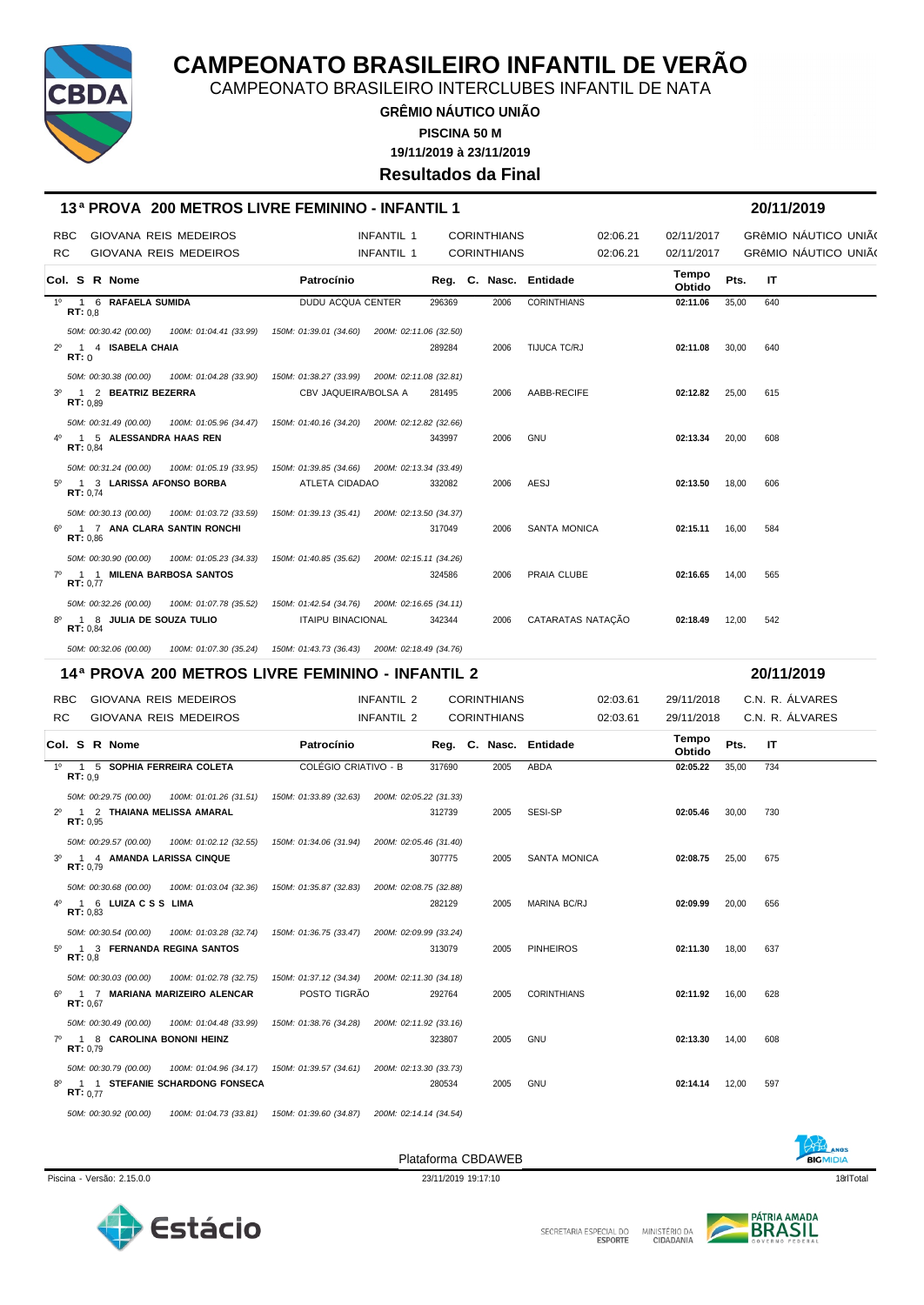

CAMPEONATO BRASILEIRO INTERCLUBES INFANTIL DE NATA

**GRÊMIO NÁUTICO UNIÃO 19/11/2019 à 23/11/2019 PISCINA 50 M**

#### **Resultados da Final**

#### **13 ª PROVA 200 METROS LIVRE FEMININO - INFANTIL 1 20/11/2019**

| <b>RBC</b>  |                                                        | GIOVANA REIS MEDEIROS                                                                         |                      | INFANTIL 1 |        | <b>CORINTHIANS</b> |                        | 02:06.21 | 02/11/2017      |       |     | GRÊMIO NÁUTICO UNIÃO |  |
|-------------|--------------------------------------------------------|-----------------------------------------------------------------------------------------------|----------------------|------------|--------|--------------------|------------------------|----------|-----------------|-------|-----|----------------------|--|
| <b>RC</b>   |                                                        | GIOVANA REIS MEDEIROS                                                                         |                      | INFANTIL 1 |        | <b>CORINTHIANS</b> |                        | 02:06.21 | 02/11/2017      |       |     | GRÊMIO NÁUTICO UNIÃO |  |
|             | <b>Col. S R Nome</b>                                   |                                                                                               | Patrocínio           |            |        |                    | Reg. C. Nasc. Entidade |          | Tempo<br>Obtido | Pts.  | -IT |                      |  |
|             | 1º 1 6 RAFAELA SUMIDA<br>RT: 0.8                       |                                                                                               | DUDU ACQUA CENTER    |            | 296369 | 2006               | <b>CORINTHIANS</b>     |          | 02:11.06        | 35,00 | 640 |                      |  |
|             |                                                        | 50M: 00:30.42 (00.00) 100M: 01:04.41 (33.99) 150M: 01:39.01 (34.60) 200M: 02:11.06 (32.50)    |                      |            |        |                    |                        |          |                 |       |     |                      |  |
|             | 2º 1 4 ISABELA CHAIA<br>RT: 0                          |                                                                                               |                      |            | 289284 | 2006               | TIJUCA TC/RJ           |          | 02:11.08        | 30,00 | 640 |                      |  |
|             |                                                        | 50M: 00:30.38 (00.00) 100M: 01:04.28 (33.90) 150M: 01:38.27 (33.99) 200M: 02:11.08 (32.81)    |                      |            |        |                    |                        |          |                 |       |     |                      |  |
| $3^{\circ}$ | 1 2 BEATRIZ BEZERRA<br>RT: 0.89                        |                                                                                               | CBV JAQUEIRA/BOLSA A |            | 281495 | 2006               | AABB-RECIFE            |          | 02:12.82        | 25.00 | 615 |                      |  |
|             |                                                        | 50M: 00:31.49 (00.00) 100M: 01:05.96 (34.47) 150M: 01:40.16 (34.20) 200M: 02:12.82 (32.66)    |                      |            |        |                    |                        |          |                 |       |     |                      |  |
|             | 1 5 ALESSANDRA HAAS REN<br>RT: 0.84                    |                                                                                               |                      |            | 343997 | 2006               | <b>GNU</b>             |          | 02:13.34        | 20.00 | 608 |                      |  |
|             |                                                        | 50M: 00:31.24 (00.00) 100M: 01:05.19 (33.95) 150M: 01:39.85 (34.66) 200M: 02:13.34 (33.49)    |                      |            |        |                    |                        |          |                 |       |     |                      |  |
| 50          | 1 3 LARISSA AFONSO BORBA<br>RT: 0.74                   |                                                                                               | ATLETA CIDADAO       |            | 332082 | 2006               | AESJ                   |          | 02:13.50        | 18.00 | 606 |                      |  |
|             |                                                        | 50M: 00:30.13 (00.00)  100M: 01:03.72 (33.59)  150M: 01:39.13 (35.41)  200M: 02:13.50 (34.37) |                      |            |        |                    |                        |          |                 |       |     |                      |  |
|             | 6 <sup>0</sup> 1 7 ANA CLARA SANTIN RONCHI<br>RT: 0.86 |                                                                                               |                      |            | 317049 | 2006               | <b>SANTA MONICA</b>    |          | 02:15.11        | 16.00 | 584 |                      |  |
|             |                                                        | 50M: 00:30.90 (00.00) 100M: 01:05.23 (34.33) 150M: 01:40.85 (35.62) 200M: 02:15.11 (34.26)    |                      |            |        |                    |                        |          |                 |       |     |                      |  |
|             | 7º 1 1 MILENA BARBOSA SANTOS<br>RT: 0.77               |                                                                                               |                      |            | 324586 | 2006               | PRAIA CLUBE            |          | 02:16.65        | 14.00 | 565 |                      |  |
|             |                                                        | 50M: 00:32.26 (00.00) 100M: 01:07.78 (35.52) 150M: 01:42.54 (34.76) 200M: 02:16.65 (34.11)    |                      |            |        |                    |                        |          |                 |       |     |                      |  |
|             | 1 8 JULIA DE SOUZA TULIO<br>RT: 0.84                   |                                                                                               | ITAIPU BINACIONAL    |            | 342344 | 2006               | CATARATAS NATAÇÃO      |          | 02:18.49        | 12,00 | 542 |                      |  |

*50M: 00:32.06 (00.00) 100M: 01:07.30 (35.24) 150M: 01:43.73 (36.43) 200M: 02:18.49 (34.76)*

#### **14ª PROVA 200 METROS LIVRE FEMININO - INFANTIL 2 20/11/2019**

RBC GIOVANA REIS MEDEIROS INFANTIL 2 CORINTHIANS 02:03.61 29/11/2018 C.N. R. ÁLVARES RC GIOVANA REIS MEDEIROS **INFANTIL 2** CORINTHIANS 02:03.61 29/11/2018 C.N. R. ÁLVARES **Col. <sup>S</sup> R Nome Patrocínio Nasc. Entidade Tempo Obtido Reg. C. Pts. IT** 1º 1 5 **SOPHIA FERREIRA COLETA** COLÉGIO CRIATIVO - B 317690 2005 ABDA **02:05.22** 35,00 734 **RT:** 0,9 *50M: 00:29.75 (00.00) 100M: 01:01.26 (31.51) 150M: 01:33.89 (32.63) 200M: 02:05.22 (31.33)* 2º 1 2 **THAIANA MELISSA AMARAL** 312739 2005 SESI-SP **02:05.46** 30,00 730 **RT:** 0,95 *50M: 00:29.57 (00.00) 100M: 01:02.12 (32.55) 150M: 01:34.06 (31.94) 200M: 02:05.46 (31.40)* 3º 1 4 **AMANDA LARISSA CINQUE** 307775 2005 SANTA MONICA **02:08.75** 25,00 675 **RT:** 0,79 *50M: 00:30.68 (00.00) 100M: 01:03.04 (32.36) 150M: 01:35.87 (32.83) 200M: 02:08.75 (32.88)* 4º 1 6 **LUIZA C S S LIMA** 282129 2005 MARINA BC/RJ **02:09.99** 20,00 656 **RT:** 0,83 *50M: 00:30.54 (00.00) 100M: 01:03.28 (32.74) 150M: 01:36.75 (33.47) 200M: 02:09.99 (33.24)* 5º 1 3 **FERNANDA REGINA SANTOS** 313079 2005 PINHEIROS **02:11.30** 18,00 637 **RT:** 0,8 *50M: 00:30.03 (00.00) 100M: 01:02.78 (32.75) 150M: 01:37.12 (34.34) 200M: 02:11.30 (34.18)* 6º 1 7 **MARIANA MARIZEIRO ALENCAR** POSTO TIGRÃO 292764 2005 CORINTHIANS **02:11.92** 16,00 628 **RT:** 0,67 *50M: 00:30.49 (00.00) 100M: 01:04.48 (33.99) 150M: 01:38.76 (34.28) 200M: 02:11.92 (33.16)* 7º 1 8 **CAROLINA BONONI HEINZ** 323807 2005 GNU **02:13.30** 14,00 608 **RT:** 0,79 *50M: 00:30.79 (00.00) 100M: 01:04.96 (34.17) 150M: 01:39.57 (34.61) 200M: 02:13.30 (33.73)* 8º 1 1 **STEFANIE SCHARDONG FONSECA** 280534 2005 GNU **02:14.14** 12,00 597 **RT:** 0,77

*50M: 00:30.92 (00.00) 100M: 01:04.73 (33.81) 150M: 01:39.60 (34.87) 200M: 02:14.14 (34.54)*



Plataforma CBDAWEB



**BIGMIDIA** 



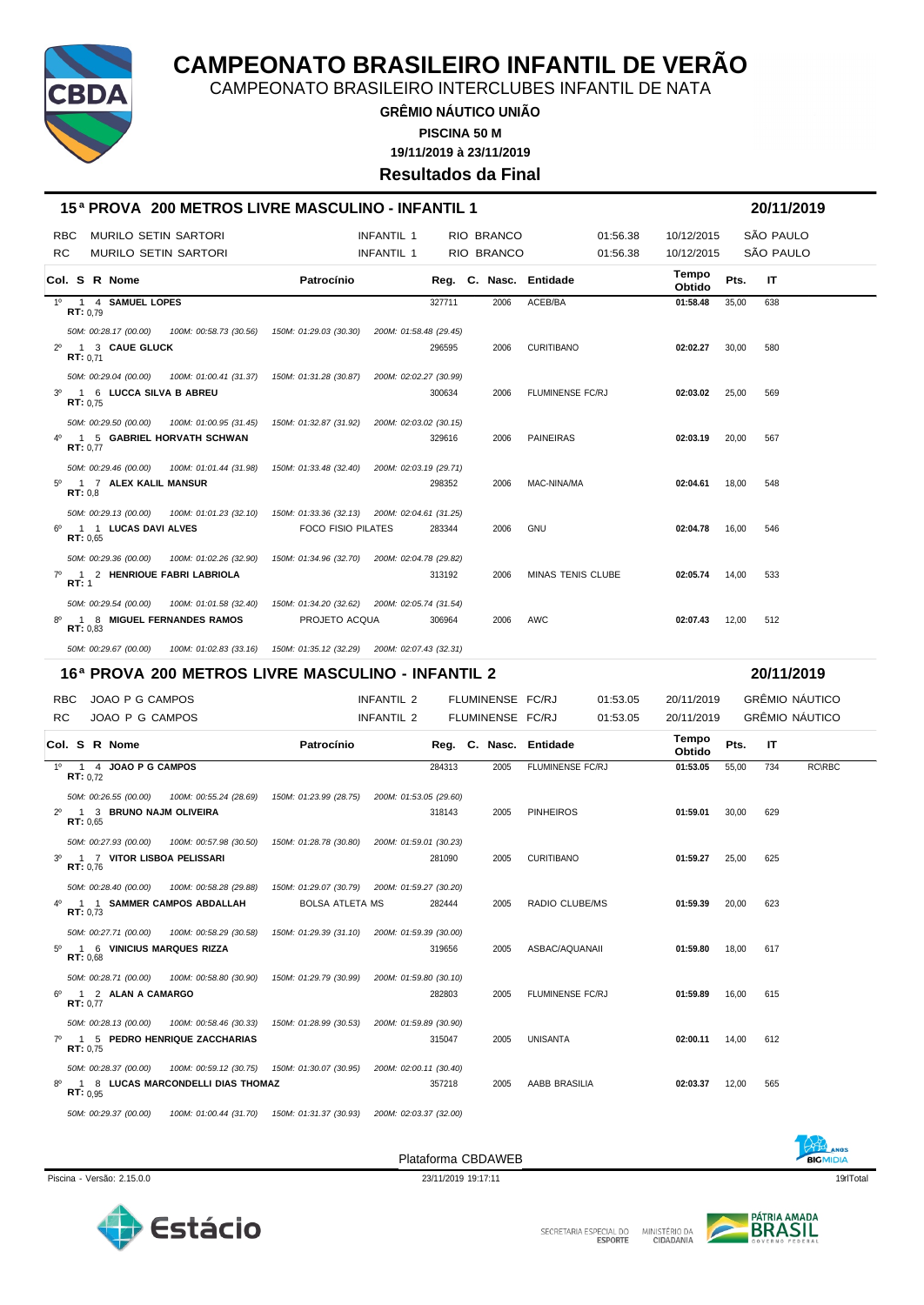

CAMPEONATO BRASILEIRO INTERCLUBES INFANTIL DE NATA

**GRÊMIO NÁUTICO UNIÃO 19/11/2019 à 23/11/2019 PISCINA 50 M**

**Resultados da Final**

| 15ª PROVA 200 METROS LIVRE MASCULINO - INFANTIL 1                     |                                                                      |                        |        |                        |                          |                 |       | 20/11/2019        |
|-----------------------------------------------------------------------|----------------------------------------------------------------------|------------------------|--------|------------------------|--------------------------|-----------------|-------|-------------------|
| <b>MURILO SETIN SARTORI</b><br>RBC.                                   |                                                                      | <b>INFANTIL 1</b>      |        | RIO BRANCO             | 01:56.38                 | 10/12/2015      |       | SÃO PAULO         |
| RC.<br><b>MURILO SETIN SARTORI</b>                                    |                                                                      | <b>INFANTIL 1</b>      |        | <b>RIO BRANCO</b>      | 01:56.38                 | 10/12/2015      |       | SÃO PAULO         |
| Col. S R Nome                                                         | Patrocínio                                                           |                        |        | Reg. C. Nasc. Entidade |                          | Tempo<br>Obtido | Pts.  | IT                |
| 1º 1 4 SAMUEL LOPES<br>RT: 0.79                                       |                                                                      |                        | 327711 | 2006                   | ACEB/BA                  | 01:58.48        | 35.00 | 638               |
| 50M: 00:28.17 (00.00)  100M: 00:58.73 (30.56)  150M: 01:29.03 (30.30) |                                                                      | 200M: 01:58.48 (29.45) |        |                        |                          |                 |       |                   |
| <b>1 3 CAUE GLUCK</b><br>$2^{\circ}$<br>RT: 0.71                      |                                                                      |                        | 296595 | 2006                   | <b>CURITIBANO</b>        | 02:02.27        | 30.00 | 580               |
| 50M: 00:29.04 (00.00)                                                 | 100M: 01:00.41 (31.37)  150M: 01:31.28 (30.87)                       | 200M: 02:02.27 (30.99) |        |                        |                          |                 |       |                   |
| 3 <sup>0</sup> 1 6 LUCCA SILVA B ABREU<br>RT: 0.75                    |                                                                      | 300634                 |        | 2006                   | <b>FLUMINENSE FC/RJ</b>  | 02:03.02        | 25.00 | 569               |
| 50M: 00:29.50 (00.00)<br>100M: 01:00.95 (31.45)                       | 150M: 01:32.87 (31.92)                                               | 200M: 02:03.02 (30.15) |        |                        |                          |                 |       |                   |
| 1 5 GABRIEL HORVATH SCHWAN<br>RT: 0.77                                |                                                                      |                        | 329616 | 2006                   | <b>PAINEIRAS</b>         | 02:03.19        | 20,00 | 567               |
| 50M: 00:29.46 (00.00)<br>100M: 01:01.44 (31.98)                       | 150M: 01:33.48 (32.40)                                               | 200M: 02:03.19 (29.71) |        |                        |                          |                 |       |                   |
| 1 7 ALEX KALIL MANSUR<br>$5^{\circ}$<br>RT: 0.8                       |                                                                      |                        | 298352 | 2006                   | MAC-NINA/MA              | 02:04.61        | 18.00 | 548               |
| 50M: 00:29.13 (00.00)<br>100M: 01:01.23 (32.10)                       | 150M: 01:33.36 (32.13) 200M: 02:04.61 (31.25)                        |                        |        |                        |                          |                 |       |                   |
| $6^{\circ}$<br>1 1 LUCAS DAVI ALVES<br>RT: 0.65                       | <b>FOCO FISIO PILATES</b>                                            |                        | 283344 | 2006                   | <b>GNU</b>               | 02:04.78        | 16.00 | 546               |
| 50M: 00:29.36 (00.00)<br>100M: 01:02.26 (32.90)                       | 150M: 01:34.96 (32.70)                                               | 200M: 02:04.78 (29.82) |        |                        |                          |                 |       |                   |
| 1 2 HENRIQUE FABRI LABRIOLA<br>$7^\circ$<br>RT: 1                     |                                                                      |                        | 313192 | 2006                   | <b>MINAS TENIS CLUBE</b> | 02:05.74        | 14.00 | 533               |
| 50M: 00:29.54 (00.00)<br>100M: 01:01.58 (32.40)                       | 150M: 01:34.20 (32.62) 200M: 02:05.74 (31.54)                        |                        |        |                        |                          |                 |       |                   |
| 1 8 MIGUEL FERNANDES RAMOS<br>80<br>RT: 0.83                          | PROJETO ACQUA                                                        |                        | 306964 | 2006                   | AWC                      | 02:07.43        | 12.00 | 512               |
| 50M: 00:29.67 (00.00)                                                 | 100M: 01:02.83 (33.16) 150M: 01:35.12 (32.29) 200M: 02:07.43 (32.31) |                        |        |                        |                          |                 |       |                   |
| 16ª PROVA 200 METROS LIVRE MASCULINO - INFANTIL 2                     |                                                                      |                        |        |                        |                          |                 |       | 20/11/2019        |
| DDC LOAO D O CAMPOO                                                   |                                                                      | INICANITII.2           |        | FULDMINIFUSE FOR L     | 0.4.52.05                | $20/44/2040$    |       | $CDF$ MIO MÁLITIO |

| RBC.           |                 | JOAO P G CAMPOS                             |                                                                                                                          |                                                | <b>INFANTIL 2</b>      |        | FLUMINENSE FC/RJ |                         | 01:53.05 | 20/11/2019             |       |     | GRÊMIO NÁUTICO |  |
|----------------|-----------------|---------------------------------------------|--------------------------------------------------------------------------------------------------------------------------|------------------------------------------------|------------------------|--------|------------------|-------------------------|----------|------------------------|-------|-----|----------------|--|
| RC.            |                 | JOAO P G CAMPOS                             |                                                                                                                          |                                                | INFANTIL 2             |        | FLUMINENSE FC/RJ |                         | 01:53.05 | 20/11/2019             |       |     | GRÊMIO NÁUTICO |  |
|                |                 | Col. S R Nome                               |                                                                                                                          | Patrocínio                                     |                        |        |                  | Reg. C. Nasc. Entidade  |          | <b>Tempo</b><br>Obtido | Pts.  | IT  |                |  |
|                | RT: 0.72        | 1º 1 4 JOAO P G CAMPOS                      |                                                                                                                          |                                                |                        | 284313 | 2005             | FLUMINENSE FC/RJ        |          | 01:53.05               | 55,00 | 734 | RC\RBC         |  |
| $2^{\circ}$    | RT: 0.65        | 1 3 BRUNO NAJM OLIVEIRA                     | 50M: 00:26.55 (00.00) 100M: 00:55.24 (28.69) 150M: 01:23.99 (28.75) 200M: 01:53.05 (29.60)                               |                                                |                        | 318143 | 2005             | <b>PINHEIROS</b>        |          | 01:59.01               | 30,00 | 629 |                |  |
| 3 <sup>0</sup> | RT: 0.76        |                                             | 50M: 00:27.93 (00.00) 100M: 00:57.98 (30.50) 150M: 01:28.78 (30.80) 200M: 01:59.01 (30.23)<br>1 7 VITOR LISBOA PELISSARI |                                                |                        | 281090 | 2005             | <b>CURITIBANO</b>       |          | 01:59.27               | 25,00 | 625 |                |  |
| 4°             | RT: 0.73        | 50M: 00:28.40 (00.00)                       | 100M: 00:58.28 (29.88)  150M: 01:29.07 (30.79)  200M: 01:59.27 (30.20)<br>1 1 SAMMER CAMPOS ABDALLAH                     | <b>BOLSA ATLETA MS</b>                         |                        | 282444 | 2005             | <b>RADIO CLUBE/MS</b>   |          | 01:59.39               | 20.00 | 623 |                |  |
| 50             | RT: 0.68        | 50M: 00:27.71 (00.00)                       | 100M: 00:58.29 (30.58)  150M: 01:29.39 (31.10)  200M: 01:59.39 (30.00)<br>1 6 VINICIUS MARQUES RIZZA                     |                                                |                        | 319656 | 2005             | ASBAC/AQUANAII          |          | 01:59.80               | 18.00 | 617 |                |  |
| 6°             | <b>RT: 0.77</b> | 50M: 00:28.71 (00.00)<br>1 2 ALAN A CAMARGO |                                                                                                                          |                                                | 200M: 01:59.80 (30.10) | 282803 | 2005             | <b>FLUMINENSE FC/RJ</b> |          | 01:59.89               | 16,00 | 615 |                |  |
|                | RT: 0.75        |                                             | 50M: 00:28.13 (00.00)  100M: 00:58.46 (30.33)  150M: 01:28.99 (30.53)<br>7º 1 5 PEDRO HENRIQUE ZACCHARIAS                |                                                | 200M: 01:59.89 (30.90) | 315047 | 2005             | UNISANTA                |          | 02:00.11               | 14.00 | 612 |                |  |
| 8°             | RT: 0.95        | 50M: 00:28.37 (00.00)                       | 100M: 00:59.12 (30.75)  150M: 01:30.07 (30.95)<br>1 8 LUCAS MARCONDELLI DIAS THOMAZ                                      |                                                | 200M: 02:00.11 (30.40) | 357218 | 2005             | AABB BRASILIA           |          | 02:03.37               | 12,00 | 565 |                |  |
|                |                 | 50M: 00:29.37 (00.00)                       |                                                                                                                          | 100M: 01:00.44 (31.70)  150M: 01:31.37 (30.93) | 200M: 02:03.37 (32.00) |        |                  |                         |          |                        |       |     |                |  |



Piscina - Versão: 2.15.0.0 23/11/2019 19:17:11 19:17:11 19:17:11 19:17:11 19:17:11 19:17:11 19:17:11 19:17:11 Plataforma CBDAWEB





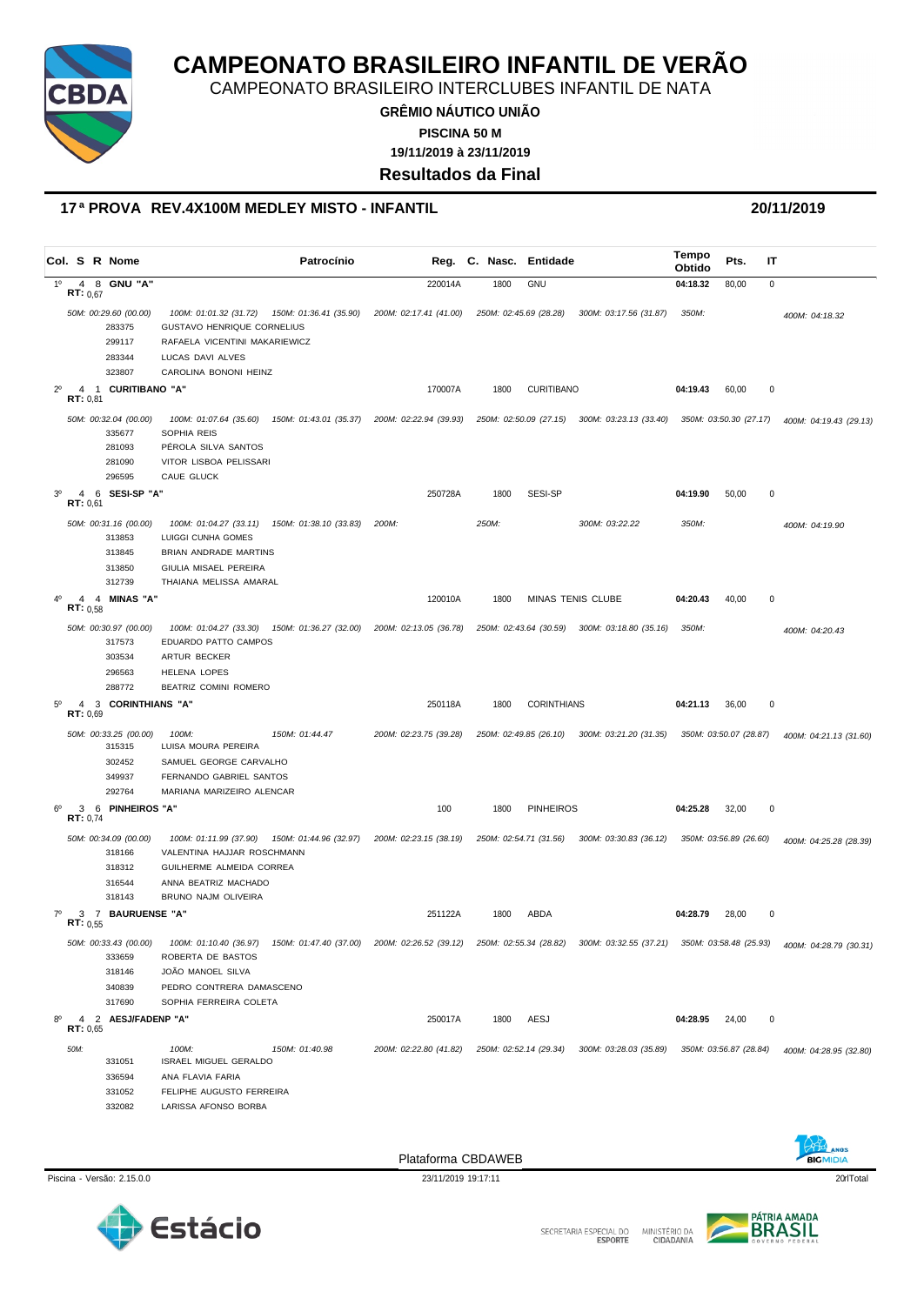

CAMPEONATO BRASILEIRO INTERCLUBES INFANTIL DE NATA

**GRÊMIO NÁUTICO UNIÃO 19/11/2019 à 23/11/2019 PISCINA 50 M**

**Resultados da Final**

#### **17 ª PROVA REV.4X100M MEDLEY MISTO - INFANTIL 20/11/2019**

|                |                   | Col. S R Nome                                                 |                                                                                                                                                                                                                                                                                                                                | Patrocínio                                    | Reg.                   | C. Nasc. | Entidade               |                                                                      | Tempo<br>Obtido | Pts.                   | ΙT        |                        |
|----------------|-------------------|---------------------------------------------------------------|--------------------------------------------------------------------------------------------------------------------------------------------------------------------------------------------------------------------------------------------------------------------------------------------------------------------------------|-----------------------------------------------|------------------------|----------|------------------------|----------------------------------------------------------------------|-----------------|------------------------|-----------|------------------------|
| 1 <sup>0</sup> | <b>RT:</b> $0,67$ | 4 8 GNU "A"                                                   |                                                                                                                                                                                                                                                                                                                                |                                               | 220014A                | 1800     | <b>GNU</b>             |                                                                      | 04:18.32        | 80,00                  | $\pmb{0}$ |                        |
|                |                   | 50M: 00:29.60 (00.00)<br>283375<br>299117<br>283344<br>323807 | 100M: 01:01.32 (31.72)<br>GUSTAVO HENRIQUE CORNELIUS<br>RAFAELA VICENTINI MAKARIEWICZ<br>LUCAS DAVI ALVES<br>CAROLINA BONONI HEINZ                                                                                                                                                                                             | 150M: 01:36.41 (35.90)                        | 200M: 02:17.41 (41.00) |          | 250M: 02:45.69 (28.28) | 300M: 03:17.56 (31.87)                                               | 350M:           |                        |           | 400M: 04:18.32         |
| $2^{\circ}$    | 4<br>RT: 0,81     | 1 CURITIBANO "A"                                              |                                                                                                                                                                                                                                                                                                                                |                                               | 170007A                | 1800     | <b>CURITIBANO</b>      |                                                                      | 04:19.43        | 60,00                  | 0         |                        |
|                |                   | 50M: 00:32.04 (00.00)<br>335677<br>281093<br>281090<br>296595 | 100M: 01:07.64 (35.60) 150M: 01:43.01 (35.37) 200M: 02:22.94 (39.93)<br>SOPHIA REIS<br>PÉROLA SILVA SANTOS<br>VITOR LISBOA PELISSARI<br>CAUE GLUCK                                                                                                                                                                             |                                               |                        |          |                        | 250M: 02:50.09 (27.15) 300M: 03:23.13 (33.40) 350M: 03:50.30 (27.17) |                 |                        |           | 400M: 04:19.43 (29.13) |
| 3 <sup>o</sup> | 4<br>RT: 0.61     | 6 SESI-SP "A"                                                 |                                                                                                                                                                                                                                                                                                                                |                                               | 250728A                | 1800     | SESI-SP                |                                                                      | 04:19.90        | 50,00                  | 0         |                        |
|                |                   | 50M: 00:31.16 (00.00)<br>313853<br>313845<br>313850<br>312739 | 100M: 01:04.27 (33.11)<br>LUIGGI CUNHA GOMES<br><b>BRIAN ANDRADE MARTINS</b><br>GIULIA MISAEL PEREIRA<br>THAIANA MELISSA AMARAL                                                                                                                                                                                                | 150M: 01:38.10 (33.83)                        | 200M:                  | 250M:    |                        | 300M: 03:22.22                                                       | 350M:           |                        |           | 400M: 04:19.90         |
|                | 4<br>RT: 0.58     | 4 MINAS "A"                                                   |                                                                                                                                                                                                                                                                                                                                |                                               | 120010A                | 1800     |                        | MINAS TENIS CLUBE                                                    | 04:20.43        | 40,00                  | 0         |                        |
|                |                   | 50M: 00:30.97 (00.00)<br>317573<br>303534<br>296563<br>288772 | 100M: 01:04.27 (33.30)<br>EDUARDO PATTO CAMPOS<br>ARTUR BECKER<br><b>HELENA LOPES</b><br>BEATRIZ COMINI ROMERO                                                                                                                                                                                                                 | 150M: 01:36.27 (32.00) 200M: 02:13.05 (36.78) |                        |          | 250M: 02:43.64 (30.59) | 300M: 03:18.80 (35.16)                                               | 350M:           |                        |           | 400M: 04:20.43         |
|                | 4<br>RT: 0,69     | 3 CORINTHIANS "A"                                             |                                                                                                                                                                                                                                                                                                                                |                                               | 250118A                | 1800     | <b>CORINTHIANS</b>     |                                                                      | 04:21.13        | 36,00                  | $\pmb{0}$ |                        |
|                |                   | 50M: 00:33.25 (00.00)<br>315315<br>302452<br>349937<br>292764 | 100M:<br>LUISA MOURA PEREIRA<br>SAMUEL GEORGE CARVALHO<br>FERNANDO GABRIEL SANTOS<br>MARIANA MARIZEIRO ALENCAR                                                                                                                                                                                                                 | 150M: 01:44.47                                | 200M: 02:23.75 (39.28) |          |                        | 250M: 02:49.85 (26.10) 300M: 03:21.20 (31.35) 350M: 03:50.07 (28.87) |                 |                        |           | 400M: 04:21.13 (31.60) |
| $6^{\circ}$    | 3<br>RT: 0,74     | 6 PINHEIROS "A"                                               |                                                                                                                                                                                                                                                                                                                                |                                               | 100                    | 1800     | <b>PINHEIROS</b>       |                                                                      | 04:25.28        | 32,00                  | 0         |                        |
|                |                   | 50M: 00:34.09 (00.00)<br>318166<br>318312<br>316544<br>318143 | 100M: 01:11.99 (37.90) 150M: 01:44.96 (32.97) 200M: 02:23.15 (38.19)<br>VALENTINA HAJJAR ROSCHMANN<br>GUILHERME ALMEIDA CORREA<br>ANNA BEATRIZ MACHADO<br>BRUNO NAJM OLIVEIRA                                                                                                                                                  |                                               |                        |          | 250M: 02:54.71 (31.56) | 300M: 03:30.83 (36.12)                                               |                 | 350M: 03:56.89 (26.60) |           | 400M: 04:25.28 (28.39) |
| 70             | 3<br>RT: 0.55     | 7 BAURUENSE "A"                                               |                                                                                                                                                                                                                                                                                                                                |                                               | 251122A                | 1800     | ABDA                   |                                                                      | 04:28.79        | 28,00                  | 0         |                        |
|                |                   | 333659<br>318146<br>340839<br>317690                          | 50M: 00:33.43 (00.00)              100M: 01:10.40 (36.97)             150M: 01:47.40 (37.00)             200M: 02:26.52 (39.12)              250M: 02:55.34 (28.82)                300M: 03:32.55 (37.21)                350M:<br>ROBERTA DE BASTOS<br>JOÃO MANOEL SILVA<br>PEDRO CONTRERA DAMASCENO<br>SOPHIA FERREIRA COLETA |                                               |                        |          |                        |                                                                      |                 |                        |           | 400M: 04:28.79 (30.31) |
| $8^{\circ}$    | RT: 0,65          | 4 2 AESJ/FADENP "A"                                           |                                                                                                                                                                                                                                                                                                                                |                                               | 250017A                | 1800     | AESJ                   |                                                                      | 04:28.95 24,00  |                        | 0         |                        |
|                | 50M:              | 331051<br>336594<br>331052<br>332082                          | 100M:<br><b>ISRAEL MIGUEL GERALDO</b><br>ANA FLAVIA FARIA<br>FELIPHE AUGUSTO FERREIRA<br>LARISSA AFONSO BORBA                                                                                                                                                                                                                  | 150M: 01:40.98                                | 200M: 02:22.80 (41.82) |          | 250M: 02:52.14 (29.34) | 300M: 03:28.03 (35.89)                                               |                 | 350M: 03:56.87 (28.84) |           | 400M: 04:28.95 (32.80) |



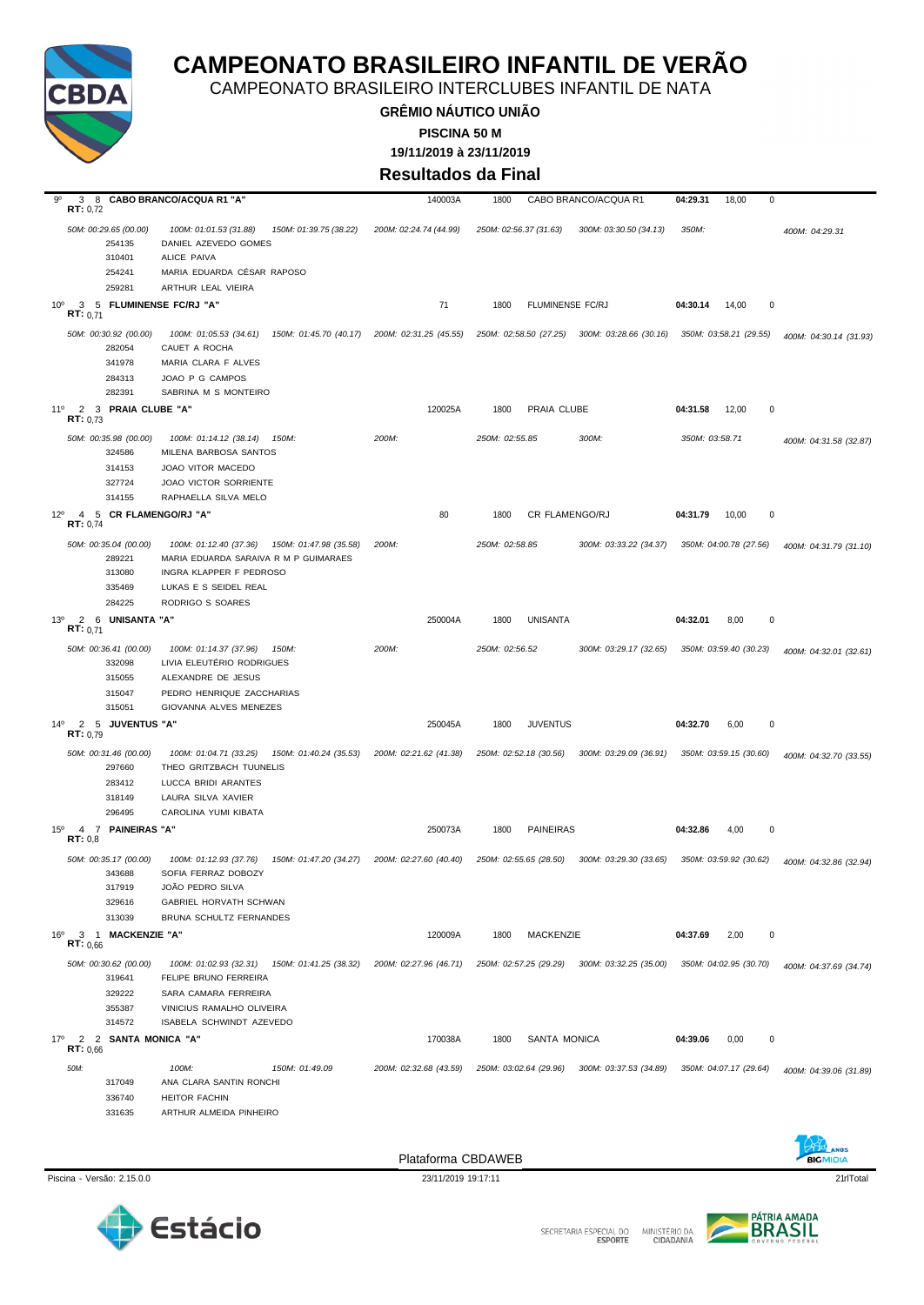

CAMPEONATO BRASILEIRO INTERCLUBES INFANTIL DE NATA

**GRÊMIO NÁUTICO UNIÃO 19/11/2019 à 23/11/2019 PISCINA 50 M**

**Resultados da Final**

| 9°<br>3<br>RT: 0.72                                         |                                 | 8 CABO BRANCO/ACQUA R1 "A"                                                                | 140003A                                       | 1800           |                        | CABO BRANCO/ACQUA R1                          | 04:29.31       | 0<br>18,00             |                        |
|-------------------------------------------------------------|---------------------------------|-------------------------------------------------------------------------------------------|-----------------------------------------------|----------------|------------------------|-----------------------------------------------|----------------|------------------------|------------------------|
|                                                             | 50M: 00:29.65 (00.00)<br>254135 | 100M: 01:01.53 (31.88)<br>150M: 01:39.75 (38.22)<br>DANIEL AZEVEDO GOMES                  | 200M: 02:24.74 (44.99)                        |                | 250M: 02:56.37 (31.63) | 300M: 03:30.50 (34.13)                        | 350M:          |                        | 400M: 04:29.31         |
|                                                             | 310401                          | ALICE PAIVA                                                                               |                                               |                |                        |                                               |                |                        |                        |
|                                                             | 254241                          | MARIA EDUARDA CÉSAR RAPOSO                                                                |                                               |                |                        |                                               |                |                        |                        |
|                                                             | 259281                          | ARTHUR LEAL VIEIRA                                                                        |                                               |                |                        |                                               |                |                        |                        |
| 10 <sup>o</sup><br>RT: 0.71                                 |                                 | 3 5 FLUMINENSE FC/RJ "A"                                                                  | 71                                            | 1800           | FLUMINENSE FC/RJ       |                                               | 04:30.14       | 14,00<br>$\mathbf 0$   |                        |
|                                                             | 50M: 00:30.92 (00.00)<br>282054 | 100M: 01:05.53 (34.61)<br>CAUET A ROCHA                                                   | 150M: 01:45.70 (40.17) 200M: 02:31.25 (45.55) |                |                        | 250M: 02:58.50 (27.25) 300M: 03:28.66 (30.16) |                | 350M: 03:58.21 (29.55) | 400M: 04:30.14 (31.93) |
|                                                             | 341978<br>284313                | MARIA CLARA F ALVES<br>JOAO P G CAMPOS                                                    |                                               |                |                        |                                               |                |                        |                        |
| 2<br>$11^{\circ}$<br>RT: 0.73                               | 282391<br>3 PRAIA CLUBE "A"     | SABRINA M S MONTEIRO                                                                      | 120025A                                       | 1800           | PRAIA CLUBE            |                                               | 04:31.58       | $\mathbf 0$<br>12,00   |                        |
|                                                             | 50M: 00:35.98 (00.00)           | 100M: 01:14.12 (38.14)<br>150M:                                                           | 200M:                                         | 250M: 02:55.85 |                        | 300M:                                         | 350M: 03:58.71 |                        | 400M: 04:31.58 (32.87) |
|                                                             | 324586                          | MILENA BARBOSA SANTOS                                                                     |                                               |                |                        |                                               |                |                        |                        |
|                                                             | 314153                          | JOAO VITOR MACEDO                                                                         |                                               |                |                        |                                               |                |                        |                        |
|                                                             | 327724                          | <b>JOAO VICTOR SORRIENTE</b>                                                              |                                               |                |                        |                                               |                |                        |                        |
|                                                             | 314155                          | RAPHAELLA SILVA MELO                                                                      |                                               |                |                        |                                               |                |                        |                        |
| $12^{\circ}$<br>RT: 0,74                                    | 4 5 CR FLAMENGO/RJ "A"          |                                                                                           | 80                                            | 1800           | CR FLAMENGO/RJ         |                                               | 04:31.79       | 10,00<br>$\mathbf 0$   |                        |
|                                                             | 50M: 00:35.04 (00.00)<br>289221 | 100M: 01:12.40 (37.36)<br>150M: 01:47.98 (35.58)<br>MARIA EDUARDA SARAIVA R M P GUIMARAES | 200M:                                         | 250M: 02:58.85 |                        | 300M: 03:33.22 (34.37)                        |                | 350M: 04:00.78 (27.56) | 400M: 04:31.79 (31.10) |
|                                                             | 313080                          | INGRA KLAPPER F PEDROSO                                                                   |                                               |                |                        |                                               |                |                        |                        |
|                                                             | 335469                          | LUKAS E S SEIDEL REAL                                                                     |                                               |                |                        |                                               |                |                        |                        |
|                                                             | 284225                          | RODRIGO S SOARES                                                                          |                                               |                |                        |                                               |                |                        |                        |
| 13°<br>RT: 0.71                                             | 2 6 UNISANTA "A"                |                                                                                           | 250004A                                       | 1800           | <b>UNISANTA</b>        |                                               | 04:32.01       | 8,00<br>$\mathbf 0$    |                        |
|                                                             | 50M: 00:36.41 (00.00)<br>332098 | 100M: 01:14.37 (37.96)<br>150M:<br>LIVIA ELEUTÉRIO RODRIGUES                              | 200M:                                         | 250M: 02:56.52 |                        | 300M: 03:29.17 (32.65)                        |                | 350M: 03:59.40 (30.23) | 400M: 04:32.01 (32.61) |
|                                                             | 315055                          | ALEXANDRE DE JESUS                                                                        |                                               |                |                        |                                               |                |                        |                        |
|                                                             | 315047                          | PEDRO HENRIQUE ZACCHARIAS                                                                 |                                               |                |                        |                                               |                |                        |                        |
|                                                             | 315051                          | GIOVANNA ALVES MENEZES                                                                    |                                               |                |                        |                                               |                |                        |                        |
| $14^{\circ}$<br><b>RT:</b> $0.79$                           | 2 5 JUVENTUS "A"                |                                                                                           | 250045A                                       | 1800           | <b>JUVENTUS</b>        |                                               | 04:32.70       | 6,00<br>0              |                        |
|                                                             | 50M: 00:31.46 (00.00)<br>297660 | 100M: 01:04.71 (33.25)<br>THEO GRITZBACH TUUNELIS                                         | 150M: 01:40.24 (35.53) 200M: 02:21.62 (41.38) |                | 250M: 02:52.18 (30.56) | 300M: 03:29.09 (36.91)                        |                | 350M: 03:59.15 (30.60) | 400M: 04:32.70 (33.55) |
|                                                             | 283412                          | LUCCA BRIDI ARANTES                                                                       |                                               |                |                        |                                               |                |                        |                        |
|                                                             | 318149                          | LAURA SILVA XAVIER                                                                        |                                               |                |                        |                                               |                |                        |                        |
|                                                             | 296495                          | CAROLINA YUMI KIBATA                                                                      |                                               |                |                        |                                               |                |                        |                        |
| $\overline{7}$<br>$15^{\circ}$<br>$\overline{a}$<br>RT: 0,8 | <b>PAINEIRAS "A"</b>            |                                                                                           | 250073A                                       | 1800           | <b>PAINEIRAS</b>       |                                               | 04:32.86       | 4,00<br>0              |                        |
|                                                             | 50M: 00:35.17 (00.00)<br>343688 | 100M: 01:12.93 (37.76)<br>150M: 01:47.20 (34.27)<br>SOFIA FERRAZ DOBOZY                   | 200M: 02:27.60 (40.40)                        |                | 250M: 02:55.65 (28.50) | 300M: 03:29.30 (33.65)                        |                | 350M: 03:59.92 (30.62) | 400M: 04:32.86 (32.94) |
|                                                             | 317919                          | JOÃO PEDRO SILVA                                                                          |                                               |                |                        |                                               |                |                        |                        |
|                                                             | 329616                          | <b>GABRIEL HORVATH SCHWAN</b>                                                             |                                               |                |                        |                                               |                |                        |                        |
|                                                             | 313039                          | BRUNA SCHULTZ FERNANDES                                                                   |                                               |                |                        |                                               |                |                        |                        |
| 16°<br>RT: 0,66                                             | 3 1 MACKENZIE "A"               |                                                                                           | 120009A                                       | 1800           | MACKENZIE              |                                               | 04:37.69       | 2,00<br>0              |                        |
|                                                             | 50M: 00:30.62 (00.00)           | 100M: 01:02.93 (32.31) 150M: 01:41.25 (38.32)                                             | 200M: 02:27.96 (46.71)                        |                | 250M: 02:57.25 (29.29) | 300M: 03:32.25 (35.00)                        |                | 350M: 04:02.95 (30.70) | 400M: 04:37.69 (34.74) |
|                                                             | 319641                          | FELIPE BRUNO FERREIRA                                                                     |                                               |                |                        |                                               |                |                        |                        |
|                                                             | 329222                          | SARA CAMARA FERREIRA                                                                      |                                               |                |                        |                                               |                |                        |                        |
|                                                             | 355387                          | VINICIUS RAMALHO OLIVEIRA                                                                 |                                               |                |                        |                                               |                |                        |                        |
|                                                             | 314572                          | ISABELA SCHWINDT AZEVEDO                                                                  |                                               |                |                        |                                               |                |                        |                        |
| 17°<br>RT: 0,66                                             | 2 2 SANTA MONICA "A"            |                                                                                           | 170038A                                       | 1800           | SANTA MONICA           |                                               | 04:39.06       | 0<br>0,00              |                        |
| 50M:                                                        |                                 | 100M:<br>150M: 01:49.09                                                                   | 200M: 02:32.68 (43.59)                        |                | 250M: 03:02.64 (29.96) | 300M: 03:37.53 (34.89)                        |                | 350M: 04:07.17 (29.64) | 400M: 04:39.06 (31.89) |
|                                                             | 317049                          | ANA CLARA SANTIN RONCHI                                                                   |                                               |                |                        |                                               |                |                        |                        |
|                                                             | 336740                          | <b>HEITOR FACHIN</b>                                                                      |                                               |                |                        |                                               |                |                        |                        |
|                                                             | 331635                          | ARTHUR ALMEIDA PINHEIRO                                                                   |                                               |                |                        |                                               |                |                        |                        |





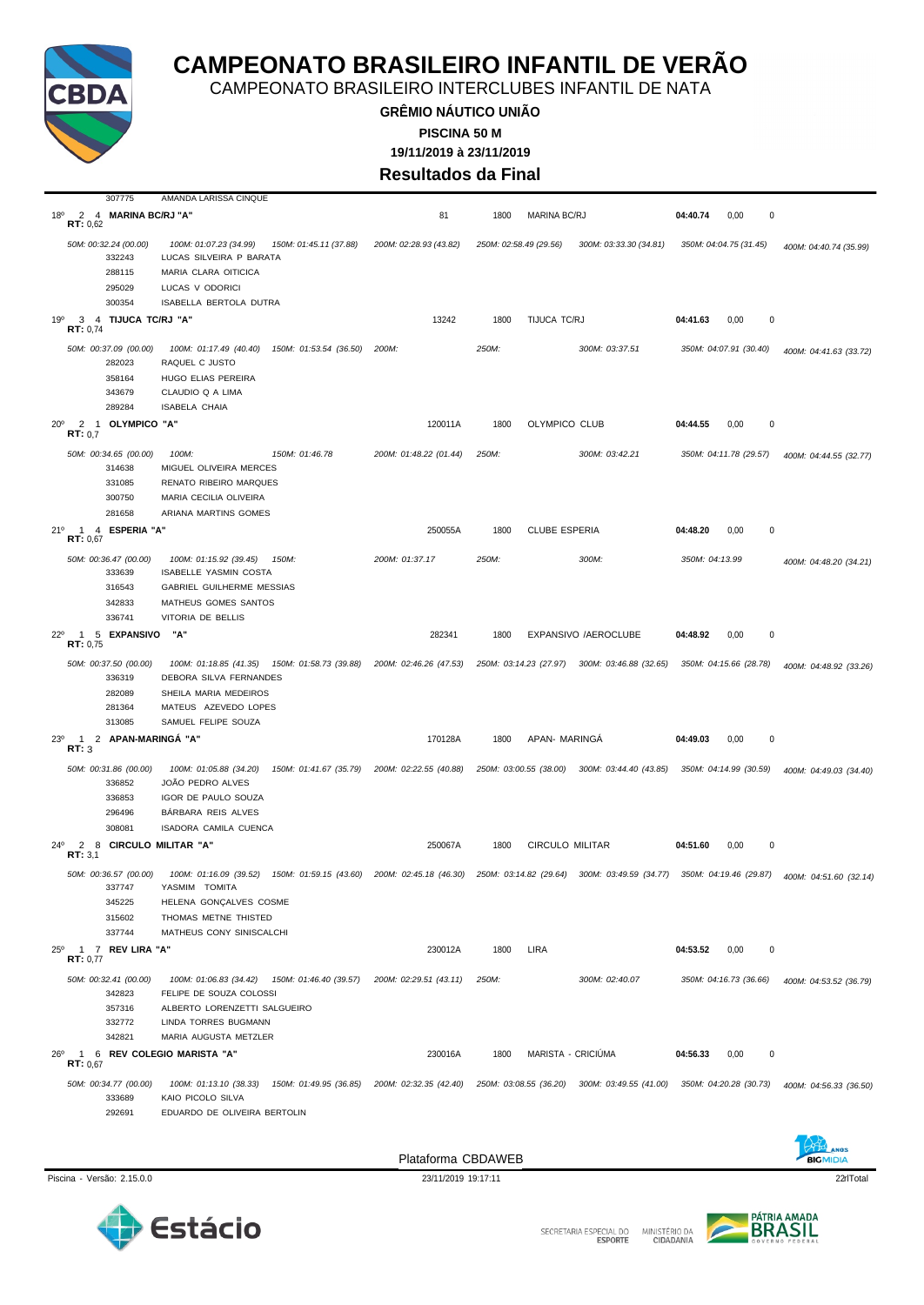

307775 AMANDA LARISSA CINQUE

### **CAMPEONATO BRASILEIRO INFANTIL DE VERÃO**

CAMPEONATO BRASILEIRO INTERCLUBES INFANTIL DE NATA

**GRÊMIO NÁUTICO UNIÃO 19/11/2019 à 23/11/2019 PISCINA 50 M**

**Resultados da Final**

| $18^{\circ}$<br>RT: 0.62          | 2 4 MARINA BC/RJ "A"                                          |                                                                                                                               | 81                                            | 1800  | <b>MARINA BC/RJ</b>    |                                               | 04:40.74       | 0,00<br>$\mathbf{0}$   |                        |
|-----------------------------------|---------------------------------------------------------------|-------------------------------------------------------------------------------------------------------------------------------|-----------------------------------------------|-------|------------------------|-----------------------------------------------|----------------|------------------------|------------------------|
|                                   | 50M: 00:32.24 (00.00)<br>332243                               | 100M: 01:07.23 (34.99)<br>150M: 01:45.11 (37.88)<br>LUCAS SILVEIRA P BARATA                                                   | 200M: 02:28.93 (43.82)                        |       | 250M: 02:58.49 (29.56) | 300M: 03:33.30 (34.81)                        |                | 350M: 04:04.75 (31.45) | 400M: 04:40.74 (35.99) |
|                                   | 288115                                                        | MARIA CLARA OITICICA                                                                                                          |                                               |       |                        |                                               |                |                        |                        |
|                                   | 295029<br>300354                                              | LUCAS V ODORICI<br>ISABELLA BERTOLA DUTRA                                                                                     |                                               |       |                        |                                               |                |                        |                        |
| 19°                               | 3 4 TIJUCA TC/RJ "A"                                          |                                                                                                                               | 13242                                         | 1800  | TIJUCA TC/RJ           |                                               | 04:41.63       | 0,00<br>$\Omega$       |                        |
| RT: 0,74                          |                                                               |                                                                                                                               |                                               |       |                        |                                               |                |                        |                        |
|                                   | 50M: 00:37.09 (00.00)<br>282023<br>358164<br>343679           | 100M: 01:17.49 (40.40)<br>150M: 01:53.54 (36.50)<br>RAQUEL C JUSTO<br>HUGO ELIAS PEREIRA<br>CLAUDIO Q A LIMA                  | 200M:                                         | 250M: |                        | 300M: 03:37.51                                |                | 350M: 04:07.91 (30.40) | 400M: 04:41.63 (33.72) |
| $20^{\circ}$                      | 289284<br>2 1 OLYMPICO "A"                                    | ISABELA CHAIA                                                                                                                 | 120011A                                       | 1800  | OLYMPICO CLUB          |                                               | 04:44.55       | 0,00<br>0              |                        |
| RT: 0.7                           |                                                               |                                                                                                                               |                                               |       |                        |                                               |                |                        |                        |
|                                   | 50M: 00:34.65 (00.00)<br>314638<br>331085<br>300750<br>281658 | 100M:<br>150M: 01:46.78<br>MIGUEL OLIVEIRA MERCES<br>RENATO RIBEIRO MARQUES<br>MARIA CECILIA OLIVEIRA<br>ARIANA MARTINS GOMES | 200M: 01:48.22 (01.44)                        | 250M: |                        | 300M: 03:42.21                                |                | 350M: 04:11.78 (29.57) | 400M: 04:44.55 (32.77) |
| 21°<br>$\mathbf{1}$<br>RT: 0,67   | 4 ESPERIA "A'                                                 |                                                                                                                               | 250055A                                       | 1800  | <b>CLUBE ESPERIA</b>   |                                               | 04:48.20       | $\pmb{0}$<br>0,00      |                        |
|                                   | 50M: 00:36.47 (00.00)<br>333639<br>316543                     | 100M: 01:15.92 (39.45)<br>150M:<br>ISABELLE YASMIN COSTA<br>GABRIEL GUILHERME MESSIAS                                         | 200M: 01:37.17                                | 250M: |                        | 300M:                                         | 350M: 04:13.99 |                        | 400M: 04:48.20 (34.21) |
|                                   | 342833                                                        | MATHEUS GOMES SANTOS                                                                                                          |                                               |       |                        |                                               |                |                        |                        |
|                                   | 336741                                                        | VITORIA DE BELLIS                                                                                                             |                                               |       |                        |                                               |                |                        |                        |
| $22^{\circ}$<br>RT: 0,75          | 1 5 EXPANSIVO                                                 | "A'                                                                                                                           | 282341                                        | 1800  |                        | EXPANSIVO /AEROCLUBE                          | 04:48.92       | 0,00<br>0              |                        |
|                                   | 50M: 00:37.50 (00.00)<br>336319<br>282089<br>281364           | 100M: 01:18.85 (41.35)  150M: 01:58.73 (39.88)<br>DEBORA SILVA FERNANDES<br>SHEILA MARIA MEDEIROS<br>MATEUS AZEVEDO LOPES     | 200M: 02:46.26 (47.53)                        |       |                        | 250M: 03:14.23 (27.97) 300M: 03:46.88 (32.65) |                | 350M: 04:15.66 (28.78) | 400M: 04:48.92 (33.26) |
|                                   | 313085                                                        | SAMUEL FELIPE SOUZA                                                                                                           |                                               |       |                        |                                               |                |                        |                        |
| 23°<br>$\mathbf{1}$<br>RT: 3      | 2 APAN-MARINGA "A"                                            |                                                                                                                               | 170128A                                       | 1800  | APAN- MARINGA          |                                               | 04:49.03       | $\mathbf 0$<br>0,00    |                        |
|                                   | 50M: 00:31.86 (00.00)<br>336852                               | 100M: 01:05.88 (34.20)<br>150M: 01:41.67 (35.79)<br>JOÃO PEDRO ALVES                                                          | 200M: 02:22.55 (40.88)                        |       | 250M: 03:00.55 (38.00) | 300M: 03:44.40 (43.85)                        |                | 350M: 04:14.99 (30.59) | 400M: 04:49.03 (34.40) |
|                                   | 336853<br>296496<br>308081                                    | IGOR DE PAULO SOUZA<br>BÁRBARA REIS ALVES<br>ISADORA CAMILA CUENCA                                                            |                                               |       |                        |                                               |                |                        |                        |
| 2<br>$24^{\circ}$<br>RT: 3,1      |                                                               | 8 CIRCULO MILITAR "A"                                                                                                         | 250067A                                       | 1800  | <b>CIRCULO MILITAR</b> |                                               | 04:51.60       | 0,00<br>0              |                        |
|                                   | 50M: 00:36.57 (00.00)<br>337747                               | 100M: 01:16.09 (39.52)<br>YASMIM TOMITA                                                                                       | 150M: 01:59.15 (43.60) 200M: 02:45.18 (46.30) |       |                        | 250M: 03:14.82 (29.64) 300M: 03:49.59 (34.77) |                | 350M: 04:19.46 (29.87) | 400M: 04:51.60 (32.14) |
|                                   | 345225<br>315602                                              | HELENA GONÇALVES COSME<br>THOMAS METNE THISTED                                                                                |                                               |       |                        |                                               |                |                        |                        |
|                                   | 337744                                                        | MATHEUS CONY SINISCALCHI                                                                                                      |                                               |       |                        |                                               |                |                        |                        |
| $25^{\circ}$<br>RT: 0,77          | 1 7 REV LIRA "A"                                              |                                                                                                                               | 230012A                                       | 1800  | LIRA                   |                                               | 04:53.52       | 0,00<br>$\mathbf 0$    |                        |
|                                   | 50M: 00:32.41 (00.00)<br>342823                               | 100M: 01:06.83 (34.42) 150M: 01:46.40 (39.57)<br>FELIPE DE SOUZA COLOSSI                                                      | 200M: 02:29.51 (43.11)                        | 250M: |                        | 300M: 02:40.07                                |                | 350M: 04:16.73 (36.66) | 400M: 04:53.52 (36.79) |
|                                   | 357316<br>332772<br>342821                                    | ALBERTO LORENZETTI SALGUEIRO<br>LINDA TORRES BUGMANN<br>MARIA AUGUSTA METZLER                                                 |                                               |       |                        |                                               |                |                        |                        |
| $26^{\circ}$<br><b>RT:</b> $0.67$ |                                                               | 1 6 REV COLEGIO MARISTA "A"                                                                                                   | 230016A                                       | 1800  | MARISTA - CRICIÚMA     |                                               | 04:56.33       | 0,00<br>$\mathbf 0$    |                        |
|                                   | 50M: 00:34.77 (00.00)<br>333689                               | 100M: 01:13.10 (38.33)<br>KAIO PICOLO SILVA                                                                                   | 150M: 01:49.95 (36.85) 200M: 02:32.35 (42.40) |       | 250M: 03:08.55 (36.20) | 300M: 03:49.55 (41.00)                        |                | 350M: 04:20.28 (30.73) | 400M: 04:56.33 (36.50) |
|                                   | 292691                                                        | EDUARDO DE OLIVEIRA BERTOLIN                                                                                                  |                                               |       |                        |                                               |                |                        |                        |



Plataforma CBDAWEB



Piscina - Versão: 2.15.0.0 23/11/2019 19:17:11 22 23/11/2019 19:17:11 23/11/2019 19:17:11 22 23/10 23/10 24 10



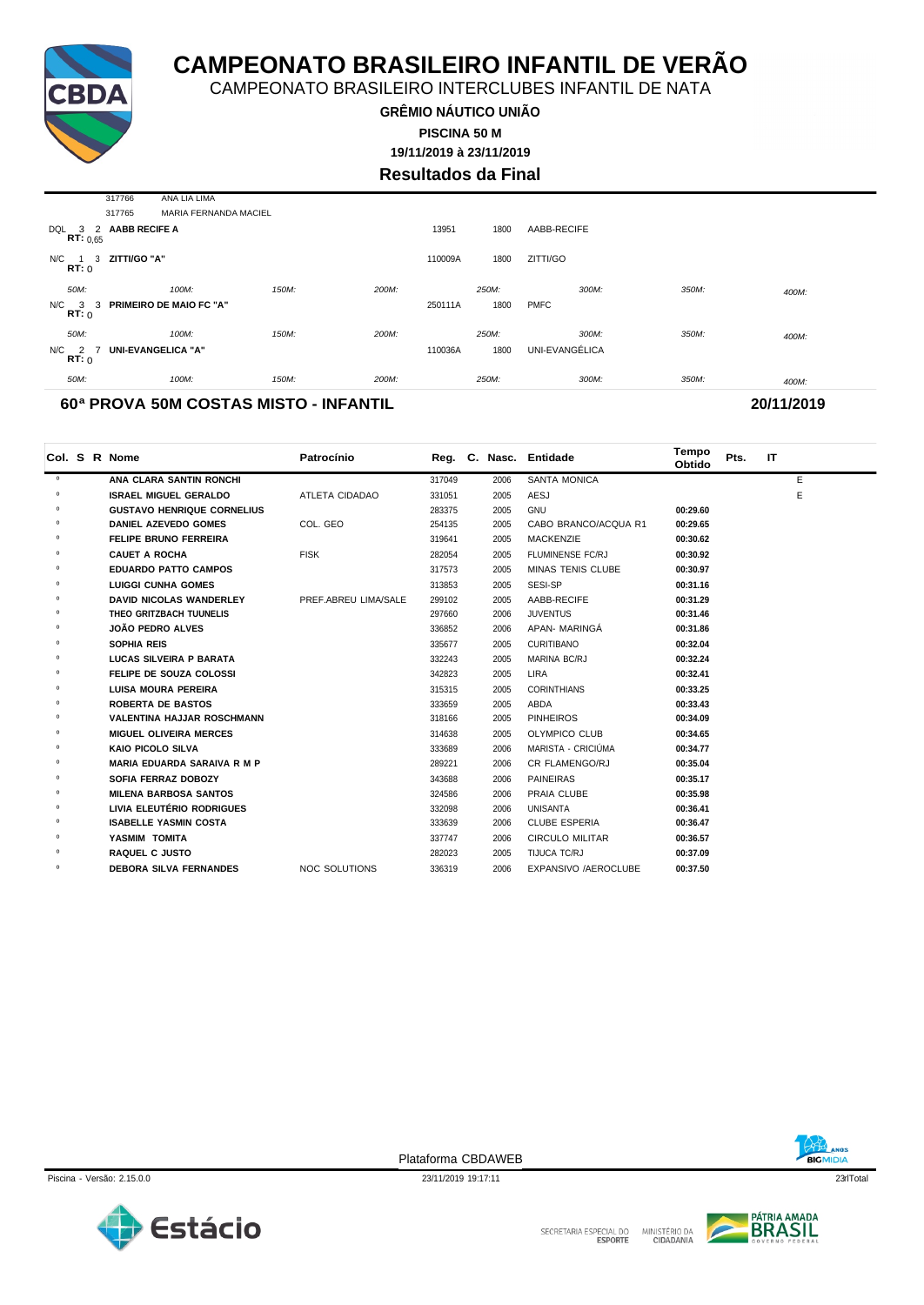

CAMPEONATO BRASILEIRO INTERCLUBES INFANTIL DE NATA

**GRÊMIO NÁUTICO UNIÃO PISCINA 50 M**

**19/11/2019 à 23/11/2019**

**Resultados da Final**

|                    | 317766               | ANA LIA LIMA                   |       |       |         |       |                |       |       |
|--------------------|----------------------|--------------------------------|-------|-------|---------|-------|----------------|-------|-------|
|                    | 317765               | MARIA FERNANDA MACIEL          |       |       |         |       |                |       |       |
| DQL<br>RT: 0.65    | 3 2 AABB RECIFE A    |                                |       |       | 13951   | 1800  | AABB-RECIFE    |       |       |
| RT: 0              | N/C 1 3 ZITTI/GO "A" |                                |       |       | 110009A | 1800  | ZITTI/GO       |       |       |
| 50M:               |                      | 100M:                          | 150M: | 200M: |         | 250M: | 300M:          | 350M: | 400M: |
| $N/C$ 3 3<br>RT: 0 |                      | <b>PRIMEIRO DE MAIO FC "A"</b> |       |       | 250111A | 1800  | <b>PMFC</b>    |       |       |
| 50M:               |                      | 100M:                          | 150M: | 200M: |         | 250M: | 300M:          | 350M: | 400M: |
| N/C 2 7<br>RT: 0   |                      | <b>UNI-EVANGELICA "A"</b>      |       |       | 110036A | 1800  | UNI-EVANGÉLICA |       |       |
| 50M:               |                      | 100M:                          | 150M: | 200M: |         | 250M: | 300M:          | 350M: | 400M: |
|                    |                      |                                |       |       |         |       |                |       |       |

#### **60ª PROVA 50M COSTAS MISTO - INFANTIL 20/11/2019**

|         |  | Col. S R Nome                      | Patrocínio           |        |      | Reg. C. Nasc. Entidade   | Tempo<br>Obtido | Pts. | IT |   |
|---------|--|------------------------------------|----------------------|--------|------|--------------------------|-----------------|------|----|---|
| $\circ$ |  | ANA CLARA SANTIN RONCHI            |                      | 317049 | 2006 | <b>SANTA MONICA</b>      |                 |      |    | E |
| $\circ$ |  | <b>ISRAEL MIGUEL GERALDO</b>       | ATLETA CIDADAO       | 331051 | 2005 | AESJ                     |                 |      |    | E |
| $\circ$ |  | <b>GUSTAVO HENRIQUE CORNELIUS</b>  |                      | 283375 | 2005 | GNU                      | 00:29.60        |      |    |   |
| $\circ$ |  | <b>DANIEL AZEVEDO GOMES</b>        | COL. GEO             | 254135 | 2005 | CABO BRANCO/ACQUA R1     | 00:29.65        |      |    |   |
| 0       |  | <b>FELIPE BRUNO FERREIRA</b>       |                      | 319641 | 2005 | <b>MACKENZIE</b>         | 00:30.62        |      |    |   |
| $\circ$ |  | <b>CAUET A ROCHA</b>               | <b>FISK</b>          | 282054 | 2005 | <b>FLUMINENSE FC/RJ</b>  | 00:30.92        |      |    |   |
| $\circ$ |  | <b>EDUARDO PATTO CAMPOS</b>        |                      | 317573 | 2005 | <b>MINAS TENIS CLUBE</b> | 00:30.97        |      |    |   |
| $\circ$ |  | <b>LUIGGI CUNHA GOMES</b>          |                      | 313853 | 2005 | SESI-SP                  | 00:31.16        |      |    |   |
| $\circ$ |  | <b>DAVID NICOLAS WANDERLEY</b>     | PREF.ABREU LIMA/SALE | 299102 | 2005 | AABB-RECIFE              | 00:31.29        |      |    |   |
| $\circ$ |  | THEO GRITZBACH TUUNELIS            |                      | 297660 | 2006 | <b>JUVENTUS</b>          | 00:31.46        |      |    |   |
| 0       |  | <b>JOÃO PEDRO ALVES</b>            |                      | 336852 | 2006 | APAN- MARINGA            | 00:31.86        |      |    |   |
| $\circ$ |  | SOPHIA REIS                        |                      | 335677 | 2005 | <b>CURITIBANO</b>        | 00:32.04        |      |    |   |
| $\circ$ |  | LUCAS SILVEIRA P BARATA            |                      | 332243 | 2005 | MARINA BC/RJ             | 00:32.24        |      |    |   |
| $\circ$ |  | FELIPE DE SOUZA COLOSSI            |                      | 342823 | 2005 | <b>LIRA</b>              | 00:32.41        |      |    |   |
| $\circ$ |  | <b>LUISA MOURA PEREIRA</b>         |                      | 315315 | 2005 | <b>CORINTHIANS</b>       | 00:33.25        |      |    |   |
| $\circ$ |  | <b>ROBERTA DE BASTOS</b>           |                      | 333659 | 2005 | ABDA                     | 00:33.43        |      |    |   |
| $\circ$ |  | <b>VALENTINA HAJJAR ROSCHMANN</b>  |                      | 318166 | 2005 | <b>PINHEIROS</b>         | 00:34.09        |      |    |   |
| $\circ$ |  | <b>MIGUEL OLIVEIRA MERCES</b>      |                      | 314638 | 2005 | <b>OLYMPICO CLUB</b>     | 00:34.65        |      |    |   |
| $\circ$ |  | <b>KAIO PICOLO SILVA</b>           |                      | 333689 | 2006 | MARISTA - CRICIÚMA       | 00:34.77        |      |    |   |
| $\circ$ |  | <b>MARIA EDUARDA SARAIVA R M P</b> |                      | 289221 | 2006 | CR FLAMENGO/RJ           | 00:35.04        |      |    |   |
| 0       |  | <b>SOFIA FERRAZ DOBOZY</b>         |                      | 343688 | 2006 | <b>PAINEIRAS</b>         | 00:35.17        |      |    |   |
| $\circ$ |  | <b>MILENA BARBOSA SANTOS</b>       |                      | 324586 | 2006 | PRAIA CLUBE              | 00:35.98        |      |    |   |
| $\circ$ |  | LIVIA ELEUTÉRIO RODRIGUES          |                      | 332098 | 2006 | <b>UNISANTA</b>          | 00:36.41        |      |    |   |
| $\circ$ |  | <b>ISABELLE YASMIN COSTA</b>       |                      | 333639 | 2006 | <b>CLUBE ESPERIA</b>     | 00:36.47        |      |    |   |
| $\circ$ |  | YASMIM TOMITA                      |                      | 337747 | 2006 | <b>CIRCULO MILITAR</b>   | 00:36.57        |      |    |   |
| $\circ$ |  | <b>RAQUEL C JUSTO</b>              |                      | 282023 | 2005 | TIJUCA TC/RJ             | 00:37.09        |      |    |   |
| $\circ$ |  | <b>DEBORA SILVA FERNANDES</b>      | <b>NOC SOLUTIONS</b> | 336319 | 2006 | EXPANSIVO /AEROCLUBE     | 00:37.50        |      |    |   |



Piscina - Versão: 2.15.0.0 23/11/2019 19:17:11 23/11/2019 19:17:11 23/11/2019 19:17:11 23/10 23/11 23 23/11 23 Plataforma CBDAWEB



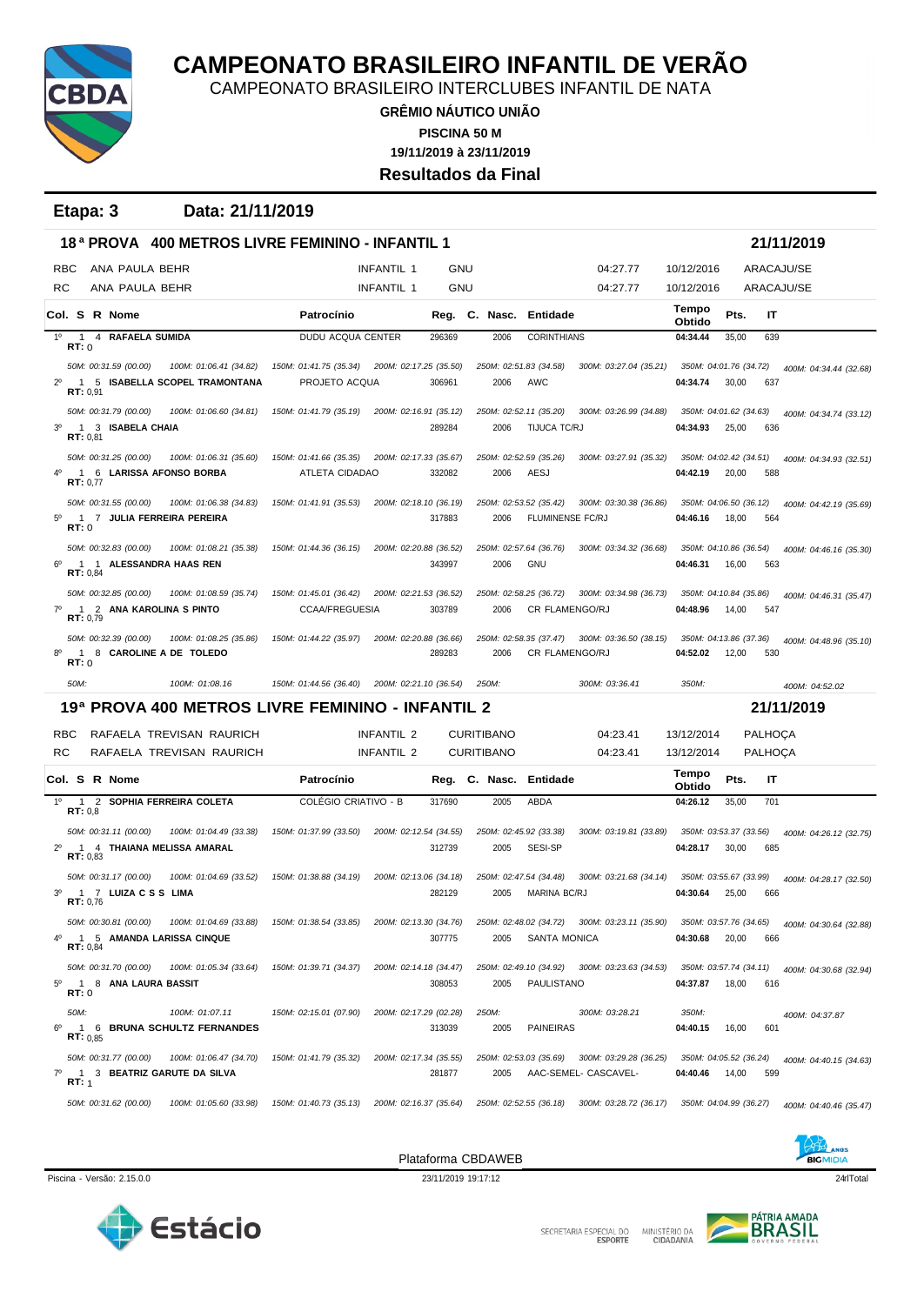

CAMPEONATO BRASILEIRO INTERCLUBES INFANTIL DE NATA

**GRÊMIO NÁUTICO UNIÃO 19/11/2019 à 23/11/2019 PISCINA 50 M Resultados da Final**

**Etapa: 3 Data: 21/11/2019**

|                |                  |          |                                                   |                                                          | 18 <sup>a</sup> PROVA 400 METROS LIVRE FEMININO - INFANTIL 1 |                                 |            |                                        |                                                 |                                                                       |                                    |       |                                  | 21/11/2019             |
|----------------|------------------|----------|---------------------------------------------------|----------------------------------------------------------|--------------------------------------------------------------|---------------------------------|------------|----------------------------------------|-------------------------------------------------|-----------------------------------------------------------------------|------------------------------------|-------|----------------------------------|------------------------|
|                | <b>RBC</b>       |          | ANA PAULA BEHR                                    |                                                          |                                                              | <b>INFANTIL 1</b>               | <b>GNU</b> |                                        |                                                 | 04:27.77                                                              | 10/12/2016                         |       | ARACAJU/SE                       |                        |
|                | <b>RC</b>        |          | ANA PAULA BEHR                                    |                                                          |                                                              | <b>INFANTIL 1</b>               | GNU        |                                        |                                                 | 04:27.77                                                              | 10/12/2016                         |       | ARACAJU/SE                       |                        |
|                |                  |          | Col. S R Nome                                     |                                                          | Patrocínio                                                   |                                 |            |                                        | Reg. C. Nasc. Entidade                          |                                                                       | Tempo<br>Obtido                    | Pts.  | IT                               |                        |
| $1^{\circ}$    | RT:0             |          | 1 4 RAFAELA SUMIDA                                |                                                          | DUDU ACQUA CENTER                                            |                                 | 296369     | 2006                                   | <b>CORINTHIANS</b>                              |                                                                       | 04:34.44                           | 35,00 | 639                              |                        |
|                |                  |          | 50M: 00:31.59 (00.00)                             | 100M: 01:06.41 (34.82)                                   | 150M: 01:41.75 (35.34)                                       | 200M: 02:17.25 (35.50)          |            |                                        | 250M: 02:51.83 (34.58)                          | 300M: 03:27.04 (35.21)                                                | 350M: 04:01.76 (34.72)             |       |                                  | 400M: 04:34.44 (32.68) |
| $2^{\circ}$    |                  | RT: 0.91 |                                                   | 1 5 ISABELLA SCOPEL TRAMONTANA                           | PROJETO ACQUA                                                |                                 | 306961     | 2006                                   | AWC                                             |                                                                       | 04:34.74                           | 30,00 | 637                              |                        |
|                |                  |          | 50M: 00:31.79 (00.00)                             | 100M: 01:06.60 (34.81)                                   | 150M: 01:41.79 (35.19)                                       | 200M: 02:16.91 (35.12)          |            |                                        | 250M: 02:52.11 (35.20)                          | 300M: 03:26.99 (34.88)                                                | 350M: 04:01.62 (34.63)             |       |                                  | 400M: 04:34.74 (33.12) |
| 3 <sup>o</sup> |                  | RT: 0.81 | 1 3 ISABELA CHAIA                                 |                                                          |                                                              |                                 | 289284     | 2006                                   | TIJUCA TC/RJ                                    |                                                                       | 04:34.93                           | 25,00 | 636                              |                        |
|                |                  |          | 50M: 00:31.25 (00.00)                             | 100M: 01:06.31 (35.60)                                   | 150M: 01:41.66 (35.35)                                       | 200M: 02:17.33 (35.67)          |            |                                        | 250M: 02:52.59 (35.26)                          | 300M: 03:27.91 (35.32)                                                | 350M: 04:02.42 (34.51)             |       |                                  | 400M: 04:34.93 (32.51) |
|                |                  | RT: 0,77 |                                                   | 1 6 LARISSA AFONSO BORBA                                 | ATLETA CIDADAO                                               |                                 | 332082     | 2006                                   | AESJ                                            |                                                                       | 04:42.19                           | 20,00 | 588                              |                        |
|                |                  |          | 50M: 00:31.55 (00.00)                             | 100M: 01:06.38 (34.83)                                   | 150M: 01:41.91 (35.53)                                       | 200M: 02:18.10 (36.19)          |            |                                        | 250M: 02:53.52 (35.42)                          | 300M: 03:30.38 (36.86)                                                | 350M: 04:06.50 (36.12)             |       |                                  | 400M: 04:42.19 (35.69) |
| $5^{\circ}$    | RT:0             |          |                                                   | 1 7 JULIA FERREIRA PEREIRA                               |                                                              |                                 | 317883     | 2006                                   | <b>FLUMINENSE FC/RJ</b>                         |                                                                       | 04:46.16                           | 18,00 | 564                              |                        |
|                |                  |          | 50M: 00:32.83 (00.00)                             | 100M: 01:08.21 (35.38)                                   | 150M: 01:44.36 (36.15)                                       | 200M: 02:20.88 (36.52)          |            |                                        | 250M: 02:57.64 (36.76)                          | 300M: 03:34.32 (36.68)                                                | 350M: 04:10.86 (36.54)             |       |                                  | 400M: 04:46.16 (35.30) |
|                |                  | RT: 0,84 |                                                   | 1 1 ALESSANDRA HAAS REN                                  |                                                              |                                 | 343997     | 2006                                   | <b>GNU</b>                                      |                                                                       | 04:46.31                           | 16,00 | 563                              |                        |
| $7^\circ$      |                  |          | 50M: 00:32.85 (00.00)<br>1 2 ANA KAROLINA S PINTO | 100M: 01:08.59 (35.74)                                   | 150M: 01:45.01 (36.42)<br><b>CCAA/FREGUESIA</b>              | 200M: 02:21.53 (36.52)          | 303789     | 2006                                   | 250M: 02:58.25 (36.72)<br><b>CR FLAMENGO/RJ</b> | 300M: 03:34.98 (36.73)                                                | 350M: 04:10.84 (35.86)<br>04:48.96 | 14,00 | 547                              | 400M: 04:46.31 (35.47) |
|                |                  | RT: 0.79 | 50M: 00:32.39 (00.00)                             | 100M: 01:08.25 (35.86)                                   | 150M: 01:44.22 (35.97)                                       | 200M: 02:20.88 (36.66)          |            |                                        |                                                 | 250M: 02:58.35 (37.47) 300M: 03:36.50 (38.15)                         | 350M: 04:13.86 (37.36)             |       |                                  |                        |
| 8°             | RT:0             |          |                                                   | 1 8 CAROLINE A DE TOLEDO                                 |                                                              |                                 | 289283     | 2006                                   | <b>CR FLAMENGO/RJ</b>                           |                                                                       | 04:52.02                           | 12,00 | 530                              | 400M: 04:48.96 (35.10) |
|                |                  |          |                                                   | 100M: 01:08.16                                           | 150M: 01:44.56 (36.40)                                       | 200M: 02:21.10 (36.54)          |            |                                        |                                                 | 300M: 03:36.41                                                        | 350M:                              |       |                                  | 400M: 04:52.02         |
|                | 50M:             |          |                                                   |                                                          |                                                              |                                 |            | 250M:                                  |                                                 |                                                                       |                                    |       |                                  |                        |
|                |                  |          |                                                   | 19ª PROVA 400 METROS LIVRE FEMININO - INFANTIL 2         |                                                              |                                 |            |                                        |                                                 |                                                                       |                                    |       |                                  | 21/11/2019             |
|                |                  |          |                                                   |                                                          |                                                              |                                 |            |                                        |                                                 |                                                                       |                                    |       |                                  |                        |
|                | <b>RBC</b><br>RC |          |                                                   | RAFAELA TREVISAN RAURICH<br>RAFAELA TREVISAN RAURICH     |                                                              | <b>INFANTIL 2</b><br>INFANTIL 2 |            | <b>CURITIBANO</b><br><b>CURITIBANO</b> |                                                 | 04:23.41<br>04:23.41                                                  | 13/12/2014<br>13/12/2014           |       | <b>PALHOÇA</b><br><b>PALHOÇA</b> |                        |
|                |                  |          | Col. S R Nome                                     |                                                          | Patrocínio                                                   |                                 |            | Reg. C. Nasc.                          | Entidade                                        |                                                                       | Tempo                              | Pts.  | IT                               |                        |
| $1^{\circ}$    |                  |          |                                                   | 1 2 SOPHIA FERREIRA COLETA                               | <b>COLÉGIO CRIATIVO - B</b>                                  |                                 | 317690     | 2005                                   | ABDA                                            |                                                                       | Obtido<br>04:26.12                 | 35,00 | 701                              |                        |
|                |                  | RT: 0.8  |                                                   |                                                          |                                                              |                                 |            |                                        |                                                 |                                                                       |                                    |       |                                  |                        |
| $2^{\circ}$    |                  | RT: 0.83 | 50M: 00:31.11 (00.00)                             | 100M: 01:04.49 (33.38)<br>1 4 THAIANA MELISSA AMARAL     | 150M: 01:37.99 (33.50)                                       | 200M: 02:12.54 (34.55)          | 312739     | 2005                                   | 250M: 02:45.92 (33.38)<br>SESI-SP               | 300M: 03:19.81 (33.89)                                                | 350M: 03:53.37 (33.56)<br>04:28.17 | 30,00 | 685                              | 400M: 04:26.12 (32.75) |
|                |                  |          | 50M: 00:31.17 (00.00)                             | 100M: 01:04.69 (33.52)                                   | 150M: 01:38.88 (34.19)                                       | 200M: 02:13.06 (34.18)          |            |                                        | 250M: 02:47.54 (34.48)                          | 300M: 03:21.68 (34.14)                                                | 350M: 03:55.67 (33.99)             |       |                                  | 400M: 04:28.17 (32.50) |
| 3 <sup>o</sup> |                  | RT: 0.76 | 1 7 LUIZACSS LIMA                                 |                                                          |                                                              |                                 | 282129     | 2005                                   | MARINA BC/RJ                                    |                                                                       | 04:30.64                           | 25,00 | 666                              |                        |
| 4°             |                  |          | 50M: 00:30.81 (00.00)                             | 100M: 01:04.69 (33.88)<br>1 5 AMANDA LARISSA CINQUE      | 150M: 01:38.54 (33.85)                                       | 200M: 02:13.30 (34.76)          | 307775     | 2005                                   | 250M: 02:48.02 (34.72)<br><b>SANTA MONICA</b>   | 300M: 03:23.11 (35.90)                                                | 350M: 03:57.76 (34.65)<br>04:30.68 | 20,00 | 666                              | 400M: 04:30.64 (32.88) |
|                |                  | RT: 0.84 |                                                   |                                                          |                                                              |                                 |            |                                        |                                                 |                                                                       |                                    |       |                                  |                        |
|                |                  |          | 50M: 00:31.70 (00.00)                             | 100M: 01:05.34 (33.64)                                   | 150M: 01:39.71 (34.37)                                       | 200M: 02:14.18 (34.47)          |            |                                        |                                                 | 250M: 02:49.10 (34.92) 300M: 03:23.63 (34.53)                         | 350M: 03:57.74 (34.11)             |       |                                  | 400M: 04:30.68 (32.94) |
|                | RT:0             |          | 5º 1 8 ANA LAURA BASSIT                           |                                                          |                                                              |                                 | 308053     | 2005                                   | PAULISTANO                                      |                                                                       | 04:37.87                           | 18,00 | 616                              |                        |
| $6^{\circ}$    | 50M:             |          |                                                   | 100M: 01:07.11<br>1 6 BRUNA SCHULTZ FERNANDES            | 150M: 02:15.01 (07.90)                                       | 200M: 02:17.29 (02.28)          | 313039     | 250M:<br>2005                          | <b>PAINEIRAS</b>                                | 300M: 03:28.21                                                        | 350M:<br>04:40.15                  | 16,00 | 601                              | 400M: 04:37.87         |
|                |                  | RT: 0.85 |                                                   |                                                          |                                                              |                                 |            |                                        |                                                 |                                                                       |                                    |       |                                  |                        |
|                | RT: 1            |          | 50M: 00:31.77 (00.00)                             | 100M: 01:06.47 (34.70)<br>7º 1 3 BEATRIZ GARUTE DA SILVA | 150M: 01:41.79 (35.32)                                       | 200M: 02:17.34 (35.55)          | 281877     | 2005                                   |                                                 | 250M: 02:53.03 (35.69) 300M: 03:29.28 (36.25)<br>AAC-SEMEL- CASCAVEL- | 350M: 04:05.52 (36.24)<br>04:40.46 | 14,00 | 599                              | 400M: 04:40.15 (34.63) |





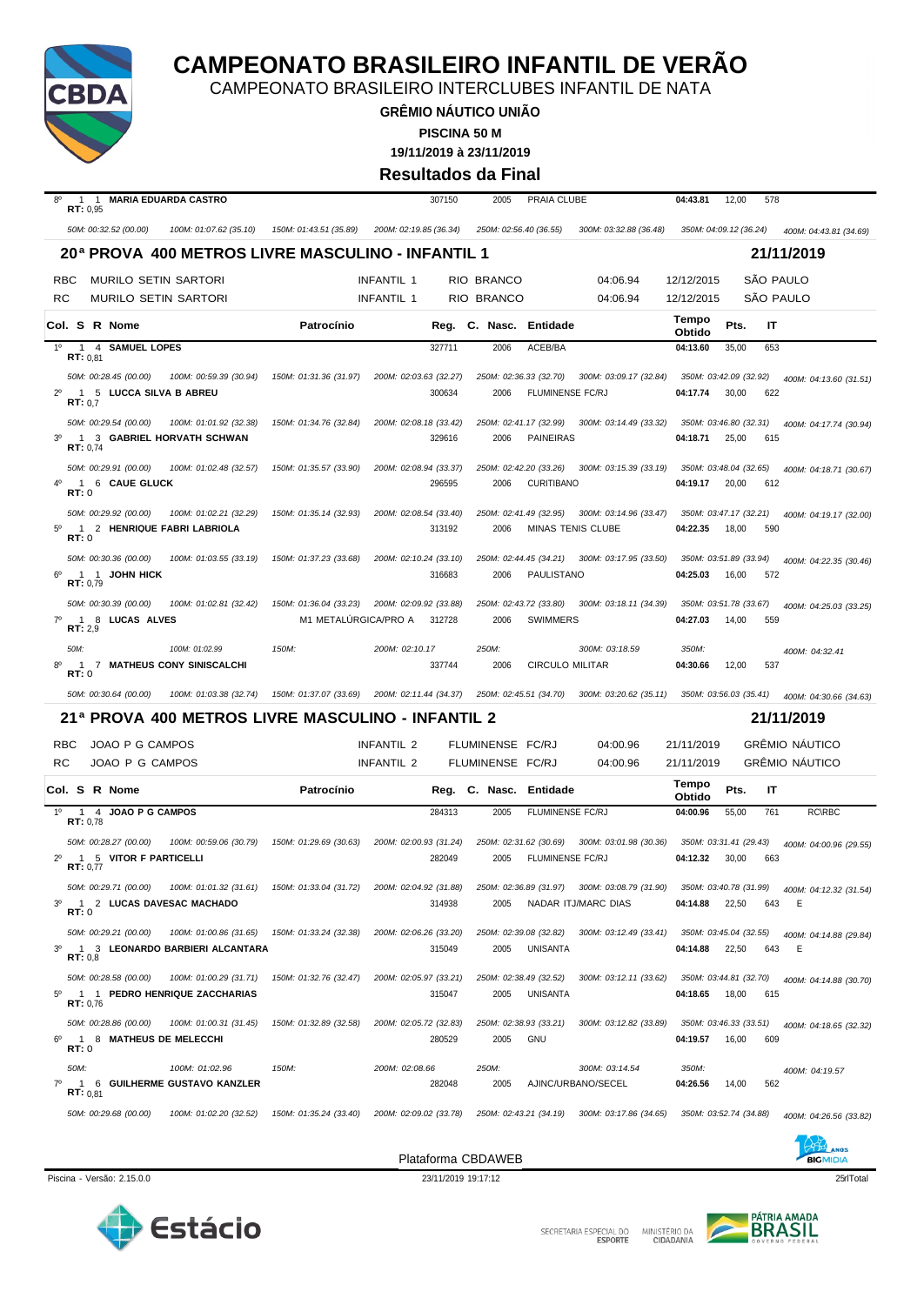

CAMPEONATO BRASILEIRO INTERCLUBES INFANTIL DE NATA

**GRÊMIO NÁUTICO UNIÃO PISCINA 50 M**

**19/11/2019 à 23/11/2019**

#### **Resultados da Final**

| 8°<br>RT: 0.95                 | 1 1 MARIA EDUARDA CASTRO                                                                                   |                                                |                          | 307150 | 2005                                 | PRAIA CLUBE                                |                                                                                             | 04:43.81                           | 12,00 | 578       |                                                |
|--------------------------------|------------------------------------------------------------------------------------------------------------|------------------------------------------------|--------------------------|--------|--------------------------------------|--------------------------------------------|---------------------------------------------------------------------------------------------|------------------------------------|-------|-----------|------------------------------------------------|
|                                | 50M: 00:32.52 (00.00)<br>100M: 01:07.62 (35.10)                                                            | 150M: 01:43.51 (35.89)                         | 200M: 02:19.85 (36.34)   |        | 250M: 02:56.40 (36.55)               |                                            | 300M: 03:32.88 (36.48)                                                                      | 350M: 04:09.12 (36.24)             |       |           | 400M: 04:43.81 (34.69)                         |
|                                | 20ª PROVA 400 METROS LIVRE MASCULINO - INFANTIL 1                                                          |                                                |                          |        |                                      |                                            |                                                                                             |                                    |       |           | 21/11/2019                                     |
| <b>RBC</b>                     | <b>MURILO SETIN SARTORI</b>                                                                                |                                                | <b>INFANTIL 1</b>        |        | RIO BRANCO                           |                                            | 04:06.94                                                                                    | 12/12/2015                         |       | SÃO PAULO |                                                |
| RC                             | <b>MURILO SETIN SARTORI</b>                                                                                |                                                | <b>INFANTIL 1</b>        |        | RIO BRANCO                           |                                            | 04:06.94                                                                                    | 12/12/2015                         |       |           | SÃO PAULO                                      |
| Col. S R Nome                  |                                                                                                            | Patrocínio                                     |                          | Reg.   | C. Nasc.                             | Entidade                                   |                                                                                             | Tempo                              | Pts.  | IT        |                                                |
| 1 <sup>0</sup>                 | 1 4 SAMUEL LOPES                                                                                           |                                                |                          | 327711 | 2006                                 | ACEB/BA                                    |                                                                                             | Obtido<br>04:13.60                 | 35,00 | 653       |                                                |
| RT: 0.81                       | 50M: 00:28.45 (00.00)<br>100M: 00:59.39 (30.94)                                                            | 150M: 01:31.36 (31.97)                         | 200M: 02:03.63 (32.27)   |        | 250M: 02:36.33 (32.70)               |                                            | 300M: 03:09.17 (32.84)                                                                      | 350M: 03:42.09 (32.92)             |       |           |                                                |
| $2^{\circ}$<br>RT: 0.7         | 1 5 LUCCA SILVA B ABREU                                                                                    |                                                |                          | 300634 | 2006                                 | FLUMINENSE FC/RJ                           |                                                                                             | 04:17.74                           | 30,00 | 622       | 400M: 04:13.60 (31.51)                         |
| 3 <sup>o</sup><br>RT: 0,74     | 50M: 00:29.54 (00.00)<br>100M: 01:01.92 (32.38)<br>1 3 GABRIEL HORVATH SCHWAN                              | 150M: 01:34.76 (32.84)                         | 200M: 02:08.18 (33.42)   | 329616 | 250M: 02:41.17 (32.99)<br>2006       | PAINEIRAS                                  | 300M: 03:14.49 (33.32)                                                                      | 350M: 03:46.80 (32.31)<br>04:18.71 | 25,00 | 615       | 400M: 04:17.74 (30.94)                         |
| RT:0                           | 50M: 00:29.91 (00.00)<br>100M: 01:02.48 (32.57)<br>1 6 CAUE GLUCK                                          | 150M: 01:35.57 (33.90)                         | 200M: 02:08.94 (33.37)   | 296595 | 250M: 02:42.20 (33.26)<br>2006       | <b>CURITIBANO</b>                          | 300M: 03:15.39 (33.19)                                                                      | 350M: 03:48.04 (32.65)<br>04:19.17 | 20,00 | 612       | 400M: 04:18.71 (30.67)                         |
| $5^{\circ}$<br>RT:0            | 50M: 00:29.92 (00.00)<br>100M: 01:02.21 (32.29)<br>1 2 HENRIQUE FABRI LABRIOLA                             | 150M: 01:35.14 (32.93)                         | 200M: 02:08.54 (33.40)   | 313192 | 250M: 02:41.49 (32.95)<br>2006       | <b>MINAS TENIS CLUBE</b>                   | 300M: 03:14.96 (33.47)                                                                      | 350M: 03:47.17 (32.21)<br>04:22.35 | 18,00 | 590       | 400M: 04:19.17 (32.00)                         |
| RT: 0.79                       | 50M: 00:30.36 (00.00)<br>100M: 01:03.55 (33.19)<br>1 1 JOHN HICK                                           | 150M: 01:37.23 (33.68)                         | 200M: 02:10.24 (33.10)   | 316683 | 2006                                 | PAULISTANO                                 | 250M: 02:44.45 (34.21) 300M: 03:17.95 (33.50)                                               | 350M: 03:51.89 (33.94)<br>04:25.03 | 16,00 | 572       | 400M: 04:22.35 (30.46)                         |
| $7^\circ$<br>RT: 2,9           | 50M: 00:30.39 (00.00)<br>100M: 01:02.81 (32.42)<br>1 8 LUCAS ALVES                                         | 150M: 01:36.04 (33.23)<br>M1 METALÚRGICA/PRO A | 200M: 02:09.92 (33.88)   | 312728 | 250M: 02:43.72 (33.80)<br>2006       | <b>SWIMMERS</b>                            | 300M: 03:18.11 (34.39)                                                                      | 350M: 03:51.78 (33.67)<br>04:27.03 | 14,00 | 559       | 400M: 04:25.03 (33.25)                         |
| 50M:<br>$\overline{1}$<br>RT:0 | 100M: 01:02.99<br>7 MATHEUS CONY SINISCALCHI                                                               | 150M:                                          | 200M: 02:10.17           | 337744 | 250M:<br>2006                        | <b>CIRCULO MILITAR</b>                     | 300M: 03:18.59                                                                              | 350M:<br>04:30.66                  | 12,00 | 537       | 400M: 04:32.41                                 |
|                                |                                                                                                            |                                                |                          |        |                                      |                                            |                                                                                             |                                    |       |           |                                                |
|                                | 50M: 00:30.64 (00.00)<br>100M: 01:03.38 (32.74)                                                            | 150M: 01:37.07 (33.69)                         | 200M: 02:11.44 (34.37)   |        | 250M: 02:45.51 (34.70)               |                                            | 300M: 03:20.62 (35.11)                                                                      | 350M: 03:56.03 (35.41)             |       |           | 400M: 04:30.66 (34.63)                         |
|                                | 21ª PROVA 400 METROS LIVRE MASCULINO - INFANTIL 2                                                          |                                                |                          |        |                                      |                                            |                                                                                             |                                    |       |           | 21/11/2019                                     |
| <b>RBC</b>                     |                                                                                                            |                                                |                          |        |                                      |                                            |                                                                                             |                                    |       |           |                                                |
| RC                             | JOAO P G CAMPOS<br>JOAO P G CAMPOS                                                                         |                                                | INFANTIL 2<br>INFANTIL 2 |        | FLUMINENSE FC/RJ<br>FLUMINENSE FC/RJ |                                            | 04:00.96<br>04:00.96                                                                        | 21/11/2019<br>21/11/2019           |       |           | <b>GRÊMIO NÁUTICO</b><br><b>GRÊMIO NÁUTICO</b> |
| Col. S R Nome                  |                                                                                                            | Patrocínio                                     |                          |        | Reg. C. Nasc. Entidade               |                                            |                                                                                             | Tempo<br>Obtido                    | Pts.  | IT        |                                                |
| $1^{\circ}$                    | 1 4 JOAO P G CAMPOS                                                                                        |                                                |                          | 284313 | 2005                                 | FLUMINENSE FC/RJ                           |                                                                                             | 04:00.96                           | 55,00 | 761       | <b>RC\RBC</b>                                  |
| RT: 0,78<br>RT: 0.77           | 50M: 00:28.27 (00.00)<br>100M: 00:59.06 (30.79)<br>1 5 VITOR F PARTICELLI                                  | 150M: 01:29.69 (30.63)                         | 200M: 02:00.93 (31.24)   | 282049 | 2005                                 | 250M: 02:31.62 (30.69)<br>FLUMINENSE FC/RJ | 300M: 03:01.98 (30.36)                                                                      | 350M: 03:31.41 (29.43)<br>04:12.32 | 30,00 | 663       | 400M: 04:00.96 (29.55)                         |
| $3^{\circ}$<br>RT:0            | 50M: 00:29.71 (00.00)<br>100M: 01:01.32 (31.61) 150M: 01:33.04 (31.72)<br>1 2 LUCAS DAVESAC MACHADO        |                                                |                          | 314938 | 2005                                 |                                            | 200M: 02:04.92 (31.88) 250M: 02:36.89 (31.97) 300M: 03:08.79 (31.90)<br>NADAR ITJ/MARC DIAS | 350M: 03:40.78 (31.99)<br>04:14.88 | 22,50 | 643       | 400M: 04:12.32 (31.54)<br>Ε                    |
| $3^{\circ}$<br>RT: 0,8         | 50M: 00:29.21 (00.00)<br>100M: 01:00.86 (31.65)  150M: 01:33.24 (32.38)<br>1 3 LEONARDO BARBIERI ALCANTARA |                                                | 200M: 02:06.26 (33.20)   | 315049 | 2005                                 | UNISANTA                                   | 250M: 02:39.08 (32.82) 300M: 03:12.49 (33.41) 350M: 03:45.04 (32.55)                        | 04:14.88                           | 22,50 | 643       | 400M: 04:14.88 (29.84)<br>E                    |
| RT: 0,76                       | 50M: 00:28.58 (00.00)<br>100M: 01:00.29 (31.71)<br>5º 1 1 PEDRO HENRIQUE ZACCHARIAS                        | 150M: 01:32.76 (32.47)                         | 200M: 02:05.97 (33.21)   | 315047 | 250M: 02:38.49 (32.52)<br>2005       | UNISANTA                                   | 300M: 03:12.11 (33.62)                                                                      | 350M: 03:44.81 (32.70)<br>04:18.65 | 18,00 | 615       | 400M: 04:14.88 (30.70)                         |
| $\overline{1}$<br>RT:0         | 50M: 00:28.86 (00.00)<br>100M: 01:00.31 (31.45)<br>8 MATHEUS DE MELECCHI                                   | 150M: 01:32.89 (32.58)                         | 200M: 02:05.72 (32.83)   | 280529 | 250M: 02:38.93 (33.21)<br>2005       | GNU                                        | 300M: 03:12.82 (33.89)                                                                      | 350M: 03:46.33 (33.51)<br>04:19.57 | 16,00 | 609       | 400M: 04:18.65 (32.32)                         |
| 50M:<br>$7^\circ$<br>RT: 0,81  | 100M: 01:02.96<br>1 6 GUILHERME GUSTAVO KANZLER                                                            | 150M:                                          | 200M: 02:08.66           | 282048 | 250M:<br>2005                        |                                            | 300M: 03:14.54<br>AJINC/URBANO/SECEL                                                        | 350M:<br>04:26.56                  | 14,00 | 562       | 400M: 04:19.57                                 |

Piscina - Versão: 2.15.0.0 23/11/2019 19:17:12 25/17 25/17 25/17 25/17 25/17 25/17 25/17 25/17 25/17 25/17 25/17 25/17 25/17 25/17 25/17 25/17 25/17 25/17 25/17 25/17 25/17 25/17 25/17 25/17 25/17 25/17 25/17 25/17 25/17 2





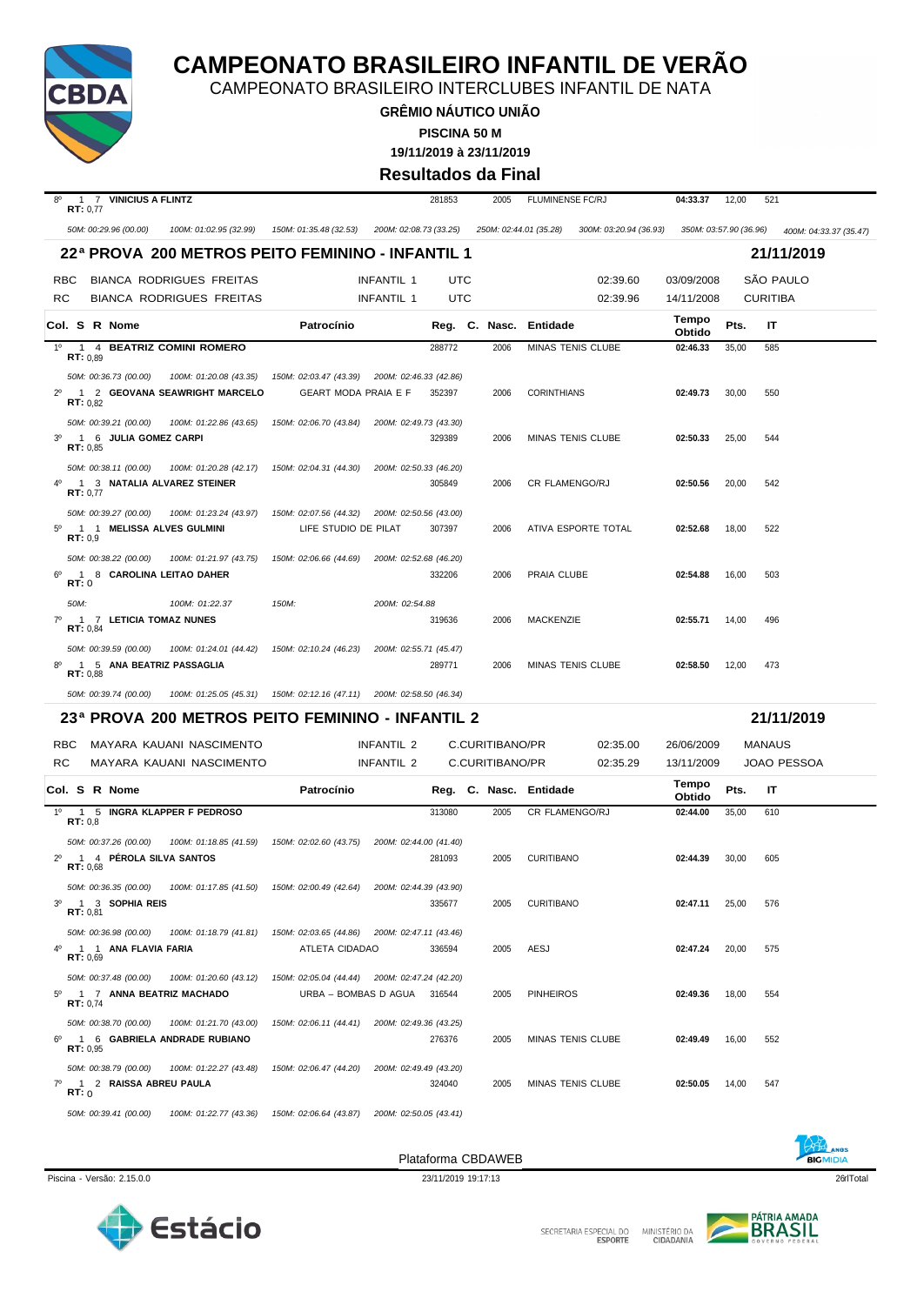

CAMPEONATO BRASILEIRO INTERCLUBES INFANTIL DE NATA

**GRÊMIO NÁUTICO UNIÃO PISCINA 50 M**

**19/11/2019 à 23/11/2019**

#### **Resultados da Final**

| 1 7 VINICIUS A FLINTZ<br>8°<br>RT: 0,77                     |                                                                        | 281853 | 2005            | <b>FLUMINENSE FC/RJ</b>                          | 04:33.37               | 12,00 | 521                    |
|-------------------------------------------------------------|------------------------------------------------------------------------|--------|-----------------|--------------------------------------------------|------------------------|-------|------------------------|
| 50M: 00:29.96 (00.00)<br>100M: 01:02.95 (32.99)             | 150M: 01:35.48 (32.53)<br>200M: 02:08.73 (33.25)                       |        |                 | 250M: 02:44.01 (35.28)<br>300M: 03:20.94 (36.93) | 350M: 03:57.90 (36.96) |       | 400M: 04:33.37 (35.47) |
| 22ª PROVA 200 METROS PEITO FEMININO - INFANTIL 1            |                                                                        |        |                 |                                                  |                        |       | 21/11/2019             |
| <b>BIANCA RODRIGUES FREITAS</b><br><b>RBC</b>               | INFANTIL 1                                                             | UTC    |                 | 02:39.60                                         | 03/09/2008             |       | <b>SÃO PAULO</b>       |
| RC<br><b>BIANCA RODRIGUES FREITAS</b>                       | <b>INFANTIL 1</b>                                                      | UTC    |                 | 02:39.96                                         | 14/11/2008             |       | <b>CURITIBA</b>        |
| Col. S R Nome                                               | Patrocínio                                                             |        |                 | Reg. C. Nasc. Entidade                           | Tempo<br>Obtido        | Pts.  | ΙT                     |
| $1^{\circ}$<br>1 4 BEATRIZ COMINI ROMERO<br>RT: 0.89        |                                                                        | 288772 | 2006            | MINAS TENIS CLUBE                                | 02:46.33               | 35,00 | 585                    |
| 50M: 00:36.73 (00.00)<br>100M: 01:20.08 (43.35)             | 150M: 02:03.47 (43.39) 200M: 02:46.33 (42.86)                          |        |                 |                                                  |                        |       |                        |
| 1 2 GEOVANA SEAWRIGHT MARCELO<br>$2^{\circ}$<br>RT: 0.82    | <b>GEART MODA PRAIA E F</b>                                            | 352397 | 2006            | <b>CORINTHIANS</b>                               | 02:49.73               | 30,00 | 550                    |
| 50M: 00:39.21 (00.00)<br>100M: 01:22.86 (43.65)             | 150M: 02:06.70 (43.84) 200M: 02:49.73 (43.30)                          |        |                 |                                                  |                        |       |                        |
| 1 6 JULIA GOMEZ CARPI<br>$3^{\circ}$<br>RT: 0,85            |                                                                        | 329389 | 2006            | MINAS TENIS CLUBE                                | 02:50.33               | 25,00 | 544                    |
| 50M: 00:38.11 (00.00)<br>100M: 01:20.28 (42.17)             | 150M: 02:04.31 (44.30)<br>200M: 02:50.33 (46.20)                       |        |                 |                                                  |                        |       |                        |
| 1 3 NATALIA ALVAREZ STEINER<br>RT: 0.77                     |                                                                        | 305849 | 2006            | CR FLAMENGO/RJ                                   | 02:50.56               | 20,00 | 542                    |
| 50M: 00:39.27 (00.00)<br>100M: 01:23.24 (43.97)             | 150M: 02:07.56 (44.32) 200M: 02:50.56 (43.00)                          |        |                 |                                                  |                        |       |                        |
| 1 1 MELISSA ALVES GULMINI<br>$5^{\circ}$<br>RT: 0,9         | LIFE STUDIO DE PILAT                                                   | 307397 | 2006            | ATIVA ESPORTE TOTAL                              | 02:52.68               | 18,00 | 522                    |
| 50M: 00:38.22 (00.00)<br>100M: 01:21.97 (43.75)             | 150M: 02:06.66 (44.69)<br>200M: 02:52.68 (46.20)                       |        |                 |                                                  |                        |       |                        |
| 1 8 CAROLINA LEITAO DAHER<br>$6^{\circ}$<br>RT:0            |                                                                        | 332206 | 2006            | PRAIA CLUBE                                      | 02:54.88               | 16,00 | 503                    |
| 50M:<br>100M: 01:22.37                                      | 150M:<br>200M: 02:54.88                                                |        |                 |                                                  |                        |       |                        |
| 7º 1 7 LETICIA TOMAZ NUNES<br>RT: 0,84                      |                                                                        | 319636 | 2006            | MACKENZIE                                        | 02:55.71               | 14,00 | 496                    |
| 50M: 00:39.59 (00.00)<br>100M: 01:24.01 (44.42)             | 150M: 02:10.24 (46.23)<br>200M: 02:55.71 (45.47)                       |        |                 |                                                  |                        |       |                        |
| 1 5 ANA BEATRIZ PASSAGLIA<br>RT: 0,88                       |                                                                        | 289771 | 2006            | MINAS TENIS CLUBE                                | 02:58.50               | 12,00 | 473                    |
| 50M: 00:39.74 (00.00)                                       | 100M: 01:25.05 (45.31)  150M: 02:12.16 (47.11)  200M: 02:58.50 (46.34) |        |                 |                                                  |                        |       |                        |
| 23ª PROVA 200 METROS PEITO FEMININO - INFANTIL 2            |                                                                        |        |                 |                                                  |                        |       | 21/11/2019             |
| MAYARA KAUANI NASCIMENTO<br><b>RBC</b>                      | INFANTIL 2                                                             |        | C.CURITIBANO/PR | 02:35.00                                         | 26/06/2009             |       | MANAUS                 |
| RC<br>MAYARA KAUANI NASCIMENTO                              | INFANTIL 2                                                             |        | C.CURITIBANO/PR | 02:35.29                                         | 13/11/2009             |       | JOAO PESSOA            |
| Col. S R Nome                                               | Patrocínio                                                             |        |                 | Reg. C. Nasc. Entidade                           | Tempo<br>Obtido        | Pts.  | ΙT                     |
| $1^{\circ}$<br>1 5 INGRA KLAPPER F PEDROSO<br>RT: 0.8       |                                                                        | 313080 | 2005            | CR FLAMENGO/RJ                                   | 02:44.00               | 35,00 | 610                    |
| 50M: 00:37.26 (00.00)<br>100M: 01:18.85 (41.59)             | 150M: 02:02.60 (43.75)<br>200M: 02:44.00 (41.40)                       |        |                 |                                                  |                        |       |                        |
| 1 4 PÉROLA SILVA SANTOS<br>RT: 0.68                         |                                                                        | 281093 | 2005            | <b>CURITIBANO</b>                                | 02:44.39               | 30,00 | 605                    |
| 50M: 00:36.35 (00.00)<br>100M: 01:17.85 (41.50)             | 150M: 02:00.49 (42.64)<br>200M: 02:44.39 (43.90)                       |        |                 |                                                  |                        |       |                        |
| $3^{\circ}$<br>1 3 SOPHIA REIS<br>RT: 0,81                  |                                                                        | 335677 | 2005            | <b>CURITIBANO</b>                                | 02:47.11               | 25,00 | 576                    |
| 50M: 00:36.98 (00.00)<br>100M: 01:18.79 (41.81)             |                                                                        |        |                 |                                                  |                        |       |                        |
| 4º 1 1 ANA FLAVIA FARIA                                     | 150M: 02:03.65 (44.86) 200M: 02:47.11 (43.46)                          |        |                 |                                                  |                        |       |                        |
|                                                             | ATLETA CIDADAO                                                         | 336594 | 2005            | AESJ                                             | 02:47.24               | 20,00 | 575                    |
| RT: 0.69<br>50M: 00:37.48 (00.00)<br>100M: 01:20.60 (43.12) | 150M: 02:05.04 (44.44) 200M: 02:47.24 (42.20)                          |        |                 |                                                  |                        |       |                        |
| 5º 1 7 ANNA BEATRIZ MACHADO<br>RT: 0.74                     | URBA - BOMBAS D AGUA 316544                                            |        | 2005            | <b>PINHEIROS</b>                                 | 02:49.36               | 18,00 | 554                    |
| 50M: 00:38.70 (00.00)<br>100M: 01:21.70 (43.00)             | 150M: 02:06.11 (44.41) 200M: 02:49.36 (43.25)                          |        |                 |                                                  |                        |       |                        |
| $6^{\circ}$<br>1 6 GABRIELA ANDRADE RUBIANO<br>RT: 0,95     |                                                                        | 276376 | 2005            | MINAS TENIS CLUBE                                | 02:49.49               | 16,00 | 552                    |
| 50M: 00:38.79 (00.00)<br>100M: 01:22.27 (43.48)             | 150M: 02:06.47 (44.20)<br>200M: 02:49.49 (43.20)                       |        |                 |                                                  |                        |       |                        |
| 7º 1 2 RAISSA ABREU PAULA<br>RT:0                           |                                                                        | 324040 | 2005            | MINAS TENIS CLUBE                                | 02:50.05               | 14,00 | 547                    |

Piscina - Versão: 2.15.0.0 23/11/2019 19:17:13 26HTotal 26HTotal 26HTotal 26HTotal 26HTotal 26HTotal 26HTotal 26HTotal 26HTotal 26HTotal 26HTotal 26HTotal 26HTotal 26HTotal 26HTotal 26HTotal 26HTotal 26HTotal 26HTotal 26HT

Plataforma CBDAWEB



Estácio



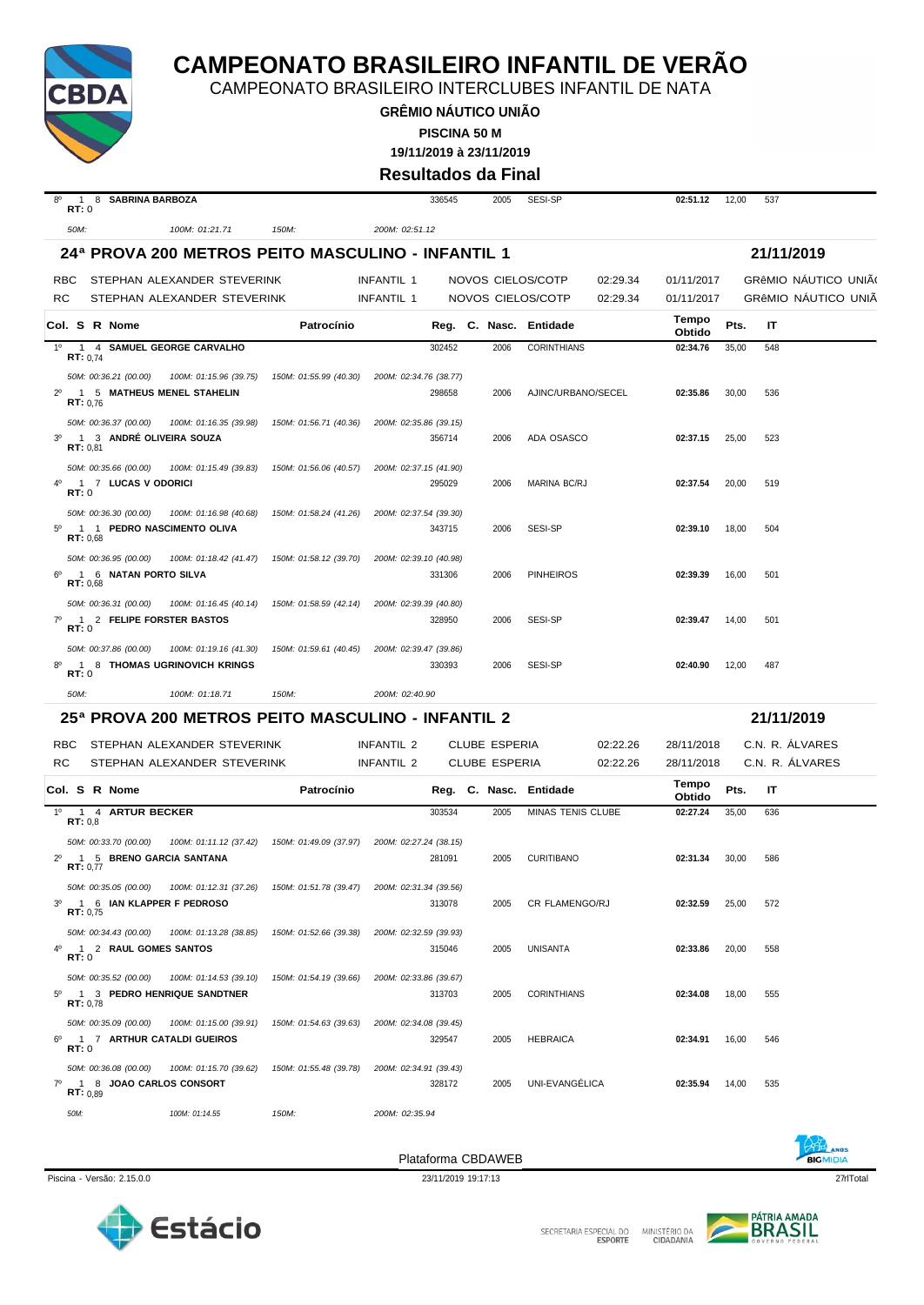

CAMPEONATO BRASILEIRO INTERCLUBES INFANTIL DE NATA

**GRÊMIO NÁUTICO UNIÃO PISCINA 50 M**

**19/11/2019 à 23/11/2019**

**Resultados da Final**

| $8^{\circ}$<br>RT:0 | 1 8 SABRINA BARBOZA                                                                                                                 |                        |                        |                        | 336545 | 2005                 | SESI-SP                |          | 02:51.12        | 12,00 | 537        |                             |
|---------------------|-------------------------------------------------------------------------------------------------------------------------------------|------------------------|------------------------|------------------------|--------|----------------------|------------------------|----------|-----------------|-------|------------|-----------------------------|
| 50M:                | 100M: 01:21.71                                                                                                                      | 150M:                  |                        | 200M: 02:51.12         |        |                      |                        |          |                 |       |            |                             |
|                     | 24ª PROVA 200 METROS PEITO MASCULINO - INFANTIL 1                                                                                   |                        |                        |                        |        |                      |                        |          |                 |       | 21/11/2019 |                             |
| <b>RBC</b>          | STEPHAN ALEXANDER STEVERINK                                                                                                         |                        |                        | <b>INFANTIL 1</b>      |        |                      | NOVOS CIELOS/COTP      | 02:29.34 | 01/11/2017      |       |            | <b>GRÊMIO NÁUTICO UNIÃO</b> |
| <b>RC</b>           | STEPHAN ALEXANDER STEVERINK                                                                                                         |                        |                        | INFANTIL 1             |        |                      | NOVOS CIELOS/COTP      | 02:29.34 | 01/11/2017      |       |            | GRÊMIO NAUTICO UNIÃ         |
|                     | Col. S R Nome                                                                                                                       |                        | Patrocínio             |                        |        |                      | Reg. C. Nasc. Entidade |          | Tempo<br>Obtido | Pts.  | IT         |                             |
| $1^{\circ}$         | 1 4 SAMUEL GEORGE CARVALHO<br><b>RT:</b> $0,74$                                                                                     |                        |                        |                        | 302452 | 2006                 | <b>CORINTHIANS</b>     |          | 02:34.76        | 35,00 | 548        |                             |
| $2^{\circ}$         | 50M: 00:36.21 (00.00)<br>1 5 MATHEUS MENEL STAHELIN<br>RT: 0.76                                                                     | 100M: 01:15.96 (39.75) | 150M: 01:55.99 (40.30) | 200M: 02:34.76 (38.77) | 298658 | 2006                 | AJINC/URBANO/SECEL     |          | 02:35.86        | 30,00 | 536        |                             |
| 3 <sup>o</sup>      | 50M: 00:36.37 (00.00)<br>1 3 ANDRÉ OLIVEIRA SOUZA<br>RT: 0,81                                                                       | 100M: 01:16.35 (39.98) | 150M: 01:56.71 (40.36) | 200M: 02:35.86 (39.15) | 356714 | 2006                 | ADA OSASCO             |          | 02:37.15        | 25,00 | 523        |                             |
| 40<br>RT:0          | 50M: 00:35.66 (00.00)<br>1 7 LUCAS V ODORICI                                                                                        | 100M: 01:15.49 (39.83) | 150M: 01:56.06 (40.57) | 200M: 02:37.15 (41.90) | 295029 | 2006                 | MARINA BC/RJ           |          | 02:37.54        | 20,00 | 519        |                             |
| $5^{\circ}$         | 50M: 00:36.30 (00.00)<br>1 1 PEDRO NASCIMENTO OLIVA<br>RT: 0,68                                                                     | 100M: 01:16.98 (40.68) | 150M: 01:58.24 (41.26) | 200M: 02:37.54 (39.30) | 343715 | 2006                 | SESI-SP                |          | 02:39.10        | 18,00 | 504        |                             |
|                     | 50M: 00:36.95 (00.00)<br>1 6 NATAN PORTO SILVA<br>RT: 0.68                                                                          | 100M: 01:18.42 (41.47) | 150M: 01:58.12 (39.70) | 200M: 02:39.10 (40.98) | 331306 | 2006                 | <b>PINHEIROS</b>       |          | 02:39.39        | 16,00 | 501        |                             |
| $7^\circ$<br>RT:0   | 50M: 00:36.31 (00.00)<br>1 2 FELIPE FORSTER BASTOS                                                                                  | 100M: 01:16.45 (40.14) | 150M: 01:58.59 (42.14) | 200M: 02:39.39 (40.80) | 328950 | 2006                 | SESI-SP                |          | 02:39.47        | 14,00 | 501        |                             |
| RT:0                | 50M: 00:37.86 (00.00)<br>1 8 THOMAS UGRINOVICH KRINGS                                                                               | 100M: 01:19.16 (41.30) | 150M: 01:59.61 (40.45) | 200M: 02:39.47 (39.86) | 330393 | 2006                 | SESI-SP                |          | 02:40.90        | 12,00 | 487        |                             |
|                     |                                                                                                                                     |                        |                        |                        |        |                      |                        |          |                 |       |            |                             |
| 50M:                | 100M: 01:18.71                                                                                                                      | 150M:                  |                        | 200M: 02:40.90         |        |                      |                        |          |                 |       |            |                             |
|                     | 25ª PROVA 200 METROS PEITO MASCULINO - INFANTIL 2                                                                                   |                        |                        |                        |        |                      |                        |          |                 |       | 21/11/2019 |                             |
| <b>RBC</b>          | STEPHAN ALEXANDER STEVERINK                                                                                                         |                        |                        | INFANTIL 2             |        | <b>CLUBE ESPERIA</b> |                        | 02:22.26 | 28/11/2018      |       |            | C.N. R. ÁLVARES             |
| RC.                 | STEPHAN ALEXANDER STEVERINK                                                                                                         |                        |                        | INFANTIL 2             |        | <b>CLUBE ESPERIA</b> |                        | 02:22.26 | 28/11/2018      |       |            | C.N. R. ALVARES             |
|                     | Col. S R Nome                                                                                                                       |                        | Patrocínio             |                        |        |                      | Reg. C. Nasc. Entidade |          | Tempo<br>Obtido | Pts.  | IT         |                             |
| RT: 0,8             | 1º 1 4 ARTUR BECKER                                                                                                                 |                        |                        |                        | 303534 | 2005                 | MINAS TENIS CLUBE      |          | 02:27.24        | 35,00 | 636        |                             |
|                     | 50M: 00:33.70 (00.00)<br>1 5 BRENO GARCIA SANTANA<br>RT: 0.77                                                                       | 100M: 01:11.12 (37.42) | 150M: 01:49.09 (37.97) | 200M: 02:27.24 (38.15) | 281091 | 2005                 | <b>CURITIBANO</b>      |          | 02:31.34        | 30,00 | 586        |                             |
| $3^{\circ}$         | 50M: 00:35.05 (00.00) 100M: 01:12.31 (37.26) 150M: 01:51.78 (39.47) 200M: 02:31.34 (39.56)<br>1 6 IAN KLAPPER F PEDROSO<br>RT: 0,75 |                        |                        |                        | 313078 | 2005                 | CR FLAMENGO/RJ         |          | 02:32.59        | 25,00 | 572        |                             |
| 4°<br><b>RT:</b> 0  | 50M: 00:34.43 (00.00)<br>1 2 RAUL GOMES SANTOS                                                                                      | 100M: 01:13.28 (38.85) | 150M: 01:52.66 (39.38) | 200M: 02:32.59 (39.93) | 315046 | 2005                 | UNISANTA               |          | 02:33.86        | 20,00 | 558        |                             |
|                     | 50M: 00:35.52 (00.00)<br>5º 1 3 PEDRO HENRIQUE SANDTNER<br>RT: 0,78                                                                 | 100M: 01:14.53 (39.10) | 150M: 01:54.19 (39.66) | 200M: 02:33.86 (39.67) | 313703 | 2005                 | <b>CORINTHIANS</b>     |          | 02:34.08        | 18,00 | 555        |                             |
| 6°<br>RT:0          | 50M: 00:35.09 (00.00)<br>1 7 ARTHUR CATALDI GUEIROS                                                                                 | 100M: 01:15.00 (39.91) | 150M: 01:54.63 (39.63) | 200M: 02:34.08 (39.45) | 329547 | 2005                 | <b>HEBRAICA</b>        |          | 02:34.91        | 16,00 | 546        |                             |
| 70                  | 50M: 00:36.08 (00.00)<br>1 8 JOAO CARLOS CONSORT<br>RT: 0.89                                                                        | 100M: 01:15.70 (39.62) | 150M: 01:55.48 (39.78) | 200M: 02:34.91 (39.43) | 328172 | 2005                 | UNI-EVANGÉLICA         |          | 02:35.94        | 14,00 | 535        |                             |







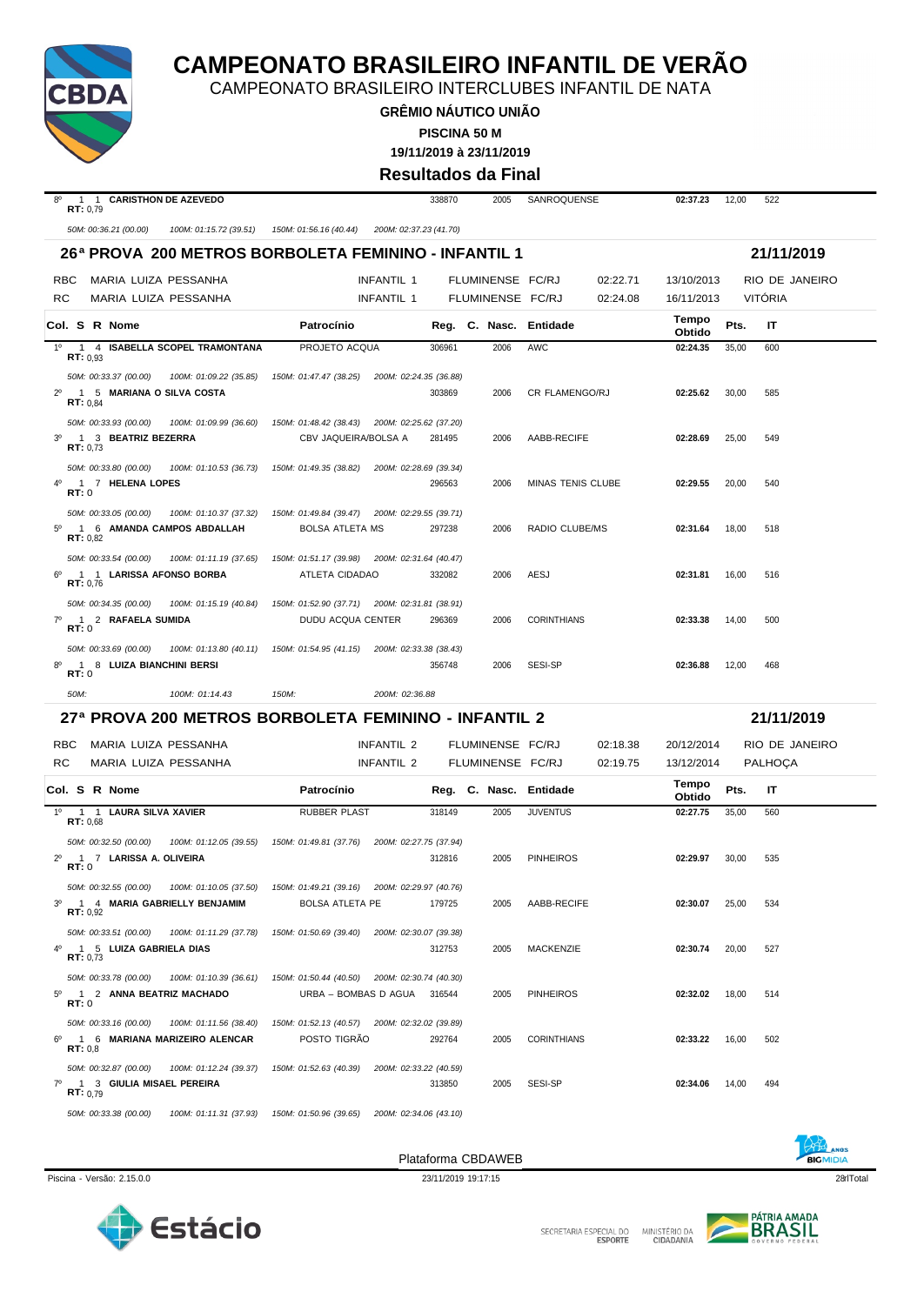

CAMPEONATO BRASILEIRO INTERCLUBES INFANTIL DE NATA

**GRÊMIO NÁUTICO UNIÃO PISCINA 50 M**

**19/11/2019 à 23/11/2019**

**Resultados da Final**

|                        |                                                   |                                                                  |                                                                 |                             |        | Resultados da Final    |                    |          |                 |       |                |  |
|------------------------|---------------------------------------------------|------------------------------------------------------------------|-----------------------------------------------------------------|-----------------------------|--------|------------------------|--------------------|----------|-----------------|-------|----------------|--|
| $8^{\circ}$            | 1 1 CARISTHON DE AZEVEDO<br>RT: 0,79              |                                                                  |                                                                 |                             | 338870 | 2005                   | SANROQUENSE        |          | 02:37.23        | 12,00 | 522            |  |
|                        | 50M: 00:36.21 (00.00)                             | 100M: 01:15.72 (39.51)                                           | 150M: 01:56.16 (40.44)                                          | 200M: 02:37.23 (41.70)      |        |                        |                    |          |                 |       |                |  |
|                        |                                                   | 26 <sup>a</sup> PROVA 200 METROS BORBOLETA FEMININO - INFANTIL 1 |                                                                 |                             |        |                        |                    |          |                 |       | 21/11/2019     |  |
| RBC.                   | MARIA LUIZA PESSANHA                              |                                                                  |                                                                 | <b>INFANTIL 1</b>           |        | FLUMINENSE FC/RJ       |                    | 02:22.71 | 13/10/2013      |       | RIO DE JANEIRO |  |
| <b>RC</b>              | MARIA LUIZA PESSANHA                              |                                                                  |                                                                 | INFANTIL 1                  |        | FLUMINENSE FC/RJ       |                    | 02:24.08 | 16/11/2013      |       | <b>VITÓRIA</b> |  |
|                        | Col. S R Nome                                     |                                                                  | Patrocínio                                                      |                             |        | Reg. C. Nasc. Entidade |                    |          | Tempo<br>Obtido | Pts.  | IT             |  |
| $1^{\circ}$            | RT: 0.93                                          | 1 4 ISABELLA SCOPEL TRAMONTANA                                   | PROJETO ACOUA                                                   |                             | 306961 | 2006                   | <b>AWC</b>         |          | 02:24.35        | 35,00 | 600            |  |
|                        | 50M: 00:33.37 (00.00)                             | 100M: 01:09.22 (35.85)                                           | 150M: 01:47.47 (38.25)                                          | 200M: 02:24.35 (36.88)      |        |                        |                    |          |                 |       |                |  |
| $2^{\circ}$            | 1 5 MARIANA O SILVA COSTA<br><b>RT:</b> $0.84$    |                                                                  |                                                                 |                             | 303869 | 2006                   | CR FLAMENGO/RJ     |          | 02:25.62        | 30,00 | 585            |  |
|                        | 50M: 00:33.93 (00.00)                             | 100M: 01:09.99 (36.60)                                           | 150M: 01:48.42 (38.43) 200M: 02:25.62 (37.20)                   |                             |        |                        |                    |          |                 |       |                |  |
| $3^{\circ}$            | 1 3 BEATRIZ BEZERRA<br>RT: 0.73                   |                                                                  | CBV JAQUEIRA/BOLSA A                                            |                             | 281495 | 2006                   | AABB-RECIFE        |          | 02:28.69        | 25,00 | 549            |  |
|                        | 50M: 00:33.80 (00.00)                             | 100M: 01:10.53 (36.73)                                           | 150M: 01:49.35 (38.82)                                          | 200M: 02:28.69 (39.34)      |        |                        |                    |          |                 |       |                |  |
| 40<br><b>RT:</b> 0     | 1 7 HELENA LOPES                                  |                                                                  |                                                                 |                             | 296563 | 2006                   | MINAS TENIS CLUBE  |          | 02:29.55        | 20,00 | 540            |  |
|                        | 50M: 00:33.05 (00.00)                             | 100M: 01:10.37 (37.32)                                           | 150M: 01:49.84 (39.47)                                          | 200M: 02:29.55 (39.71)      |        |                        |                    |          |                 |       |                |  |
| $5^{\circ}$            | 1 6 AMANDA CAMPOS ABDALLAH<br>RT: 0.82            |                                                                  | <b>BOLSA ATLETA MS</b>                                          |                             | 297238 | 2006                   | RADIO CLUBE/MS     |          | 02:31.64        | 18,00 | 518            |  |
| $6^{\circ}$            | 50M: 00:33.54 (00.00)<br>1 1 LARISSA AFONSO BORBA | 100M: 01:11.19 (37.65)                                           | 150M: 01:51.17 (39.98) 200M: 02:31.64 (40.47)<br>ATLETA CIDADAO |                             | 332082 | 2006                   | AESJ               |          | 02:31.81        | 16,00 | 516            |  |
|                        | RT: 0,76                                          |                                                                  |                                                                 |                             |        |                        |                    |          |                 |       |                |  |
|                        | 50M: 00:34.35 (00.00)                             | 100M: 01:15.19 (40.84)                                           | 150M: 01:52.90 (37.71) 200M: 02:31.81 (38.91)                   |                             |        |                        |                    |          |                 |       |                |  |
| $7^\circ$<br>RT:0      | 1 2 RAFAELA SUMIDA                                |                                                                  | DUDU ACQUA CENTER                                               |                             | 296369 | 2006                   | <b>CORINTHIANS</b> |          | 02:33.38        | 14,00 | 500            |  |
|                        | 50M: 00:33.69 (00.00)                             | 100M: 01:13.80 (40.11)                                           | 150M: 01:54.95 (41.15)                                          | 200M: 02:33.38 (38.43)      |        |                        |                    |          |                 |       |                |  |
| 8°<br>RT:0             | 1 8 LUIZA BIANCHINI BERSI                         |                                                                  |                                                                 |                             | 356748 | 2006                   | SESI-SP            |          | 02:36.88        | 12,00 | 468            |  |
| 50M:                   |                                                   | 100M: 01:14.43                                                   | 150M:                                                           | 200M: 02:36.88              |        |                        |                    |          |                 |       |                |  |
|                        |                                                   | 27ª PROVA 200 METROS BORBOLETA FEMININO - INFANTIL 2             |                                                                 |                             |        |                        |                    |          |                 |       | 21/11/2019     |  |
| RBC.                   | MARIA LUIZA PESSANHA                              |                                                                  |                                                                 | <b>INFANTIL 2</b>           |        | FLUMINENSE FC/RJ       |                    | 02:18.38 | 20/12/2014      |       | RIO DE JANEIRO |  |
| <b>RC</b>              | MARIA LUIZA PESSANHA                              |                                                                  |                                                                 | INFANTIL 2                  |        | FLUMINENSE FC/RJ       |                    | 02:19.75 | 13/12/2014      |       | PALHOÇA        |  |
|                        | Col. S R Nome                                     |                                                                  | Patrocínio                                                      |                             |        | Reg. C. Nasc. Entidade |                    |          | Tempo<br>Obtido | Pts.  | IT             |  |
| $1^{\circ}$            | 1 1 LAURA SILVA XAVIER<br>RT: 0.68                |                                                                  | <b>RUBBER PLAST</b>                                             |                             | 318149 | 2005                   | <b>JUVENTUS</b>    |          | 02:27.75        | 35,00 | 560            |  |
|                        | 50M: 00:32.50 (00.00)                             | 100M: 01:12.05 (39.55)                                           | 150M: 01:49.81 (37.76)                                          | 200M: 02:27.75 (37.94)      |        |                        |                    |          |                 |       |                |  |
| $2^{\circ}$<br>RT:0    | 1 7 LARISSA A. OLIVEIRA                           |                                                                  |                                                                 |                             | 312816 | 2005                   | <b>PINHEIROS</b>   |          | 02:29.97        | 30,00 | 535            |  |
|                        | 50M: 00:32.55 (00.00)                             | 100M: 01:10.05 (37.50)                                           | 150M: 01:49.21 (39.16) 200M: 02:29.97 (40.76)                   |                             |        |                        |                    |          |                 |       |                |  |
| $3^{\circ}$            | 1 4 MARIA GABRIELLY BENJAMIM<br>RT: 0,92          |                                                                  | <b>BOLSA ATLETA PE</b>                                          |                             | 179725 | 2005                   | AABB-RECIFE        |          | 02:30.07        | 25,00 | 534            |  |
|                        | 50M: 00:33.51 (00.00)                             | 100M: 01:11.29 (37.78)                                           | 150M: 01:50.69 (39.40)                                          | 200M: 02:30.07 (39.38)      |        |                        |                    |          |                 |       |                |  |
| $4^{\circ}$            | 1 5 LUIZA GABRIELA DIAS<br>RT: 0,73               |                                                                  |                                                                 |                             | 312753 | 2005                   | <b>MACKENZIE</b>   |          | 02:30.74        | 20,00 | 527            |  |
|                        | 50M: 00:33.78 (00.00)                             | 100M: 01:10.39 (36.61)                                           | 150M: 01:50.44 (40.50)                                          | 200M: 02:30.74 (40.30)      |        |                        |                    |          |                 |       |                |  |
| $5^{\circ}$<br>RT:0    | 1 2 ANNA BEATRIZ MACHADO                          |                                                                  |                                                                 | URBA - BOMBAS D AGUA 316544 |        | 2005                   | <b>PINHEIROS</b>   |          | 02:32.02        | 18,00 | 514            |  |
|                        | 50M: 00:33.16 (00.00)                             | 100M: 01:11.56 (38.40)                                           | 150M: 01:52.13 (40.57)                                          | 200M: 02:32.02 (39.89)      |        |                        |                    |          |                 |       |                |  |
| $6^{\circ}$<br>RT: 0.8 |                                                   | 1 6 MARIANA MARIZEIRO ALENCAR                                    | POSTO TIGRAO                                                    |                             | 292764 | 2005                   | <b>CORINTHIANS</b> |          | 02:33.22        | 16,00 | 502            |  |
|                        | 50M: 00:32.87 (00.00)                             | 100M: 01:12.24 (39.37)                                           | 150M: 01:52.63 (40.39)                                          | 200M: 02:33.22 (40.59)      |        |                        |                    |          |                 |       |                |  |
| $7^{\circ}$            | 1 3 GIULIA MISAEL PEREIRA<br><b>RT:</b> $0.79$    |                                                                  |                                                                 |                             | 313850 | 2005                   | SESI-SP            |          | 02:34.06        | 14,00 | 494            |  |
|                        |                                                   |                                                                  |                                                                 |                             |        |                        |                    |          |                 |       |                |  |



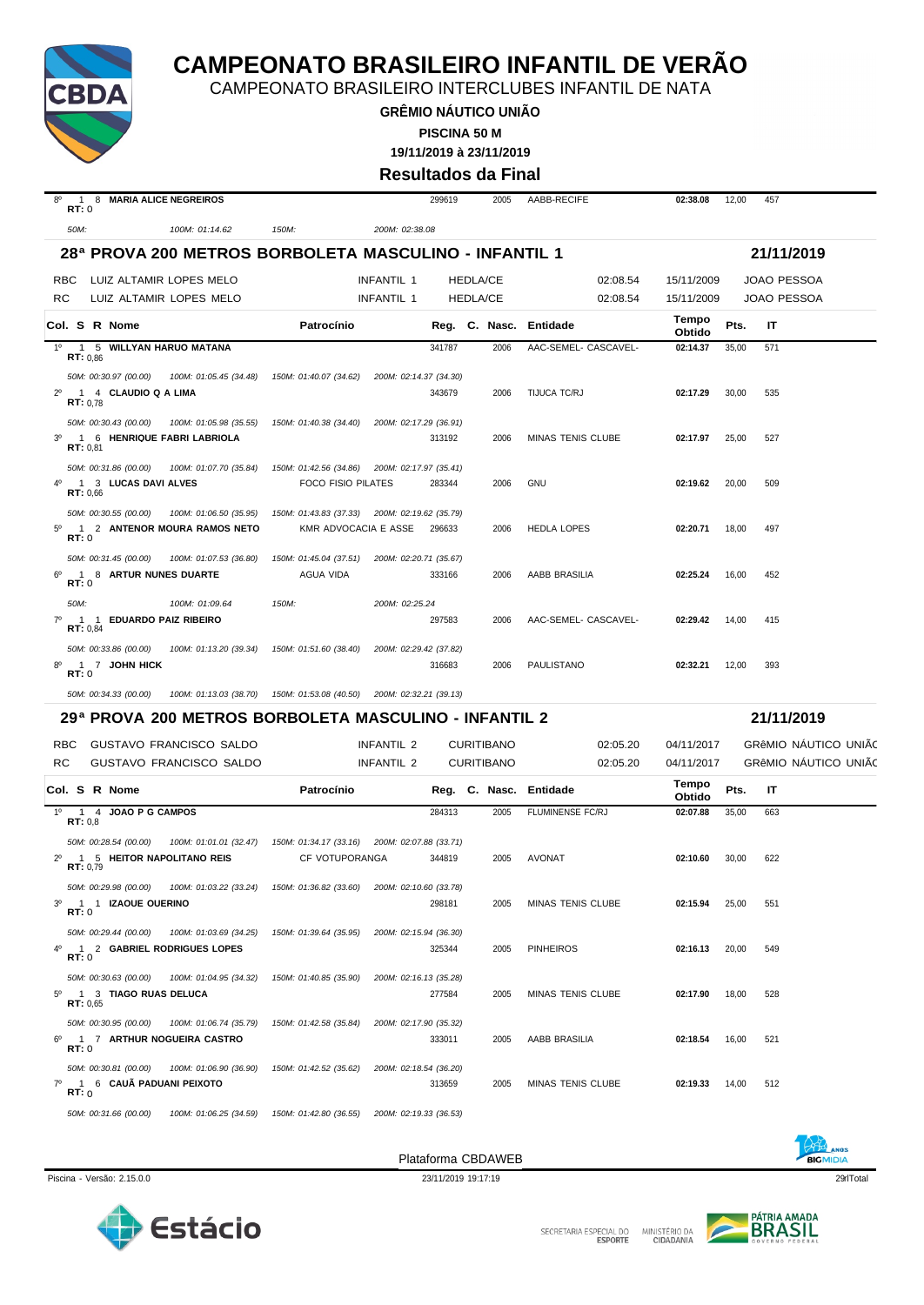

CAMPEONATO BRASILEIRO INTERCLUBES INFANTIL DE NATA

**GRÊMIO NÁUTICO UNIÃO PISCINA 50 M**

**19/11/2019 à 23/11/2019**

**Resultados da Final**

|                                     |                                                                                      |                                               | nuounauvo ua r         |                 |                   |                          |                 |              |                      |
|-------------------------------------|--------------------------------------------------------------------------------------|-----------------------------------------------|------------------------|-----------------|-------------------|--------------------------|-----------------|--------------|----------------------|
| $8^{\circ}$<br>RT:0                 | 1 8 MARIA ALICE NEGREIROS                                                            |                                               |                        | 299619          | 2005              | AABB-RECIFE              | 02:38.08        | 12,00<br>457 |                      |
| 50M:                                | 100M: 01:14.62                                                                       | 150M:                                         | 200M: 02:38.08         |                 |                   |                          |                 |              |                      |
|                                     | 28ª PROVA 200 METROS BORBOLETA MASCULINO - INFANTIL 1                                |                                               |                        |                 |                   |                          |                 |              | 21/11/2019           |
| <b>RBC</b>                          | LUIZ ALTAMIR LOPES MELO                                                              |                                               | INFANTIL 1             | <b>HEDLA/CE</b> |                   | 02:08.54                 | 15/11/2009      |              | <b>JOAO PESSOA</b>   |
| RC                                  | LUIZ ALTAMIR LOPES MELO                                                              |                                               | INFANTIL 1             | <b>HEDLA/CE</b> |                   | 02:08.54                 | 15/11/2009      |              | <b>JOAO PESSOA</b>   |
|                                     | Col. S R Nome                                                                        | Patrocínio                                    |                        |                 |                   | Reg. C. Nasc. Entidade   | Tempo<br>Obtido | Pts.<br>IT   |                      |
| 1 <sup>0</sup>                      | 1 5 WILLYAN HARUO MATANA<br>RT: 0.86                                                 |                                               |                        | 341787          | 2006              | AAC-SEMEL- CASCAVEL-     | 02:14.37        | 35,00<br>571 |                      |
|                                     | 50M: 00:30.97 (00.00)<br>100M: 01:05.45 (34.48)                                      | 150M: 01:40.07 (34.62)                        | 200M: 02:14.37 (34.30) |                 |                   |                          |                 |              |                      |
| $2^{\circ}$                         | 1 4 CLAUDIO Q A LIMA<br>RT: 0.78                                                     |                                               |                        | 343679          | 2006              | TIJUCA TC/RJ             | 02:17.29        | 30,00<br>535 |                      |
|                                     | 50M: 00:30.43 (00.00)<br>100M: 01:05.98 (35.55)                                      | 150M: 01:40.38 (34.40)                        | 200M: 02:17.29 (36.91) |                 |                   |                          |                 |              |                      |
| 3 <sup>o</sup>                      | 1 6 HENRIQUE FABRI LABRIOLA<br>RT: 0.81                                              |                                               |                        | 313192          | 2006              | MINAS TENIS CLUBE        | 02:17.97        | 25,00<br>527 |                      |
|                                     | 50M: 00:31.86 (00.00)<br>100M: 01:07.70 (35.84)                                      | 150M: 01:42.56 (34.86) 200M: 02:17.97 (35.41) |                        |                 |                   |                          |                 |              |                      |
|                                     | 1 3 LUCAS DAVI ALVES<br>RT: 0.66                                                     | <b>FOCO FISIO PILATES</b>                     |                        | 283344          | 2006              | <b>GNU</b>               | 02:19.62        | 20,00<br>509 |                      |
|                                     | 50M: 00:30.55 (00.00)<br>100M: 01:06.50 (35.95)                                      | 150M: 01:43.83 (37.33) 200M: 02:19.62 (35.79) |                        |                 |                   |                          |                 |              |                      |
| $\overline{1}$<br>$5^\circ$<br>RT:0 | 2 ANTENOR MOURA RAMOS NETO                                                           | KMR ADVOCACIA E ASSE                          |                        | 296633          | 2006              | <b>HEDLA LOPES</b>       | 02:20.71        | 18,00<br>497 |                      |
| $6^{\circ}$<br>RT:0                 | 50M: 00:31.45 (00.00)<br>100M: 01:07.53 (36.80)<br>1 8 ARTUR NUNES DUARTE            | 150M: 01:45.04 (37.51)<br>AGUA VIDA           | 200M: 02:20.71 (35.67) | 333166          | 2006              | AABB BRASILIA            | 02:25.24        | 16,00<br>452 |                      |
| 50M:                                | 100M: 01:09.64                                                                       | 150M:                                         | 200M: 02:25.24         |                 |                   |                          |                 |              |                      |
| $7^\circ$                           | 1 1 EDUARDO PAIZ RIBEIRO<br>RT: 0.84                                                 |                                               |                        | 297583          | 2006              | AAC-SEMEL- CASCAVEL-     | 02:29.42        | 14,00<br>415 |                      |
| RT:0                                | 50M: 00:33.86 (00.00)<br>100M: 01:13.20 (39.34)<br>1 7 JOHN HICK                     | 150M: 01:51.60 (38.40)                        | 200M: 02:29.42 (37.82) | 316683          | 2006              | PAULISTANO               | 02:32.21        | 12,00<br>393 |                      |
|                                     | 50M: 00:34.33 (00.00)<br>100M: 01:13.03 (38.70)                                      | 150M: 01:53.08 (40.50)                        | 200M: 02:32.21 (39.13) |                 |                   |                          |                 |              |                      |
|                                     | 29ª PROVA 200 METROS BORBOLETA MASCULINO - INFANTIL 2                                |                                               |                        |                 |                   |                          |                 |              | 21/11/2019           |
| <b>RBC</b>                          | GUSTAVO FRANCISCO SALDO                                                              |                                               | INFANTIL 2             |                 | <b>CURITIBANO</b> | 02:05.20                 | 04/11/2017      |              | GRÊMIO NAUTICO UNIÃO |
| RC.                                 | GUSTAVO FRANCISCO SALDO                                                              |                                               | INFANTIL 2             |                 | <b>CURITIBANO</b> | 02:05.20                 | 04/11/2017      |              | GRÊMIO NAUTICO UNIÃO |
|                                     | Col. S R Nome                                                                        | Patrocínio                                    |                        |                 |                   | Reg. C. Nasc. Entidade   | Tempo<br>Obtido | Pts.<br>IT   |                      |
| $1^{\circ}$                         | 1 4 JOAO P G CAMPOS<br>RT: 0.8                                                       |                                               |                        | 284313          | 2005              | <b>FLUMINENSE FC/RJ</b>  | 02:07.88        | 35,00<br>663 |                      |
|                                     | 50M: 00:28.54 (00.00)<br>100M: 01:01.01 (32.47)                                      | 150M: 01:34.17 (33.16) 200M: 02:07.88 (33.71) |                        |                 |                   |                          |                 |              |                      |
|                                     | 1 5 HEITOR NAPOLITANO REIS<br>RT: 0,79                                               | CF VOTUPORANGA                                |                        | 344819          | 2005              | <b>AVONAT</b>            | 02:10.60        | 30,00<br>622 |                      |
|                                     | 50M: 00:29.98 (00.00)<br>100M: 01:03.22 (33.24)                                      | 150M: 01:36.82 (33.60)                        | 200M: 02:10.60 (33.78) |                 |                   |                          |                 |              |                      |
| 3°<br>RT:0                          | 1 1 IZAQUE QUERINO                                                                   |                                               |                        | 298181          | 2005              | <b>MINAS TENIS CLUBE</b> | 02:15.94        | 25,00<br>551 |                      |
| 4°                                  | 50M: 00:29.44 (00.00)<br>100M: 01:03.69 (34.25)<br>1 2 GABRIEL RODRIGUES LOPES       | 150M: 01:39.64 (35.95)                        | 200M: 02:15.94 (36.30) | 325344          | 2005              | <b>PINHEIROS</b>         | 02:16.13        | 20,00<br>549 |                      |
| RT:0                                |                                                                                      |                                               |                        |                 |                   |                          |                 |              |                      |
| $5^{\circ}$                         | 50M: 00:30.63 (00.00)<br>100M: 01:04.95 (34.32)<br>1 3 TIAGO RUAS DELUCA<br>RT: 0.65 | 150M: 01:40.85 (35.90)                        | 200M: 02:16.13 (35.28) | 277584          | 2005              | MINAS TENIS CLUBE        | 02:17.90        | 18,00<br>528 |                      |
|                                     | 50M: 00:30.95 (00.00)<br>100M: 01:06.74 (35.79)                                      | 150M: 01:42.58 (35.84)                        | 200M: 02:17.90 (35.32) |                 |                   |                          |                 |              |                      |
| $6^{\circ}$<br>RT:0                 | 1 7 ARTHUR NOGUEIRA CASTRO                                                           |                                               |                        | 333011          | 2005              | AABB BRASILIA            | 02:18.54        | 16,00<br>521 |                      |
| $7^\circ$<br>RT:0                   | 50M: 00:30.81 (00.00)<br>100M: 01:06.90 (36.90)<br>1 6 CAUA PADUANI PEIXOTO          | 150M: 01:42.52 (35.62)                        | 200M: 02:18.54 (36.20) | 313659          | 2005              | <b>MINAS TENIS CLUBE</b> | 02:19.33        | 512<br>14,00 |                      |
|                                     | 50M: 00:31.66 (00.00)<br>100M: 01:06.25 (34.59)                                      | 150M: 01:42.80 (36.55)                        | 200M: 02:19.33 (36.53) |                 |                   |                          |                 |              |                      |







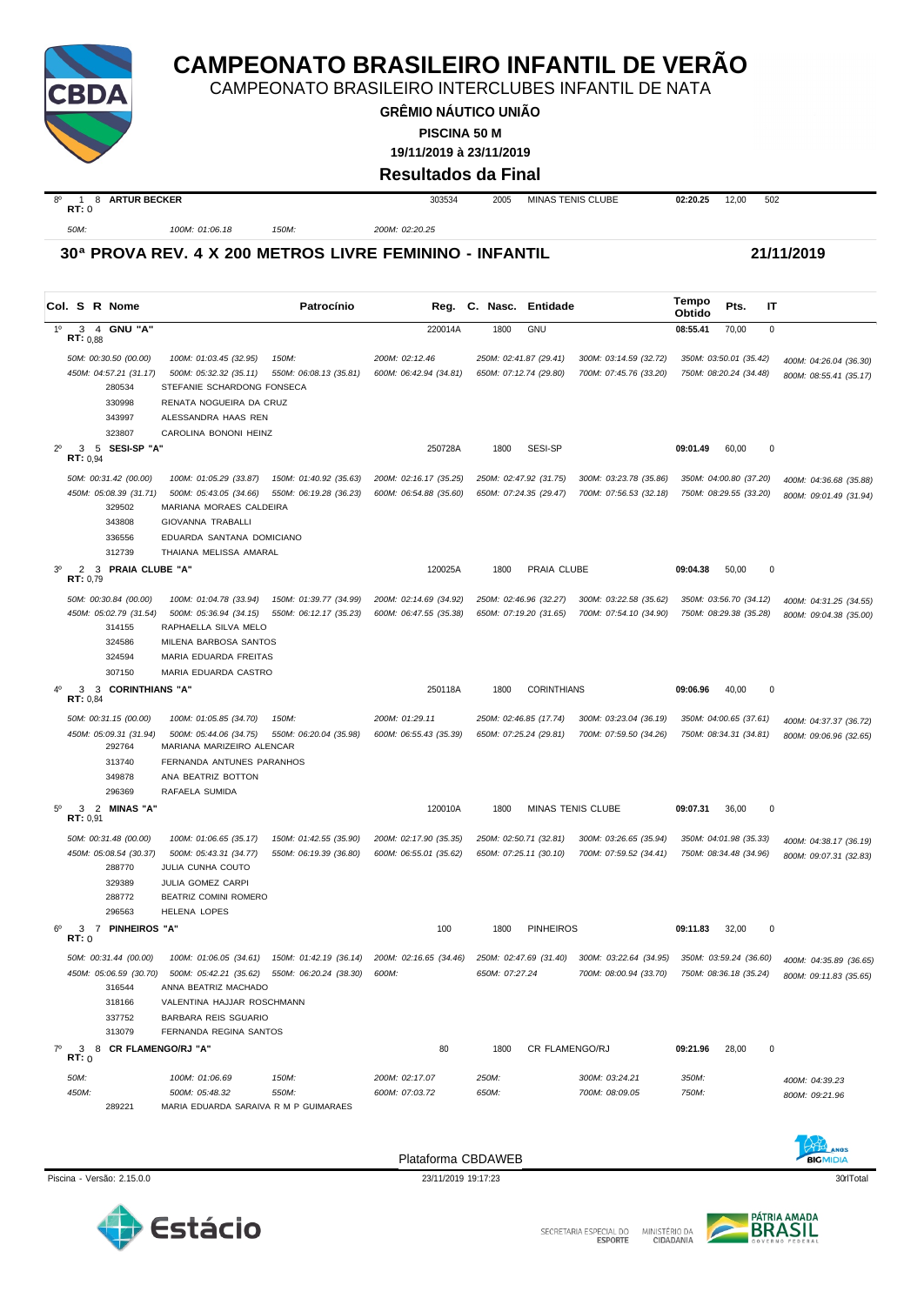

CAMPEONATO BRASILEIRO INTERCLUBES INFANTIL DE NATA

**GRÊMIO NÁUTICO UNIÃO**

**PISCINA 50 M**

**19/11/2019 à 23/11/2019**

#### **Resultados da Final**

| $8^{\circ}$<br>RT:0<br>. | <b>ARTUR BECKER</b> |       | 303534              | 2005<br>. | <b>MINAS TENIS CLUBE</b> | 02:20.25 | 12.00 | 502 |
|--------------------------|---------------------|-------|---------------------|-----------|--------------------------|----------|-------|-----|
| 50M:                     | 100M: 01:06.18      | 150M: | 200M: 02:20.25<br>. |           |                          |          |       |     |

#### **30ª PROVA REV. 4 X 200 METROS LIVRE FEMININO - INFANTIL 21/11/2019**

**Col. <sup>S</sup> R Nome Patrocínio Nasc. Entidade Tempo Obtido Reg. C. Pts. IT** 1º 3 4 **GNU "A"** 220014A 1800 GNU **08:55.41** 70,00 0 **RT:** 0,88 *50M: 00:30.50 (00.00) 100M: 01:03.45 (32.95) 150M: 200M: 02:12.46 250M: 02:41.87 (29.41) 300M: 03:14.59 (32.72) 350M: 03:50.01 (35.42) 400M: 04:26.04 (36.30)* 450M: 04:57.21 (31.17) 500M: 05:32.32 (35.11) 550M: 06:08.13 (35.81) 600M: 06:42.94 (34.81) 650M: 07:12.74 (29.80) 700M: 07:45.76 (33.20) 750M: 08:20.24 (34.48) 800M: 08:55.41 (35.17)<br>280534 STEFANIE SCHARDONG FONSECA STEFANIE SCHARDONG FONSECA 330998 RENATA NOGUEIRA DA CRUZ 343997 ALESSANDRA HAAS REN 323807 CAROLINA BONONI HEINZ 2º 3 5 **SESI-SP "A"** 250728A 1800 SESI-SP **09:01.49** 60,00 0  $\frac{3}{100}$  **RT:** 0.94 50M: 00:31.42 (00.00) 100M: 01:05.29 (33.87) 150M: 01:40.92 (35.63) 200M: 02:16.17 (35.25) 250M: 02:47.92 (31.75) 300M: 03:23.78 (35.86) 350M: 04:00.80 (37.20) 400M: 04:36.68 (35.88) 450M: 05:08.39 (31.71) 500M: 05:43.05 (34.66) 550M: 06:19.28 (36.23) 600M: 06:54.88 (35.60) 650M: 07:24.35 (29.47) 700M: 07:56.53 (32.18) 750M: 08:29.55 (33.20) 800M: 09:01.49 (31.94) 329502 MARIANA MORAES CALDEIRA 343808 GIOVANNA TRABALLI 336556 EDUARDA SANTANA DOMICIANO 312739 THAIANA MELISSA AMARAL 3º 2 3 **PRAIA CLUBE "A"** 120025A 1800 PRAIA CLUBE **09:04.38** 50,00 0 **RT:** 0,79 50M: 00:30.84 (00.00) 100M: 01:04.78 (33.94) 150M: 01:39.77 (34.99) 200M: 02:14.69 (34.92) 250M: 02:46.96 (32.27) 300M: 03:22.58 (35.62) 350M: 03:56.70 (34.12) 400M: 04:31.25 (34.55) -450M: 05:02.79 (31.54) 500M: 05:36.94 (34.15) 550M: 06:12.17 (35.23) 600M: 06:47.55 (35.38) 650M: 07:19.20 (31.65) 700M: 07:54.10 (34.90) 750M: 08:29.38 (35.28) 800M: 09:04.38 (35.00) 314155 RAPHAELLA SILVA MELO 324586 MILENA BARBOSA SANTOS 324594 MARIA EDUARDA FREITAS 307150 MARIA EDUARDA CASTRO 4º 3 3 **CORINTHIANS "A"** 250118A 1800 CORINTHIANS **09:06.96** 40,00 0 **RT:** 0,84 *50M: 00:31.15 (00.00) 100M: 01:05.85 (34.70) 150M: 200M: 01:29.11 250M: 02:46.85 (17.74) 300M: 03:23.04 (36.19) 350M: 04:00.65 (37.61) 400M: 04:37.37 (36.72)* 450М: 05:09.31 (31.94) 500М: 05:44.06 (34.75) 550М: 06:20.04 (35.98) 600М: 06:55.43 (35.39) 650М: 07:25.24 (29.81) 700М: 07:59.50 (34.26) 750М: 08:34.31 (34.81) 800М: 09:06.96 (32.65) MARIANA MARIZEIRO ALENCAR 313740 FERNANDA ANTUNES PARANHOS 349878 ANA BEATRIZ BOTTON 296369 RAFAELA SUMIDA 5º 3 2 **MINAS "A"** 120010A 1800 MINAS TENIS CLUBE **09:07.31** 36,00 0 **RT:** 0,91 50M: 00:31.48 (00.00) 100M: 01:06.65 (35.17) 150M: 01:42.55 (35.90) 200M: 02:17.90 (35.35) 250M: 02:50.71 (32.81) 300M: 03:26.65 (35.94) 350M: 04:01.98 (35.33) 400M: 04:38.17 (36.19) 450M: 05:08.54 (30.37) 500M: 05:43.31 (34.77) 550M: 06:19.39 (36.80) 600M: 06:55.01 (35.62) 650M: 07:25.11 (30.10) 700M: 07:59.52 (34.41) 750M: 08:34.48 (34.96) 800M: 09:07,31 (32.83) 288770 JULIA CUNHA COUTO 329389 JULIA GOMEZ CARPI 288772 BEATRIZ COMINI ROMERO 296563 HELENA LOPES 6º 3 7 **PINHEIROS "A"** 100 1800 PINHEIROS **09:11.83** 32,00 0 **RT:** 0 50M: 00:31.44 (00.00) 100M: 01:06.05 (34.61) 150M: 01:42.19 (36.14) 200M: 02:16.65 (34.46) 250M: 02:47.69 (31.40) 300M: 03:22.64 (34.95) 350M: 03:59.24 (36.60) 400M: 04:35.89 (36.65) *450M: 05:06.59 (30.70) 500M: 05:42.21 (35.62) 550M: 06:20.24 (38.30) 600M: 650M: 07:27.24 700M: 08:00.94 (33.70) 750M: 08:36.18 (35.24) 800M: 09:11.83 (35.65)* 316544 ANNA BEATRIZ MACHADO 318166 VALENTINA HAJJAR ROSCHMANN 337752 BARBARA REIS SGUARIO 313079 FERNANDA REGINA SANTOS 7º 3 8 **CR FLAMENGO/RJ "A"** 80 1800 CR FLAMENGO/RJ **09:21.96** 28,00 0  $R^{\frac{3}{12}}$ *50M: 100M: 01:06.69 150M: 200M: 02:17.07 250M: 300M: 03:24.21 350M: 400M: 04:39.23 450M: 500M: 05:48.32 550M: 600M: 07:03.72 650M: 700M: 08:09.05 750M: 800M: 09:21.96* 289221 MARIA EDUARDA SARAIVA R M P GUIMARAES



Piscina - Versão: 2.15.0.0 23/11/2019 19:17:23 23/11/2019 19:17:23 3000 23/11/2019 19:17:23 3000 23/11/2019 19:17:23



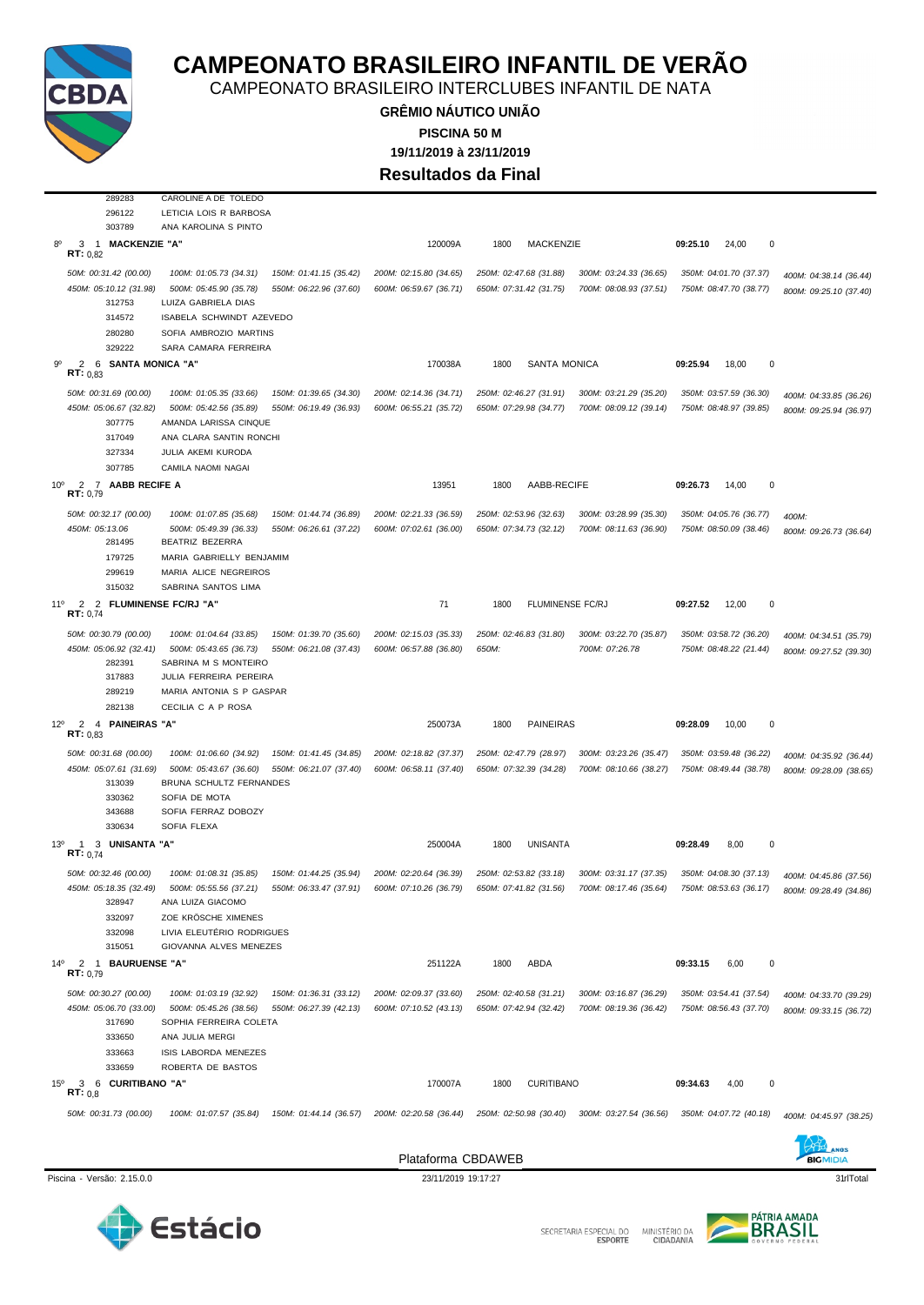

CAMPEONATO BRASILEIRO INTERCLUBES INFANTIL DE NATA

**GRÊMIO NÁUTICO UNIÃO 19/11/2019 à 23/11/2019 PISCINA 50 M Resultados da Final**

|                 | 289283                                                           | CAROLINE A DE TOLEDO                              |                                                                      |                        |                                 |                        |                                |                        |
|-----------------|------------------------------------------------------------------|---------------------------------------------------|----------------------------------------------------------------------|------------------------|---------------------------------|------------------------|--------------------------------|------------------------|
|                 | 296122                                                           | LETICIA LOIS R BARBOSA                            |                                                                      |                        |                                 |                        |                                |                        |
|                 | 303789                                                           | ANA KAROLINA S PINTO                              |                                                                      |                        |                                 |                        |                                |                        |
| 80              | <b>MACKENZIE "A"</b><br>3<br>$\overline{1}$<br><b>RT:</b> $0,82$ |                                                   |                                                                      | 120009A                | MACKENZIE<br>1800               |                        | 09:25.10<br>24,00<br>0         |                        |
|                 | 50M: 00:31.42 (00.00)                                            | 100M: 01:05.73 (34.31)                            | 150M: 01:41.15 (35.42)                                               | 200M: 02:15.80 (34.65) | 250M: 02:47.68 (31.88)          | 300M: 03:24.33 (36.65) | 350M: 04:01.70 (37.37)         | 400M: 04:38.14 (36.44) |
|                 | 450M: 05:10.12 (31.98)<br>312753                                 | 500M: 05:45.90 (35.78)<br>LUIZA GABRIELA DIAS     | 550M: 06:22.96 (37.60)                                               | 600M: 06:59.67 (36.71) | 650M: 07:31.42 (31.75)          | 700M: 08:08.93 (37.51) | 750M: 08:47.70 (38.77)         | 800M: 09:25.10 (37.40) |
|                 | 314572                                                           | ISABELA SCHWINDT AZEVEDO                          |                                                                      |                        |                                 |                        |                                |                        |
|                 | 280280                                                           | SOFIA AMBROZIO MARTINS                            |                                                                      |                        |                                 |                        |                                |                        |
|                 | 329222                                                           | SARA CAMARA FERREIRA                              |                                                                      |                        |                                 |                        |                                |                        |
|                 | 2<br>6 SANTA MONICA "A"<br>RT: 0.83                              |                                                   |                                                                      | 170038A                | <b>SANTA MONICA</b><br>1800     |                        | $\pmb{0}$<br>09:25.94<br>18,00 |                        |
|                 | 50M: 00:31.69 (00.00)                                            | 100M: 01:05.35 (33.66)                            | 150M: 01:39.65 (34.30)                                               | 200M: 02:14.36 (34.71) | 250M: 02:46.27 (31.91)          | 300M: 03:21.29 (35.20) | 350M: 03:57.59 (36.30)         | 400M: 04:33.85 (36.26) |
|                 | 450M: 05:06.67 (32.82)<br>307775                                 | 500M: 05:42.56 (35.89)<br>AMANDA LARISSA CINQUE   | 550M: 06:19.49 (36.93)                                               | 600M: 06:55.21 (35.72) | 650M: 07:29.98 (34.77)          | 700M: 08:09.12 (39.14) | 750M: 08:48.97 (39.85)         | 800M: 09:25.94 (36.97) |
|                 | 317049                                                           | ANA CLARA SANTIN RONCHI                           |                                                                      |                        |                                 |                        |                                |                        |
|                 | 327334                                                           | JULIA AKEMI KURODA                                |                                                                      |                        |                                 |                        |                                |                        |
|                 | 307785                                                           | CAMILA NAOMI NAGAI                                |                                                                      |                        |                                 |                        |                                |                        |
| 10 <sup>o</sup> | 2 7 AABB RECIFE A<br>RT: 0,79                                    |                                                   |                                                                      | 13951                  | AABB-RECIFE<br>1800             |                        | 0<br>09:26.73<br>14,00         |                        |
|                 | 50M: 00:32.17 (00.00)                                            | 100M: 01:07.85 (35.68)                            | 150M: 01:44.74 (36.89)                                               | 200M: 02:21.33 (36.59) | 250M: 02:53.96 (32.63)          | 300M: 03:28.99 (35.30) | 350M: 04:05.76 (36.77)         | 400M:                  |
|                 | 450M: 05:13.06<br>281495                                         | 500M: 05:49.39 (36.33)<br>BEATRIZ BEZERRA         | 550M: 06:26.61 (37.22)                                               | 600M: 07:02.61 (36.00) | 650M: 07:34.73 (32.12)          | 700M: 08:11.63 (36.90) | 750M: 08:50.09 (38.46)         | 800M: 09:26.73 (36.64) |
|                 | 179725                                                           | MARIA GABRIELLY BENJAMIM                          |                                                                      |                        |                                 |                        |                                |                        |
|                 | 299619                                                           | MARIA ALICE NEGREIROS                             |                                                                      |                        |                                 |                        |                                |                        |
|                 | 315032                                                           | SABRINA SANTOS LIMA                               |                                                                      |                        |                                 |                        |                                |                        |
| 11°             | 2<br>2 FLUMINENSE FC/RJ "A"<br>RT: 0,74                          |                                                   |                                                                      | 71                     | <b>FLUMINENSE FC/RJ</b><br>1800 |                        | 12,00<br>0<br>09:27.52         |                        |
|                 | 50M: 00:30.79 (00.00)                                            | 100M: 01:04.64 (33.85)                            | 150M: 01:39.70 (35.60)                                               | 200M: 02:15.03 (35.33) | 250M: 02:46.83 (31.80)          | 300M: 03:22.70 (35.87) | 350M: 03:58.72 (36.20)         | 400M: 04:34.51 (35.79) |
|                 | 450M: 05:06.92 (32.41)<br>282391                                 | 500M: 05:43.65 (36.73)<br>SABRINA M S MONTEIRO    | 550M: 06:21.08 (37.43)                                               | 600M: 06:57.88 (36.80) | 650M:                           | 700M: 07:26.78         | 750M: 08:48.22 (21.44)         | 800M: 09:27.52 (39.30) |
|                 | 317883                                                           | JULIA FERREIRA PEREIRA                            |                                                                      |                        |                                 |                        |                                |                        |
|                 | 289219                                                           | MARIA ANTONIA S P GASPAR                          |                                                                      |                        |                                 |                        |                                |                        |
|                 | 282138                                                           | CECILIA C A P ROSA                                |                                                                      |                        |                                 |                        |                                |                        |
| $12^{\circ}$    | 2<br>4 PAINEIRAS "A"<br>RT: 0.83                                 |                                                   |                                                                      | 250073A                | <b>PAINEIRAS</b><br>1800        |                        | 09:28.09<br>10,00<br>0         |                        |
|                 | 50M: 00:31.68 (00.00)                                            | 100M: 01:06.60 (34.92)                            | 150M: 01:41.45 (34.85)                                               | 200M: 02:18.82 (37.37) | 250M: 02:47.79 (28.97)          | 300M: 03:23.26 (35.47) | 350M: 03:59.48 (36.22)         | 400M: 04:35.92 (36.44) |
|                 | 450M: 05:07.61 (31.69)<br>313039                                 | 500M: 05:43.67 (36.60)<br>BRUNA SCHULTZ FERNANDES | 550M: 06:21.07 (37.40)                                               | 600M: 06:58.11 (37.40) | 650M: 07:32.39 (34.28)          | 700M: 08:10.66 (38.27) | 750M: 08:49.44 (38.78)         | 800M: 09:28.09 (38.65) |
|                 | 330362                                                           | SOFIA DE MOTA                                     |                                                                      |                        |                                 |                        |                                |                        |
|                 | 343688                                                           | SOFIA FERRAZ DOBOZY                               |                                                                      |                        |                                 |                        |                                |                        |
|                 | 330634                                                           | SOFIA FLEXA                                       |                                                                      |                        |                                 |                        |                                |                        |
| $13^{\circ}$    | 3 UNISANTA "A"<br>-1<br>RT: 0.74                                 |                                                   |                                                                      | 250004A                | <b>UNISANTA</b><br>1800         |                        | 09:28.49<br>8,00<br>0          |                        |
|                 | 50M: 00:32.46 (00.00)                                            | 100M: 01:08.31 (35.85)                            | 150M: 01:44.25 (35.94)                                               | 200M: 02:20.64 (36.39) | 250M: 02:53.82 (33.18)          | 300M: 03:31.17 (37.35) | 350M: 04:08.30 (37.13)         | 400M: 04:45.86 (37.56) |
|                 | 450M: 05:18.35 (32.49)                                           |                                                   | 500M: 05:55.56 (37.21) 550M: 06:33.47 (37.91) 600M: 07:10.26 (36.79) |                        | 650M: 07:41.82 (31.56)          | 700M: 08:17.46 (35.64) | 750M: 08:53.63 (36.17)         | 800M: 09:28.49 (34.86) |
|                 | 328947                                                           | ANA LUIZA GIACOMO                                 |                                                                      |                        |                                 |                        |                                |                        |
|                 | 332097<br>332098                                                 | ZOE KRÖSCHE XIMENES<br>LIVIA ELEUTÉRIO RODRIGUES  |                                                                      |                        |                                 |                        |                                |                        |
|                 | 315051                                                           | GIOVANNA ALVES MENEZES                            |                                                                      |                        |                                 |                        |                                |                        |
| $14^{\circ}$    | 2 1 BAURUENSE "A"<br>RT: 0.79                                    |                                                   |                                                                      | 251122A                | ABDA<br>1800                    |                        | $\pmb{0}$<br>09:33.15<br>6,00  |                        |
|                 | 50M: 00:30.27 (00.00)                                            | 100M: 01:03.19 (32.92)                            | 150M: 01:36.31 (33.12)                                               | 200M: 02:09.37 (33.60) | 250M: 02:40.58 (31.21)          | 300M: 03:16.87 (36.29) | 350M: 03:54.41 (37.54)         | 400M: 04:33.70 (39.29) |
|                 | 450M: 05:06.70 (33.00)                                           | 500M: 05:45.26 (38.56)                            | 550M: 06:27.39 (42.13)                                               | 600M: 07:10.52 (43.13) | 650M: 07:42.94 (32.42)          | 700M: 08:19.36 (36.42) | 750M: 08:56.43 (37.70)         | 800M: 09:33.15 (36.72) |
|                 | 317690                                                           | SOPHIA FERREIRA COLETA                            |                                                                      |                        |                                 |                        |                                |                        |
|                 | 333650                                                           | ANA JULIA MERGI                                   |                                                                      |                        |                                 |                        |                                |                        |
|                 | 333663                                                           | ISIS LABORDA MENEZES                              |                                                                      |                        |                                 |                        |                                |                        |
|                 | 333659                                                           | ROBERTA DE BASTOS                                 |                                                                      |                        |                                 |                        |                                |                        |
| $15^{\circ}$    | 3 6 CURITIBANO "A"<br>RT: 0,8                                    |                                                   |                                                                      | 170007A                | 1800<br><b>CURITIBANO</b>       |                        | 09:34.63<br>4,00<br>0          |                        |
|                 | 50M: 00:31.73 (00.00)                                            | 100M: 01:07.57 (35.84)                            | 150M: 01:44.14 (36.57)                                               | 200M: 02:20.58 (36.44) | 250M: 02:50.98 (30.40)          | 300M: 03:27.54 (36.56) | 350M: 04:07.72 (40.18)         | 400M: 04:45.97 (38.25) |
|                 |                                                                  |                                                   |                                                                      |                        |                                 |                        |                                | <b>XD</b>              |

Piscina - Versão: 2.15.0.0 23/11/2019 19:17:27 23/11/2019 19:17:27 31rlTotal





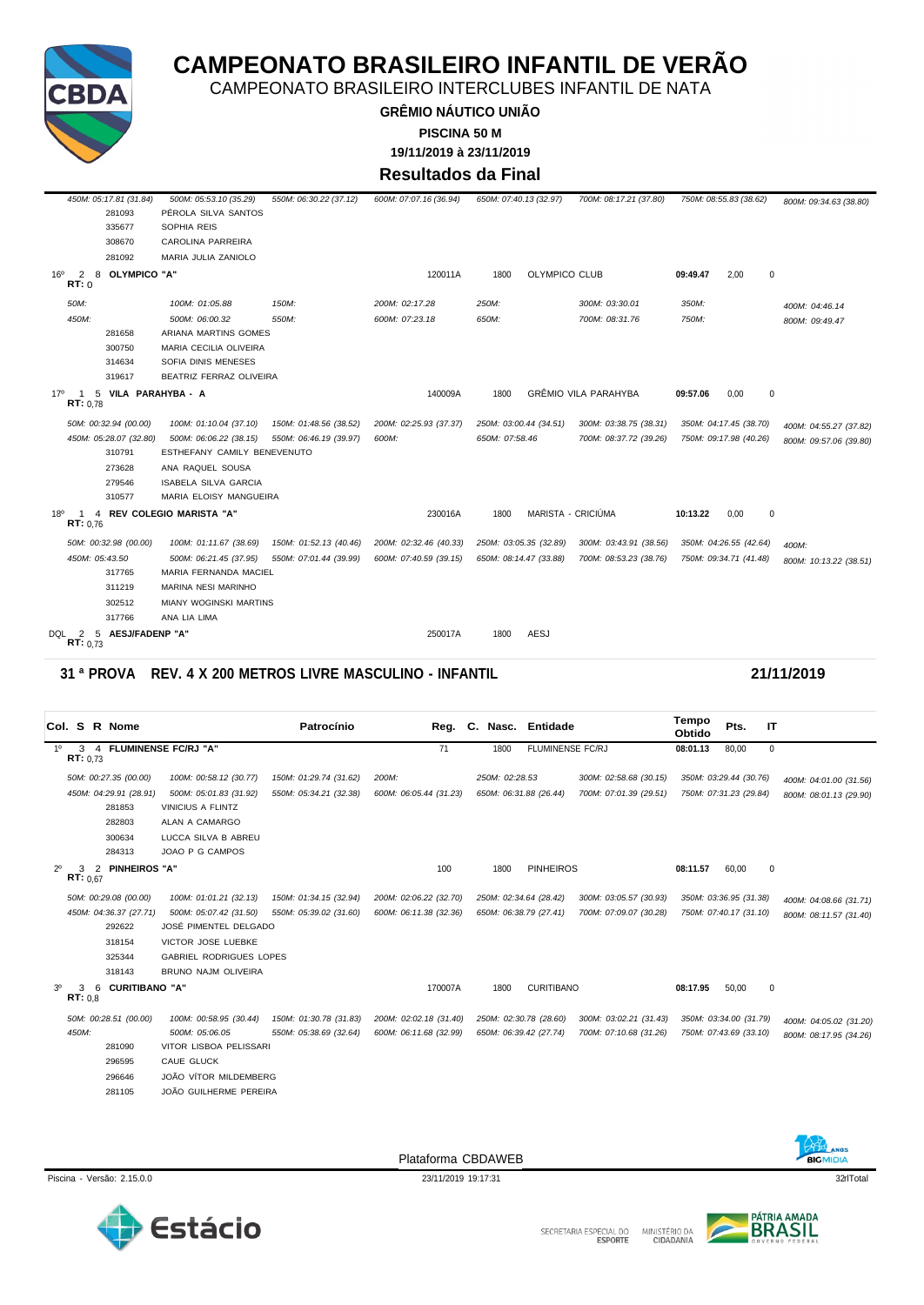

CAMPEONATO BRASILEIRO INTERCLUBES INFANTIL DE NATA

**GRÊMIO NÁUTICO UNIÃO 19/11/2019 à 23/11/2019 PISCINA 50 M**

### **Resultados da Final**

| 450M: 05:17.81 (31.84)                            | 500M: 05:53.10 (35.29)         | 550M: 06:30.22 (37.12) | 600M: 07:07.16 (36.94) | 650M: 07:40.13 (32.97) |               | 700M: 08:17.21 (37.80)      |          | 750M: 08:55.83 (38.62) | 800M: 09:34.63 (38.80) |
|---------------------------------------------------|--------------------------------|------------------------|------------------------|------------------------|---------------|-----------------------------|----------|------------------------|------------------------|
| 281093                                            | PÉROLA SILVA SANTOS            |                        |                        |                        |               |                             |          |                        |                        |
| 335677                                            | SOPHIA REIS                    |                        |                        |                        |               |                             |          |                        |                        |
| 308670                                            | <b>CAROLINA PARREIRA</b>       |                        |                        |                        |               |                             |          |                        |                        |
| 281092                                            | MARIA JULIA ZANIOLO            |                        |                        |                        |               |                             |          |                        |                        |
| 16 <sup>o</sup><br>2<br>8<br>OLYMPICO "A"<br>RT:0 |                                |                        | 120011A                | 1800                   | OLYMPICO CLUB |                             | 09:49.47 | 2,00<br>0              |                        |
| 50M:                                              | 100M: 01:05.88                 | 150M:                  | 200M: 02:17.28         | 250M:                  |               | 300M: 03:30.01              | 350M:    |                        | 400M: 04:46.14         |
| 450M:                                             | 500M: 06:00.32                 | 550M:                  | 600M: 07:23.18         | 650M:                  |               | 700M: 08:31.76              | 750M:    |                        | 800M: 09:49.47         |
| 281658                                            | ARIANA MARTINS GOMES           |                        |                        |                        |               |                             |          |                        |                        |
| 300750                                            | MARIA CECILIA OLIVEIRA         |                        |                        |                        |               |                             |          |                        |                        |
| 314634                                            | SOFIA DINIS MENESES            |                        |                        |                        |               |                             |          |                        |                        |
| 319617                                            | <b>BEATRIZ FERRAZ OLIVEIRA</b> |                        |                        |                        |               |                             |          |                        |                        |
| 17°<br>5<br>RT: 0.78                              | VILA PARAHYBA - A              |                        | 140009A                | 1800                   |               | <b>GRÊMIO VILA PARAHYBA</b> | 09:57.06 | 0,00<br>$\mathbf{0}$   |                        |
| 50M: 00:32.94 (00.00)                             | 100M: 01:10.04 (37.10)         | 150M: 01:48.56 (38.52) | 200M: 02:25.93 (37.37) | 250M: 03:00.44 (34.51) |               | 300M: 03:38.75 (38.31)      |          | 350M: 04:17.45 (38.70) | 400M: 04:55.27 (37.82) |
| 450M: 05:28.07 (32.80)                            | 500M: 06:06.22 (38.15)         | 550M: 06:46.19 (39.97) | 600M:                  | 650M: 07:58.46         |               | 700M: 08:37.72 (39.26)      |          | 750M: 09:17.98 (40.26) | 800M: 09:57.06 (39.80) |
| 310791                                            | ESTHEFANY CAMILY BENEVENUTO    |                        |                        |                        |               |                             |          |                        |                        |
| 273628                                            | ANA RAQUEL SOUSA               |                        |                        |                        |               |                             |          |                        |                        |
| 279546                                            | <b>ISABELA SILVA GARCIA</b>    |                        |                        |                        |               |                             |          |                        |                        |
| 310577                                            | MARIA ELOISY MANGUEIRA         |                        |                        |                        |               |                             |          |                        |                        |
| 18 <sup>o</sup><br>4<br>RT: 0.76                  | <b>REV COLEGIO MARISTA "A"</b> |                        | 230016A                | 1800                   |               | MARISTA - CRICIÚMA          | 10:13.22 | 0,00<br>0              |                        |
| 50M: 00:32.98 (00.00)                             | 100M: 01:11.67 (38.69)         | 150M: 01:52.13 (40.46) | 200M: 02:32.46 (40.33) | 250M: 03:05.35 (32.89) |               | 300M: 03:43.91 (38.56)      |          | 350M: 04:26.55 (42.64) | 400M:                  |
| 450M: 05:43.50                                    | 500M: 06:21.45 (37.95)         | 550M: 07:01.44 (39.99) | 600M: 07:40.59 (39.15) | 650M: 08:14.47 (33.88) |               | 700M: 08:53.23 (38.76)      |          | 750M: 09:34.71 (41.48) | 800M: 10:13.22 (38.51) |
| 317765                                            | MARIA FERNANDA MACIEL          |                        |                        |                        |               |                             |          |                        |                        |
| 311219                                            | MARINA NESI MARINHO            |                        |                        |                        |               |                             |          |                        |                        |
| 302512                                            | <b>MIANY WOGINSKI MARTINS</b>  |                        |                        |                        |               |                             |          |                        |                        |
| 317766                                            | ANA LIA LIMA                   |                        |                        |                        |               |                             |          |                        |                        |
| DQL<br>AESJ/FADENP "A"<br>5<br>2<br>RT: 0.73      |                                |                        | 250017A                | 1800                   | <b>AESJ</b>   |                             |          |                        |                        |

#### **31 ª PROVA REV. 4 X 200 METROS LIVRE MASCULINO - INFANTIL 21/11/2019**

|                |               |   | Col. S R Nome          |                                | Patrocínio             |                        |                | Reg. C. Nasc. Entidade  |                        | Tempo<br>Obtido | Pts.                   | IT          |                        |
|----------------|---------------|---|------------------------|--------------------------------|------------------------|------------------------|----------------|-------------------------|------------------------|-----------------|------------------------|-------------|------------------------|
| $1^{\circ}$    | RT: 0.73      |   |                        | 3 4 FLUMINENSE FC/RJ "A"       |                        | 71                     | 1800           | <b>FLUMINENSE FC/RJ</b> |                        | 08:01.13        | 80,00                  | $\mathbf 0$ |                        |
|                |               |   | 50M: 00:27.35 (00.00)  | 100M: 00:58.12 (30.77)         | 150M: 01:29.74 (31.62) | 200M:                  | 250M: 02:28.53 |                         | 300M: 02:58.68 (30.15) |                 | 350M: 03:29.44 (30.76) |             | 400M: 04:01.00 (31.56) |
|                |               |   | 450M: 04:29.91 (28.91) | 500M: 05:01.83 (31.92)         | 550M: 05:34.21 (32.38) | 600M: 06:05.44 (31.23) |                | 650M: 06:31.88 (26.44)  | 700M: 07:01.39 (29.51) |                 | 750M: 07:31.23 (29.84) |             | 800M: 08:01.13 (29.90) |
|                |               |   | 281853                 | VINICIUS A FLINTZ              |                        |                        |                |                         |                        |                 |                        |             |                        |
|                |               |   | 282803                 | ALAN A CAMARGO                 |                        |                        |                |                         |                        |                 |                        |             |                        |
|                |               |   | 300634                 | LUCCA SILVA B ABREU            |                        |                        |                |                         |                        |                 |                        |             |                        |
|                |               |   | 284313                 | JOAO P G CAMPOS                |                        |                        |                |                         |                        |                 |                        |             |                        |
| $2^{\circ}$    | 3<br>RT: 0.67 | 2 | <b>PINHEIROS "A"</b>   |                                |                        | 100                    | 1800           | <b>PINHEIROS</b>        |                        | 08:11.57        | 60,00                  | 0           |                        |
|                |               |   | 50M: 00:29.08 (00.00)  | 100M: 01:01.21 (32.13)         | 150M: 01:34.15 (32.94) | 200M: 02:06.22 (32.70) |                | 250M: 02:34.64 (28.42)  | 300M: 03:05.57 (30.93) |                 | 350M: 03:36.95 (31.38) |             | 400M: 04:08.66 (31.71) |
|                |               |   | 450M: 04:36.37 (27.71) | 500M: 05:07.42 (31.50)         | 550M: 05:39.02 (31.60) | 600M: 06:11.38 (32.36) |                | 650M: 06:38.79 (27.41)  | 700M: 07:09.07 (30.28) |                 | 750M: 07:40.17 (31.10) |             | 800M: 08:11.57 (31.40) |
|                |               |   | 292622                 | JOSÉ PIMENTEL DELGADO          |                        |                        |                |                         |                        |                 |                        |             |                        |
|                |               |   | 318154                 | VICTOR JOSE LUEBKE             |                        |                        |                |                         |                        |                 |                        |             |                        |
|                |               |   | 325344                 | <b>GABRIEL RODRIGUES LOPES</b> |                        |                        |                |                         |                        |                 |                        |             |                        |
|                |               |   | 318143                 | BRUNO NAJM OLIVEIRA            |                        |                        |                |                         |                        |                 |                        |             |                        |
| 3 <sup>0</sup> | 3<br>RT: 0.8  | 6 | <b>CURITIBANO "A"</b>  |                                |                        | 170007A                | 1800           | <b>CURITIBANO</b>       |                        | 08:17.95        | 50,00                  | $\mathbf 0$ |                        |
|                |               |   | 50M: 00:28.51 (00.00)  | 100M: 00:58.95 (30.44)         | 150M: 01:30.78 (31.83) | 200M: 02:02.18 (31.40) |                | 250M: 02:30.78 (28.60)  | 300M: 03:02.21 (31.43) |                 | 350M: 03:34.00 (31.79) |             | 400M: 04:05.02 (31.20) |
|                | 450M:         |   |                        | 500M: 05:06.05                 | 550M: 05:38.69 (32.64) | 600M: 06:11.68 (32.99) |                | 650M: 06:39.42 (27.74)  | 700M: 07:10.68 (31.26) |                 | 750M: 07:43.69 (33.10) |             | 800M: 08:17.95 (34.26) |
|                |               |   | 281090                 | VITOR LISBOA PELISSARI         |                        |                        |                |                         |                        |                 |                        |             |                        |
|                |               |   | 296595                 | CAUE GLUCK                     |                        |                        |                |                         |                        |                 |                        |             |                        |
|                |               |   | 296646                 | JOÃO VÍTOR MILDEMBERG          |                        |                        |                |                         |                        |                 |                        |             |                        |
|                |               |   | 281105                 | JOÃO GUILHERME PEREIRA         |                        |                        |                |                         |                        |                 |                        |             |                        |
|                |               |   |                        |                                |                        |                        |                |                         |                        |                 |                        |             |                        |





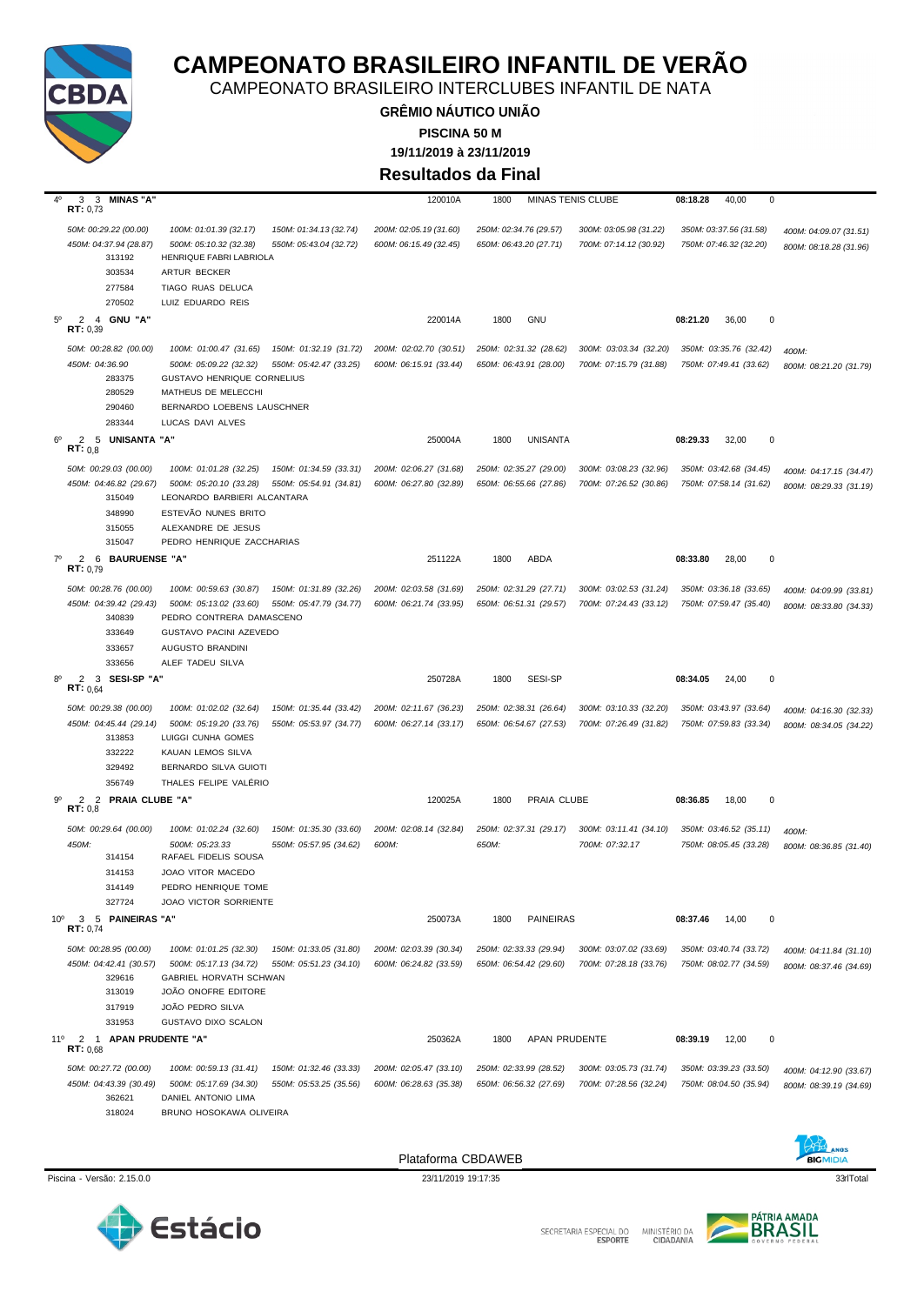

CAMPEONATO BRASILEIRO INTERCLUBES INFANTIL DE NATA

**GRÊMIO NÁUTICO UNIÃO 19/11/2019 à 23/11/2019 PISCINA 50 M**

**Resultados da Final**

| 4°<br>3<br>3 MINAS "A"<br>RT: 0,73                                                      |                                                                                                                                                                                                                    | 120010A                                          | <b>MINAS TENIS CLUBE</b><br>1800                 |                                                  | 08:18.28<br>40,00<br>0                           |                                                  |
|-----------------------------------------------------------------------------------------|--------------------------------------------------------------------------------------------------------------------------------------------------------------------------------------------------------------------|--------------------------------------------------|--------------------------------------------------|--------------------------------------------------|--------------------------------------------------|--------------------------------------------------|
| 50M: 00:29.22 (00.00)<br>450M: 04:37.94 (28.87)<br>313192<br>303534<br>277584<br>270502 | 100M: 01:01.39 (32.17)<br>150M: 01:34.13 (32.74)<br>500M: 05:10.32 (32.38)<br>550M: 05:43.04 (32.72)<br>HENRIQUE FABRI LABRIOLA<br>ARTUR BECKER<br>TIAGO RUAS DELUCA<br>LUIZ EDUARDO REIS                          | 200M: 02:05.19 (31.60)<br>600M: 06:15.49 (32.45) | 250M: 02:34.76 (29.57)<br>650M: 06:43.20 (27.71) | 300M: 03:05.98 (31.22)<br>700M: 07:14.12 (30.92) | 350M: 03:37.56 (31.58)<br>750M: 07:46.32 (32.20) | 400M: 04:09.07 (31.51)<br>800M: 08:18.28 (31.96) |
| 2 4 GNU "A"<br>$5^{\circ}$<br>RT: 0,39                                                  |                                                                                                                                                                                                                    | 220014A                                          | 1800<br><b>GNU</b>                               |                                                  | 08:21.20<br>36,00<br>0                           |                                                  |
| 50M: 00:28.82 (00.00)<br>450M: 04:36.90<br>283375<br>280529<br>290460<br>283344         | 150M: 01:32.19 (31.72)<br>100M: 01:00.47 (31.65)<br>500M: 05:09.22 (32.32)<br>550M: 05:42.47 (33.25)<br><b>GUSTAVO HENRIQUE CORNELIUS</b><br>MATHEUS DE MELECCHI<br>BERNARDO LOEBENS LAUSCHNER<br>LUCAS DAVI ALVES | 200M: 02:02.70 (30.51)<br>600M: 06:15.91 (33.44) | 250M: 02:31.32 (28.62)<br>650M: 06:43.91 (28.00) | 300M: 03:03.34 (32.20)<br>700M: 07:15.79 (31.88) | 350M: 03:35.76 (32.42)<br>750M: 07:49.41 (33.62) | 400M:<br>800M: 08:21.20 (31.79)                  |
| $6^{\circ}$<br>$\mathbf{2}$<br>5 UNISANTA "A"<br>RT: 0.8                                |                                                                                                                                                                                                                    | 250004A                                          | <b>UNISANTA</b><br>1800                          |                                                  | 32,00<br>08:29.33<br>0                           |                                                  |
| 50M: 00:29.03 (00.00)<br>450M: 04:46.82 (29.67)<br>315049<br>348990<br>315055<br>315047 | 100M: 01:01.28 (32.25)<br>150M: 01:34.59 (33.31)<br>500M: 05:20.10 (33.28)<br>550M: 05:54.91 (34.81)<br>LEONARDO BARBIERI ALCANTARA<br>ESTEVÃO NUNES BRITO<br>ALEXANDRE DE JESUS<br>PEDRO HENRIQUE ZACCHARIAS      | 200M: 02:06.27 (31.68)<br>600M: 06:27.80 (32.89) | 250M: 02:35.27 (29.00)<br>650M: 06:55.66 (27.86) | 300M: 03:08.23 (32.96)<br>700M: 07:26.52 (30.86) | 350M: 03:42.68 (34.45)<br>750M: 07:58.14 (31.62) | 400M: 04:17.15 (34.47)<br>800M: 08:29.33 (31.19) |
| $\overline{2}$<br>$7^\circ$<br><b>6 BAURUENSE "A"</b><br>RT: 0.79                       |                                                                                                                                                                                                                    | 251122A                                          | 1800<br>ABDA                                     |                                                  | 08:33.80<br>0<br>28,00                           |                                                  |
| 50M: 00:28.76 (00.00)<br>450M: 04:39.42 (29.43)<br>340839<br>333649<br>333657<br>333656 | 100M: 00:59.63 (30.87)<br>150M: 01:31.89 (32.26)<br>550M: 05:47.79 (34.77)<br>500M: 05:13.02 (33.60)<br>PEDRO CONTRERA DAMASCENO<br>GUSTAVO PACINI AZEVEDO<br>AUGUSTO BRANDINI<br>ALEF TADEU SILVA                 | 200M: 02:03.58 (31.69)<br>600M: 06:21.74 (33.95) | 250M: 02:31.29 (27.71)<br>650M: 06:51.31 (29.57) | 300M: 03:02.53 (31.24)<br>700M: 07:24.43 (33.12) | 350M: 03:36.18 (33.65)<br>750M: 07:59.47 (35.40) | 400M: 04:09.99 (33.81)<br>800M: 08:33.80 (34.33) |
| 2<br>3<br>SESI-SP "A"<br>8°<br>RT: 0,64                                                 |                                                                                                                                                                                                                    | 250728A                                          | SESI-SP<br>1800                                  |                                                  | 08:34.05<br>24,00<br>0                           |                                                  |
| 50M: 00:29.38 (00.00)<br>450M: 04:45.44 (29.14)<br>313853<br>332222<br>329492<br>356749 | 100M: 01:02.02 (32.64)<br>150M: 01:35.44 (33.42)<br>500M: 05:19.20 (33.76)<br>550M: 05:53.97 (34.77)<br>LUIGGI CUNHA GOMES<br>KAUAN LEMOS SILVA<br>BERNARDO SILVA GUIOTI<br>THALES FELIPE VALERIO                  | 200M: 02:11.67 (36.23)<br>600M: 06:27.14 (33.17) | 250M: 02:38.31 (26.64)<br>650M: 06:54.67 (27.53) | 300M: 03:10.33 (32.20)<br>700M: 07:26.49 (31.82) | 350M: 03:43.97 (33.64)<br>750M: 07:59.83 (33.34) | 400M: 04:16.30 (32.33)<br>800M: 08:34.05 (34.22) |
| 2<br>2 PRAIA CLUBE "A"<br>90<br>RT: 0,8                                                 |                                                                                                                                                                                                                    | 120025A                                          | PRAIA CLUBE<br>1800                              |                                                  | 0<br>08:36.85<br>18,00                           |                                                  |
| 50M: 00:29.64 (00.00)<br>450M:<br>314154<br>314153<br>314149<br>327724                  | 100M: 01:02.24 (32.60)<br>150M: 01:35.30 (33.60)<br>500M: 05:23.33<br>550M: 05:57.95 (34.62)<br>RAFAEL FIDELIS SOUSA<br>JOAO VITOR MACEDO<br>PEDRO HENRIQUE TOME<br>JOAO VICTOR SORRIENTE                          | 200M: 02:08.14 (32.84)<br>600M:                  | 250M: 02:37.31 (29.17)<br>650M:                  | 300M: 03:11.41 (34.10)<br>700M: 07:32.17         | 350M: 03:46.52 (35.11)<br>750M: 08:05.45 (33.28) | 400M:<br>800M: 08:36.85 (31.40)                  |
| 10 <sup>o</sup><br>3<br>5<br><b>PAINEIRAS "A"</b><br>RT: 0.74                           |                                                                                                                                                                                                                    | 250073A                                          | 1800<br><b>PAINEIRAS</b>                         |                                                  | 08:37.46<br>14,00<br>0                           |                                                  |
| 50M: 00:28.95 (00.00)<br>450M: 04:42.41 (30.57)<br>329616<br>313019<br>317919<br>331953 | 150M: 01:33.05 (31.80)<br>100M: 01:01.25 (32.30)<br>500M: 05:17.13 (34.72)<br>550M: 05:51.23 (34.10)<br><b>GABRIEL HORVATH SCHWAN</b><br>JOÃO ONOFRE EDITORE<br>JOÃO PEDRO SILVA<br>GUSTAVO DIXO SCALON            | 200M: 02:03.39 (30.34)<br>600M: 06:24.82 (33.59) | 250M: 02:33.33 (29.94)<br>650M: 06:54.42 (29.60) | 300M: 03:07.02 (33.69)<br>700M: 07:28.18 (33.76) | 350M: 03:40.74 (33.72)<br>750M: 08:02.77 (34.59) | 400M: 04:11.84 (31.10)<br>800M: 08:37.46 (34.69) |
| $11^{\circ}$<br>2 1 APAN PRUDENTE "A"<br>RT: 0.68                                       |                                                                                                                                                                                                                    | 250362A                                          | APAN PRUDENTE<br>1800                            |                                                  | 12,00<br>08:39.19<br>0                           |                                                  |
| 50M: 00:27.72 (00.00)<br>450M: 04:43.39 (30.49)<br>362621<br>318024                     | 100M: 00:59.13 (31.41)<br>150M: 01:32.46 (33.33)<br>550M: 05:53.25 (35.56)<br>500M: 05:17.69 (34.30)<br>DANIEL ANTONIO LIMA<br>BRUNO HOSOKAWA OLIVEIRA                                                             | 200M: 02:05.47 (33.10)<br>600M: 06:28.63 (35.38) | 250M: 02:33.99 (28.52)<br>650M: 06:56.32 (27.69) | 300M: 03:05.73 (31.74)<br>700M: 07:28.56 (32.24) | 350M: 03:39.23 (33.50)<br>750M: 08:04.50 (35.94) | 400M: 04:12.90 (33.67)<br>800M: 08:39.19 (34.69) |





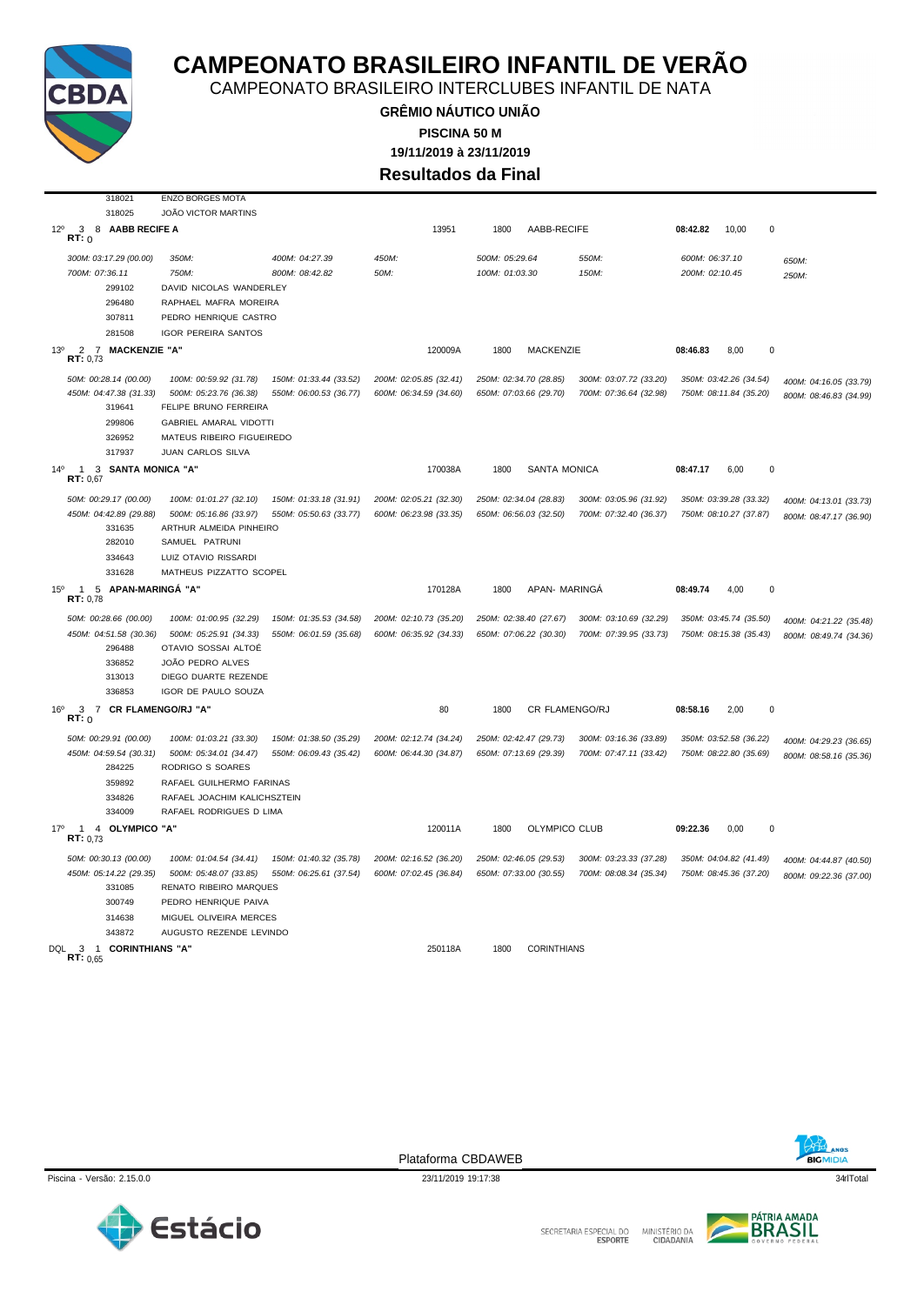

CAMPEONATO BRASILEIRO INTERCLUBES INFANTIL DE NATA

**GRÊMIO NÁUTICO UNIÃO 19/11/2019 à 23/11/2019 PISCINA 50 M Resultados da Final**

| 318021                                                                | <b>ENZO BORGES MOTA</b>                         |                        |                        |                |                        |                        |                |                        |                        |
|-----------------------------------------------------------------------|-------------------------------------------------|------------------------|------------------------|----------------|------------------------|------------------------|----------------|------------------------|------------------------|
| 318025                                                                | JOÃO VICTOR MARTINS                             |                        |                        |                |                        |                        |                |                        |                        |
| $12^{\circ}$<br>8 AABB RECIFE A<br>3                                  |                                                 |                        | 13951                  | 1800           | AABB-RECIFE            |                        | 08:42.82       | 10,00                  | $\mathbf 0$            |
| RT: 0                                                                 |                                                 |                        |                        |                |                        |                        |                |                        |                        |
| 300M: 03:17.29 (00.00)                                                | 350M:                                           | 400M: 04:27.39         | 450M:                  | 500M: 05:29.64 |                        | 550M:                  | 600M: 06:37.10 |                        | 650M:                  |
| 700M: 07:36.11                                                        | 750M:                                           | 800M: 08:42.82         | 50M:                   | 100M: 01:03.30 |                        | 150M:                  | 200M: 02:10.45 |                        | 250M:                  |
| 299102                                                                | DAVID NICOLAS WANDERLEY                         |                        |                        |                |                        |                        |                |                        |                        |
| 296480                                                                | RAPHAEL MAFRA MOREIRA                           |                        |                        |                |                        |                        |                |                        |                        |
| 307811                                                                | PEDRO HENRIQUE CASTRO                           |                        |                        |                |                        |                        |                |                        |                        |
| 281508                                                                | <b>IGOR PEREIRA SANTOS</b>                      |                        |                        |                |                        |                        |                |                        |                        |
| 7 MACKENZIE "A"<br>13 <sup>0</sup><br>$\overline{2}$<br>RT: 0.73      |                                                 |                        | 120009A                | 1800           | MACKENZIE              |                        | 08:46.83       | 8,00                   | $\pmb{0}$              |
| 50M: 00:28.14 (00.00)                                                 | 100M: 00:59.92 (31.78)                          | 150M: 01:33.44 (33.52) | 200M: 02:05.85 (32.41) |                | 250M: 02:34.70 (28.85) | 300M: 03:07.72 (33.20) |                | 350M: 03:42.26 (34.54) | 400M: 04:16.05 (33.79) |
| 450M: 04:47.38 (31.33)<br>319641                                      | 500M: 05:23.76 (36.38)<br>FELIPE BRUNO FERREIRA | 550M: 06:00.53 (36.77) | 600M: 06:34.59 (34.60) |                | 650M: 07:03.66 (29.70) | 700M: 07:36.64 (32.98) |                | 750M: 08:11.84 (35.20) | 800M: 08:46.83 (34.99) |
| 299806                                                                | <b>GABRIEL AMARAL VIDOTTI</b>                   |                        |                        |                |                        |                        |                |                        |                        |
| 326952                                                                | MATEUS RIBEIRO FIGUEIREDO                       |                        |                        |                |                        |                        |                |                        |                        |
| 317937                                                                | JUAN CARLOS SILVA                               |                        |                        |                |                        |                        |                |                        |                        |
| 1 3 SANTA MONICA "A"<br>$14^{\circ}$                                  |                                                 |                        | 170038A                | 1800           | <b>SANTA MONICA</b>    |                        | 08:47.17       | 6.00                   | $\mathbf 0$            |
| RT: 0,67                                                              |                                                 |                        |                        |                |                        |                        |                |                        |                        |
| 50M: 00:29.17 (00.00)                                                 | 100M: 01:01.27 (32.10)                          | 150M: 01:33.18 (31.91) | 200M: 02:05.21 (32.30) |                | 250M: 02:34.04 (28.83) | 300M: 03:05.96 (31.92) |                | 350M: 03:39.28 (33.32) | 400M: 04:13.01 (33.73) |
| 450M: 04:42.89 (29.88)                                                | 500M: 05:16.86 (33.97)                          | 550M: 05:50.63 (33.77) | 600M: 06:23.98 (33.35) |                | 650M: 06:56.03 (32.50) | 700M: 07:32.40 (36.37) |                | 750M: 08:10.27 (37.87) | 800M: 08:47.17 (36.90) |
| 331635                                                                | ARTHUR ALMEIDA PINHEIRO                         |                        |                        |                |                        |                        |                |                        |                        |
| 282010                                                                | SAMUEL PATRUNI                                  |                        |                        |                |                        |                        |                |                        |                        |
| 334643                                                                | LUIZ OTAVIO RISSARDI                            |                        |                        |                |                        |                        |                |                        |                        |
| 331628                                                                | MATHEUS PIZZATTO SCOPEL                         |                        |                        |                |                        |                        |                |                        |                        |
| 5 APAN-MARINGÁ "A"<br>$15^{\circ}$<br>$\mathbf{1}$<br><b>RT: 0.78</b> |                                                 |                        | 170128A                | 1800           | APAN- MARINGA          |                        | 08:49.74       | 4.00                   | $\mathbf 0$            |
| 50M: 00:28.66 (00.00)                                                 | 100M: 01:00.95 (32.29)                          | 150M: 01:35.53 (34.58) | 200M: 02:10.73 (35.20) |                | 250M: 02:38.40 (27.67) | 300M: 03:10.69 (32.29) |                | 350M: 03:45.74 (35.50) | 400M: 04:21.22 (35.48) |
| 450M: 04:51.58 (30.36)                                                | 500M: 05:25.91 (34.33)                          | 550M: 06:01.59 (35.68) | 600M: 06:35.92 (34.33) |                | 650M: 07:06.22 (30.30) | 700M: 07:39.95 (33.73) |                | 750M: 08:15.38 (35.43) | 800M: 08:49.74 (34.36) |
| 296488                                                                | OTAVIO SOSSAI ALTOÉ                             |                        |                        |                |                        |                        |                |                        |                        |
| 336852                                                                | JOÃO PEDRO ALVES                                |                        |                        |                |                        |                        |                |                        |                        |
| 313013                                                                | DIEGO DUARTE REZENDE                            |                        |                        |                |                        |                        |                |                        |                        |
| 336853                                                                | IGOR DE PAULO SOUZA                             |                        |                        |                |                        |                        |                |                        |                        |
| 16 <sup>o</sup><br>3<br>7 CR FLAMENGO/RJ "A"<br>RT: 0                 |                                                 |                        | 80                     | 1800           | CR FLAMENGO/RJ         |                        | 08:58.16       | 2,00                   | $\pmb{0}$              |
| 50M: 00:29.91 (00.00)                                                 | 100M: 01:03.21 (33.30)                          | 150M: 01:38.50 (35.29) | 200M: 02:12.74 (34.24) |                | 250M: 02:42.47 (29.73) | 300M: 03:16.36 (33.89) |                | 350M: 03:52.58 (36.22) | 400M: 04:29.23 (36.65) |
| 450M: 04:59.54 (30.31)<br>284225                                      | 500M: 05:34.01 (34.47)<br>RODRIGO S SOARES      | 550M: 06:09.43 (35.42) | 600M: 06:44.30 (34.87) |                | 650M: 07:13.69 (29.39) | 700M: 07:47.11 (33.42) |                | 750M: 08:22.80 (35.69) | 800M: 08:58.16 (35.36) |
| 359892                                                                | RAFAEL GUILHERMO FARINAS                        |                        |                        |                |                        |                        |                |                        |                        |
| 334826                                                                | RAFAEL JOACHIM KALICHSZTEIN                     |                        |                        |                |                        |                        |                |                        |                        |
| 334009                                                                | RAFAEL RODRIGUES D LIMA                         |                        |                        |                |                        |                        |                |                        |                        |
| $17^{\circ}$<br>4 OLYMPICO "A"<br>$\overline{1}$<br>RT: 0.73          |                                                 |                        | 120011A                | 1800           | OLYMPICO CLUB          |                        | 09:22.36       | 0,00                   | $\pmb{0}$              |
| 50M: 00:30.13 (00.00)                                                 | 100M: 01:04.54 (34.41)                          | 150M: 01:40.32 (35.78) | 200M: 02:16.52 (36.20) |                | 250M: 02:46.05 (29.53) | 300M: 03:23.33 (37.28) |                | 350M: 04:04.82 (41.49) | 400M: 04:44.87 (40.50) |
| 450M: 05:14.22 (29.35)                                                | 500M: 05:48.07 (33.85)                          | 550M: 06:25.61 (37.54) | 600M: 07:02.45 (36.84) |                | 650M: 07:33.00 (30.55) | 700M: 08:08.34 (35.34) |                | 750M: 08:45.36 (37.20) | 800M: 09:22.36 (37.00) |
| 331085                                                                | RENATO RIBEIRO MARQUES                          |                        |                        |                |                        |                        |                |                        |                        |
| 300749                                                                | PEDRO HENRIQUE PAIVA                            |                        |                        |                |                        |                        |                |                        |                        |
| 314638                                                                | MIGUEL OLIVEIRA MERCES                          |                        |                        |                |                        |                        |                |                        |                        |
| 343872                                                                | AUGUSTO REZENDE LEVINDO                         |                        |                        |                |                        |                        |                |                        |                        |
| DQL 3 1 CORINTHIANS "A"                                               |                                                 |                        |                        |                |                        |                        |                |                        |                        |

**BIGMIDIA** 





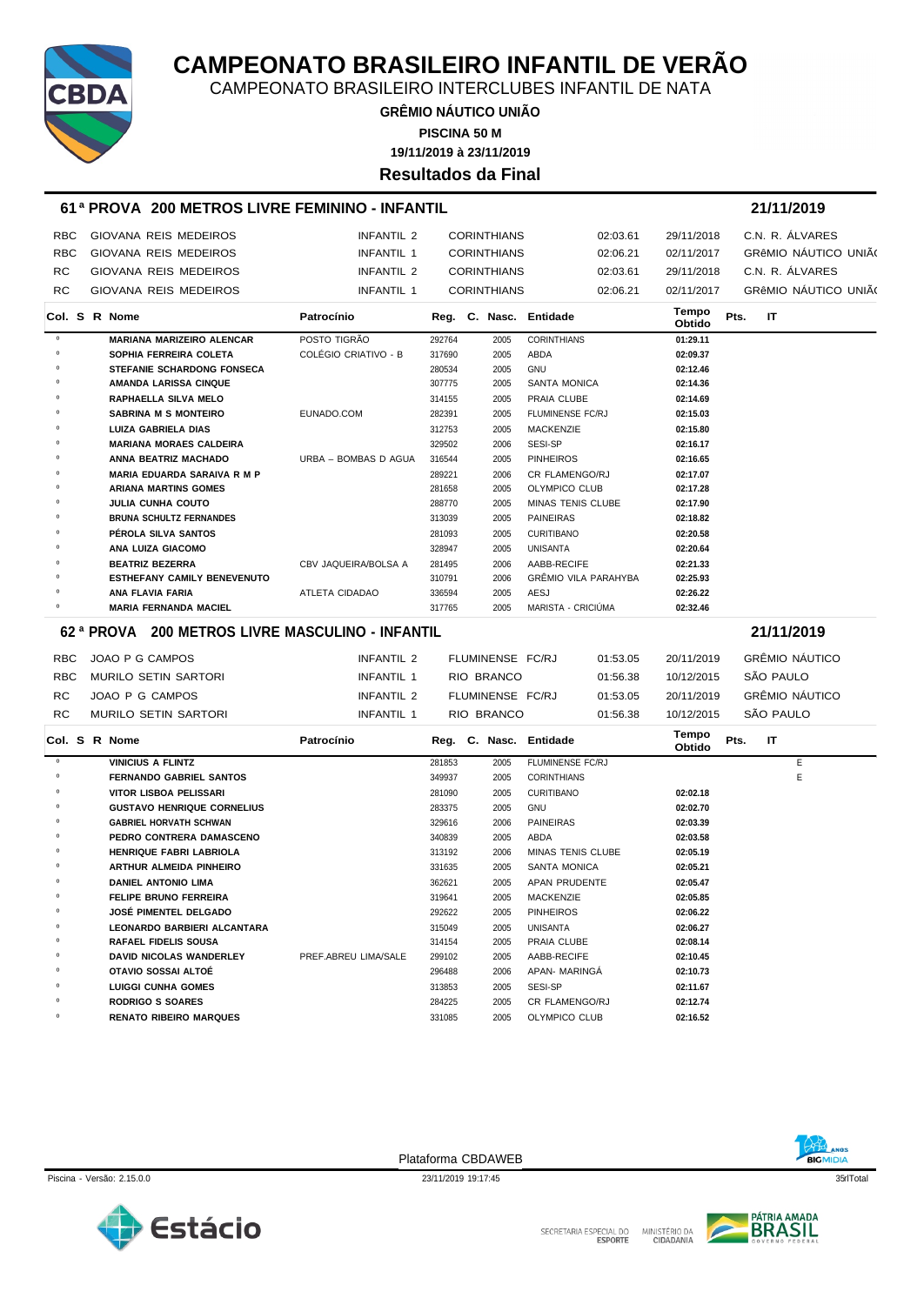

CAMPEONATO BRASILEIRO INTERCLUBES INFANTIL DE NATA

**GRÊMIO NÁUTICO UNIÃO 19/11/2019 à 23/11/2019 PISCINA 50 M Resultados da Final**

#### **61 ª PROVA 200 METROS LIVRE FEMININO - INFANTIL 21/11/2019**

| <b>RBC</b> | GIOVANA REIS MEDEIROS | INFANTIL 2 | CORINTHIANS        | 02:03.61 | 29/11/2018 | C.N. R. ALVARES      |
|------------|-----------------------|------------|--------------------|----------|------------|----------------------|
| <b>RBC</b> | GIOVANA REIS MEDEIROS | INFANTIL 1 | <b>CORINTHIANS</b> | 02:06.21 | 02/11/2017 | GRÊMIO NÁUTICO UNIÃ( |
| RC.        | GIOVANA REIS MEDEIROS | INFANTIL 2 | <b>CORINTHIANS</b> | 02:03.61 | 29/11/2018 | C.N. R. ÁLVARES      |
| RC.        | GIOVANA REIS MEDEIROS | INFANTIL 1 | <b>CORINTHIANS</b> | 02:06.21 | 02/11/2017 | GRÊMIO NÁUTICO UNIÃ( |

|         |  | <b>Col. S R Nome</b>               | Patrocínio           |        |      | Reg. C. Nasc. Entidade      | Tempo<br><b>Obtido</b> | Pts. | ΙT |  |
|---------|--|------------------------------------|----------------------|--------|------|-----------------------------|------------------------|------|----|--|
| $\circ$ |  | <b>MARIANA MARIZEIRO ALENCAR</b>   | POSTO TIGRÃO         | 292764 | 2005 | <b>CORINTHIANS</b>          | 01:29.11               |      |    |  |
| $\circ$ |  | SOPHIA FERREIRA COLETA             | COLÉGIO CRIATIVO - B | 317690 | 2005 | ABDA                        | 02:09.37               |      |    |  |
| $\circ$ |  | <b>STEFANIE SCHARDONG FONSECA</b>  |                      | 280534 | 2005 | <b>GNU</b>                  | 02:12.46               |      |    |  |
| $\circ$ |  | <b>AMANDA LARISSA CINQUE</b>       |                      | 307775 | 2005 | <b>SANTA MONICA</b>         | 02:14.36               |      |    |  |
| 0       |  | RAPHAELLA SILVA MELO               |                      | 314155 | 2005 | PRAIA CLUBE                 | 02:14.69               |      |    |  |
| 0       |  | <b>SABRINA M S MONTEIRO</b>        | EUNADO.COM           | 282391 | 2005 | <b>FLUMINENSE FC/RJ</b>     | 02:15.03               |      |    |  |
| $\circ$ |  | <b>LUIZA GABRIELA DIAS</b>         |                      | 312753 | 2005 | <b>MACKENZIE</b>            | 02:15.80               |      |    |  |
| $\circ$ |  | <b>MARIANA MORAES CALDEIRA</b>     |                      | 329502 | 2006 | SESI-SP                     | 02:16.17               |      |    |  |
| 0       |  | ANNA BEATRIZ MACHADO               | URBA - BOMBAS D AGUA | 316544 | 2005 | <b>PINHEIROS</b>            | 02:16.65               |      |    |  |
| $\circ$ |  | <b>MARIA EDUARDA SARAIVA R M P</b> |                      | 289221 | 2006 | <b>CR FLAMENGO/RJ</b>       | 02:17.07               |      |    |  |
| $\circ$ |  | <b>ARIANA MARTINS GOMES</b>        |                      | 281658 | 2005 | OLYMPICO CLUB               | 02:17.28               |      |    |  |
| $\circ$ |  | JULIA CUNHA COUTO                  |                      | 288770 | 2005 | MINAS TENIS CLUBE           | 02:17.90               |      |    |  |
| $\circ$ |  | <b>BRUNA SCHULTZ FERNANDES</b>     |                      | 313039 | 2005 | <b>PAINEIRAS</b>            | 02:18.82               |      |    |  |
| $\circ$ |  | PÉROLA SILVA SANTOS                |                      | 281093 | 2005 | <b>CURITIBANO</b>           | 02:20.58               |      |    |  |
| $\circ$ |  | ANA LUIZA GIACOMO                  |                      | 328947 | 2005 | UNISANTA                    | 02:20.64               |      |    |  |
| 0       |  | <b>BEATRIZ BEZERRA</b>             | CBV JAQUEIRA/BOLSA A | 281495 | 2006 | AABB-RECIFE                 | 02:21.33               |      |    |  |
| 0       |  | <b>ESTHEFANY CAMILY BENEVENUTO</b> |                      | 310791 | 2006 | <b>GRÊMIO VILA PARAHYBA</b> | 02:25.93               |      |    |  |
| $\circ$ |  | ANA FLAVIA FARIA                   | ATLETA CIDADAO       | 336594 | 2005 | AESJ                        | 02:26.22               |      |    |  |
| $\circ$ |  | <b>MARIA FERNANDA MACIEL</b>       |                      | 317765 | 2005 | MARISTA - CRICIÚMA          | 02:32.46               |      |    |  |

#### **62 ª PROVA 200 METROS LIVRE MASCULINO - INFANTIL 21/11/2019**

|     | RBC JOAO P G CAMPOS  | INFANTIL 2 | FLUMINENSE FC/RJ | 01:53.05 | 20/11/2019 | GRÊMIO NÁUTICO |
|-----|----------------------|------------|------------------|----------|------------|----------------|
| RBC | MURILO SETIN SARTORI | INFANTIL 1 | RIO BRANCO       | 01:56.38 | 10/12/2015 | SÃO PAULO      |
| RC. | JOAO P G CAMPOS      | INFANTIL 2 | FLUMINENSE FC/RJ | 01:53.05 | 20/11/2019 | GRÊMIO NÁUTICO |
| RC. | MURILO SETIN SARTORI | INFANTIL 1 | RIO BRANCO       | 01:56.38 | 10/12/2015 | SÃO PAULO      |

|            |  | Col. S R Nome                      | Patrocínio           |        |      | Reg. C. Nasc. Entidade   | Tempo<br><b>Obtido</b> | Pts. | IT |   |
|------------|--|------------------------------------|----------------------|--------|------|--------------------------|------------------------|------|----|---|
| $^{\circ}$ |  | <b>VINICIUS A FLINTZ</b>           |                      | 281853 | 2005 | FLUMINENSE FC/RJ         |                        |      |    | E |
| 0          |  | <b>FERNANDO GABRIEL SANTOS</b>     |                      | 349937 | 2005 | <b>CORINTHIANS</b>       |                        |      |    | E |
| $\circ$    |  | VITOR LISBOA PELISSARI             |                      | 281090 | 2005 | <b>CURITIBANO</b>        | 02:02.18               |      |    |   |
| $\circ$    |  | <b>GUSTAVO HENRIQUE CORNELIUS</b>  |                      | 283375 | 2005 | <b>GNU</b>               | 02:02.70               |      |    |   |
| $\circ$    |  | <b>GABRIEL HORVATH SCHWAN</b>      |                      | 329616 | 2006 | <b>PAINEIRAS</b>         | 02:03.39               |      |    |   |
| $\circ$    |  | PEDRO CONTRERA DAMASCENO           |                      | 340839 | 2005 | ABDA                     | 02:03.58               |      |    |   |
| $\circ$    |  | <b>HENRIQUE FABRI LABRIOLA</b>     |                      | 313192 | 2006 | <b>MINAS TENIS CLUBE</b> | 02:05.19               |      |    |   |
| $\circ$    |  | <b>ARTHUR ALMEIDA PINHEIRO</b>     |                      | 331635 | 2005 | <b>SANTA MONICA</b>      | 02:05.21               |      |    |   |
| 0          |  | <b>DANIEL ANTONIO LIMA</b>         |                      | 362621 | 2005 | APAN PRUDENTE            | 02:05.47               |      |    |   |
| $\circ$    |  | <b>FELIPE BRUNO FERREIRA</b>       |                      | 319641 | 2005 | <b>MACKENZIE</b>         | 02:05.85               |      |    |   |
| $\circ$    |  | JOSÉ PIMENTEL DELGADO              |                      | 292622 | 2005 | <b>PINHEIROS</b>         | 02:06.22               |      |    |   |
| $\circ$    |  | <b>LEONARDO BARBIERI ALCANTARA</b> |                      | 315049 | 2005 | <b>UNISANTA</b>          | 02:06.27               |      |    |   |
| $\circ$    |  | <b>RAFAEL FIDELIS SOUSA</b>        |                      | 314154 | 2005 | PRAIA CLUBE              | 02:08.14               |      |    |   |
| $\circ$    |  | <b>DAVID NICOLAS WANDERLEY</b>     | PREF.ABREU LIMA/SALE | 299102 | 2005 | AABB-RECIFE              | 02:10.45               |      |    |   |
| $\circ$    |  | OTAVIO SOSSAI ALTOÉ                |                      | 296488 | 2006 | APAN- MARINGA            | 02:10.73               |      |    |   |
| $\circ$    |  | <b>LUIGGI CUNHA GOMES</b>          |                      | 313853 | 2005 | SESI-SP                  | 02:11.67               |      |    |   |
| $\circ$    |  | <b>RODRIGO S SOARES</b>            |                      | 284225 | 2005 | CR FLAMENGO/RJ           | 02:12.74               |      |    |   |
| $\circ$    |  | <b>RENATO RIBEIRO MARQUES</b>      |                      | 331085 | 2005 | <b>OLYMPICO CLUB</b>     | 02:16.52               |      |    |   |

Plataforma CBDAWEB



Piscina - Versão: 2.15.0.0 23/11/2019 19:17:45 23/11/2019 19:17:45 23/11/2019 19:17:45 35rlTotal



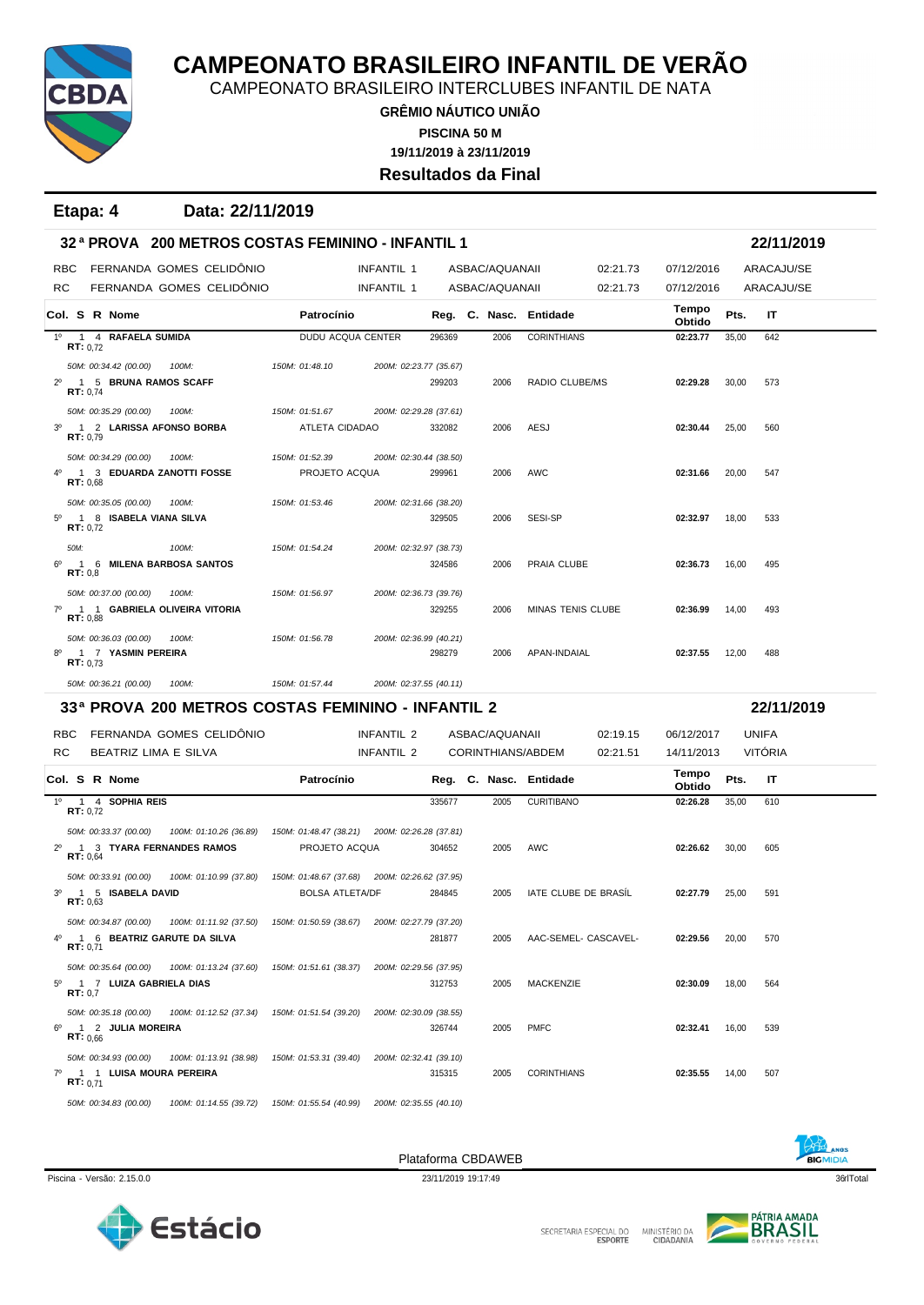

CAMPEONATO BRASILEIRO INTERCLUBES INFANTIL DE NATA

**GRÊMIO NÁUTICO UNIÃO 19/11/2019 à 23/11/2019 PISCINA 50 M Resultados da Final**

**Etapa: 4 Data: 22/11/2019**

|                |                   |                         | 32 <sup>a</sup> PROVA 200 METROS COSTAS FEMININO - INFANTIL 1        |                                                                |                        |        |                   |                        |          |                 |       | 22/11/2019     |  |
|----------------|-------------------|-------------------------|----------------------------------------------------------------------|----------------------------------------------------------------|------------------------|--------|-------------------|------------------------|----------|-----------------|-------|----------------|--|
| <b>RBC</b>     |                   |                         | FERNANDA GOMES CELIDÔNIO                                             |                                                                | <b>INFANTIL 1</b>      |        | ASBAC/AQUANAII    |                        | 02:21.73 | 07/12/2016      |       | ARACAJU/SE     |  |
| <b>RC</b>      |                   |                         | FERNANDA GOMES CELIDONIO                                             |                                                                | <b>INFANTIL 1</b>      |        | ASBAC/AQUANAII    |                        | 02:21.73 | 07/12/2016      |       | ARACAJU/SE     |  |
|                |                   | Col. S R Nome           |                                                                      | Patrocínio                                                     |                        |        |                   | Reg. C. Nasc. Entidade |          | Tempo<br>Obtido | Pts.  | IT             |  |
|                | RT: 0.72          | 1º 1 4 RAFAELA SUMIDA   |                                                                      | DUDU ACQUA CENTER                                              |                        | 296369 | 2006              | <b>CORINTHIANS</b>     |          | 02:23.77        | 35,00 | 642            |  |
|                |                   | 50M: 00:34.42 (00.00)   | 100M:                                                                | 150M: 01:48.10                                                 | 200M: 02:23.77 (35.67) |        |                   |                        |          |                 |       |                |  |
| $2^{\circ}$    | RT: 0.74          | 1 5 BRUNA RAMOS SCAFF   |                                                                      |                                                                |                        | 299203 | 2006              | RADIO CLUBE/MS         |          | 02:29.28        | 30,00 | 573            |  |
|                |                   | 50M: 00:35.29 (00.00)   | 100M:                                                                | 150M: 01:51.67                                                 | 200M: 02:29.28 (37.61) |        |                   |                        |          |                 |       |                |  |
| 3 <sup>o</sup> | RT: 0.79          |                         | 1 2 LARISSA AFONSO BORBA                                             | ATLETA CIDADAO                                                 |                        | 332082 | 2006              | AESJ                   |          | 02:30.44        | 25,00 | 560            |  |
|                |                   | 50M: 00:34.29 (00.00)   | 100M:                                                                | 150M: 01:52.39                                                 | 200M: 02:30.44 (38.50) |        |                   |                        |          |                 |       |                |  |
| 4°             | RT: 0.68          |                         | 1 3 EDUARDA ZANOTTI FOSSE                                            | PROJETO ACQUA                                                  |                        | 299961 | 2006              | AWC                    |          | 02:31.66        | 20,00 | 547            |  |
|                |                   | 50M: 00:35.05 (00.00)   | 100M:                                                                | 150M: 01:53.46                                                 | 200M: 02:31.66 (38.20) |        |                   |                        |          |                 |       |                |  |
| $5^{\circ}$    | <b>RT:</b> $0,72$ | 1 8 ISABELA VIANA SILVA |                                                                      |                                                                |                        | 329505 | 2006              | SESI-SP                |          | 02:32.97        | 18,00 | 533            |  |
|                | 50M:              |                         | 100M:                                                                | 150M: 01:54.24                                                 | 200M: 02:32.97 (38.73) |        |                   |                        |          |                 |       |                |  |
| 6°             | RT: 0.8           |                         | 1 6 MILENA BARBOSA SANTOS                                            |                                                                |                        | 324586 | 2006              | PRAIA CLUBE            |          | 02:36.73        | 16,00 | 495            |  |
|                |                   | 50M: 00:37.00 (00.00)   | 100M:                                                                | 150M: 01:56.97                                                 | 200M: 02:36.73 (39.76) |        |                   |                        |          |                 |       |                |  |
| $7^\circ$      | RT: 0,88          |                         | 1 1 GABRIELA OLIVEIRA VITORIA                                        |                                                                |                        | 329255 | 2006              | MINAS TENIS CLUBE      |          | 02:36.99        | 14,00 | 493            |  |
|                |                   | 50M: 00:36.03 (00.00)   | 100M:                                                                | 150M: 01:56.78                                                 | 200M: 02:36.99 (40.21) |        |                   |                        |          |                 |       |                |  |
| $8^{\circ}$    | RT: 0.73          | 1 7 YASMIN PEREIRA      |                                                                      |                                                                |                        | 298279 | 2006              | APAN-INDAIAL           |          | 02:37.55        | 12,00 | 488            |  |
|                |                   | 50M: 00:36.21 (00.00)   | 100M:                                                                | 150M: 01:57.44                                                 | 200M: 02:37.55 (40.11) |        |                   |                        |          |                 |       |                |  |
|                |                   |                         | 33ª PROVA 200 METROS COSTAS FEMININO - INFANTIL 2                    |                                                                |                        |        |                   |                        |          |                 |       | 22/11/2019     |  |
| <b>RBC</b>     |                   |                         | FERNANDA GOMES CELIDÔNIO                                             |                                                                | INFANTIL 2             |        | ASBAC/AQUANAII    |                        | 02:19.15 | 06/12/2017      |       | <b>UNIFA</b>   |  |
| RC             |                   | BEATRIZ LIMA E SILVA    |                                                                      |                                                                | INFANTIL 2             |        | CORINTHIANS/ABDEM |                        | 02:21.51 | 14/11/2013      |       | <b>VITÓRIA</b> |  |
|                |                   | Col. S R Nome           |                                                                      | Patrocínio                                                     |                        |        |                   | Reg. C. Nasc. Entidade |          | Tempo<br>Obtido | Pts.  | IT             |  |
|                | <b>RT:</b> $0,72$ | 1º 1 4 SOPHIA REIS      |                                                                      |                                                                |                        | 335677 | 2005              | <b>CURITIBANO</b>      |          | 02:26.28        | 35,00 | 610            |  |
|                |                   | 50M: 00:33.37 (00.00)   | 100M: 01:10.26 (36.89)                                               |                                                                |                        |        |                   |                        |          |                 |       |                |  |
| $2^{\circ}$    |                   |                         | 1 3 TYARA FERNANDES RAMOS                                            | 150M: 01:48.47 (38.21) 200M: 02:26.28 (37.81)<br>PROJETO ACQUA |                        | 304652 | 2005              | AWC                    |          | 02:26.62        | 30,00 | 605            |  |
|                | RT: 0.64          |                         |                                                                      |                                                                |                        |        |                   |                        |          |                 |       |                |  |
|                |                   | 50M: 00:33.91 (00.00)   | 100M: 01:10.99 (37.80)                                               | 150M: 01:48.67 (37.68) 200M: 02:26.62 (37.95)                  |                        |        |                   |                        |          |                 |       |                |  |
| $3^{\circ}$    | RT: 0,63          | 1 5 ISABELA DAVID       |                                                                      | <b>BOLSA ATLETA/DF</b>                                         |                        | 284845 | 2005              | IATE CLUBE DE BRASIL   |          | 02:27.79        | 25,00 | 591            |  |
|                |                   | 50M: 00:34.87 (00.00)   | 100M: 01:11.92 (37.50)                                               | 150M: 01:50.59 (38.67) 200M: 02:27.79 (37.20)                  |                        |        |                   |                        |          |                 |       |                |  |
| $4^{\circ}$    | RT: 0,71          |                         | 1 6 BEATRIZ GARUTE DA SILVA                                          |                                                                |                        | 281877 | 2005              | AAC-SEMEL- CASCAVEL-   |          | 02:29.56        | 20,00 | 570            |  |
|                |                   | 50M: 00:35.64 (00.00)   | 100M: 01:13.24 (37.60)                                               | 150M: 01:51.61 (38.37)                                         | 200M: 02:29.56 (37.95) |        |                   |                        |          |                 |       |                |  |
| $5^{\circ}$    | RT: 0,7           | 1 7 LUIZA GABRIELA DIAS |                                                                      |                                                                |                        | 312753 | 2005              | <b>MACKENZIE</b>       |          | 02:30.09        | 18,00 | 564            |  |
|                |                   | 50M: 00:35.18 (00.00)   | 100M: 01:12.52 (37.34)                                               | 150M: 01:51.54 (39.20)                                         | 200M: 02:30.09 (38.55) |        |                   |                        |          |                 |       |                |  |
| $6^{\circ}$    | RT: 0.66          | 1 2 JULIA MOREIRA       |                                                                      |                                                                |                        | 326744 | 2005              | <b>PMFC</b>            |          | 02:32.41        | 16,00 | 539            |  |
|                |                   | 50M: 00:34.93 (00.00)   | 100M: 01:13.91 (38.98) 150M: 01:53.31 (39.40) 200M: 02:32.41 (39.10) |                                                                |                        |        |                   |                        |          |                 |       |                |  |

Piscina - Versão: 2.15.0.0 23/11/2019 19:17:49 23/11/2019 19:17:49 23/11/2019 19:17:49

Plataforma CBDAWEB

7º 1 1 **LUISA MOURA PEREIRA** 315315 2005 CORINTHIANS **02:35.55** 14,00 507 **RT:** 0,71



*50M: 00:34.83 (00.00) 100M: 01:14.55 (39.72) 150M: 01:55.54 (40.99) 200M: 02:35.55 (40.10)*



**BIGMIDIA**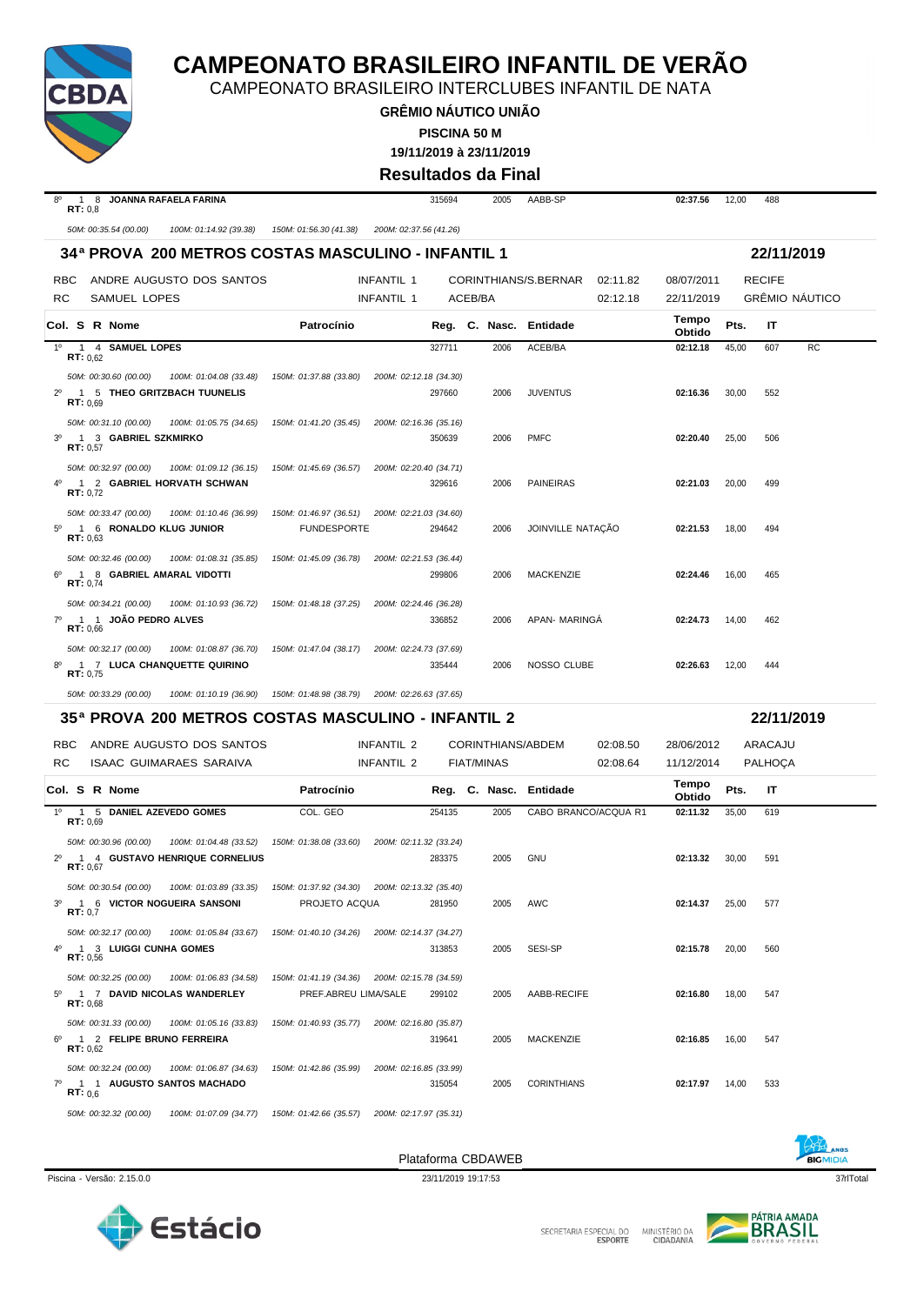

# **CAMPEONATO BRASILEIRO INFANTIL DE VERÃO**

CAMPEONATO BRASILEIRO INTERCLUBES INFANTIL DE NATA

**GRÊMIO NÁUTICO UNIÃO PISCINA 50 M**

**19/11/2019 à 23/11/2019**

**Resultados da Final**

| <b>JOANNA RAFAELA FARINA</b><br>$8^{\circ}$<br>1 8<br>RT: 0.8                                           |                                                  | 315694  | 2005 | AABB-SP                |          | 02:37.56        | 12,00 | 488           |                       |
|---------------------------------------------------------------------------------------------------------|--------------------------------------------------|---------|------|------------------------|----------|-----------------|-------|---------------|-----------------------|
| 50M: 00:35.54 (00.00)<br>100M: 01:14.92 (39.38)                                                         | 150M: 01:56.30 (41.38)<br>200M: 02:37.56 (41.26) |         |      |                        |          |                 |       |               |                       |
| 34ª PROVA 200 METROS COSTAS MASCULINO - INFANTIL 1                                                      |                                                  |         |      |                        |          |                 |       | 22/11/2019    |                       |
| ANDRE AUGUSTO DOS SANTOS<br><b>RBC</b>                                                                  | INFANTIL 1                                       |         |      | CORINTHIANS/S.BERNAR   | 02:11.82 | 08/07/2011      |       | <b>RECIFE</b> |                       |
| SAMUEL LOPES<br>RC.                                                                                     | INFANTIL 1                                       | ACEB/BA |      |                        | 02:12.18 | 22/11/2019      |       |               | <b>GRÊMIO NÁUTICO</b> |
| Col. S R Nome                                                                                           | Patrocínio                                       |         |      | Reg. C. Nasc. Entidade |          | Tempo<br>Obtido | Pts.  | $\mathsf{I}$  |                       |
| 1 4 SAMUEL LOPES<br>$1^{\circ}$<br>RT: 0.62                                                             |                                                  | 327711  | 2006 | ACEB/BA                |          | 02:12.18        | 45,00 | 607           | <b>RC</b>             |
| 50M: 00:30.60 (00.00)<br>100M: 01:04.08 (33.48)<br>5 THEO GRITZBACH TUUNELIS<br>$2^{\circ}$<br>RT: 0.69 | 150M: 01:37.88 (33.80)<br>200M: 02:12.18 (34.30) | 297660  | 2006 | <b>JUVENTUS</b>        |          | 02:16.36        | 30,00 | 552           |                       |
| 50M: 00:31.10 (00.00)<br>100M: 01:05.75 (34.65)<br>3 GABRIEL SZKMIRKO<br>$3^{\circ}$<br>RT: 0.57        | 150M: 01:41.20 (35.45) 200M: 02:16.36 (35.16)    | 350639  | 2006 | <b>PMFC</b>            |          | 02:20.40        | 25,00 | 506           |                       |
| 50M: 00:32.97 (00.00)<br>100M: 01:09.12 (36.15)<br>1 2 GABRIEL HORVATH SCHWAN<br>40<br>RT: 0.72         | 150M: 01:45.69 (36.57)<br>200M: 02:20.40 (34.71) | 329616  | 2006 | <b>PAINEIRAS</b>       |          | 02:21.03        | 20,00 | 499           |                       |
| 50M: 00:33.47 (00.00)<br>100M: 01:10.46 (36.99)                                                         | 150M: 01:46.97 (36.51) 200M: 02:21.03 (34.60)    |         |      |                        |          |                 |       |               |                       |

6º 1 8 **GABRIEL AMARAL VIDOTTI** 299806 2006 MACKENZIE **02:24.46** 16,00 465 **RT:** 0,74 *50M: 00:34.21 (00.00) 100M: 01:10.93 (36.72) 150M: 01:48.18 (37.25) 200M: 02:24.46 (36.28)* 7º 1 1 **JOÃO PEDRO ALVES** 336852 2006 APAN- MARINGÁ **02:24.73** 14,00 462 **RT:** 0,66 *50M: 00:32.17 (00.00) 100M: 01:08.87 (36.70) 150M: 01:47.04 (38.17) 200M: 02:24.73 (37.69)* 8º 1 7 **LUCA CHANQUETTE QUIRINO** 335444 2006 NOSSO CLUBE **02:26.63** 12,00 444 **RT:** 0,75

5º 1 6 **RONALDO KLUG JUNIOR** FUNDESPORTE 294642 2006 JOINVILLE NATAÇÃO **02:21.53** 18,00 494 **RT:** 0,63

*50M: 00:33.29 (00.00) 100M: 01:10.19 (36.90) 150M: 01:48.98 (38.79) 200M: 02:26.63 (37.65)*

*50M: 00:32.46 (00.00) 100M: 01:08.31 (35.85) 150M: 01:45.09 (36.78) 200M: 02:21.53 (36.44)*

**35ª PROVA 200 METROS COSTAS MASCULINO - INFANTIL 2 22/11/2019**

|     | RBC.     |                                                    | ANDRE AUGUSTO DOS SANTOS                                                                                                        |                      | INFANTIL 2 |        |            | CORINTHIANS/ABDEM      | 02:08.50             | 28/06/2012      |       | ARACAJU        |  |
|-----|----------|----------------------------------------------------|---------------------------------------------------------------------------------------------------------------------------------|----------------------|------------|--------|------------|------------------------|----------------------|-----------------|-------|----------------|--|
| RC. |          |                                                    | ISAAC GUIMARAES SARAIVA                                                                                                         |                      | INFANTIL 2 |        | FIAT/MINAS |                        | 02:08.64             | 11/12/2014      |       | <b>PALHOCA</b> |  |
|     |          | Col. S R Nome                                      |                                                                                                                                 | Patrocínio           |            |        |            | Reg. C. Nasc. Entidade |                      | Tempo<br>Obtido | Pts.  | -IT            |  |
|     | RT: 0.69 | 1º 1 5 DANIEL AZEVEDO GOMES                        |                                                                                                                                 | COL. GEO             |            | 254135 | 2005       |                        | CABO BRANCO/ACQUA R1 | 02:11.32        | 35,00 | 619            |  |
|     | RT: 0.67 |                                                    | 50M: 00:30.96 (00.00) 100M: 01:04.48 (33.52) 150M: 01:38.08 (33.60) 200M: 02:11.32 (33.24)<br>2º 1 4 GUSTAVO HENRIQUE CORNELIUS |                      |            | 283375 | 2005       | GNU                    |                      | 02:13.32        | 30.00 | 591            |  |
|     | RT: 0.7  |                                                    | 50M: 00:30.54 (00.00) 100M: 01:03.89 (33.35) 150M: 01:37.92 (34.30) 200M: 02:13.32 (35.40)<br>3º 1 6 VICTOR NOGUEIRA SANSONI    | PROJETO ACQUA        |            | 281950 | 2005       | AWC                    |                      | 02:14.37        | 25,00 | 577            |  |
|     | RT: 0.56 | 4º 1 3 LUIGGI CUNHA GOMES                          | 50M: 00:32.17 (00.00) 100M: 01:05.84 (33.67) 150M: 01:40.10 (34.26) 200M: 02:14.37 (34.27)                                      |                      |            | 313853 | 2005       | SESI-SP                |                      | 02:15.78        | 20.00 | 560            |  |
|     | RT: 0.68 |                                                    | 50M: 00:32.25 (00.00) 100M: 01:06.83 (34.58) 150M: 01:41.19 (34.36) 200M: 02:15.78 (34.59)<br>5º 1 7 DAVID NICOLAS WANDERLEY    | PREF.ABREU LIMA/SALE |            | 299102 | 2005       | AABB-RECIFE            |                      | 02:16.80        | 18.00 | 547            |  |
| 6°  | RT: 0.62 | 50M: 00:31.33 (00.00)<br>1 2 FELIPE BRUNO FERREIRA | 100M: 01:05.16 (33.83) 150M: 01:40.93 (35.77) 200M: 02:16.80 (35.87)                                                            |                      |            | 319641 | 2005       | <b>MACKENZIE</b>       |                      | 02:16.85        | 16.00 | 547            |  |
|     | RT: 0.6  |                                                    | 50M: 00:32.24 (00.00) 100M: 01:06.87 (34.63) 150M: 01:42.86 (35.99) 200M: 02:16.85 (33.99)<br>7º 1 1 AUGUSTO SANTOS MACHADO     |                      |            | 315054 | 2005       | <b>CORINTHIANS</b>     |                      | 02:17.97        | 14,00 | 533            |  |
|     |          | 50M: 00:32.32 (00.00)                              | 100M; 01:07.09 (34.77) 150M; 01:42.66 (35.57) 200M; 02:17.97 (35.31)                                                            |                      |            |        |            |                        |                      |                 |       |                |  |





Piscina - Versão: 2.15.0.0 23/11/2019 19:17:53 37qrlTotal



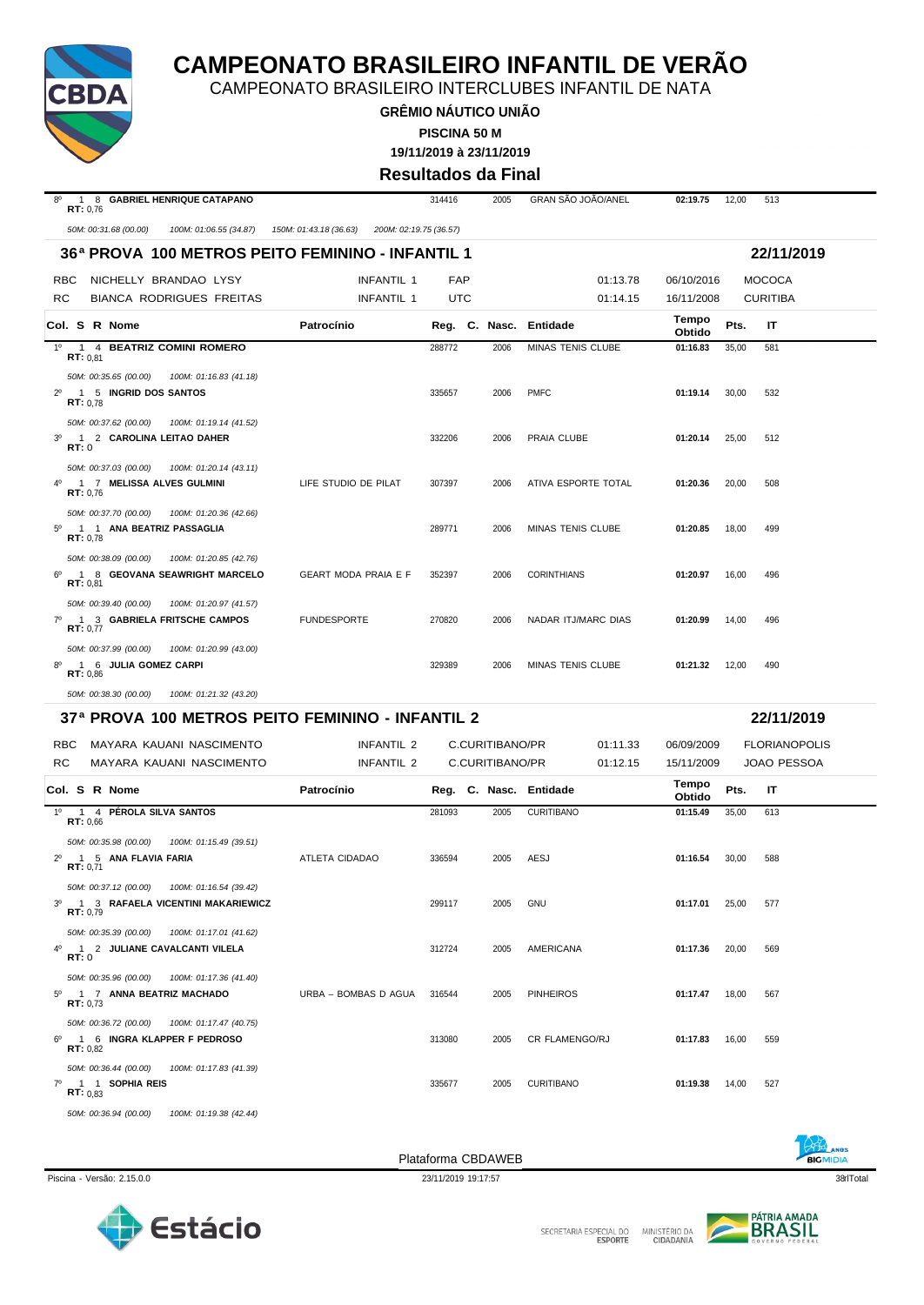

CAMPEONATO BRASILEIRO INTERCLUBES INFANTIL DE NATA

**GRÊMIO NÁUTICO UNIÃO 19/11/2019 à 23/11/2019 PISCINA 50 M**

**Resultados da Final**

|                                                                                                                | <b>INGSUILAUUS UA LITTAI</b>                     |            |                 |                           |                 |       |                      |  |  |  |
|----------------------------------------------------------------------------------------------------------------|--------------------------------------------------|------------|-----------------|---------------------------|-----------------|-------|----------------------|--|--|--|
| $8^{\circ}$<br>1 8 GABRIEL HENRIQUE CATAPANO<br>RT: 0.76                                                       |                                                  | 314416     | 2005            | <b>GRAN SAO JOAO/ANEL</b> | 02:19.75        | 12,00 | 513                  |  |  |  |
| 50M: 00:31.68 (00.00)<br>100M: 01:06.55 (34.87)                                                                | 150M: 01:43.18 (36.63)<br>200M: 02:19.75 (36.57) |            |                 |                           |                 |       |                      |  |  |  |
| 36ª PROVA 100 METROS PEITO FEMININO - INFANTIL 1                                                               |                                                  |            |                 |                           |                 |       | 22/11/2019           |  |  |  |
| <b>RBC</b><br>NICHELLY BRANDAO LYSY                                                                            | <b>INFANTIL 1</b>                                | <b>FAP</b> |                 | 01:13.78                  | 06/10/2016      |       | <b>MOCOCA</b>        |  |  |  |
| RC<br><b>BIANCA RODRIGUES FREITAS</b>                                                                          | INFANTIL 1                                       | UTC        |                 | 01:14.15                  | 16/11/2008      |       | <b>CURITIBA</b>      |  |  |  |
| Col. S R Nome                                                                                                  | Patrocínio                                       |            |                 | Reg. C. Nasc. Entidade    | Tempo<br>Obtido | Pts.  | IT                   |  |  |  |
| 1 4 BEATRIZ COMINI ROMERO<br>$1^{\circ}$<br>RT: 0.81                                                           |                                                  | 288772     | 2006            | MINAS TENIS CLUBE         | 01:16.83        | 35,00 | 581                  |  |  |  |
| 50M: 00:35.65 (00.00)<br>100M: 01:16.83 (41.18)                                                                |                                                  |            |                 |                           |                 |       |                      |  |  |  |
| 2 <sup>0</sup> 1 5 INGRID DOS SANTOS<br><b>RT:</b> $0,78$                                                      |                                                  | 335657     | 2006            | <b>PMFC</b>               | 01:19.14        | 30,00 | 532                  |  |  |  |
| 50M: 00:37.62 (00.00)<br>100M: 01:19.14 (41.52)                                                                |                                                  |            |                 |                           |                 |       |                      |  |  |  |
| 3 <sup>o</sup><br>1 2 CAROLINA LEITAO DAHER<br>RT:0                                                            |                                                  | 332206     | 2006            | PRAIA CLUBE               | 01:20.14        | 25,00 | 512                  |  |  |  |
| 50M: 00:37.03 (00.00)<br>100M: 01:20.14 (43.11)                                                                |                                                  |            |                 |                           |                 |       |                      |  |  |  |
| 1 7 MELISSA ALVES GULMINI<br>RT: 0.76                                                                          | LIFE STUDIO DE PILAT                             | 307397     | 2006            | ATIVA ESPORTE TOTAL       | 01:20.36        | 20,00 | 508                  |  |  |  |
| 50M: 00:37.70 (00.00)<br>100M: 01:20.36 (42.66)<br>$5^{\circ}$<br>1 1 ANA BEATRIZ PASSAGLIA<br>RT: 0,78        |                                                  | 289771     | 2006            | MINAS TENIS CLUBE         | 01:20.85        | 18,00 | 499                  |  |  |  |
| 50M: 00:38.09 (00.00)<br>100M: 01:20.85 (42.76)<br>1 8 GEOVANA SEAWRIGHT MARCELO<br>RT: 0.81                   | GEART MODA PRAIA E F                             | 352397     | 2006            | <b>CORINTHIANS</b>        | 01:20.97        | 16,00 | 496                  |  |  |  |
| 50M: 00:39.40 (00.00)<br>100M: 01:20.97 (41.57)<br>$7^\circ$<br>1 3 GABRIELA FRITSCHE CAMPOS<br>RT: 0,77       | <b>FUNDESPORTE</b>                               | 270820     | 2006            | NADAR ITJ/MARC DIAS       | 01:20.99        | 14,00 | 496                  |  |  |  |
| 50M: 00:37.99 (00.00)<br>100M: 01:20.99 (43.00)                                                                |                                                  |            |                 |                           |                 |       |                      |  |  |  |
| 1 6 JULIA GOMEZ CARPI<br>8°<br>RT: 0.86                                                                        |                                                  | 329389     | 2006            | MINAS TENIS CLUBE         | 01:21.32        | 12,00 | 490                  |  |  |  |
| 50M: 00:38.30 (00.00)<br>100M: 01:21.32 (43.20)                                                                |                                                  |            |                 |                           |                 |       |                      |  |  |  |
| 37ª PROVA 100 METROS PEITO FEMININO - INFANTIL 2                                                               |                                                  |            |                 |                           |                 |       | 22/11/2019           |  |  |  |
| <b>RBC</b><br>MAYARA KAUANI NASCIMENTO                                                                         | <b>INFANTIL 2</b>                                |            | C.CURITIBANO/PR | 01:11.33                  | 06/09/2009      |       | <b>FLORIANOPOLIS</b> |  |  |  |
| RC<br>MAYARA KAUANI NASCIMENTO                                                                                 | INFANTIL 2                                       |            | C.CURITIBANO/PR | 01:12.15                  | 15/11/2009      |       | <b>JOAO PESSOA</b>   |  |  |  |
| Col. S R Nome                                                                                                  | Patrocínio                                       |            |                 | Reg. C. Nasc. Entidade    | Tempo<br>Obtido | Pts.  | IT                   |  |  |  |
| 1º 1 4 PÉROLA SILVA SANTOS                                                                                     |                                                  | 281093     | 2005            | <b>CURITIBANO</b>         | 01:15.49        | 35,00 | 613                  |  |  |  |
| RT: 0,66<br>50M: 00:35.98 (00.00)<br>100M: 01:15.49 (39.51)<br>1 5 ANA FLAVIA FARIA<br>$2^{\circ}$<br>RT: 0,71 | ATLETA CIDADAO                                   | 336594     | 2005            | AESJ                      | 01:16.54        | 30,00 | 588                  |  |  |  |
| 50M: 00:37.12 (00.00)<br>100M: 01:16.54 (39.42)<br>3º 1 3 RAFAELA VICENTINI MAKARIEWICZ<br>RT: 0,79            |                                                  | 299117     | 2005            | GNU                       | 01:17.01        | 25,00 | 577                  |  |  |  |
| 50M: 00:35.39 (00.00)<br>100M: 01:17.01 (41.62)<br>4º 1 2 JULIANE CAVALCANTI VILELA<br>RT:0                    |                                                  | 312724     | 2005            | AMERICANA                 | 01:17.36        | 20,00 | 569                  |  |  |  |
| 50M: 00:35.96 (00.00)<br>100M: 01:17.36 (41.40)<br>5º 1 7 ANNA BEATRIZ MACHADO<br>RT: 0,73                     | URBA - BOMBAS D AGUA                             | 316544     | 2005            | <b>PINHEIROS</b>          | 01:17.47        | 18,00 | 567                  |  |  |  |
| 50M: 00:36.72 (00.00)<br>100M: 01:17.47 (40.75)<br>1 6 INGRA KLAPPER F PEDROSO<br>$6^{\circ}$<br>RT: 0.82      |                                                  | 313080     | 2005            | CR FLAMENGO/RJ            | 01:17.83        | 16,00 | 559                  |  |  |  |
| 50M: 00:36.44 (00.00)<br>100M: 01:17.83 (41.39)<br>7º 1 1 SOPHIA REIS<br><b>RT:</b> $0.83$                     |                                                  | 335677     | 2005            | <b>CURITIBANO</b>         | 01:19.38        | 14,00 | 527                  |  |  |  |







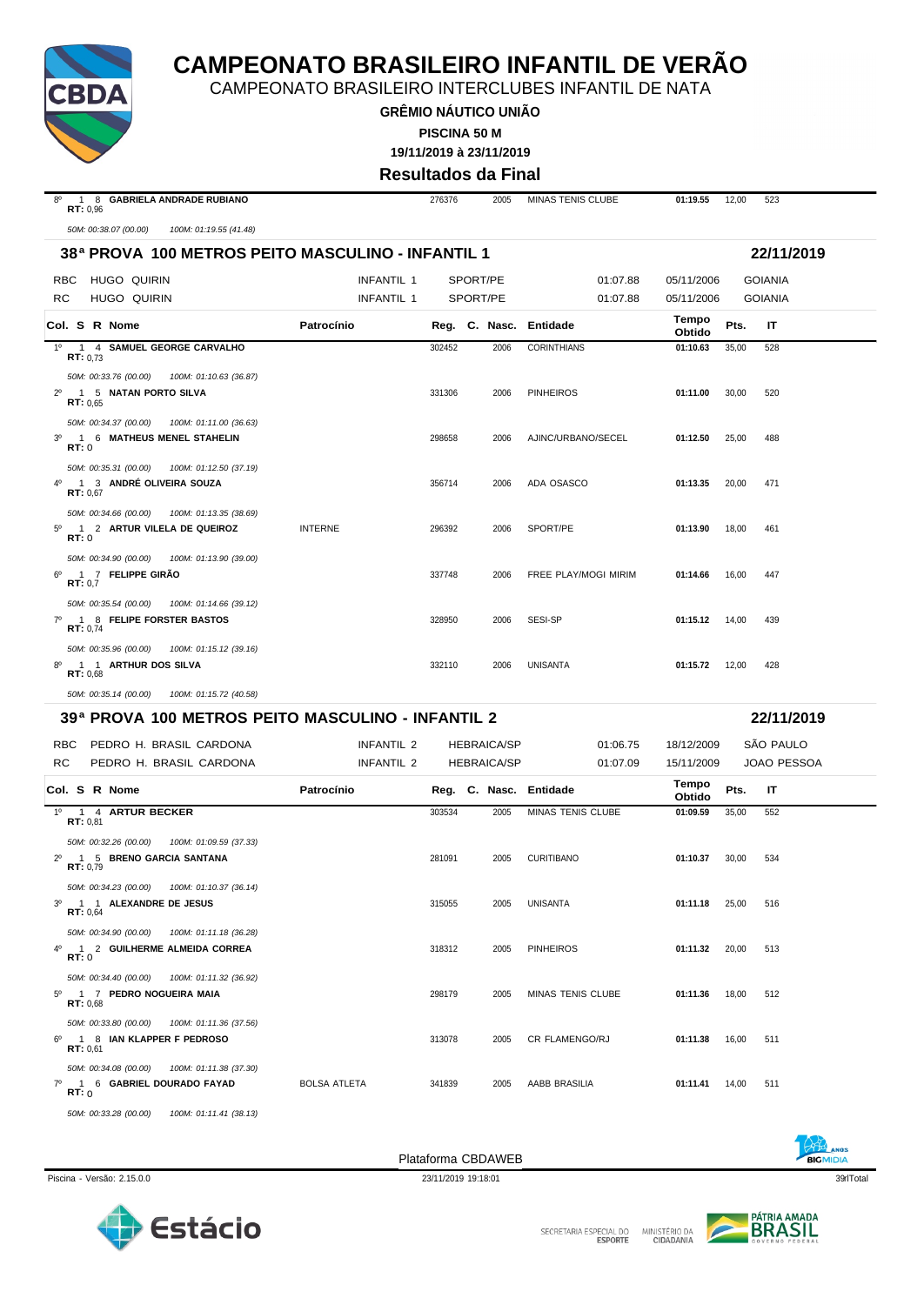

CAMPEONATO BRASILEIRO INTERCLUBES INFANTIL DE NATA

**GRÊMIO NÁUTICO UNIÃO PISCINA 50 M**

**19/11/2019 à 23/11/2019**

**Resultados da Final**

| $8^{\circ}$<br>1 8 GABRIELA ANDRADE RUBIANO<br>RT: 0,96                                               |                     | 276376   | 2005               | MINAS TENIS CLUBE      | 01:19.55        | 12,00 | 523                |
|-------------------------------------------------------------------------------------------------------|---------------------|----------|--------------------|------------------------|-----------------|-------|--------------------|
| 50M: 00:38.07 (00.00)<br>100M: 01:19.55 (41.48)                                                       |                     |          |                    |                        |                 |       |                    |
| 38ª PROVA 100 METROS PEITO MASCULINO - INFANTIL 1                                                     |                     |          |                    |                        |                 |       | 22/11/2019         |
| HUGO QUIRIN<br>RBC                                                                                    | <b>INFANTIL 1</b>   | SPORT/PE |                    | 01:07.88               | 05/11/2006      |       | <b>GOIANIA</b>     |
| RC.<br><b>HUGO QUIRIN</b>                                                                             | <b>INFANTIL 1</b>   | SPORT/PE |                    | 01:07.88               | 05/11/2006      |       | <b>GOIANIA</b>     |
| Col. S R Nome                                                                                         | Patrocínio          |          |                    | Reg. C. Nasc. Entidade | Tempo<br>Obtido | Pts.  | IT                 |
| $1^{\circ}$<br>1 4 SAMUEL GEORGE CARVALHO                                                             |                     | 302452   | 2006               | <b>CORINTHIANS</b>     | 01:10.63        | 35,00 | 528                |
| <b>RT:</b> $0,73$<br>50M: 00:33.76 (00.00)<br>100M: 01:10.63 (36.87)                                  |                     |          |                    |                        |                 |       |                    |
| $2^{\circ}$<br>1 5 NATAN PORTO SILVA<br>RT: 0.65                                                      |                     | 331306   | 2006               | <b>PINHEIROS</b>       | 01:11.00        | 30,00 | 520                |
| 50M: 00:34.37 (00.00)<br>100M: 01:11.00 (36.63)                                                       |                     |          |                    |                        |                 |       |                    |
| 1 6 MATHEUS MENEL STAHELIN<br>$3^{\circ}$<br>RT:0                                                     |                     | 298658   | 2006               | AJINC/URBANO/SECEL     | 01:12.50        | 25,00 | 488                |
| 50M: 00:35.31 (00.00)<br>100M: 01:12.50 (37.19)                                                       |                     |          |                    |                        |                 |       |                    |
| 1 3 ANDRÉ OLIVEIRA SOUZA<br>4°<br>RT: 0,67                                                            |                     | 356714   | 2006               | ADA OSASCO             | 01:13.35        | 20,00 | 471                |
| 50M: 00:34.66 (00.00)<br>100M: 01:13.35 (38.69)<br>1 2 ARTUR VILELA DE QUEIROZ<br>$5^\circ$           | <b>INTERNE</b>      | 296392   | 2006               | SPORT/PE               | 01:13.90        | 18,00 | 461                |
| RT:0                                                                                                  |                     |          |                    |                        |                 |       |                    |
| 50M: 00:34.90 (00.00)<br>100M: 01:13.90 (39.00)<br>1 7 FELIPPE GIRAO<br>$6^{\circ}$<br>RT: 0,7        |                     | 337748   | 2006               | FREE PLAY/MOGI MIRIM   | 01:14.66        | 16,00 | 447                |
| 50M: 00:35.54 (00.00)<br>100M: 01:14.66 (39.12)<br>1 8 FELIPE FORSTER BASTOS<br>$7^\circ$<br>RT: 0.74 |                     | 328950   | 2006               | SESI-SP                | 01:15.12        | 14,00 | 439                |
| 50M: 00:35.96 (00.00)<br>100M: 01:15.12 (39.16)                                                       |                     |          |                    |                        |                 |       |                    |
| $8^{\circ}$<br>1 1 ARTHUR DOS SILVA<br>RT: 0,68                                                       |                     | 332110   | 2006               | <b>UNISANTA</b>        | 01:15.72        | 12,00 | 428                |
| 50M: 00:35.14 (00.00)<br>100M: 01:15.72 (40.58)                                                       |                     |          |                    |                        |                 |       |                    |
| 39ª PROVA 100 METROS PEITO MASCULINO - INFANTIL 2                                                     |                     |          |                    |                        |                 |       | 22/11/2019         |
| <b>RBC</b><br>PEDRO H. BRASIL CARDONA                                                                 | INFANTIL 2          |          | <b>HEBRAICA/SP</b> | 01:06.75               | 18/12/2009      |       | SÃO PAULO          |
| RC.<br>PEDRO H. BRASIL CARDONA                                                                        | INFANTIL 2          |          | <b>HEBRAICA/SP</b> | 01:07.09               | 15/11/2009      |       | <b>JOAO PESSOA</b> |
| Col. S R Nome                                                                                         | Patrocínio          |          |                    | Reg. C. Nasc. Entidade | Tempo<br>Obtido | Pts.  | IT                 |
| $1^{\circ}$<br>1 4 ARTUR BECKER<br>RT: 0,81                                                           |                     | 303534   | 2005               | MINAS TENIS CLUBE      | 01:09.59        | 35,00 | 552                |
| 50M: 00:32.26 (00.00)<br>100M: 01:09.59 (37.33)                                                       |                     |          |                    |                        |                 |       |                    |
| 1 5 BRENO GARCIA SANTANA<br>RT: 0,79                                                                  |                     | 281091   | 2005               | <b>CURITIBANO</b>      | 01:10.37        | 30,00 | 534                |
| 50M: 00:34.23 (00.00) 100M: 01:10.37 (36.14)                                                          |                     |          |                    |                        |                 |       |                    |
| 3º 1 1 ALEXANDRE DE JESUS<br>RT: 0,64                                                                 |                     | 315055   | 2005               | UNISANTA               | 01:11.18        | 25,00 | 516                |
| 50M: 00:34.90 (00.00)<br>100M: 01:11.18 (36.28)                                                       |                     |          |                    |                        |                 |       |                    |
| 4º 1 2 GUILHERME ALMEIDA CORREA<br><b>RT:</b> 0                                                       |                     | 318312   | 2005               | <b>PINHEIROS</b>       | 01:11.32 20,00  |       | 513                |
| 50M: 00:34.40 (00.00)<br>100M: 01:11.32 (36.92)<br>5º 1 7 PEDRO NOGUEIRA MAIA<br>RT: 0.68             |                     | 298179   | 2005               | MINAS TENIS CLUBE      | 01:11.36        | 18,00 | 512                |
| 50M: 00:33.80 (00.00) 100M: 01:11.36 (37.56)                                                          |                     |          |                    |                        |                 |       |                    |
| 6º 1 8 IAN KLAPPER F PEDROSO<br>RT: 0.61                                                              |                     | 313078   | 2005               | CR FLAMENGO/RJ         | 01:11.38        | 16,00 | 511                |
| 50M: 00:34.08 (00.00)<br>100M: 01:11.38 (37.30)<br>7º 1 6 GABRIEL DOURADO FAYAD<br>RT: 0              | <b>BOLSA ATLETA</b> | 341839   | 2005               | AABB BRASILIA          | 01:11.41        | 14,00 | 511                |
| 50M: 00:33.28 (00.00) 100M: 01:11.41 (38.13)                                                          |                     |          |                    |                        |                 |       |                    |



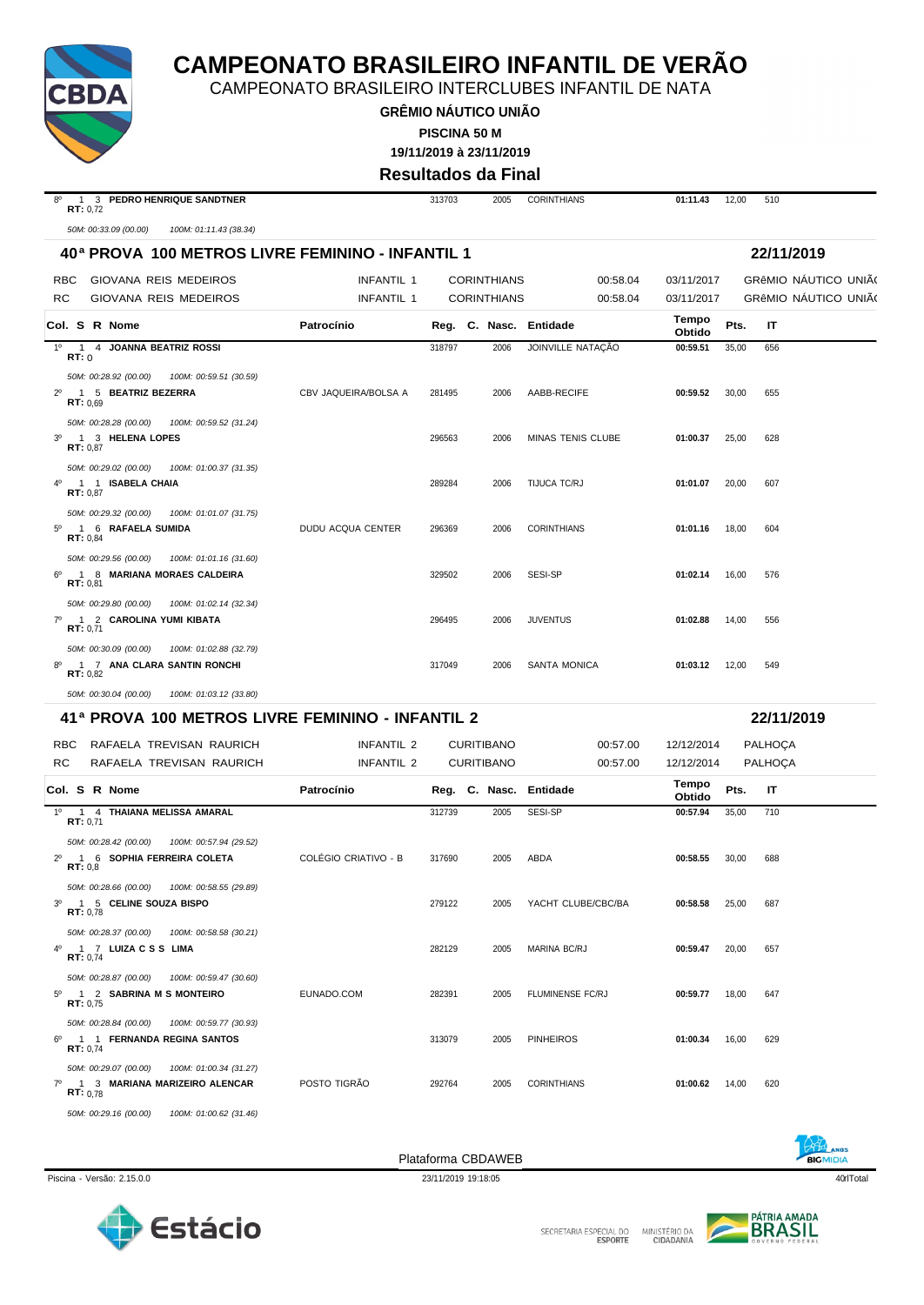

CAMPEONATO BRASILEIRO INTERCLUBES INFANTIL DE NATA

**GRÊMIO NÁUTICO UNIÃO PISCINA 50 M**

**19/11/2019 à 23/11/2019**

**Resultados da Final**

| $8^{\circ}$<br>1 3 PEDRO HENRIQUE SANDTNER<br>RT: 0,72                                                   |                      | 313703 | 2005                   | <b>CORINTHIANS</b>  | 01:11.43        | 12,00 | 510                         |
|----------------------------------------------------------------------------------------------------------|----------------------|--------|------------------------|---------------------|-----------------|-------|-----------------------------|
| 50M: 00:33.09 (00.00)<br>100M: 01:11.43 (38.34)                                                          |                      |        |                        |                     |                 |       |                             |
| 40ª PROVA 100 METROS LIVRE FEMININO - INFANTIL 1                                                         |                      |        |                        |                     |                 |       | 22/11/2019                  |
| GIOVANA REIS MEDEIROS<br>RBC.                                                                            | <b>INFANTIL 1</b>    |        | <b>CORINTHIANS</b>     | 00:58.04            | 03/11/2017      |       | GRÊMIO NÁUTICO UNIÃO        |
| RC<br>GIOVANA REIS MEDEIROS                                                                              | <b>INFANTIL 1</b>    |        | <b>CORINTHIANS</b>     | 00:58.04            | 03/11/2017      |       | <b>GRÊMIO NAUTICO UNIÃO</b> |
| Col. S R Nome                                                                                            | Patrocínio           |        | Reg. C. Nasc. Entidade |                     | Tempo<br>Obtido | Pts.  | IT                          |
| 1º 1 4 JOANNA BEATRIZ ROSSI<br>RT:0                                                                      |                      | 318797 | 2006                   | JOINVILLE NATAÇÃO   | 00:59.51        | 35,00 | 656                         |
| 50M: 00:28.92 (00.00)<br>100M: 00:59.51 (30.59)<br>1 5 BEATRIZ BEZERRA<br>$2^{\circ}$<br>RT: 0.69        | CBV JAQUEIRA/BOLSA A | 281495 | 2006                   | AABB-RECIFE         | 00:59.52        | 30,00 | 655                         |
| 50M: 00:28.28 (00.00)<br>100M: 00:59.52 (31.24)<br>1 3 HELENA LOPES<br>$3^{\circ}$<br>RT: 0,87           |                      | 296563 | 2006                   | MINAS TENIS CLUBE   | 01:00.37        | 25,00 | 628                         |
| 50M: 00:29.02 (00.00)<br>100M: 01:00.37 (31.35)<br>1 1 ISABELA CHAIA<br>RT: 0,87                         |                      | 289284 | 2006                   | TIJUCA TC/RJ        | 01:01.07        | 20,00 | 607                         |
| 50M: 00:29.32 (00.00)<br>100M: 01:01.07 (31.75)<br>1 6 RAFAELA SUMIDA<br>$5^{\circ}$<br>RT: 0,84         | DUDU ACQUA CENTER    | 296369 | 2006                   | <b>CORINTHIANS</b>  | 01:01.16        | 18,00 | 604                         |
| 50M: 00:29.56 (00.00)<br>100M: 01:01.16 (31.60)<br>6º 1 8 MARIANA MORAES CALDEIRA<br>RT: 0.81            |                      | 329502 | 2006                   | SESI-SP             | 01:02.14        | 16,00 | 576                         |
| 50M: 00:29.80 (00.00)<br>100M: 01:02.14 (32.34)<br>$7^\circ$<br>1 2 CAROLINA YUMI KIBATA<br>RT: 0,71     |                      | 296495 | 2006                   | <b>JUVENTUS</b>     | 01:02.88        | 14,00 | 556                         |
| 50M: 00:30.09 (00.00)<br>100M: 01:02.88 (32.79)<br>8º 1 7 ANA CLARA SANTIN RONCHI<br>RT: 0.82            |                      | 317049 | 2006                   | <b>SANTA MONICA</b> | 01:03.12        | 12,00 | 549                         |
| 50M: 00:30.04 (00.00)<br>100M: 01:03.12 (33.80)                                                          |                      |        |                        |                     |                 |       |                             |
| 41ª PROVA 100 METROS LIVRE FEMININO - INFANTIL 2                                                         |                      |        |                        |                     |                 |       | 22/11/2019                  |
| RAFAELA TREVISAN RAURICH<br><b>RBC</b>                                                                   | <b>INFANTIL 2</b>    |        | <b>CURITIBANO</b>      | 00:57.00            | 12/12/2014      |       | PALHOÇA                     |
| RC<br>RAFAELA TREVISAN RAURICH                                                                           | INFANTIL 2           |        | <b>CURITIBANO</b>      | 00:57.00            | 12/12/2014      |       | PALHOÇA                     |
| Col. S R Nome                                                                                            | Patrocínio           |        | Reg. C. Nasc. Entidade |                     | Tempo<br>Obtido | Pts.  | IT                          |
| 1º 1 4 THAIANA MELISSA AMARAL<br>RT: 0,71                                                                |                      | 312739 | 2005                   | SESI-SP             | 00:57.94        | 35,00 | 710                         |
| 50M: 00:28.42 (00.00)<br>100M: 00:57.94 (29.52)<br>1 6 SOPHIA FERREIRA COLETA<br>$2^{\circ}$<br>RT: 0.8  | COLÉGIO CRIATIVO - B | 317690 | 2005                   | ABDA                | 00:58.55        | 30,00 | 688                         |
| 50M: 00:28.66 (00.00)  100M: 00:58.55 (29.89)<br>3 <sup>o</sup><br>1 5 CELINE SOUZA BISPO<br>RT: 0,78    |                      | 279122 | 2005                   | YACHT CLUBE/CBC/BA  | 00:58.58        | 25,00 | 687                         |
| 50M: 00:28.37 (00.00)  100M: 00:58.58 (30.21)<br>4 <sup>0</sup> 1 7 LUIZA C S S LIMA<br>RT: 0.74         |                      | 282129 | 2005                   | <b>MARINA BC/RJ</b> | 00:59.47        | 20,00 | 657                         |
| 50M: 00:28.87 (00.00)<br>100M: 00:59.47 (30.60)<br>5º 1 2 SABRINA M S MONTEIRO<br>RT: 0.75               | EUNADO.COM           | 282391 | 2005                   | FLUMINENSE FC/RJ    | 00:59.77        | 18,00 | 647                         |
| 50M: 00:28.84 (00.00)<br>100M: 00:59.77 (30.93)<br>$6^{\circ}$<br>1 1 FERNANDA REGINA SANTOS<br>RT: 0,74 |                      | 313079 | 2005                   | <b>PINHEIROS</b>    | 01:00.34        | 16,00 | 629                         |
| 50M: 00:29.07 (00.00)<br>100M: 01:00.34 (31.27)<br>7º 1 3 MARIANA MARIZEIRO ALENCAR<br>RT: 0.78          | POSTO TIGRÃO         | 292764 | 2005                   | <b>CORINTHIANS</b>  | 01:00.62        | 14,00 | 620                         |
| 50M: 00:29.16 (00.00) 100M: 01:00.62 (31.46)                                                             |                      |        |                        |                     |                 |       |                             |







Piscina - Versão: 2.15.0.0 23/11/2019 19:18:05 23/11/2019 19:18:05 40rlTotal 40rlTotal 40rlTotal 40rlTotal 40rlTotal 40rlTotal 40rlTotal 40rlTotal 40rlTotal 40rlTotal 40rlTotal 40rlTotal 40rlTotal 40rlTotal 40rlTotal 40rlT



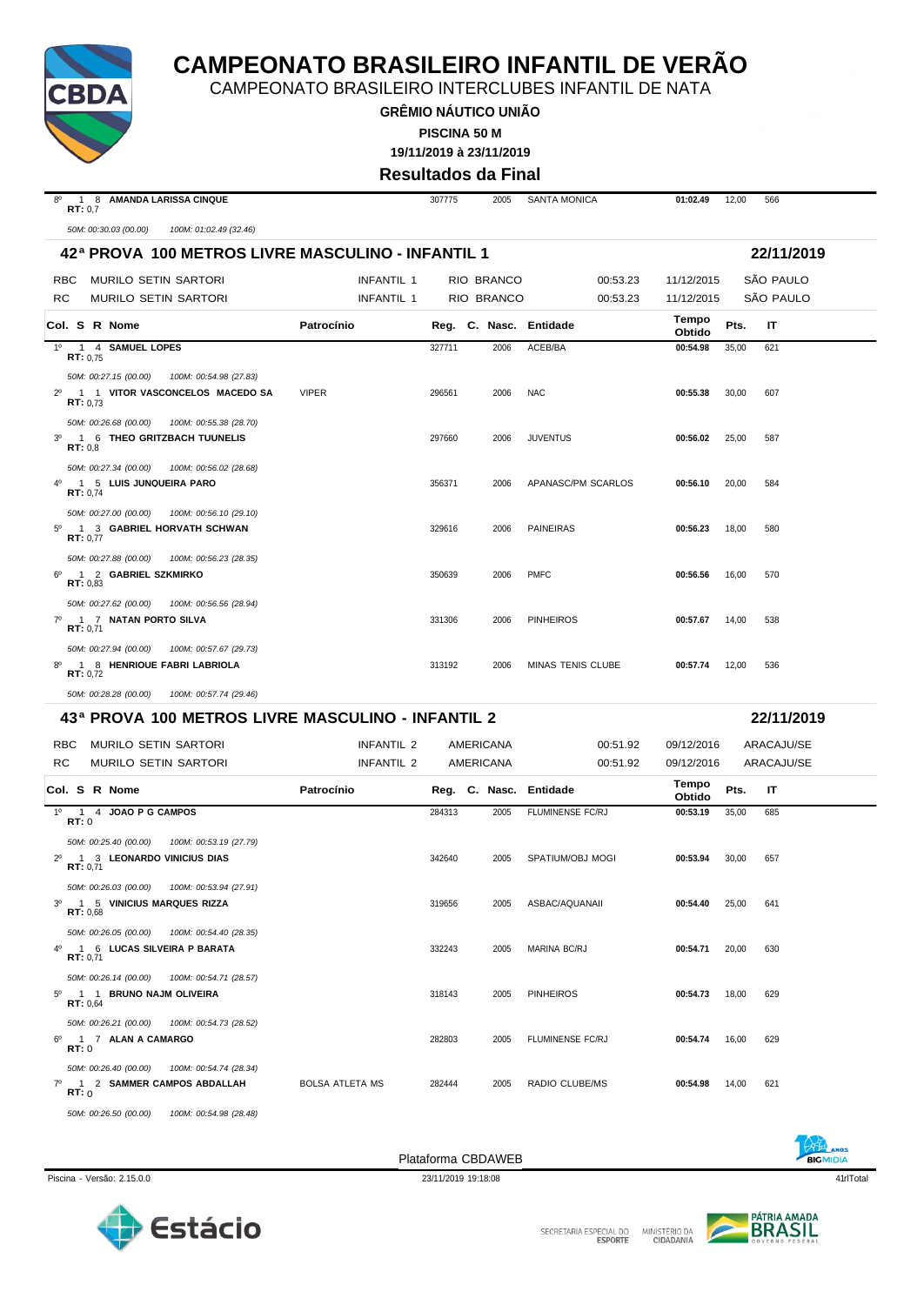

CAMPEONATO BRASILEIRO INTERCLUBES INFANTIL DE NATA

**GRÊMIO NÁUTICO UNIÃO PISCINA 50 M**

**19/11/2019 à 23/11/2019**

#### **Resultados da Final**

| RT: 0,7                          | 50M: 00:30.03 (00.00)<br>100M: 01:02.49 (32.46)<br>42ª PROVA 100 METROS LIVRE MASCULINO - INFANTIL 1 |                        |                   |        |            |                        |                 |       |            |
|----------------------------------|------------------------------------------------------------------------------------------------------|------------------------|-------------------|--------|------------|------------------------|-----------------|-------|------------|
|                                  |                                                                                                      |                        |                   |        |            |                        |                 |       |            |
|                                  |                                                                                                      |                        |                   |        |            |                        |                 |       | 22/11/2019 |
| RBC.                             | MURILO SETIN SARTORI                                                                                 |                        | <b>INFANTIL 1</b> |        | RIO BRANCO | 00:53.23               | 11/12/2015      |       | SÃO PAULO  |
| RC                               | <b>MURILO SETIN SARTORI</b>                                                                          |                        | INFANTIL 1        |        | RIO BRANCO | 00:53.23               | 11/12/2015      |       | SÃO PAULO  |
|                                  | Col. S R Nome                                                                                        | Patrocínio             |                   |        |            | Reg. C. Nasc. Entidade | Tempo<br>Obtido | Pts.  | IT         |
| RT: 0.75                         | 1º 1 4 SAMUEL LOPES                                                                                  |                        |                   | 327711 | 2006       | ACEB/BA                | 00:54.98        | 35,00 | 621        |
|                                  | 50M: 00:27.15 (00.00)<br>100M: 00:54.98 (27.83)                                                      |                        |                   |        |            |                        |                 |       |            |
| $2^{\circ}$<br>RT: 0.73          | 1 1 VITOR VASCONCELOS MACEDO SA                                                                      | <b>VIPER</b>           |                   | 296561 | 2006       | <b>NAC</b>             | 00:55.38        | 30,00 | 607        |
|                                  | 50M: 00:26.68 (00.00)<br>100M: 00:55.38 (28.70)                                                      |                        |                   |        |            |                        |                 |       |            |
| $3^{\circ}$<br>RT: 0.8           | 1 6 THEO GRITZBACH TUUNELIS                                                                          |                        |                   | 297660 | 2006       | <b>JUVENTUS</b>        | 00:56.02        | 25,00 | 587        |
|                                  | 50M: 00:27.34 (00.00)<br>100M: 00:56.02 (28.68)                                                      |                        |                   |        |            |                        |                 |       |            |
| $4^{\circ}$<br><b>RT:</b> $0,74$ | 1 5 LUIS JUNQUEIRA PARO                                                                              |                        |                   | 356371 | 2006       | APANASC/PM SCARLOS     | 00:56.10        | 20,00 | 584        |
|                                  | 50M: 00:27.00 (00.00)<br>100M: 00:56.10 (29.10)                                                      |                        |                   |        |            |                        |                 |       |            |
| $5^{\circ}$<br>RT: 0.77          | 1 3 GABRIEL HORVATH SCHWAN                                                                           |                        |                   | 329616 | 2006       | <b>PAINEIRAS</b>       | 00:56.23        | 18,00 | 580        |
| 6°                               | 50M: 00:27.88 (00.00)<br>100M: 00:56.23 (28.35)<br>1 2 GABRIEL SZKMIRKO                              |                        |                   | 350639 | 2006       | <b>PMFC</b>            | 00:56.56        | 16,00 | 570        |
| RT: 0,83                         |                                                                                                      |                        |                   |        |            |                        |                 |       |            |
| $7^\circ$                        | 50M: 00:27.62 (00.00)<br>100M: 00:56.56 (28.94)<br>1 7 NATAN PORTO SILVA                             |                        |                   | 331306 | 2006       | <b>PINHEIROS</b>       | 00:57.67        | 14,00 | 538        |
| RT: 0.71                         |                                                                                                      |                        |                   |        |            |                        |                 |       |            |
|                                  | 50M: 00:27.94 (00.00)<br>100M: 00:57.67 (29.73)<br>8º 1 8 HENRIQUE FABRI LABRIOLA                    |                        |                   | 313192 | 2006       | MINAS TENIS CLUBE      | 00:57.74        | 12,00 | 536        |
| RT: 0,72                         |                                                                                                      |                        |                   |        |            |                        |                 |       |            |
|                                  | 50M: 00:28.28 (00.00)<br>100M: 00:57.74 (29.46)                                                      |                        |                   |        |            |                        |                 |       |            |
|                                  | 43ª PROVA 100 METROS LIVRE MASCULINO - INFANTIL 2                                                    |                        |                   |        |            |                        |                 |       | 22/11/2019 |
| RBC.                             | MURILO SETIN SARTORI                                                                                 |                        | <b>INFANTIL 2</b> |        | AMERICANA  | 00:51.92               | 09/12/2016      |       | ARACAJU/SE |
| <b>RC</b>                        | <b>MURILO SETIN SARTORI</b>                                                                          |                        | <b>INFANTIL 2</b> |        | AMERICANA  | 00:51.92               | 09/12/2016      |       | ARACAJU/SE |
|                                  | Col. S R Nome                                                                                        | Patrocínio             |                   |        |            | Reg. C. Nasc. Entidade | Tempo<br>Obtido | Pts.  | IT         |
| <b>RT:</b> 0                     | 1º 1 4 JOAO P G CAMPOS                                                                               |                        |                   | 284313 | 2005       | FLUMINENSE FC/RJ       | 00:53.19        | 35,00 | 685        |
|                                  | 50M: 00:25.40 (00.00)<br>100M: 00:53.19 (27.79)                                                      |                        |                   |        |            |                        |                 |       |            |
| $2^{\circ}$<br>RT: 0,71          | 1 3 LEONARDO VINICIUS DIAS                                                                           |                        |                   | 342640 | 2005       | SPATIUM/OBJ MOGI       | 00:53.94        | 30,00 | 657        |
|                                  | 50M: 00:26.03 (00.00)  100M: 00:53.94 (27.91)<br>1 5 VINICIUS MARQUES RIZZA                          |                        |                   |        |            |                        | 00:54.40        |       |            |
| $3^{\circ}$<br>RT: 0.68          |                                                                                                      |                        |                   | 319656 | 2005       | ASBAC/AQUANAII         |                 | 25,00 | 641        |
|                                  | 50M: 00:26.05 (00.00)<br>100M: 00:54.40 (28.35)                                                      |                        |                   |        |            |                        |                 |       |            |
| <b>RT:</b> $0,71$                | 4º 1 6 LUCAS SILVEIRA P BARATA                                                                       |                        |                   | 332243 | 2005       | <b>MARINA BC/RJ</b>    | 00:54.71        | 20,00 | 630        |
|                                  | 50M: 00:26.14 (00.00)<br>100M: 00:54.71 (28.57)                                                      |                        |                   |        |            |                        |                 |       |            |
| $5^{\circ}$<br>RT: 0,64          | 1 1 BRUNO NAJM OLIVEIRA                                                                              |                        |                   | 318143 | 2005       | <b>PINHEIROS</b>       | 00:54.73        | 18,00 | 629        |
| 6°                               | 1 7 ALAN A CAMARGO                                                                                   |                        |                   | 282803 | 2005       | FLUMINENSE FC/RJ       | 00:54.74        | 16,00 | 629        |
| <b>RT:</b> 0                     |                                                                                                      |                        |                   |        |            |                        |                 |       |            |
| RT:0                             | 50M: 00:26.40 (00.00)<br>100M: 00:54.74 (28.34)<br>7º 1 2 SAMMER CAMPOS ABDALLAH                     | <b>BOLSA ATLETA MS</b> |                   | 282444 | 2005       | RADIO CLUBE/MS         | 00:54.98        | 14,00 | 621        |
|                                  | 50M: 00:26.21 (00.00)  100M: 00:54.73 (28.52)                                                        |                        |                   |        |            |                        |                 |       |            |

*50M: 00:26.50 (00.00) 100M: 00:54.98 (28.48)*









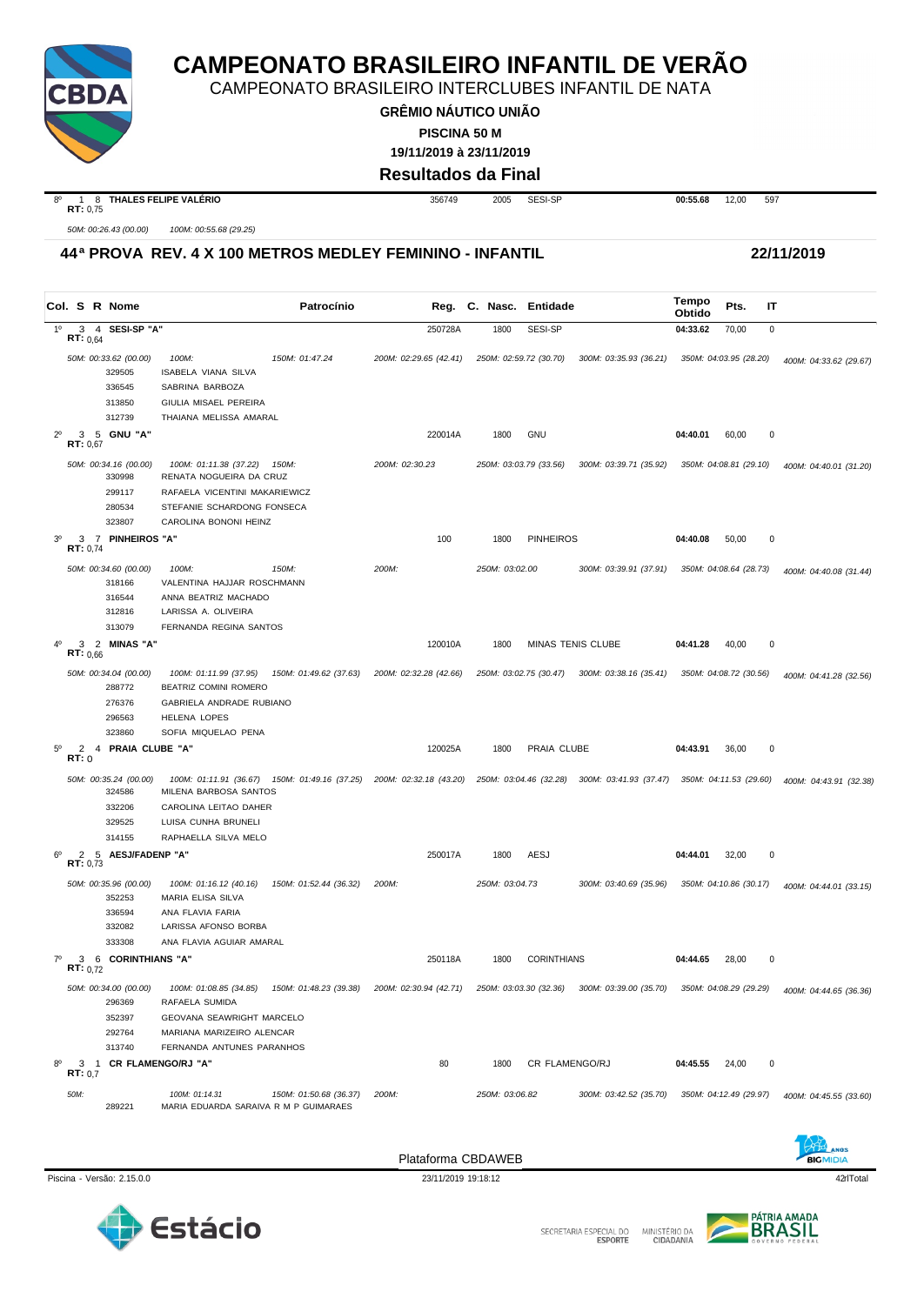

CAMPEONATO BRASILEIRO INTERCLUBES INFANTIL DE NATA

**GRÊMIO NÁUTICO UNIÃO PISCINA 50 M**

**19/11/2019 à 23/11/2019**

#### **Resultados da Final**

**RT:** 0,75

8º 1 8 **THALES FELIPE VALÉRIO** 356749 2005 SESI-SP **00:55.68** 12,00 597

*50M: 00:26.43 (00.00) 100M: 00:55.68 (29.25)*

#### **44ª PROVA REV. 4 X 100 METROS MEDLEY FEMININO - INFANTIL 22/11/2019**

**Col. <sup>S</sup> R Nome Patrocínio Nasc. Entidade Tempo Obtido Reg. C. Pts. IT** 1º 3 4 **SESI-SP "A"** 250728A 1800 SESI-SP **04:33.62** 70,00 0 **RT:** 0,64 *50M: 00:33.62 (00.00) 100M: 150M: 01:47.24 200M: 02:29.65 (42.41) 250M: 02:59.72 (30.70) 300M: 03:35.93 (36.21) 350M: 04:03.95 (28.20) 400M: 04:33.62 (29.67)* 329505 ISABELA VIANA SILVA 336545 SABRINA BARBOZA 313850 GIULIA MISAEL PEREIRA 312739 THAIANA MELISSA AMARAL 2º 3 5 **GNU "A"** 220014A 1800 GNU **04:40.01** 60,00 0 **RT:** 0,67 *50M: 00:34.16 (00.00) 100M: 01:11.38 (37.22) 150M: 200M: 02:30.23 250M: 03:03.79 (33.56) 300M: 03:39.71 (35.92) 350M: 04:08.81 (29.10) 400M: 04:40.01 (31.20)* 330998 RENATA NOGUEIRA DA CRUZ 299117 RAFAELA VICENTINI MAKARIEWICZ 280534 STEFANIE SCHARDONG FONSECA 323807 CAROLINA BONONI HEINZ 3º 3 7 **PINHEIROS "A"** 100 1800 PINHEIROS **04:40.08** 50,00 0 **RT:** 0,74 *50M: 00:34.60 (00.00) 100M: 150M: 200M: 250M: 03:02.00 300M: 03:39.91 (37.91) 350M: 04:08.64 (28.73) 400M: 04:40.08 (31.44)* VALENTINA HAJJAR ROSCHMANN 316544 ANNA BEATRIZ MACHADO 312816 LARISSA A. OLIVEIRA 313079 FERNANDA REGINA SANTOS 4º 3 2 **MINAS "A"** 120010A 1800 MINAS TENIS CLUBE **04:41.28** 40,00 0  $R = \frac{3}{2}$ 50M: 00:34.04 (00.00) 100M: 01:11.99 (37.95) 150M: 01:49.62 (37.63) 200M: 02:32.28 (42.66) 250M: 03:02.75 (30.47) 300M: 03:38.16 (35.41) 350M: 04:08.72 (30.56) 400M: 04:41.28 (32.56) 288772 BEATRIZ COMINI ROMERO BEATRIZ COMINI ROMERO 276376 GABRIELA ANDRADE RUBIANO 296563 HELENA LOPES 323860 SOFIA MIQUELAO PENA 5º 2 4 **PRAIA CLUBE "A"** 120025A 1800 PRAIA CLUBE **04:43.91** 36,00 0 **RT:** 0 50M: 00:35.24 (00.00) 100M: 01:11.91 (36.67) 150M: 01:49.16 (37.25) 200M: 02:32.18 (43.20) 250M: 03:04.46 (32.28) 300M: 03:41.93 (37.47) 350M: 04:11.53 (29.60) 400M: 04:43.91 (32.38)<br>324586 MILENA BARBOSA SANTOS 324586 MILENA BARBOSA SANTOS 332206 CAROLINA LEITAO DAHER 329525 LUISA CUNHA BRUNELI 314155 RAPHAELLA SILVA MELO 6º 2 5 **AESJ/FADENP "A"** 250017A 1800 AESJ **04:44.01** 32,00 0 **RT:** 0,73 *50M: 00:35.96 (00.00) 100M: 01:16.12 (40.16) 150M: 01:52.44 (36.32) 200M: 250M: 03:04.73 300M: 03:40.69 (35.96) 350M: 04:10.86 (30.17) 400M: 04:44.01 (33.15)* 352253 MARIA ELISA SILVA 336594 ANA FLAVIA FARIA 332082 LARISSA AFONSO BORBA 333308 ANA FLAVIA AGUIAR AMARAL 7º 3 6 **CORINTHIANS "A"** 250118A 1800 CORINTHIANS **04:44.65** 28,00 0 **RT:** 0,72 50M: 00:34.00 (00.00) 100M: 01:08.85 (34.85) 150M: 01:48.23 (39.38) 200M: 02:30.94 (42.71) 250M: 03:03.00 (32.36) 300M: 03:39.00 (35.70) 350M: 04:08.29 (29.29) 400M: 04:44.65 (36.36) 296369 RAFAELA SUMIDA 352397 GEOVANA SEAWRIGHT MARCELO 292764 MARIANA MARIZEIRO ALENCAR 313740 FERNANDA ANTUNES PARANHOS 8º 3 1 **CR FLAMENGO/RJ "A"** 80 1800 CR FLAMENGO/RJ **04:45.55** 24,00 0 **RT:** 0,7 *50M: 100M: 01:14.31 150M: 01:50.68 (36.37) 200M: 250M: 03:06.82 300M: 03:42.52 (35.70) 350M: 04:12.49 (29.97) 400M: 04:45.55 (33.60)* 289221 MARIA EDUARDA SARAIVA R M P GUIMARAES





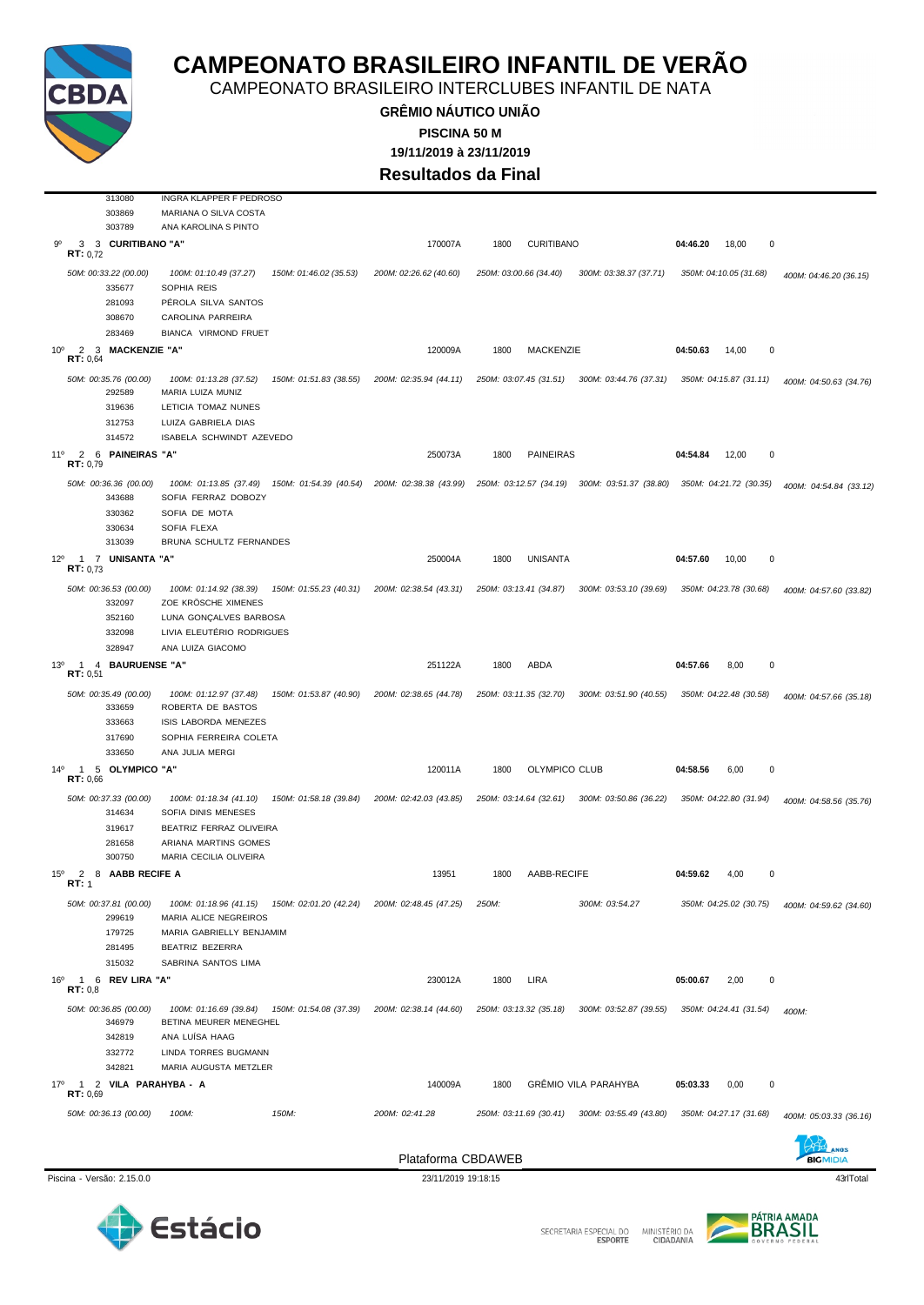

CAMPEONATO BRASILEIRO INTERCLUBES INFANTIL DE NATA

**GRÊMIO NÁUTICO UNIÃO 19/11/2019 à 23/11/2019 PISCINA 50 M**

**Resultados da Final**

| 313080                                                                                  | INGRA KLAPPER F PEDROSO                                                           |                        |                        |                        |                             |                        |                        |
|-----------------------------------------------------------------------------------------|-----------------------------------------------------------------------------------|------------------------|------------------------|------------------------|-----------------------------|------------------------|------------------------|
| 303869                                                                                  | MARIANA O SILVA COSTA                                                             |                        |                        |                        |                             |                        |                        |
| 303789                                                                                  | ANA KAROLINA S PINTO                                                              |                        |                        |                        |                             |                        |                        |
| 90<br>3<br>3 CURITIBANO "A"<br><b>RT:</b> $0,72$                                        |                                                                                   |                        | 170007A                | 1800                   | <b>CURITIBANO</b>           | 04:46.20<br>18,00<br>0 |                        |
| 50M: 00:33.22 (00.00)<br>335677<br>281093<br>308670                                     | 100M: 01:10.49 (37.27)<br>SOPHIA REIS<br>PÉROLA SILVA SANTOS<br>CAROLINA PARREIRA | 150M: 01:46.02 (35.53) | 200M: 02:26.62 (40.60) | 250M: 03:00.66 (34.40) | 300M: 03:38.37 (37.71)      | 350M: 04:10.05 (31.68) | 400M: 04:46.20 (36.15) |
| 283469                                                                                  | BIANCA VIRMOND FRUET                                                              |                        |                        |                        |                             |                        |                        |
| 10 <sup>o</sup><br>2<br>3 MACKENZIE "A"                                                 |                                                                                   |                        | 120009A                | 1800                   | MACKENZIE                   | 04:50.63<br>14,00<br>0 |                        |
| RT: 0,64                                                                                |                                                                                   |                        |                        |                        |                             |                        |                        |
| 50M: 00:35.76 (00.00)<br>292589<br>319636                                               | 100M: 01:13.28 (37.52)<br>MARIA LUIZA MUNIZ<br>LETICIA TOMAZ NUNES                | 150M: 01:51.83 (38.55) | 200M: 02:35.94 (44.11) | 250M: 03:07.45 (31.51) | 300M: 03:44.76 (37.31)      | 350M: 04:15.87 (31.11) | 400M: 04:50.63 (34.76) |
| 312753                                                                                  | LUIZA GABRIELA DIAS                                                               |                        |                        |                        |                             |                        |                        |
| 314572                                                                                  | ISABELA SCHWINDT AZEVEDO                                                          |                        |                        |                        |                             |                        |                        |
| 2 6 PAINEIRAS "A"<br>11°<br>RT: 0,79                                                    |                                                                                   |                        | 250073A                | 1800                   | <b>PAINEIRAS</b>            | 04:54.84<br>12,00<br>0 |                        |
| 50M: 00:36.36 (00.00)<br>343688<br>330362                                               | 100M: 01:13.85 (37.49)<br>SOFIA FERRAZ DOBOZY<br>SOFIA DE MOTA                    | 150M: 01:54.39 (40.54) | 200M: 02:38.38 (43.99) | 250M: 03:12.57 (34.19) | 300M: 03:51.37 (38.80)      | 350M: 04:21.72 (30.35) | 400M: 04:54.84 (33.12) |
| 330634                                                                                  | SOFIA FLEXA                                                                       |                        |                        |                        |                             |                        |                        |
| 313039                                                                                  | BRUNA SCHULTZ FERNANDES                                                           |                        |                        |                        |                             |                        |                        |
| $12^{\circ}$<br>1 7 UNISANTA "A"<br>RT: 0.73                                            |                                                                                   |                        | 250004A                | 1800                   | <b>UNISANTA</b>             | 04:57.60<br>10,00<br>0 |                        |
| 50M: 00:36.53 (00.00)<br>332097                                                         | 100M: 01:14.92 (38.39)<br>ZOE KRÖSCHE XIMENES                                     | 150M: 01:55.23 (40.31) | 200M: 02:38.54 (43.31) | 250M: 03:13.41 (34.87) | 300M: 03:53.10 (39.69)      | 350M: 04:23.78 (30.68) | 400M: 04:57.60 (33.82) |
| 352160<br>332098                                                                        | LUNA GONÇALVES BARBOSA<br>LIVIA ELEUTÊRIO RODRIGUES                               |                        |                        |                        |                             |                        |                        |
| 328947                                                                                  | ANA LUIZA GIACOMO                                                                 |                        |                        |                        |                             |                        |                        |
| 13 <sup>0</sup><br>$\overline{4}$<br><b>BAURUENSE "A"</b><br>$\overline{1}$<br>RT: 0.51 |                                                                                   |                        | 251122A                | ABDA<br>1800           |                             | 04:57.66<br>0<br>8,00  |                        |
| 50M: 00:35.49 (00.00)<br>333659                                                         | 100M: 01:12.97 (37.48)<br>ROBERTA DE BASTOS                                       | 150M: 01:53.87 (40.90) | 200M: 02:38.65 (44.78) | 250M: 03:11.35 (32.70) | 300M: 03:51.90 (40.55)      | 350M: 04:22.48 (30.58) | 400M: 04:57.66 (35.18) |
| 333663                                                                                  | ISIS LABORDA MENEZES                                                              |                        |                        |                        |                             |                        |                        |
| 317690                                                                                  | SOPHIA FERREIRA COLETA                                                            |                        |                        |                        |                             |                        |                        |
| 333650                                                                                  | ANA JULIA MERGI                                                                   |                        |                        |                        |                             |                        |                        |
| $14^{\circ}$<br>5 OLYMPICO "A"<br>$\mathbf{1}$<br>RT: 0.66                              |                                                                                   |                        | 120011A                | 1800                   | OLYMPICO CLUB               | 04:58.56<br>0<br>6,00  |                        |
| 50M: 00:37.33 (00.00)<br>314634                                                         | 100M: 01:18.34 (41.10)<br>SOFIA DINIS MENESES                                     | 150M: 01:58.18 (39.84) | 200M: 02:42.03 (43.85) | 250M: 03:14.64 (32.61) | 300M: 03:50.86 (36.22)      | 350M: 04:22.80 (31.94) | 400M: 04:58.56 (35.76) |
| 319617<br>281658                                                                        | BEATRIZ FERRAZ OLIVEIRA<br>ARIANA MARTINS GOMES                                   |                        |                        |                        |                             |                        |                        |
| 300750                                                                                  | MARIA CECILIA OLIVEIRA                                                            |                        |                        |                        |                             |                        |                        |
| 8 AABB RECIFE A<br>$15^{\circ}$<br>2<br>RT: 1                                           |                                                                                   |                        | 13951                  | 1800                   | AABB-RECIFE                 | 04:59.62<br>0<br>4,00  |                        |
| 50M: 00:37.81 (00.00)<br>299619                                                         | 100M: 01:18.96 (41.15) 150M: 02:01.20 (42.24)<br>MARIA ALICE NEGREIROS            |                        | 200M: 02:48.45 (47.25) | 250M:                  | 300M: 03:54.27              | 350M: 04:25.02 (30.75) | 400M: 04:59.62 (34.60) |
| 179725                                                                                  | MARIA GABRIELLY BENJAMIM                                                          |                        |                        |                        |                             |                        |                        |
| 281495                                                                                  | BEATRIZ BEZERRA                                                                   |                        |                        |                        |                             |                        |                        |
| 315032                                                                                  | SABRINA SANTOS LIMA                                                               |                        |                        |                        |                             |                        |                        |
| 1 6 REV LIRA "A"<br>16°<br>RT: 0,8                                                      |                                                                                   |                        | 230012A                | LIRA<br>1800           |                             | 05:00.67<br>2,00<br>0  |                        |
| 50M: 00:36.85 (00.00)<br>346979                                                         | 100M: 01:16.69 (39.84) 150M: 01:54.08 (37.39)<br>BETINA MEURER MENEGHEL           |                        | 200M: 02:38.14 (44.60) | 250M: 03:13.32 (35.18) | 300M: 03:52.87 (39.55)      | 350M: 04:24.41 (31.54) | 400M:                  |
| 342819                                                                                  | ANA LUÍSA HAAG                                                                    |                        |                        |                        |                             |                        |                        |
| 332772                                                                                  | LINDA TORRES BUGMANN                                                              |                        |                        |                        |                             |                        |                        |
| 342821<br>1 2 VILA PARAHYBA - A<br>17°<br>RT: 0,69                                      | MARIA AUGUSTA METZLER                                                             |                        | 140009A                | 1800                   | <b>GRÊMIO VILA PARAHYBA</b> | 0,00<br>0<br>05:03.33  |                        |
| 50M: 00:36.13 (00.00)                                                                   | 100M:<br>150M:                                                                    |                        | 200M: 02:41.28         | 250M: 03:11.69 (30.41) | 300M: 03:55.49 (43.80)      | 350M: 04:27.17 (31.68) | 400M: 05:03.33 (36.16) |
|                                                                                         |                                                                                   |                        |                        |                        |                             |                        |                        |
|                                                                                         |                                                                                   |                        | Plataforma CBDAWEB     |                        |                             |                        |                        |
| Piscina - Versão: 2.15.0.0                                                              |                                                                                   |                        | 23/11/2019 19:18:15    |                        |                             |                        | 43rlTotal              |



SECRETARIA ESPECIAL DO

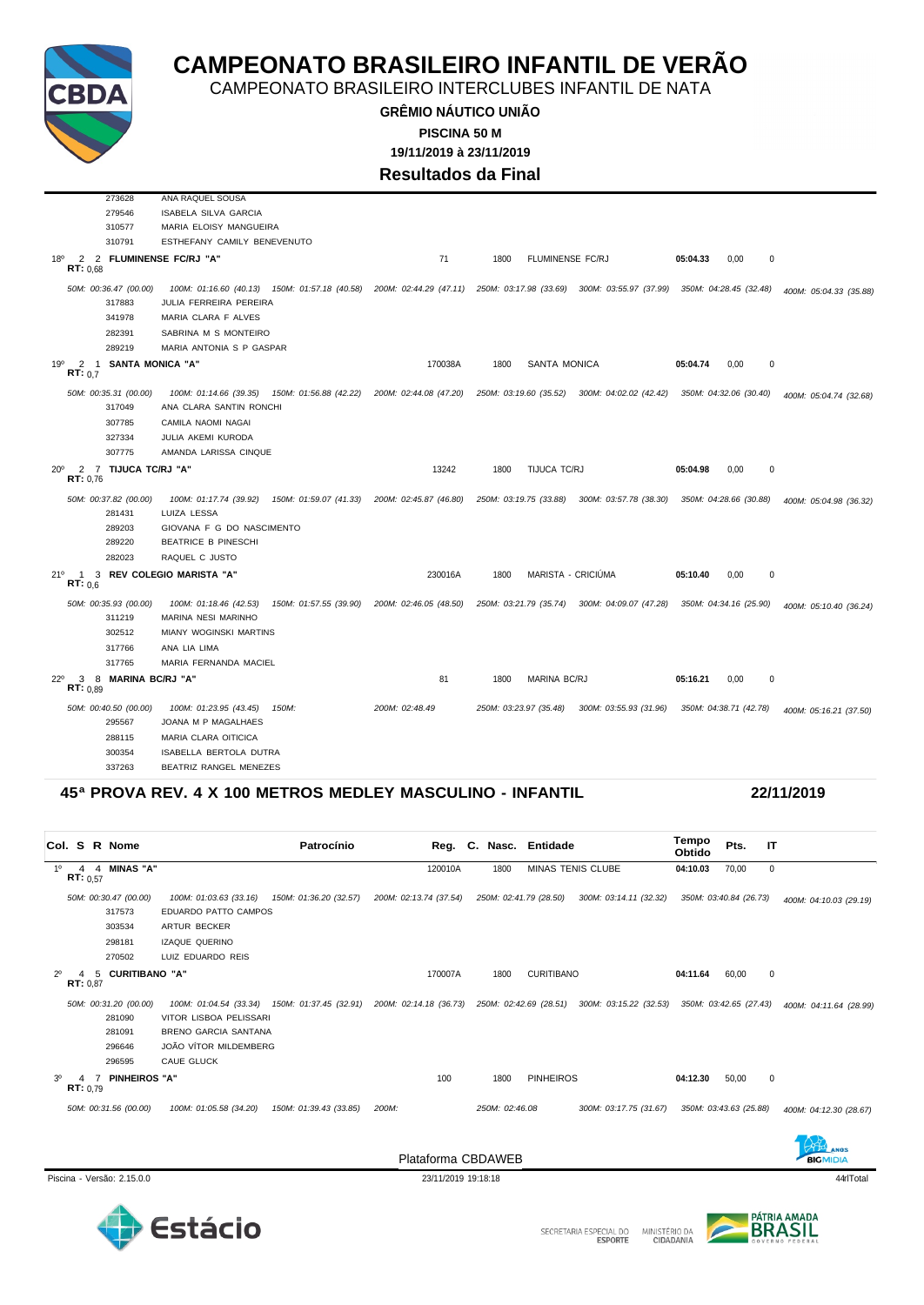

CAMPEONATO BRASILEIRO INTERCLUBES INFANTIL DE NATA

**GRÊMIO NÁUTICO UNIÃO 19/11/2019 à 23/11/2019 PISCINA 50 M**

**Resultados da Final**

|              |                         | 273628                          | ANA RAQUEL SOUSA              |                                               |                                                                                                                    |      |                         |                                               |          |                        |                        |
|--------------|-------------------------|---------------------------------|-------------------------------|-----------------------------------------------|--------------------------------------------------------------------------------------------------------------------|------|-------------------------|-----------------------------------------------|----------|------------------------|------------------------|
|              |                         | 279546                          | <b>ISABELA SILVA GARCIA</b>   |                                               |                                                                                                                    |      |                         |                                               |          |                        |                        |
|              |                         | 310577                          | MARIA ELOISY MANGUEIRA        |                                               |                                                                                                                    |      |                         |                                               |          |                        |                        |
|              |                         | 310791                          | ESTHEFANY CAMILY BENEVENUTO   |                                               |                                                                                                                    |      |                         |                                               |          |                        |                        |
| 18°          | RT: 0.68                |                                 | 2 2 FLUMINENSE FC/RJ "A"      |                                               | 71                                                                                                                 | 1800 | <b>FLUMINENSE FC/RJ</b> |                                               | 05:04.33 | 0.00<br>0              |                        |
|              |                         | 50M: 00:36.47 (00.00)           | 100M: 01:16.60 (40.13)        |                                               | 150M: 01:57.18 (40.58) 200M: 02:44.29 (47.11) 250M: 03:17.98 (33.69) 300M: 03:55.97 (37.99) 350M: 04:28.45 (32.48) |      |                         |                                               |          |                        | 400M: 05:04.33 (35.88) |
|              |                         | 317883                          | JULIA FERREIRA PEREIRA        |                                               |                                                                                                                    |      |                         |                                               |          |                        |                        |
|              |                         | 341978                          | MARIA CLARA F ALVES           |                                               |                                                                                                                    |      |                         |                                               |          |                        |                        |
|              |                         | 282391                          | SABRINA M S MONTEIRO          |                                               |                                                                                                                    |      |                         |                                               |          |                        |                        |
|              |                         | 289219                          | MARIA ANTONIA S P GASPAR      |                                               |                                                                                                                    |      |                         |                                               |          |                        |                        |
| 19°          | RT: 0.7                 | 2 1 SANTA MONICA "A"            |                               |                                               | 170038A                                                                                                            | 1800 | <b>SANTA MONICA</b>     |                                               | 05:04.74 | 0,00<br>0              |                        |
|              |                         | 50M: 00:35.31 (00.00)<br>317049 | ANA CLARA SANTIN RONCHI       |                                               | 100M: 01:14.66 (39.35)  150M: 01:56.88 (42.22)  200M: 02:44.08 (47.20)                                             |      | 250M: 03:19.60 (35.52)  | 300M: 04:02.02 (42.42) 350M: 04:32.06 (30.40) |          |                        | 400M: 05:04.74 (32.68) |
|              |                         | 307785                          | CAMILA NAOMI NAGAI            |                                               |                                                                                                                    |      |                         |                                               |          |                        |                        |
|              |                         | 327334                          | JULIA AKEMI KURODA            |                                               |                                                                                                                    |      |                         |                                               |          |                        |                        |
|              |                         | 307775                          | AMANDA LARISSA CINQUE         |                                               |                                                                                                                    |      |                         |                                               |          |                        |                        |
| $20^{\circ}$ |                         | 2 7 TIJUCA TC/RJ "A"            |                               |                                               | 13242                                                                                                              | 1800 | TIJUCA TC/RJ            |                                               | 05:04.98 | 0                      |                        |
|              | RT: 0.76                |                                 |                               |                                               |                                                                                                                    |      |                         |                                               |          | 0,00                   |                        |
|              |                         | 50M: 00:37.82 (00.00)           | 100M: 01:17.74 (39.92)        | 150M: 01:59.07 (41.33) 200M: 02:45.87 (46.80) |                                                                                                                    |      | 250M: 03:19.75 (33.88)  | 300M: 03:57.78 (38.30)                        |          | 350M: 04:28.66 (30.88) | 400M: 05:04.98 (36.32) |
|              |                         | 281431                          | LUIZA LESSA                   |                                               |                                                                                                                    |      |                         |                                               |          |                        |                        |
|              |                         | 289203                          | GIOVANA F G DO NASCIMENTO     |                                               |                                                                                                                    |      |                         |                                               |          |                        |                        |
|              |                         | 289220                          | <b>BEATRICE B PINESCHI</b>    |                                               |                                                                                                                    |      |                         |                                               |          |                        |                        |
|              |                         | 282023                          | RAQUEL C JUSTO                |                                               |                                                                                                                    |      |                         |                                               |          |                        |                        |
| 21°          | $\mathbf{1}$<br>RT: 0.6 |                                 | 3 REV COLEGIO MARISTA "A"     |                                               | 230016A                                                                                                            | 1800 |                         | MARISTA - CRICIÚMA                            | 05:10.40 | 0.00<br>0              |                        |
|              |                         | 50M: 00:35.93 (00.00)           | 100M: 01:18.46 (42.53)        | 150M: 01:57.55 (39.90) 200M: 02:46.05 (48.50) |                                                                                                                    |      | 250M: 03:21.79 (35.74)  | 300M: 04:09.07 (47.28)                        |          | 350M: 04:34.16 (25.90) | 400M: 05:10.40 (36.24) |
|              |                         | 311219                          | MARINA NESI MARINHO           |                                               |                                                                                                                    |      |                         |                                               |          |                        |                        |
|              |                         | 302512                          | <b>MIANY WOGINSKI MARTINS</b> |                                               |                                                                                                                    |      |                         |                                               |          |                        |                        |
|              |                         | 317766                          | ANA LIA LIMA                  |                                               |                                                                                                                    |      |                         |                                               |          |                        |                        |
|              |                         | 317765                          | MARIA FERNANDA MACIEL         |                                               |                                                                                                                    |      |                         |                                               |          |                        |                        |
| $22^{\circ}$ | 3<br>RT: 0.89           | 8 MARINA BC/RJ "A"              |                               |                                               | 81                                                                                                                 | 1800 | <b>MARINA BC/RJ</b>     |                                               | 05:16.21 | 0,00<br>0              |                        |
|              |                         | 50M: 00:40.50 (00.00)           | 100M: 01:23.95 (43.45)        | 150M:                                         | 200M: 02:48.49                                                                                                     |      | 250M: 03:23.97 (35.48)  | 300M: 03:55.93 (31.96)                        |          | 350M: 04:38.71 (42.78) | 400M: 05:16.21 (37.50) |
|              |                         | 295567                          | JOANA M P MAGALHAES           |                                               |                                                                                                                    |      |                         |                                               |          |                        |                        |
|              |                         | 288115                          | MARIA CLARA OITICICA          |                                               |                                                                                                                    |      |                         |                                               |          |                        |                        |
|              |                         | 300354                          | ISABELLA BERTOLA DUTRA        |                                               |                                                                                                                    |      |                         |                                               |          |                        |                        |
|              |                         | 337263                          | BEATRIZ RANGEL MENEZES        |                                               |                                                                                                                    |      |                         |                                               |          |                        |                        |

### **45ª PROVA REV. 4 X 100 METROS MEDLEY MASCULINO - INFANTIL 22/11/2019**

| Col. S R Nome                                                 | Patrocínio                                                                                                                      |                                                                      | Reg. C. Nasc. Entidade    |                        | Tempo<br>Obtido | Pts.<br>-IT            |                        |
|---------------------------------------------------------------|---------------------------------------------------------------------------------------------------------------------------------|----------------------------------------------------------------------|---------------------------|------------------------|-----------------|------------------------|------------------------|
| 4 4 MINAS "A"<br>$1^{\circ}$<br>RT: 0.57                      |                                                                                                                                 | 120010A                                                              | 1800                      | MINAS TENIS CLUBE      | 04:10.03        | 70,00                  | 0                      |
| 50M: 00:30.47 (00.00)<br>317573<br>303534<br>298181<br>270502 | 100M: 01:03.63 (33.16)<br>150M: 01:36.20 (32.57)<br>EDUARDO PATTO CAMPOS<br>ARTUR BECKER<br>IZAQUE QUERINO<br>LUIZ EDUARDO REIS | 200M: 02:13.74 (37.54)                                               | 250M: 02:41.79 (28.50)    | 300M: 03:14.11 (32.32) |                 | 350M: 03:40.84 (26.73) | 400M: 04:10.03 (29.19) |
| $2^{\circ}$<br><b>CURITIBANO "A"</b><br>5<br>4<br>RT: 0.87    |                                                                                                                                 | 170007A                                                              | <b>CURITIBANO</b><br>1800 |                        | 04:11.64        | 60,00<br>0             |                        |
| 50M: 00:31.20 (00.00)<br>281090<br>281091<br>296646<br>296595 | 100M: 01:04.54 (33.34)<br>VITOR LISBOA PELISSARI<br><b>BRENO GARCIA SANTANA</b><br>JOÃO VÍTOR MILDEMBERG<br><b>CAUE GLUCK</b>   | 150M: 01:37.45 (32.91) 200M: 02:14.18 (36.73) 250M: 02:42.69 (28.51) |                           | 300M: 03:15.22 (32.53) |                 | 350M: 03:42.65 (27.43) | 400M: 04:11.64 (28.99) |
| 3 <sup>0</sup><br><b>PINHEIROS "A"</b><br>4<br>RT: 0.79       |                                                                                                                                 | 100                                                                  | <b>PINHEIROS</b><br>1800  |                        | 04:12.30        | 50,00<br>0             |                        |
| 50M: 00:31.56 (00.00)                                         | 100M: 01:05.58 (34.20)<br>150M: 01:39.43 (33.85)                                                                                | 200M:                                                                | 250M: 02:46.08            | 300M: 03:17.75 (31.67) |                 | 350M: 03:43.63 (25.88) | 400M: 04:12.30 (28.67) |

Piscina - Versão: 2.15.0.0 23/11/2019 19:18:18 23/11/2019 19:18:18 44rlTotal 44rlTotal 44rlTotal 49rlTotal 49rlTotal 49rlTotal 49rlTotal 49rlTotal 49rlTotal 49rlTotal 49rlTotal 49rlTotal 49rlTotal 49rlTotal 49rlTotal 49rlT

Plataforma CBDAWEB





**BIGMIDIA**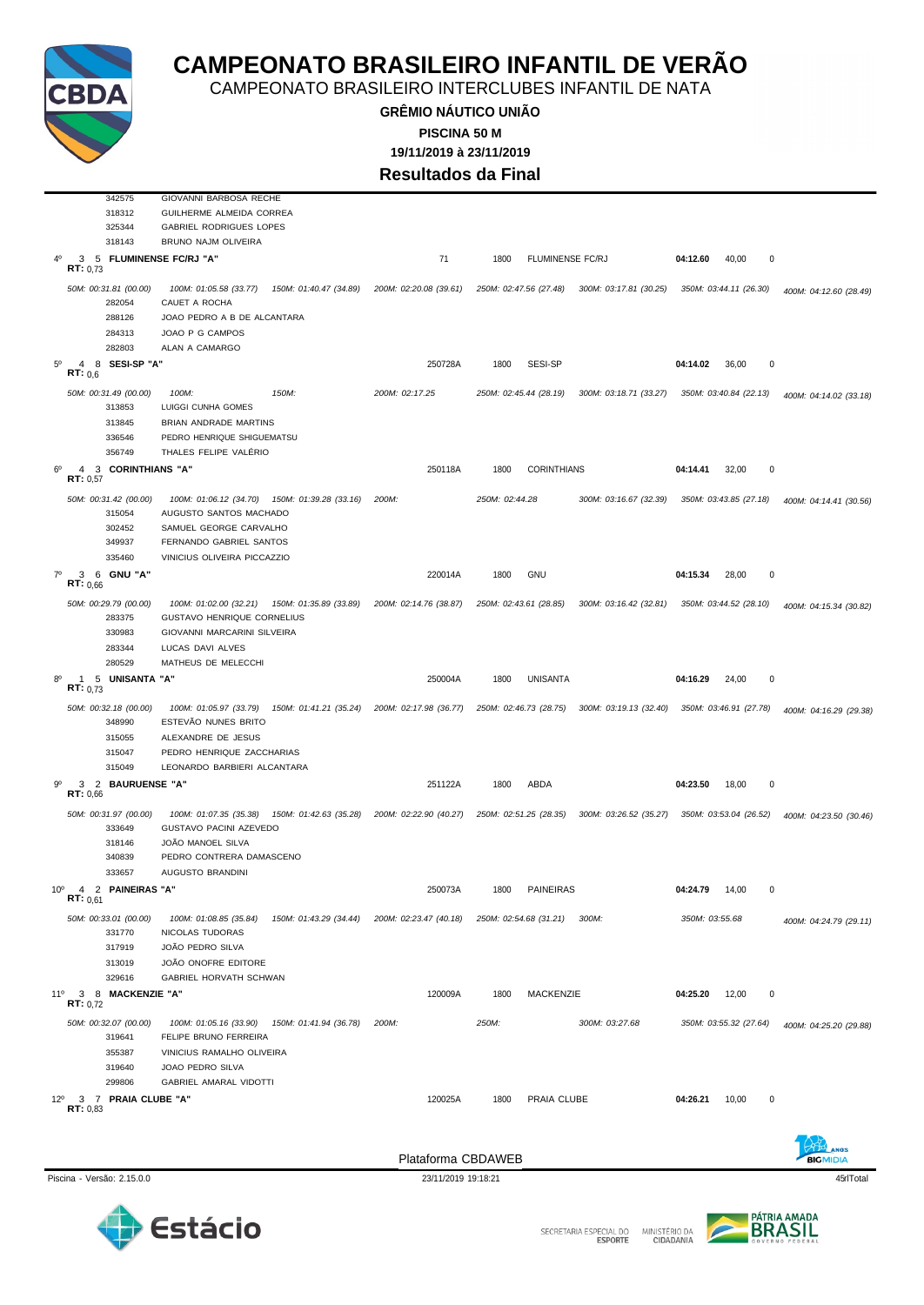

SECRETARIA ESPECIAL DO MINISTÉRIO DA<br>CIDADANIA







CAMPEONATO BRASILEIRO INTERCLUBES INFANTIL DE NATA

**GRÊMIO NÁUTICO UNIÃO 19/11/2019 à 23/11/2019 PISCINA 50 M Resultados da Final**

50M: 00:31.81 (00.00) 100M: 01:05.58 (33.77) 150M: 01:40.47 (34.89) 200M: 02:20.08 (39.61) 250M: 02:47.56 (27.48) 300M: 03:17.81 (30.25) 350M: 03:44.11 (26.30) 400M: 04:12.60 (28.49)

*50M: 00:31.49 (00.00) 100M: 150M: 200M: 02:17.25 250M: 02:45.44 (28.19) 300M: 03:18.71 (33.27) 350M: 03:40.84 (22.13) 400M: 04:14.02 (33.18)*

4º 3 5 **FLUMINENSE FC/RJ "A"** 71 1800 FLUMINENSE FC/RJ **04:12.60** 40,00 0

5º 4 8 **SESI-SP "A"** 250728A 1800 SESI-SP **04:14.02** 36,00 0 **RT:** 0,6



 $\frac{3}{7}$ ,  $\frac{5}{73}$ 

 GIOVANNI BARBOSA RECHE GUILHERME ALMEIDA CORREA GABRIEL RODRIGUES LOPES BRUNO NAJM OLIVEIRA

288126 JOAO PEDRO A B DE ALCANTARA

282054 CAUET A ROCHA

284313 JOAO P G CAMPOS 282803 ALAN A CAMARGO

 LUIGGI CUNHA GOMES BRIAN ANDRADE MARTINS PEDRO HENRIQUE SHIGUEMATSU THALES FELIPE VALÉRIO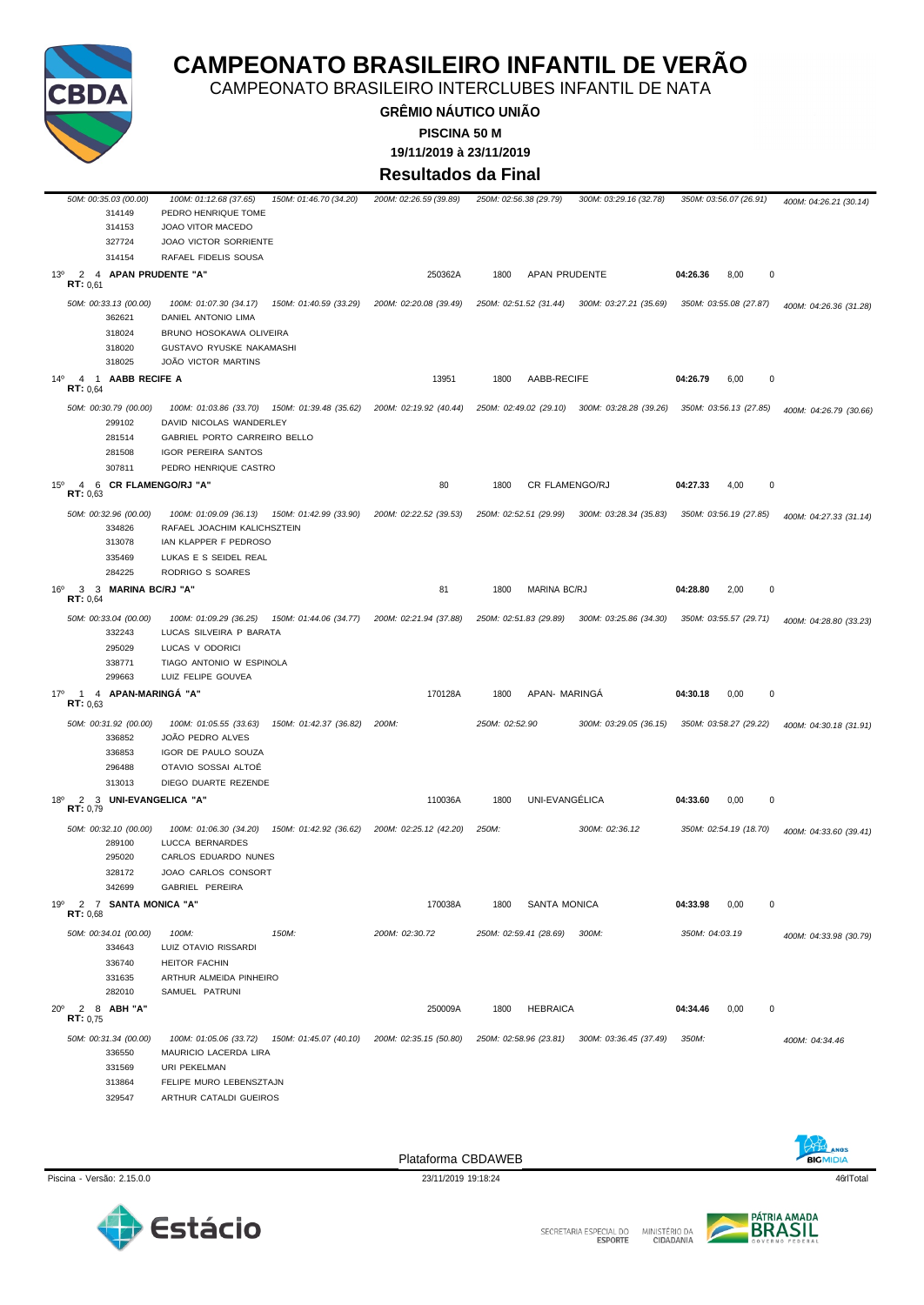

CAMPEONATO BRASILEIRO INTERCLUBES INFANTIL DE NATA

**GRÊMIO NÁUTICO UNIÃO 19/11/2019 à 23/11/2019 PISCINA 50 M**

**Resultados da Final**

| 50M: 00:35.03 (00.00)<br>314149<br>314153                     | 100M: 01:12.68 (37.65)<br>150M: 01:46.70 (34.20)<br>PEDRO HENRIQUE TOME<br>JOAO VITOR MACEDO                                                          | 200M: 02:26.59 (39.89) | 250M: 02:56.38 (29.79)<br>300M: 03:29.16 (32.78) | 350M: 03:56.07 (26.91)        | 400M: 04:26.21 (30.14) |
|---------------------------------------------------------------|-------------------------------------------------------------------------------------------------------------------------------------------------------|------------------------|--------------------------------------------------|-------------------------------|------------------------|
| 327724<br>314154                                              | JOAO VICTOR SORRIENTE<br>RAFAEL FIDELIS SOUSA                                                                                                         |                        |                                                  |                               |                        |
| 2 4 APAN PRUDENTE "A"<br>$13^{\circ}$<br>RT: 0,61             |                                                                                                                                                       | 250362A                | APAN PRUDENTE<br>1800                            | $\pmb{0}$<br>04:26.36<br>8,00 |                        |
| 50M: 00:33.13 (00.00)<br>362621<br>318024<br>318020<br>318025 | 100M: 01:07.30 (34.17)<br>150M: 01:40.59 (33.29)<br>DANIEL ANTONIO LIMA<br>BRUNO HOSOKAWA OLIVEIRA<br>GUSTAVO RYUSKE NAKAMASHI<br>JOÃO VICTOR MARTINS | 200M: 02:20.08 (39.49) | 250M: 02:51.52 (31.44) 300M: 03:27.21 (35.69)    | 350M: 03:55.08 (27.87)        | 400M: 04:26.36 (31.28) |
| $14^{\circ}$<br>4 1 AABB RECIFE A<br><b>RT:</b> $0.64$        |                                                                                                                                                       | 13951                  | AABB-RECIFE<br>1800                              | 04:26.79<br>0<br>6,00         |                        |
| 50M: 00:30.79 (00.00)<br>299102                               | 100M: 01:03.86 (33.70) 150M: 01:39.48 (35.62) 200M: 02:19.92 (40.44)<br>DAVID NICOLAS WANDERLEY                                                       |                        | 250M: 02:49.02 (29.10) 300M: 03:28.28 (39.26)    | 350M: 03:56.13 (27.85)        | 400M: 04:26.79 (30.66) |
| 281514<br>281508<br>307811                                    | GABRIEL PORTO CARREIRO BELLO<br><b>IGOR PEREIRA SANTOS</b><br>PEDRO HENRIQUE CASTRO                                                                   |                        |                                                  |                               |                        |
| 4 6 CR FLAMENGO/RJ "A"<br>$15^{\circ}$<br>RT: 0,63            |                                                                                                                                                       | 80                     | CR FLAMENGO/RJ<br>1800                           | 04:27.33<br>4,00<br>0         |                        |
| 50M: 00:32.96 (00.00)<br>334826<br>313078<br>335469<br>284225 | 100M: 01:09.09 (36.13) 150M: 01:42.99 (33.90)<br>RAFAEL JOACHIM KALICHSZTEIN<br>IAN KLAPPER F PEDROSO<br>LUKAS E S SEIDEL REAL<br>RODRIGO S SOARES    | 200M: 02:22.52 (39.53) | 250M: 02:52.51 (29.99) 300M: 03:28.34 (35.83)    | 350M: 03:56.19 (27.85)        | 400M: 04:27.33 (31.14) |
| 3 3 MARINA BC/RJ "A"<br>16°<br>RT: 0,64                       |                                                                                                                                                       | 81                     | <b>MARINA BC/RJ</b><br>1800                      | 04:28.80<br>2,00<br>0         |                        |
| 50M: 00:33.04 (00.00)<br>332243<br>295029<br>338771<br>299663 | 150M: 01:44.06 (34.77)<br>100M: 01:09.29 (36.25)<br>LUCAS SILVEIRA P BARATA<br>LUCAS V ODORICI<br>TIAGO ANTONIO W ESPINOLA<br>LUIZ FELIPE GOUVEA      | 200M: 02:21.94 (37.88) | 250M: 02:51.83 (29.89)<br>300M: 03:25.86 (34.30) | 350M: 03:55.57 (29.71)        | 400M: 04:28.80 (33.23) |
| $17^{\circ}$<br>4 APAN-MARINGA "A"<br>1<br>RT: 0.63           |                                                                                                                                                       | 170128A                | APAN- MARINGA<br>1800                            | 04:30.18<br>0,00<br>0         |                        |
| 50M: 00:31.92 (00.00)<br>336852<br>336853<br>296488<br>313013 | 100M: 01:05.55 (33.63)<br>150M: 01:42.37 (36.82)<br>JOÃO PEDRO ALVES<br>IGOR DE PAULO SOUZA<br>OTAVIO SOSSAI ALTOĖ<br>DIEGO DUARTE REZENDE            | 200M:                  | 250M: 02:52.90<br>300M: 03:29.05 (36.15)         | 350M: 03:58.27 (29.22)        | 400M: 04:30.18 (31.91) |
| 2 3 UNI-EVANGELICA "A"<br>$18^{\circ}$<br>RT: 0,79            |                                                                                                                                                       | 110036A                | UNI-EVANGÉLICA<br>1800                           | 04:33.60<br>0,00<br>0         |                        |
| 50M: 00:32.10 (00.00)<br>289100<br>295020<br>328172<br>342699 | 150M: 01:42.92 (36.62)<br>100M: 01:06.30 (34.20)<br>LUCCA BERNARDES<br>CARLOS EDUARDO NUNES<br>JOAO CARLOS CONSORT<br>GABRIEL PEREIRA                 | 200M: 02:25.12 (42.20) | 250M:<br>300M: 02:36.12                          | 350M: 02:54.19 (18.70)        | 400M: 04:33.60 (39.41) |
| 19º 2 7 SANTA MONICA "A"<br>RT: 0,68                          |                                                                                                                                                       | 170038A                | 1800<br>SANTA MONICA                             | 04:33.98<br>0,00<br>0         |                        |
| 50M: 00:34.01 (00.00)<br>334643<br>336740                     | 100M:<br>150M:<br>LUIZ OTAVIO RISSARDI<br><b>HEITOR FACHIN</b>                                                                                        | 200M: 02:30.72         | 250M: 02:59.41 (28.69)<br>300M:                  | 350M: 04:03.19                | 400M: 04:33.98 (30.79) |
| 331635<br>282010                                              | ARTHUR ALMEIDA PINHEIRO<br>SAMUEL PATRUNI                                                                                                             |                        |                                                  |                               |                        |
| 2 8 ABH "A"<br>$20^{\circ}$<br><b>RT:</b> $0,75$              |                                                                                                                                                       | 250009A                | <b>HEBRAICA</b><br>1800                          | $\pmb{0}$<br>0,00<br>04:34.46 |                        |
| 50M: 00:31.34 (00.00)<br>336550<br>331569<br>313864<br>329547 | 100M: 01:05.06 (33.72)  150M: 01:45.07 (40.10)<br>MAURICIO LACERDA LIRA<br>URI PEKELMAN<br>FELIPE MURO LEBENSZTAJN<br>ARTHUR CATALDI GUEIROS          | 200M: 02:35.15 (50.80) | 250M: 02:58.96 (23.81) 300M: 03:36.45 (37.49)    | 350M:                         | 400M: 04:34.46         |







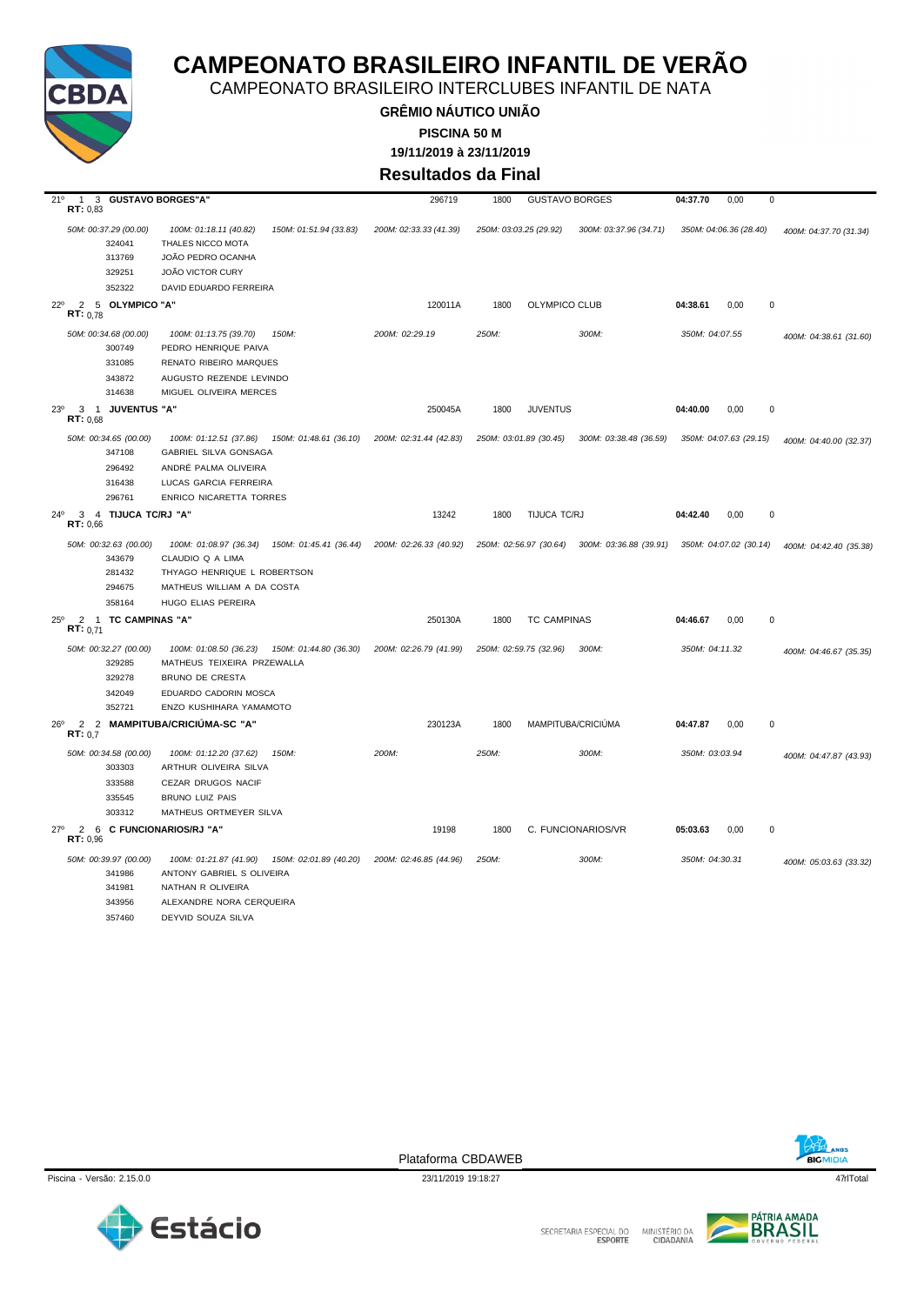

CAMPEONATO BRASILEIRO INTERCLUBES INFANTIL DE NATA

**GRÊMIO NÁUTICO UNIÃO 19/11/2019 à 23/11/2019 PISCINA 50 M**

**Resultados da Final**

| 21°<br><b>RT: 0,83</b>                     | 1 3 GUSTAVO BORGES"A                                |                                                                                                                       | 296719                                        | 1800  | <b>GUSTAVO BORGES</b>                                                | 04:37.70<br>0,00       | 0                      |
|--------------------------------------------|-----------------------------------------------------|-----------------------------------------------------------------------------------------------------------------------|-----------------------------------------------|-------|----------------------------------------------------------------------|------------------------|------------------------|
|                                            | 50M: 00:37.29 (00.00)<br>324041<br>313769<br>329251 | 150M: 01:51.94 (33.83)<br>100M: 01:18.11 (40.82)<br>THALES NICCO MOTA<br>JOÃO PEDRO OCANHA<br><b>JOÃO VICTOR CURY</b> | 200M: 02:33.33 (41.39)                        |       | 250M: 03:03.25 (29.92)<br>300M: 03:37.96 (34.71)                     | 350M: 04:06.36 (28.40) | 400M: 04:37.70 (31.34) |
|                                            |                                                     |                                                                                                                       |                                               |       |                                                                      |                        |                        |
|                                            | 352322                                              | DAVID EDUARDO FERREIRA                                                                                                |                                               |       |                                                                      |                        |                        |
| $22^{\circ}$<br>$\overline{2}$<br>RT: 0.78 | 5 OLYMPICO "A"                                      |                                                                                                                       | 120011A                                       | 1800  | OLYMPICO CLUB                                                        | 0,00<br>04:38.61       | $\pmb{0}$              |
|                                            | 50M: 00:34.68 (00.00)                               | 100M: 01:13.75 (39.70)<br>150M:                                                                                       | 200M: 02:29.19                                | 250M: | 300M:                                                                | 350M: 04:07.55         | 400M: 04:38.61 (31.60) |
|                                            | 300749                                              | PEDRO HENRIQUE PAIVA                                                                                                  |                                               |       |                                                                      |                        |                        |
|                                            | 331085                                              | RENATO RIBEIRO MARQUES                                                                                                |                                               |       |                                                                      |                        |                        |
|                                            | 343872                                              | AUGUSTO REZENDE LEVINDO                                                                                               |                                               |       |                                                                      |                        |                        |
|                                            | 314638                                              | MIGUEL OLIVEIRA MERCES                                                                                                |                                               |       |                                                                      |                        |                        |
| 23 <sup>0</sup><br>RT: 0.68                | 3 1 JUVENTUS "A"                                    |                                                                                                                       | 250045A                                       | 1800  | <b>JUVENTUS</b>                                                      | 04:40.00<br>0,00       | $\mathbf 0$            |
|                                            | 50M: 00:34.65 (00.00)                               | 100M: 01:12.51 (37.86)<br>150M: 01:48.61 (36.10)                                                                      | 200M: 02:31.44 (42.83)                        |       | 250M: 03:01.89 (30.45)<br>300M: 03:38.48 (36.59)                     | 350M: 04:07.63 (29.15) | 400M: 04:40.00 (32.37) |
|                                            | 347108                                              | GABRIEL SILVA GONSAGA                                                                                                 |                                               |       |                                                                      |                        |                        |
|                                            | 296492                                              | ANDRÉ PALMA OLIVEIRA                                                                                                  |                                               |       |                                                                      |                        |                        |
|                                            | 316438                                              | LUCAS GARCIA FERREIRA                                                                                                 |                                               |       |                                                                      |                        |                        |
|                                            | 296761                                              | <b>ENRICO NICARETTA TORRES</b>                                                                                        |                                               |       |                                                                      |                        |                        |
| 24°<br>3<br>RT: 0.66                       | 4 TIJUCA TC/RJ "A"                                  |                                                                                                                       | 13242                                         | 1800  | TIJUCA TC/RJ                                                         | 04:42.40<br>0,00       | $\mathbf 0$            |
|                                            | 50M: 00:32.63 (00.00)                               | 100M: 01:08.97 (36.34)                                                                                                | 150M: 01:45.41 (36.44) 200M: 02:26.33 (40.92) |       | 250M: 02:56.97 (30.64) 300M: 03:36.88 (39.91) 350M: 04:07.02 (30.14) |                        | 400M: 04:42.40 (35.38) |
|                                            | 343679                                              | CLAUDIO Q A LIMA                                                                                                      |                                               |       |                                                                      |                        |                        |
|                                            | 281432                                              | THYAGO HENRIQUE L ROBERTSON                                                                                           |                                               |       |                                                                      |                        |                        |
|                                            | 294675                                              | MATHEUS WILLIAM A DA COSTA                                                                                            |                                               |       |                                                                      |                        |                        |
|                                            | 358164                                              | HUGO ELIAS PEREIRA                                                                                                    |                                               |       |                                                                      |                        |                        |
| $25^{\circ}$<br>RT: 0.71                   | 2 1 TC CAMPINAS "A"                                 |                                                                                                                       | 250130A                                       | 1800  | <b>TC CAMPINAS</b>                                                   | 04:46.67<br>0,00       | $\pmb{0}$              |
|                                            | 50M: 00:32.27 (00.00)                               | 150M: 01:44.80 (36.30)<br>100M: 01:08.50 (36.23)                                                                      | 200M: 02:26.79 (41.99)                        |       | 250M: 02:59.75 (32.96)<br>300M:                                      | 350M: 04:11.32         |                        |
|                                            | 329285                                              | MATHEUS TEIXEIRA PRZEWALLA                                                                                            |                                               |       |                                                                      |                        | 400M: 04:46.67 (35.35) |
|                                            | 329278                                              | BRUNO DE CRESTA                                                                                                       |                                               |       |                                                                      |                        |                        |
|                                            | 342049                                              | EDUARDO CADORIN MOSCA                                                                                                 |                                               |       |                                                                      |                        |                        |
|                                            | 352721                                              | ENZO KUSHIHARA YAMAMOTO                                                                                               |                                               |       |                                                                      |                        |                        |
| $26^{\circ}$<br>$\overline{2}$<br>RT: 0,7  |                                                     | 2 MAMPITUBA/CRICIÚMA-SC "A"                                                                                           | 230123A                                       | 1800  | MAMPITUBA/CRICIÚMA                                                   | 04:47.87<br>0,00       | $\pmb{0}$              |
|                                            | 50M: 00:34.58 (00.00)                               | 100M: 01:12.20 (37.62)<br>150M:                                                                                       | 200M:                                         | 250M: | 300M:                                                                | 350M: 03:03.94         | 400M: 04:47.87 (43.93) |
|                                            | 303303                                              | ARTHUR OLIVEIRA SILVA                                                                                                 |                                               |       |                                                                      |                        |                        |
|                                            | 333588                                              | CEZAR DRUGOS NACIF                                                                                                    |                                               |       |                                                                      |                        |                        |
|                                            | 335545                                              | BRUNO LUIZ PAIS                                                                                                       |                                               |       |                                                                      |                        |                        |
|                                            | 303312                                              | MATHEUS ORTMEYER SILVA                                                                                                |                                               |       |                                                                      |                        |                        |
| $27^{\circ}$                               |                                                     | 2 6 C FUNCIONARIOS/RJ "A"                                                                                             | 19198                                         | 1800  | C. FUNCIONARIOS/VR                                                   | 05:03.63<br>0,00       | 0                      |
| RT: 0.96                                   |                                                     |                                                                                                                       |                                               |       |                                                                      |                        |                        |
|                                            | 50M: 00:39.97 (00.00)                               | 100M: 01:21.87 (41.90)<br>150M: 02:01.89 (40.20)                                                                      | 200M: 02:46.85 (44.96)                        | 250M: | 300M:                                                                | 350M: 04:30.31         | 400M: 05:03.63 (33.32) |
|                                            | 341986                                              | ANTONY GABRIEL S OLIVEIRA                                                                                             |                                               |       |                                                                      |                        |                        |
|                                            | 341981                                              | NATHAN R OLIVEIRA                                                                                                     |                                               |       |                                                                      |                        |                        |
|                                            | 343956                                              | ALEXANDRE NORA CERQUEIRA                                                                                              |                                               |       |                                                                      |                        |                        |
|                                            | 357460                                              | DEYVID SOUZA SILVA                                                                                                    |                                               |       |                                                                      |                        |                        |





SECRETARIA ESPECIAL DO MINISTÉRIO DA<br>CIDADANIA

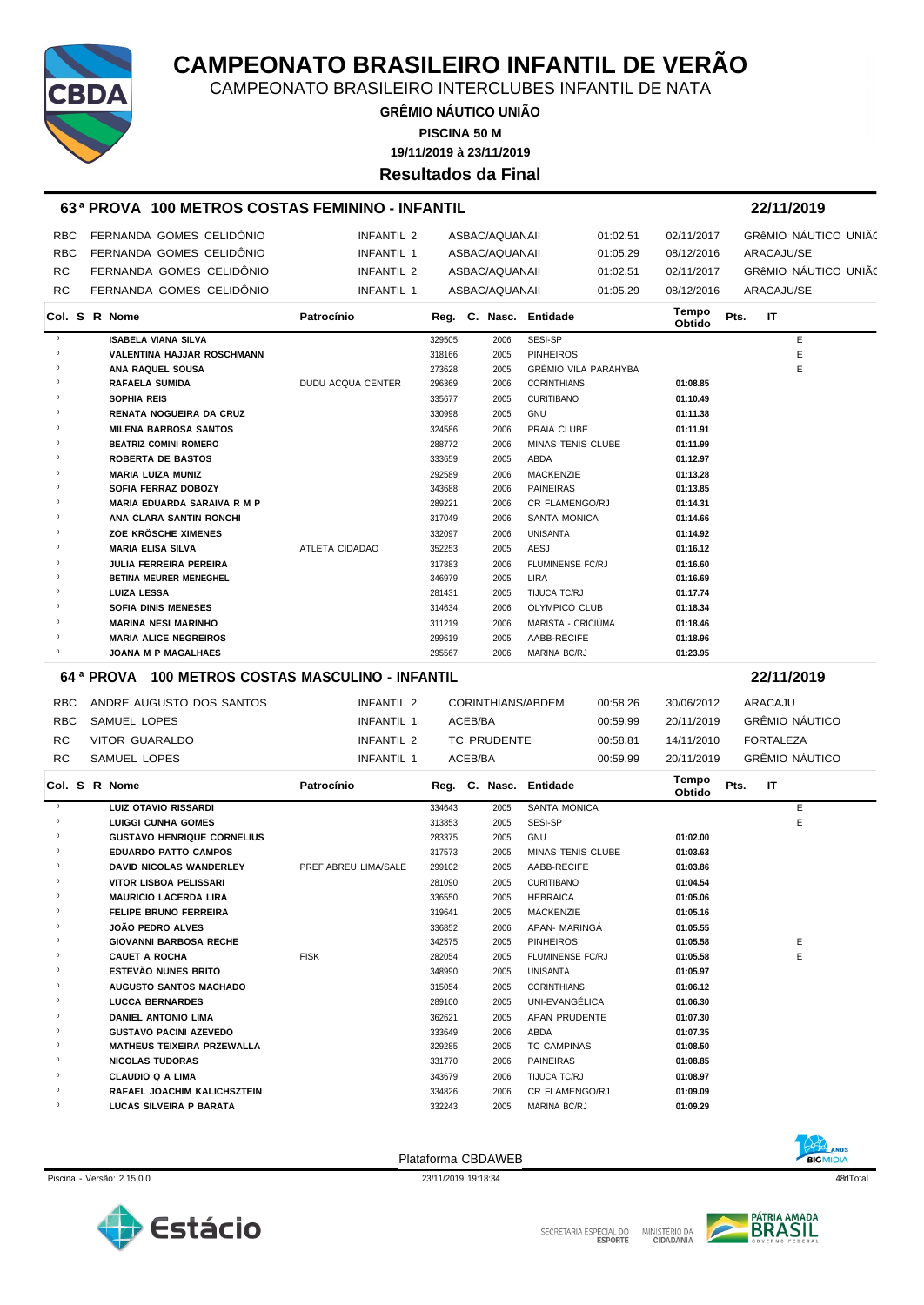

CAMPEONATO BRASILEIRO INTERCLUBES INFANTIL DE NATA

**GRÊMIO NÁUTICO UNIÃO 19/11/2019 à 23/11/2019 PISCINA 50 M**

**Resultados da Final**

#### **63 ª PROVA 100 METROS COSTAS FEMININO - INFANTIL 22/11/2019**

| <b>RBC</b> | FERNANDA GOMES CELIDÔNIO | INFANTIL 2 | ASBAC/AQUANAII | 01:02.51 | 02/11/2017 | GRÊMIO NÁUTICO UNIÃO |
|------------|--------------------------|------------|----------------|----------|------------|----------------------|
| <b>RBC</b> | FERNANDA GOMES CELIDÔNIO | INFANTIL 1 | ASBAC/AQUANAII | 01:05.29 | 08/12/2016 | ARACAJU/SE           |
| RC.        | FERNANDA GOMES CELIDÔNIO | INFANTIL 2 | ASBAC/AQUANAII | 01:02.51 | 02/11/2017 | GRÊMIO NÁUTICO UNIÃO |
| RC.        | FERNANDA GOMES CELIDÔNIO | INFANTIL 1 | ASBAC/AQUANAII | 01:05.29 | 08/12/2016 | ARACAJU/SE           |

|         |  | Col. S R Nome                      | Patrocínio               |        |      | Reg. C. Nasc. Entidade      | Tempo<br>Obtido | Pts. | IT           |   |
|---------|--|------------------------------------|--------------------------|--------|------|-----------------------------|-----------------|------|--------------|---|
| $\circ$ |  | <b>ISABELA VIANA SILVA</b>         |                          | 329505 | 2006 | SESI-SP                     |                 |      |              | E |
| $\circ$ |  | <b>VALENTINA HAJJAR ROSCHMANN</b>  |                          | 318166 | 2005 | <b>PINHEIROS</b>            |                 |      |              | E |
| $\circ$ |  | ANA RAQUEL SOUSA                   |                          | 273628 | 2005 | <b>GRÊMIO VILA PARAHYBA</b> |                 |      |              | E |
| $\circ$ |  | <b>RAFAELA SUMIDA</b>              | <b>DUDU ACQUA CENTER</b> | 296369 | 2006 | <b>CORINTHIANS</b>          | 01:08.85        |      |              |   |
| $\circ$ |  | <b>SOPHIA REIS</b>                 |                          | 335677 | 2005 | <b>CURITIBANO</b>           | 01:10.49        |      |              |   |
| $\circ$ |  | <b>RENATA NOGUEIRA DA CRUZ</b>     |                          | 330998 | 2005 | <b>GNU</b>                  | 01:11.38        |      |              |   |
| $\circ$ |  | <b>MILENA BARBOSA SANTOS</b>       |                          | 324586 | 2006 | PRAIA CLUBE                 | 01:11.91        |      |              |   |
| $\circ$ |  | <b>BEATRIZ COMINI ROMERO</b>       |                          | 288772 | 2006 | <b>MINAS TENIS CLUBE</b>    | 01:11.99        |      |              |   |
| $\circ$ |  | <b>ROBERTA DE BASTOS</b>           |                          | 333659 | 2005 | ABDA                        | 01:12.97        |      |              |   |
| $\circ$ |  | <b>MARIA LUIZA MUNIZ</b>           |                          | 292589 | 2006 | <b>MACKENZIE</b>            | 01:13.28        |      |              |   |
| $\circ$ |  | <b>SOFIA FERRAZ DOBOZY</b>         |                          | 343688 | 2006 | PAINEIRAS                   | 01:13.85        |      |              |   |
| $\circ$ |  | <b>MARIA EDUARDA SARAIVA R M P</b> |                          | 289221 | 2006 | CR FLAMENGO/RJ              | 01:14.31        |      |              |   |
| $\circ$ |  | ANA CLARA SANTIN RONCHI            |                          | 317049 | 2006 | <b>SANTA MONICA</b>         | 01:14.66        |      |              |   |
|         |  | ZOE KRÖSCHE XIMENES                |                          | 332097 | 2006 | <b>UNISANTA</b>             | 01:14.92        |      |              |   |
| $\circ$ |  | <b>MARIA ELISA SILVA</b>           | <b>ATLETA CIDADAO</b>    | 352253 | 2005 | AESJ                        | 01:16.12        |      |              |   |
| $\circ$ |  | <b>JULIA FERREIRA PEREIRA</b>      |                          | 317883 | 2006 | <b>FLUMINENSE FC/RJ</b>     | 01:16.60        |      |              |   |
| $\circ$ |  | <b>BETINA MEURER MENEGHEL</b>      |                          | 346979 | 2005 | <b>LIRA</b>                 | 01:16.69        |      |              |   |
| $\circ$ |  | <b>LUIZA LESSA</b>                 |                          | 281431 | 2005 | <b>TIJUCA TC/RJ</b>         | 01:17.74        |      |              |   |
| $\circ$ |  | <b>SOFIA DINIS MENESES</b>         |                          | 314634 | 2006 | <b>OLYMPICO CLUB</b>        | 01:18.34        |      |              |   |
| $\circ$ |  | <b>MARINA NESI MARINHO</b>         |                          | 311219 | 2006 | MARISTA - CRICIÚMA          | 01:18.46        |      |              |   |
| $\circ$ |  | <b>MARIA ALICE NEGREIROS</b>       |                          | 299619 | 2005 | AABB-RECIFE                 | 01:18.96        |      |              |   |
| $\circ$ |  | <b>JOANA M P MAGALHAES</b>         |                          | 295567 | 2006 | <b>MARINA BC/RJ</b>         | 01:23.95        |      |              |   |
|         |  |                                    |                          |        |      |                             |                 |      | . . <i>.</i> |   |

#### **64 ª PROVA 100 METROS COSTAS MASCULINO - INFANTIL 22/11/2019**

RBC ANDRE AUGUSTO DOS SANTOS **INFANTIL 2** CORINTHIANS/ABDEM 00:58.26 30/06/2012 ARACAJU RBC SAMUEL LOPES **INFANTIL 1** ACEB/BA 00:59.99 20/11/2019 GRÊMIO NÁUTICO RC VITOR GUARALDO **INFANTIL 2** TC PRUDENTE 00:58.81 14/11/2010 FORTALEZA RC SAMUEL LOPES INFANTIL 1 ACEB/BA 00:59.99 20/11/2019 GRÊMIO NÁUTICO **Col. <sup>S</sup> R Nome Patrocínio Nasc. Entidade Tempo Obtido Reg. C. Pts. IT** º **LUIZ OTAVIO RISSARDI** 334643 2005 SANTA MONICA E º **LUIGGI CUNHA GOMES** 313853 2005 SESI-SP E º **GUSTAVO HENRIQUE CORNELIUS** 283375 2005 GNU **01:02.00** º **EDUARDO PATTO CAMPOS** 317573 2005 MINAS TENIS CLUBE **01:03.63**

| $\Omega$ | <b>DAVID NICOLAS WANDERLEY</b>    | PREF.ABREU LIMA/SALE | 299102 | 2005 | AABB-RECIFE             | 01:03.86 |   |  |
|----------|-----------------------------------|----------------------|--------|------|-------------------------|----------|---|--|
| $\circ$  | VITOR LISBOA PELISSARI            |                      | 281090 | 2005 | <b>CURITIBANO</b>       | 01:04.54 |   |  |
| 0        | <b>MAURICIO LACERDA LIRA</b>      |                      | 336550 | 2005 | <b>HEBRAICA</b>         | 01:05.06 |   |  |
| 0        | <b>FELIPE BRUNO FERREIRA</b>      |                      | 319641 | 2005 | MACKENZIE               | 01:05.16 |   |  |
| 0        | <b>JOÃO PEDRO ALVES</b>           |                      | 336852 | 2006 | APAN- MARINGA           | 01:05.55 |   |  |
| 0        | <b>GIOVANNI BARBOSA RECHE</b>     |                      | 342575 | 2005 | <b>PINHEIROS</b>        | 01:05.58 | E |  |
| $\circ$  | <b>CAUET A ROCHA</b>              | <b>FISK</b>          | 282054 | 2005 | <b>FLUMINENSE FC/RJ</b> | 01:05.58 | E |  |
| $\circ$  | <b>ESTEVÃO NUNES BRITO</b>        |                      | 348990 | 2005 | <b>UNISANTA</b>         | 01:05.97 |   |  |
| 0        | <b>AUGUSTO SANTOS MACHADO</b>     |                      | 315054 | 2005 | <b>CORINTHIANS</b>      | 01:06.12 |   |  |
| $\circ$  | <b>LUCCA BERNARDES</b>            |                      | 289100 | 2005 | UNI-EVANGÉLICA          | 01:06.30 |   |  |
| 0        | <b>DANIEL ANTONIO LIMA</b>        |                      | 362621 | 2005 | APAN PRUDENTE           | 01:07.30 |   |  |
| $\circ$  | <b>GUSTAVO PACINI AZEVEDO</b>     |                      | 333649 | 2006 | ABDA                    | 01:07.35 |   |  |
| 0        | <b>MATHEUS TEIXEIRA PRZEWALLA</b> |                      | 329285 | 2005 | <b>TC CAMPINAS</b>      | 01:08.50 |   |  |
| $\circ$  | <b>NICOLAS TUDORAS</b>            |                      | 331770 | 2006 | <b>PAINEIRAS</b>        | 01:08.85 |   |  |
| 0        | <b>CLAUDIO Q A LIMA</b>           |                      | 343679 | 2006 | TIJUCA TC/RJ            | 01:08.97 |   |  |
| $\circ$  | RAFAEL JOACHIM KALICHSZTEIN       |                      | 334826 | 2006 | <b>CR FLAMENGO/RJ</b>   | 01:09.09 |   |  |
| $\circ$  | LUCAS SILVEIRA P BARATA           |                      | 332243 | 2005 | MARINA BC/RJ            | 01:09.29 |   |  |

Piscina - Versão: 2.15.0.0 23/11/2019 19:18:34 48qrlTotal





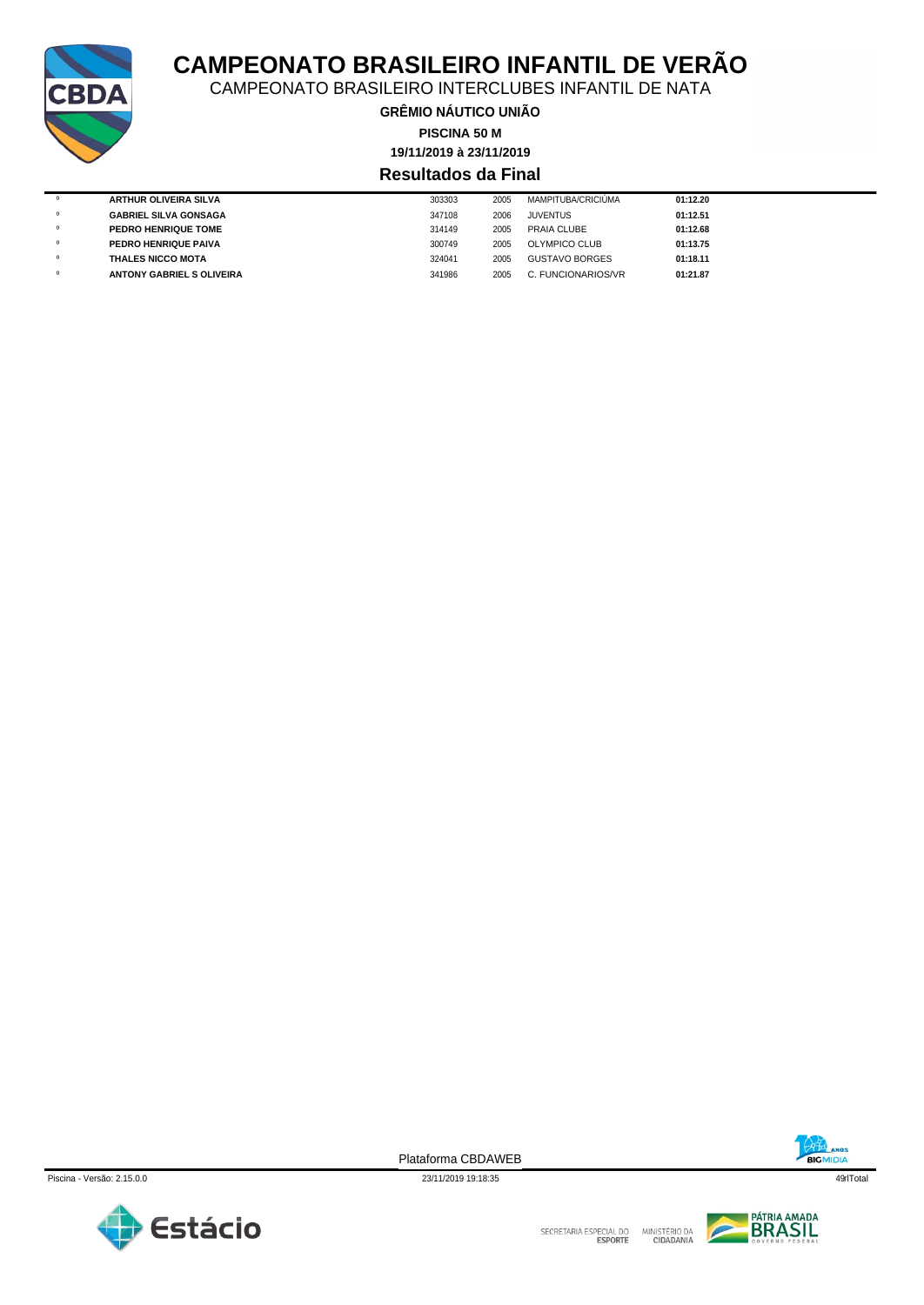

CAMPEONATO BRASILEIRO INTERCLUBES INFANTIL DE NATA

**GRÊMIO NÁUTICO UNIÃO PISCINA 50 M**

**19/11/2019 à 23/11/2019**

### **Resultados da Final**

| $^{\circ}$ | <b>ARTHUR OLIVEIRA SILVA</b>     | 303303 | 2005 | <b>MAMPITUBA/CRICIÚMA</b> | 01:12.20 |
|------------|----------------------------------|--------|------|---------------------------|----------|
| $\circ$    | <b>GABRIEL SILVA GONSAGA</b>     | 347108 | 2006 | <b>JUVENTUS</b>           | 01:12.51 |
| $\circ$    | PEDRO HENRIQUE TOME              | 314149 | 2005 | PRAIA CLUBE               | 01:12.68 |
| $\circ$    | PEDRO HENRIQUE PAIVA             | 300749 | 2005 | OLYMPICO CLUB             | 01:13.75 |
| $\circ$    | <b>THALES NICCO MOTA</b>         | 324041 | 2005 | <b>GUSTAVO BORGES</b>     | 01:18.11 |
|            | <b>ANTONY GABRIEL S OLIVEIRA</b> | 341986 | 2005 | C. FUNCIONARIOS/VR        | 01:21.87 |
|            |                                  |        |      |                           |          |





Plataforma CBDAWEB



SECRETARIA ESPECIAL DO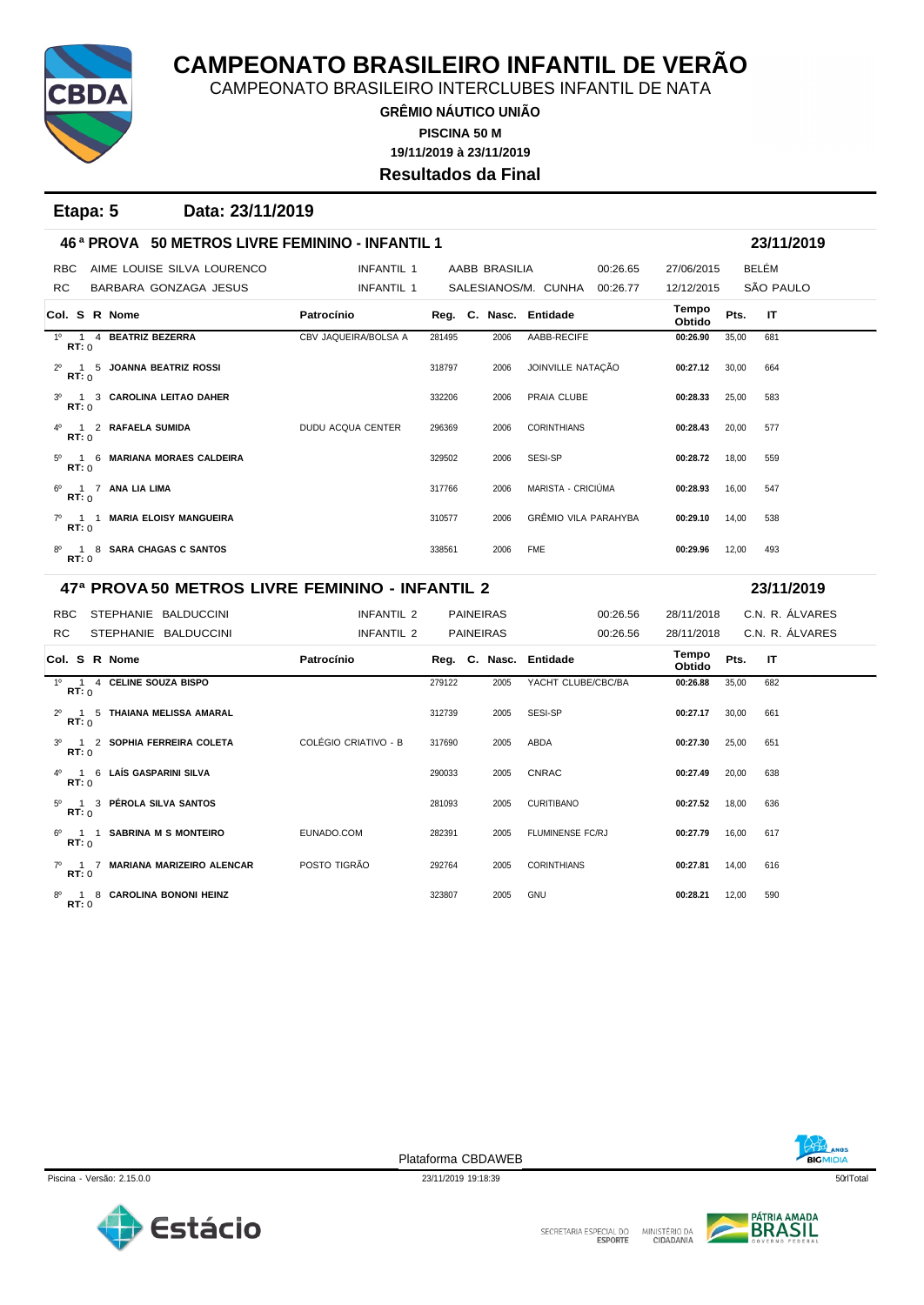

CAMPEONATO BRASILEIRO INTERCLUBES INFANTIL DE NATA

**GRÊMIO NÁUTICO UNIÃO 19/11/2019 à 23/11/2019 PISCINA 50 M Resultados da Final**

**Etapa: 5 Data: 23/11/2019**

| 46 <sup>a</sup> PROVA 50 METROS LIVRE FEMININO - INFANTIL 1 |                                                               |        |               |                                 |                 |       | 23/11/2019 |  |  |  |
|-------------------------------------------------------------|---------------------------------------------------------------|--------|---------------|---------------------------------|-----------------|-------|------------|--|--|--|
| AIME LOUISE SILVA LOURENCO<br><b>RBC</b>                    | INFANTIL 1                                                    |        | AABB BRASILIA | 00:26.65                        | 27/06/2015      |       | BELÉM      |  |  |  |
| RC.<br>BARBARA GONZAGA JESUS                                | <b>INFANTIL 1</b>                                             |        |               | SALESIANOS/M. CUNHA<br>00:26.77 | 12/12/2015      |       | SÃO PAULO  |  |  |  |
| Col. S R Nome                                               | Patrocínio                                                    |        |               | Reg. C. Nasc. Entidade          | Tempo<br>Obtido | Pts.  | IT         |  |  |  |
| 1º 1 4 BEATRIZ BEZERRA<br>RT:0                              | CBV JAQUEIRA/BOLSA A                                          | 281495 | 2006          | AABB-RECIFE                     | 00:26.90        | 35,00 | 681        |  |  |  |
| 2 <sup>0</sup> 1 5 JOANNA BEATRIZ ROSSI<br>RT:0             |                                                               | 318797 | 2006          | JOINVILLE NATAÇÃO               | 00:27.12        | 30.00 | 664        |  |  |  |
| 3º 1 3 CAROLINA LEITAO DAHER<br>RT: 0                       |                                                               | 332206 | 2006          | PRAIA CLUBE                     | 00:28.33        | 25,00 | 583        |  |  |  |
| 1 2 RAFAELA SUMIDA<br>RT:0                                  | <b>DUDU ACQUA CENTER</b>                                      | 296369 | 2006          | <b>CORINTHIANS</b>              | 00:28.43        | 20.00 | 577        |  |  |  |
| 5º 1 6 MARIANA MORAES CALDEIRA<br>RT: 0                     |                                                               | 329502 | 2006          | SESI-SP                         | 00:28.72        | 18.00 | 559        |  |  |  |
| 6 <sup>0</sup> 1 7 ANA LIA LIMA<br>RT: 0                    |                                                               | 317766 | 2006          | MARISTA - CRICIÚMA              | 00:28.93        | 16,00 | 547        |  |  |  |
| <b>MARIA ELOISY MANGUEIRA</b><br>$7^{\circ}$ 1 1<br>RT:0    |                                                               | 310577 | 2006          | <b>GRÊMIO VILA PARAHYBA</b>     | 00:29.10        | 14,00 | 538        |  |  |  |
| 8º 1 8 SARA CHAGAS C SANTOS<br>RT: 0                        |                                                               | 338561 | 2006          | <b>FME</b>                      | 00:29.96        | 12,00 | 493        |  |  |  |
|                                                             | 47ª PROVA 50 METROS LIVRE FEMININO - INFANTIL 2<br>23/11/2019 |        |               |                                 |                 |       |            |  |  |  |

| STEPHANIE BALDUCCINI<br>RBC.                           | INFANTIL 2           |        |      | 00:26.56                             |                        |       | C.N. R. ÁLVARES          |
|--------------------------------------------------------|----------------------|--------|------|--------------------------------------|------------------------|-------|--------------------------|
| STEPHANIE BALDUCCINI                                   | INFANTIL 2           |        |      | 00:26.56                             |                        |       | C.N. R. ÁLVARES          |
| Col. S R Nome                                          | Patrocínio           |        |      |                                      | Tempo<br><b>Obtido</b> | Pts.  | $\mathsf{I}$             |
| 4 CELINE SOUZA BISPO<br>$1^{\circ}$ 1<br>RT:0          |                      | 279122 | 2005 | YACHT CLUBE/CBC/BA                   | 00:26.88               | 35,00 | 682                      |
| 5 THAIANA MELISSA AMARAL<br>$2^{\circ}$ 1<br>RT: 0     |                      | 312739 | 2005 | SESI-SP                              | 00:27.17               | 30,00 | 661                      |
| 3º 1 2 SOPHIA FERREIRA COLETA<br>RT: 0                 | COLÉGIO CRIATIVO - B | 317690 | 2005 | ABDA                                 | 00:27.30               | 25,00 | 651                      |
| 4º 1 6 LAÍS GASPARINI SILVA<br>RT:0                    |                      | 290033 | 2005 | <b>CNRAC</b>                         | 00:27.49               | 20,00 | 638                      |
| 5º 1 3 PÉROLA SILVA SANTOS<br>RT: 0                    |                      | 281093 | 2005 | <b>CURITIBANO</b>                    | 00:27.52               | 18,00 | 636                      |
| <b>SABRINA M S MONTEIRO</b><br>$6^{\circ}$ 1 1<br>RT:0 | EUNADO.COM           | 282391 | 2005 | FLUMINENSE FC/RJ                     | 00:27.79               | 16,00 | 617                      |
|                                                        |                      |        |      | <b>PAINEIRAS</b><br><b>PAINEIRAS</b> | Reg. C. Nasc. Entidade |       | 28/11/2018<br>28/11/2018 |

7º 1 7 **MARIANA MARIZEIRO ALENCAR** POSTO TIGRÃO 292764 2005 CORINTHIANS **00:27.81** 14,00 616 **RT:** 0 8º 1 8 **CAROLINA BONONI HEINZ** 323807 2005 GNU **00:28.21** 12,00 590 **RT:** 0

| NOS            |  |
|----------------|--|
| <b>BIGMI</b> C |  |

Plataforma CBDAWEB



PÁTRIA AMADA MINISTÉRIO DA<br>CIDADANIA D

Piscina - Versão: 2.15.0.0 23/11/2019 19:18:39 23/11/2019 19:18:39 50rTotal

SECRETARIA ESPECIAL DO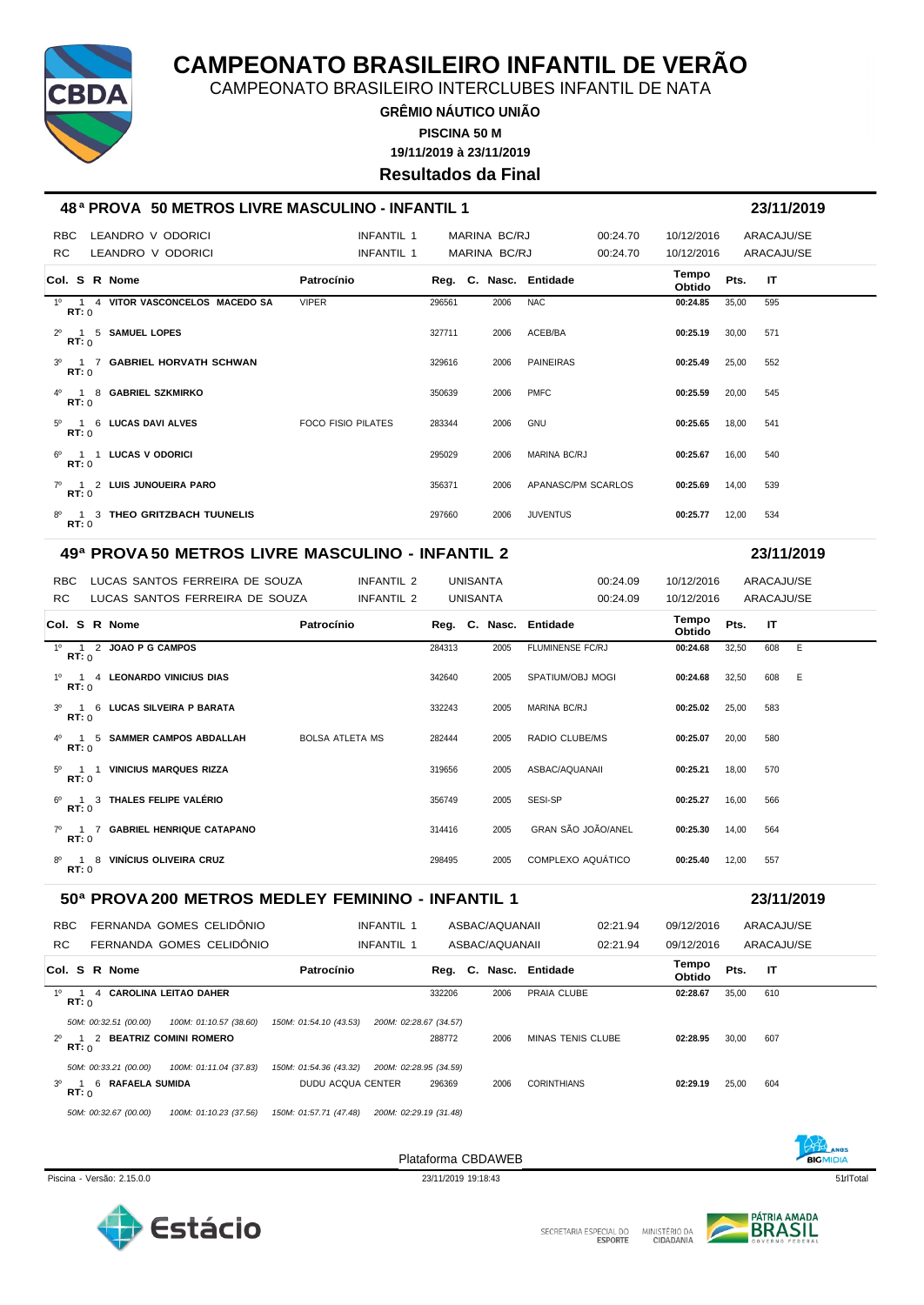

CAMPEONATO BRASILEIRO INTERCLUBES INFANTIL DE NATA

**GRÊMIO NÁUTICO UNIÃO 19/11/2019 à 23/11/2019 PISCINA 50 M Resultados da Final**

### **48 ª PROVA 50 METROS LIVRE MASCULINO - INFANTIL 1 23/11/2019**

| <b>RBC</b><br>RC.                  | LEANDRO V ODORICI<br>LEANDRO V ODORICI | INFANTIL 1<br>INFANTIL 1  |        | MARINA BC/RJ<br>MARINA BC/RJ |                     | 00:24.70<br>00:24.70 | 10/12/2016<br>10/12/2016 |       | ARACAJU/SE<br>ARACAJU/SE |
|------------------------------------|----------------------------------------|---------------------------|--------|------------------------------|---------------------|----------------------|--------------------------|-------|--------------------------|
| Col. S R Nome                      |                                        | Patrocínio                |        | Reg. C. Nasc. Entidade       |                     |                      | Tempo<br>Obtido          | Pts.  | -IT                      |
| RT: 0                              | 1º 1 4 VITOR VASCONCELOS MACEDO SA     | <b>VIPER</b>              | 296561 | 2006                         | <b>NAC</b>          |                      | 00:24.85                 | 35,00 | 595                      |
| 2º 1 5 SAMUEL LOPES<br>RT: 0       |                                        |                           | 327711 | 2006                         | ACEB/BA             |                      | 00:25.19                 | 30.00 | 571                      |
| RT: 0                              | 3º 1 7 GABRIEL HORVATH SCHWAN          |                           | 329616 | 2006                         | <b>PAINEIRAS</b>    |                      | 00:25.49                 | 25,00 | 552                      |
| 4º 1 8 GABRIEL SZKMIRKO<br>RT: 0   |                                        |                           | 350639 | 2006                         | <b>PMFC</b>         |                      | 00:25.59                 | 20,00 | 545                      |
| 5º 1 6 LUCAS DAVI ALVES<br>RT:0    |                                        | <b>FOCO FISIO PILATES</b> | 283344 | 2006                         | GNU                 |                      | 00:25.65                 | 18.00 | 541                      |
| 6º 1 1 LUCAS V ODORICI<br>RT:0     |                                        |                           | 295029 | 2006                         | <b>MARINA BC/RJ</b> |                      | 00:25.67                 | 16.00 | 540                      |
| 7º 1 2 LUIS JUNQUEIRA PARO<br>RT:0 |                                        |                           | 356371 | 2006                         | APANASC/PM SCARLOS  |                      | 00:25.69                 | 14,00 | 539                      |
| RT: 0                              | 8º 1 3 THEO GRITZBACH TUUNELIS         |                           | 297660 | 2006                         | <b>JUVENTUS</b>     |                      | 00:25.77                 | 12,00 | 534                      |

#### **49ª PROVA 50 METROS LIVRE MASCULINO - INFANTIL 2 23/11/2019**

RBC LUCAS SANTOS FERREIRA DE SOUZA INFANTIL 2 UNISANTA 100:24.09 10/12/2016 ARACAJU/SE RC LUCAS SANTOS FERREIRA DE SOUZA INFANTIL 2 UNISANTA 00:24.09 10/12/2016 ARACAJU/SE **Col. <sup>S</sup> R Nome Patrocínio Nasc. Entidade Tempo Obtido Reg. C. Pts. IT**

|                         | סוורטו וי שטווי                  | <b>1 au vuulu</b> |        |      | $neg.$ $o.$ $naso.$ $Lnuaa$ | Obtido   | .     | .     |  |
|-------------------------|----------------------------------|-------------------|--------|------|-----------------------------|----------|-------|-------|--|
| RT:0                    | 1º 1 2 JOAO P G CAMPOS           |                   | 284313 | 2005 | <b>FLUMINENSE FC/RJ</b>     | 00:24.68 | 32,50 | 608 E |  |
| RT:0                    | 1º 1 4 LEONARDO VINICIUS DIAS    |                   | 342640 | 2005 | SPATIUM/OBJ MOGI            | 00:24.68 | 32,50 | 608 E |  |
| RT:0                    | 3º 1 6 LUCAS SILVEIRA P BARATA   |                   | 332243 | 2005 | MARINA BC/RJ                | 00:25.02 | 25,00 | 583   |  |
| RT:0                    | 4º 1 5 SAMMER CAMPOS ABDALLAH    | BOLSA ATLETA MS   | 282444 | 2005 | RADIO CLUBE/MS              | 00:25.07 | 20,00 | 580   |  |
| $5^{\circ}$ 1<br>RT:0   | <b>VINICIUS MARQUES RIZZA</b>    |                   | 319656 | 2005 | ASBAC/AQUANAII              | 00:25.21 | 18,00 | 570   |  |
| RT:0                    | 6º 1 3 THALES FELIPE VALÉRIO     |                   | 356749 | 2005 | SESI-SP                     | 00:25.27 | 16,00 | 566   |  |
| $7^{\circ}$ 1 7<br>RT:0 | <b>GABRIEL HENRIQUE CATAPANO</b> |                   | 314416 | 2005 | GRAN SÃO JOÃO/ANEL          | 00:25.30 | 14,00 | 564   |  |
| RT:0                    | 8º 1 8 VINÍCIUS OLIVEIRA CRUZ    |                   | 298495 | 2005 | COMPLEXO AQUÁTICO           | 00:25.40 | 12,00 | 557   |  |

#### **50ª PROVA 200 METROS MEDLEY FEMININO - INFANTIL 1 23/11/2019**

| <b>RBC</b><br>RC.     |       |                       | FERNANDA GOMES CELIDÔNIO<br>FERNANDA GOMES CELIDÔNIO |                        | INFANTIL 1<br><b>INFANTIL 1</b> |        | ASBAC/AQUANAII<br>ASBAC/AQUANAII | 02:21.94<br>02:21.94     | 09/12/2016<br>09/12/2016 |       | ARACAJU/SE<br>ARACAJU/SE |  |
|-----------------------|-------|-----------------------|------------------------------------------------------|------------------------|---------------------------------|--------|----------------------------------|--------------------------|--------------------------|-------|--------------------------|--|
|                       |       | Col. S R Nome         |                                                      | Patrocínio             |                                 |        |                                  | Reg. C. Nasc. Entidade   | Tempo<br>Obtido          | Pts.  | -IT                      |  |
| 10<br>RT:0            |       | 4                     | <b>CAROLINA LEITAO DAHER</b>                         |                        |                                 | 332206 | 2006                             | PRAIA CLUBE              | 02:28.67                 | 35,00 | 610                      |  |
|                       |       | 50M: 00:32.51 (00.00) | 100M: 01:10.57 (38.60)                               | 150M: 01:54.10 (43.53) | 200M: 02:28.67 (34.57)          |        |                                  |                          |                          |       |                          |  |
| $2^{\circ}$ 1<br>RT:0 |       |                       | 2 BEATRIZ COMINI ROMERO                              |                        |                                 | 288772 | 2006                             | <b>MINAS TENIS CLUBE</b> | 02:28.95                 | 30,00 | 607                      |  |
|                       |       | 50M: 00:33.21 (00.00) | 100M: 01:11.04 (37.83)                               | 150M: 01:54.36 (43.32) | 200M: 02:28.95 (34.59)          |        |                                  |                          |                          |       |                          |  |
| $3^0$ 1               | RT: 0 | 6 RAFAELA SUMIDA      |                                                      | DUDU ACQUA CENTER      |                                 | 296369 | 2006                             | <b>CORINTHIANS</b>       | 02:29.19                 | 25,00 | 604                      |  |
|                       |       | 50M: 00:32.67 (00.00) | 100M: 01:10.23 (37.56)                               | 150M: 01:57.71 (47.48) | 200M: 02:29.19 (31.48)          |        |                                  |                          |                          |       |                          |  |





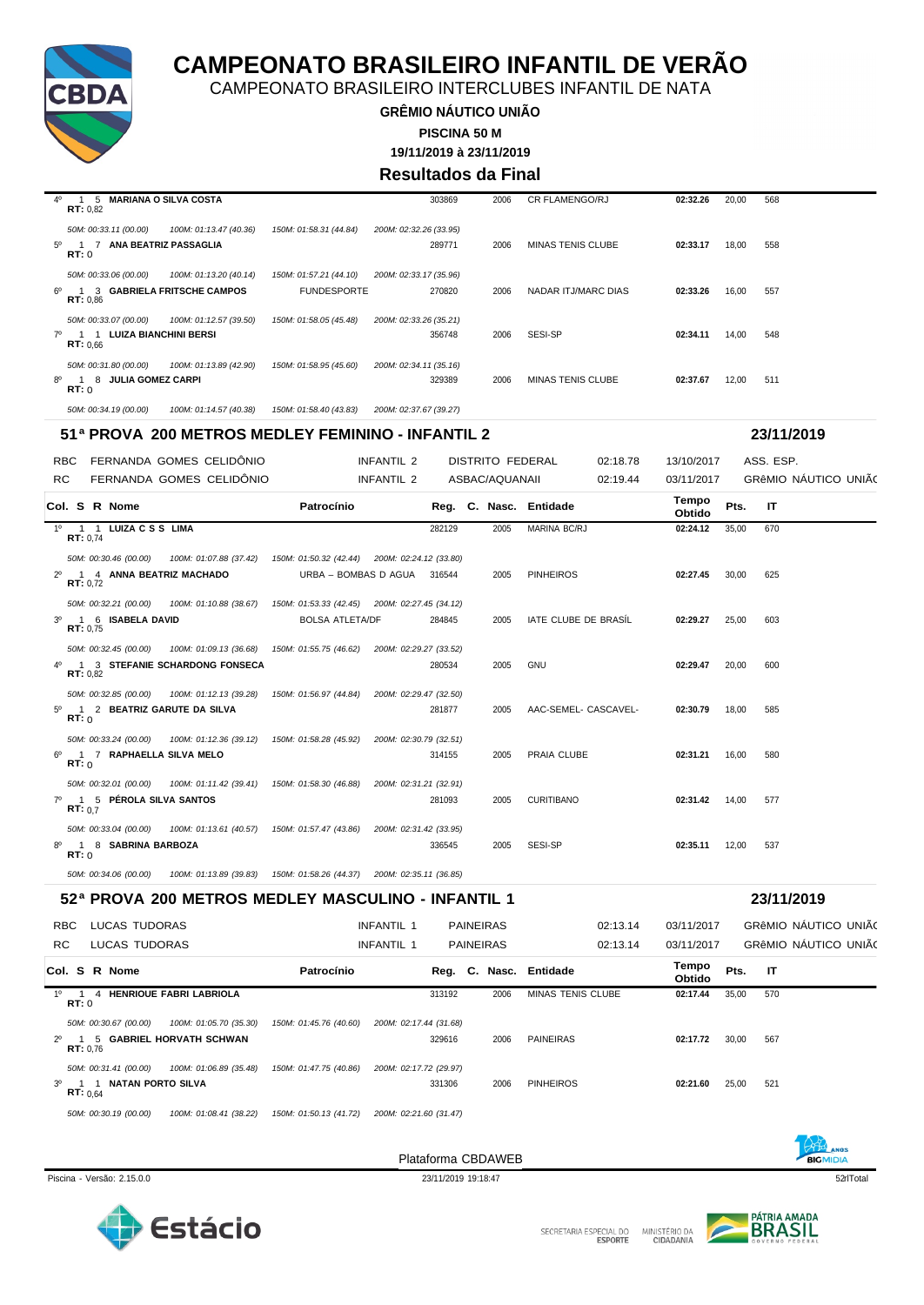

CAMPEONATO BRASILEIRO INTERCLUBES INFANTIL DE NATA

**GRÊMIO NÁUTICO UNIÃO**

**PISCINA 50 M**

**19/11/2019 à 23/11/2019**

#### **Resultados da Final**

| 40 | 5 MARIANA O SILVA COSTA<br>RT: 0.82                     |                        | 303869<br>2006         | <b>CR FLAMENGO/RJ</b>    | 02:32.26 | 20,00 | 568 |
|----|---------------------------------------------------------|------------------------|------------------------|--------------------------|----------|-------|-----|
|    | 50M: 00:33.11 (00.00)<br>100M: 01:13.47 (40.36)         | 150M: 01:58.31 (44.84) | 200M: 02:32.26 (33.95) |                          |          |       |     |
|    | <b>ANA BEATRIZ PASSAGLIA</b><br>$5^0$ 1 7<br>RT:0       |                        | 289771<br>2006         | <b>MINAS TENIS CLUBE</b> | 02:33.17 | 18,00 | 558 |
|    | 50M: 00:33.06 (00.00)<br>100M: 01:13.20 (40.14)         | 150M: 01:57.21 (44.10) | 200M: 02:33.17 (35.96) |                          |          |       |     |
|    | 6º 1 3 GABRIELA FRITSCHE CAMPOS<br>RT: 0.86             | <b>FUNDESPORTE</b>     | 270820<br>2006         | NADAR ITJ/MARC DIAS      | 02:33.26 | 16,00 | 557 |
|    | 50M: 00:33.07 (00.00)<br>100M: 01:12.57 (39.50)         | 150M: 01:58.05 (45.48) | 200M: 02:33.26 (35.21) |                          |          |       |     |
|    | LUIZA BIANCHINI BERSI<br>7 <sup>0</sup> 1 1<br>RT: 0.66 |                        | 356748<br>2006         | SESI-SP                  | 02:34.11 | 14,00 | 548 |
|    | 50M: 00:31.80 (00.00)<br>100M: 01:13.89 (42.90)         | 150M: 01:58.95 (45.60) | 200M: 02:34.11 (35.16) |                          |          |       |     |
|    | $8^{\circ}$ 1<br><b>JULIA GOMEZ CARPI</b><br>-8<br>RT:0 |                        | 329389<br>2006         | <b>MINAS TENIS CLUBE</b> | 02:37.67 | 12,00 | 511 |
|    | 50M: 00:34.19 (00.00)<br>100M: 01:14.57 (40.38)         | 150M: 01:58.40 (43.83) | 200M: 02:37.67 (39.27) |                          |          |       |     |

#### **51ª PROVA 200 METROS MEDLEY FEMININO - INFANTIL 2 23/11/2019**

|             | RBC.                      |                         | FERNANDA GOMES CELIDÔNIO                                                                   |                             | INFANTIL 2 |        | <b>DISTRITO FEDERAL</b> |                        | 02:18.78 | 13/10/2017      |       | ASS. ESP. |                      |  |
|-------------|---------------------------|-------------------------|--------------------------------------------------------------------------------------------|-----------------------------|------------|--------|-------------------------|------------------------|----------|-----------------|-------|-----------|----------------------|--|
| RC.         |                           |                         | FERNANDA GOMES CELIDÔNIO                                                                   |                             | INFANTIL 2 |        | ASBAC/AQUANAII          |                        | 02:19.44 | 03/11/2017      |       |           | GRÊMIO NÁUTICO UNIÃO |  |
|             |                           | Col. S R Nome           |                                                                                            | Patrocínio                  |            |        |                         | Reg. C. Nasc. Entidade |          | Tempo<br>Obtido | Pts.  | -IT       |                      |  |
|             | <b>RT: 0.74</b>           | 1º 1 1 LUIZA C S S LIMA |                                                                                            |                             |            | 282129 | 2005                    | MARINA BC/RJ           |          | 02:24.12        | 35,00 | 670       |                      |  |
|             |                           |                         | 50M: 00:30.46 (00.00) 100M: 01:07.88 (37.42) 150M: 01:50.32 (42.44) 200M: 02:24.12 (33.80) |                             |            |        |                         |                        |          |                 |       |           |                      |  |
| $2^{\circ}$ | RT: 0.72                  |                         | 1 4 ANNA BEATRIZ MACHADO                                                                   | URBA - BOMBAS D AGUA 316544 |            |        | 2005                    | <b>PINHEIROS</b>       |          | 02:27.45        | 30,00 | 625       |                      |  |
|             |                           |                         | 50M: 00:32.21 (00.00) 100M: 01:10.88 (38.67) 150M: 01:53.33 (42.45) 200M: 02:27.45 (34.12) |                             |            |        |                         |                        |          |                 |       |           |                      |  |
| $3^{\circ}$ | RT: 0.75                  | 1 6 ISABELA DAVID       |                                                                                            | <b>BOLSA ATLETA/DF</b>      |            | 284845 | 2005                    | IATE CLUBE DE BRASÍL   |          | 02:29.27        | 25,00 | 603       |                      |  |
|             |                           |                         | 50M: 00:32.45 (00.00) 100M: 01:09.13 (36.68) 150M: 01:55.75 (46.62) 200M: 02:29.27 (33.52) |                             |            |        |                         |                        |          |                 |       |           |                      |  |
|             | RT: 0.82                  |                         | 4º 1 3 STEFANIE SCHARDONG FONSECA                                                          |                             |            | 280534 | 2005                    | <b>GNU</b>             |          | 02:29.47        | 20.00 | 600       |                      |  |
|             |                           |                         | 50M: 00:32.85 (00.00) 100M: 01:12.13 (39.28) 150M: 01:56.97 (44.84) 200M: 02:29.47 (32.50) |                             |            |        |                         |                        |          |                 |       |           |                      |  |
|             | RT: 0                     |                         | 5º 1 2 BEATRIZ GARUTE DA SILVA                                                             |                             |            | 281877 | 2005                    | AAC-SEMEL- CASCAVEL-   |          | 02:30.79        | 18.00 | 585       |                      |  |
|             |                           |                         | 50M: 00:33.24 (00.00) 100M: 01:12.36 (39.12) 150M: 01:58.28 (45.92) 200M: 02:30.79 (32.51) |                             |            |        |                         |                        |          |                 |       |           |                      |  |
| $6^{\circ}$ | RT: 0                     |                         | 1 7 RAPHAELLA SILVA MELO                                                                   |                             |            | 314155 | 2005                    | PRAIA CLUBE            |          | 02:31.21        | 16.00 | 580       |                      |  |
|             |                           |                         | 50M: 00:32.01 (00.00) 100M: 01:11.42 (39.41) 150M: 01:58.30 (46.88) 200M: 02:31.21 (32.91) |                             |            |        |                         |                        |          |                 |       |           |                      |  |
| $7^\circ$   | $\overline{1}$<br>RT: 0.7 | 5 PÉROLA SILVA SANTOS   |                                                                                            |                             |            | 281093 | 2005                    | <b>CURITIBANO</b>      |          | 02:31.42 14.00  |       | 577       |                      |  |
|             |                           |                         | 50M: 00:33.04 (00.00) 100M: 01:13.61 (40.57) 150M: 01:57.47 (43.86) 200M: 02:31.42 (33.95) |                             |            |        |                         |                        |          |                 |       |           |                      |  |
| 80          | RT: 0                     | 1 8 SABRINA BARBOZA     |                                                                                            |                             |            | 336545 | 2005                    | SESI-SP                |          | 02:35.11        | 12.00 | 537       |                      |  |

### **52ª PROVA 200 METROS MEDLEY MASCULINO - INFANTIL 1 23/11/2019**

*50M: 00:34.06 (00.00) 100M: 01:13.89 (39.83) 150M: 01:58.26 (44.37) 200M: 02:35.11 (36.85)*

| RC. | <b>RBC</b>                     |   | LUCAS TUDORAS<br>LUCAS TUDORAS |                                |                        | INFANTIL 1<br>INFANTIL 1 |        | <b>PAINEIRAS</b><br><b>PAINEIRAS</b> |                          | 02:13.14<br>02:13.14 | 03/11/2017<br>03/11/2017 |       |     | GRÊMIO NÁUTICO UNIÃO<br>GRÊMIO NÁUTICO UNIÃ( |  |
|-----|--------------------------------|---|--------------------------------|--------------------------------|------------------------|--------------------------|--------|--------------------------------------|--------------------------|----------------------|--------------------------|-------|-----|----------------------------------------------|--|
|     |                                |   | Col. S R Nome                  |                                | Patrocínio             |                          |        |                                      | Reg. C. Nasc. Entidade   |                      | Tempo<br>Obtido          | Pts.  | -IT |                                              |  |
| 10  | $\overline{1}$<br>RT:0         | 4 |                                | <b>HENRIQUE FABRI LABRIOLA</b> |                        |                          | 313192 | 2006                                 | <b>MINAS TENIS CLUBE</b> |                      | 02:17.44                 | 35,00 | 570 |                                              |  |
|     |                                |   | 50M: 00:30.67 (00.00)          | 100M: 01:05.70 (35.30)         | 150M: 01:45.76 (40.60) | 200M: 02:17.44 (31.68)   |        |                                      |                          |                      |                          |       |     |                                              |  |
|     | $2^0$ 1<br>RT: 0.76            |   |                                | 5 GABRIEL HORVATH SCHWAN       |                        |                          | 329616 | 2006                                 | <b>PAINEIRAS</b>         |                      | 02:17.72                 | 30,00 | 567 |                                              |  |
|     |                                |   | 50M: 00:31.41 (00.00)          | 100M: 01:06.89 (35.48)         | 150M: 01:47.75 (40.86) | 200M: 02:17.72 (29.97)   |        |                                      |                          |                      |                          |       |     |                                              |  |
|     | $3^0$ 1 1<br><b>RT:</b> $0.64$ |   | NATAN PORTO SILVA              |                                |                        |                          | 331306 | 2006                                 | <b>PINHEIROS</b>         |                      | 02:21.60                 | 25,00 | 521 |                                              |  |
|     |                                |   | 50M: 00:30.19 (00.00)          | 100M: 01:08.41 (38.22)         | 150M: 01:50.13 (41.72) | 200M: 02:21.60 (31.47)   |        |                                      |                          |                      |                          |       |     |                                              |  |







Estácio

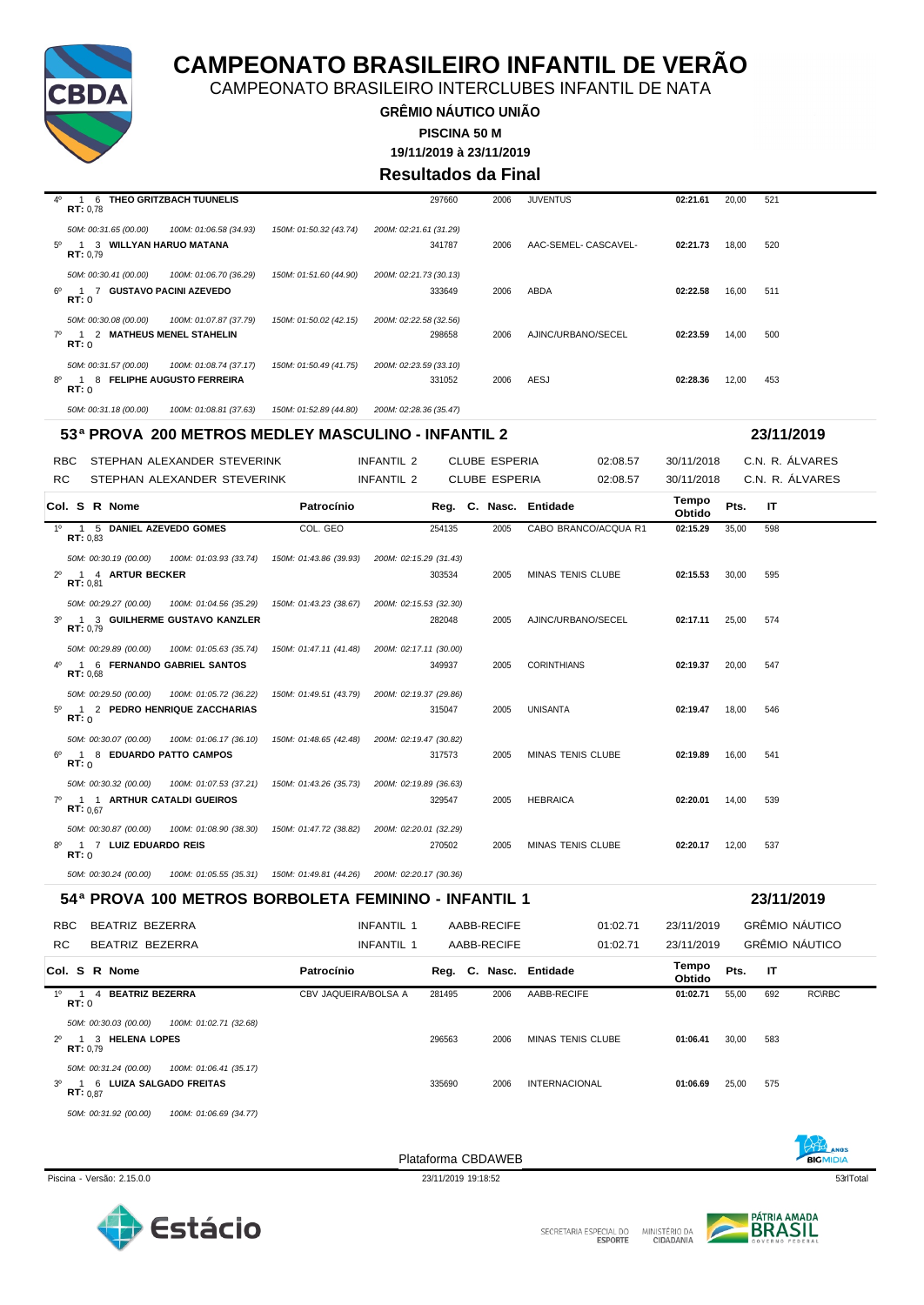

CAMPEONATO BRASILEIRO INTERCLUBES INFANTIL DE NATA

**GRÊMIO NÁUTICO UNIÃO PISCINA 50 M**

**19/11/2019 à 23/11/2019**

#### **Resultados da Final**

| $4^{\circ}$ | THEO GRITZBACH TUUNELIS<br>6<br>RT: 0.78        |                        | 297660                 | 2006 | <b>JUVENTUS</b>      | 02:21.61 | 20,00 | 521 |
|-------------|-------------------------------------------------|------------------------|------------------------|------|----------------------|----------|-------|-----|
|             | 50M: 00:31.65 (00.00)<br>100M: 01:06.58 (34.93) | 150M: 01:50.32 (43.74) | 200M: 02:21.61 (31.29) |      |                      |          |       |     |
| 50          | 3 WILLYAN HARUO MATANA<br>RT: 0.79              |                        | 341787                 | 2006 | AAC-SEMEL- CASCAVEL- | 02:21.73 | 18,00 | 520 |
|             | 100M: 01:06.70 (36.29)<br>50M: 00:30.41 (00.00) | 150M: 01:51.60 (44.90) | 200M: 02:21.73 (30.13) |      |                      |          |       |     |
| ഔ           | <b>GUSTAVO PACINI AZEVEDO</b><br>RT:0           |                        | 333649                 | 2006 | ABDA                 | 02:22.58 | 16,00 | 511 |
|             | 50M: 00:30.08 (00.00)<br>100M: 01:07.87 (37.79) | 150M: 01:50.02 (42.15) | 200M: 02:22.58 (32.56) |      |                      |          |       |     |
|             | 2 MATHEUS MENEL STAHELIN<br>7º 1<br>RT:0        |                        | 298658                 | 2006 | AJINC/URBANO/SECEL   | 02:23.59 | 14,00 | 500 |
|             | 50M: 00:31.57 (00.00)<br>100M: 01:08.74 (37.17) | 150M: 01:50.49 (41.75) | 200M: 02:23.59 (33.10) |      |                      |          |       |     |
| 8°          | <b>FELIPHE AUGUSTO FERREIRA</b><br>8<br>RT:0    |                        | 331052                 | 2006 | AESJ                 | 02:28.36 | 12,00 | 453 |
|             | 50M: 00:31.18 (00.00)<br>100M: 01:08.81 (37.63) | 150M: 01:52.89 (44.80) | 200M: 02:28.36 (35.47) |      |                      |          |       |     |

#### **53ª PROVA 200 METROS MEDLEY MASCULINO - INFANTIL 2 23/11/2019**

| <b>RBC</b><br>RC. | STEPHAN ALEXANDER STEVERINK<br>STEPHAN ALEXANDER STEVERINK                                                                                         | <b>INFANTIL 2</b><br><b>INFANTIL 2</b>        |                        | <b>CLUBE ESPERIA</b><br><b>CLUBE ESPERIA</b> | 02:08.57<br>02:08.57     | 30/11/2018<br>30/11/2018 |       | C.N. R. ÁLVARES<br>C.N. R. ÁLVARES |
|-------------------|----------------------------------------------------------------------------------------------------------------------------------------------------|-----------------------------------------------|------------------------|----------------------------------------------|--------------------------|--------------------------|-------|------------------------------------|
|                   | Col. S R Nome                                                                                                                                      | Patrocínio                                    | Reg. C. Nasc. Entidade |                                              |                          | Tempo<br>Obtido          | Pts.  | IT                                 |
| $1^{\circ}$       | 1 5 DANIEL AZEVEDO GOMES<br>RT: 0.83                                                                                                               | COL. GEO                                      | 254135                 | 2005                                         | CABO BRANCO/ACQUA R1     | 02:15.29                 | 35,00 | 598                                |
| $2^{\circ}$       | 50M: 00:30.19 (00.00)<br>100M: 01:03.93 (33.74)  150M: 01:43.86 (39.93)  200M: 02:15.29 (31.43)<br>1 4 ARTUR BECKER<br>RT: 0.81                    |                                               | 303534                 | 2005                                         | <b>MINAS TENIS CLUBE</b> | 02:15.53                 | 30,00 | 595                                |
| $3^{\circ}$       | 50M: 00:29.27 (00.00) 100M: 01:04.56 (35.29) 150M: 01:43.23 (38.67) 200M: 02:15.53 (32.30)<br>1 3 GUILHERME GUSTAVO KANZLER<br>RT: 0.79            |                                               | 282048                 | 2005                                         | AJINC/URBANO/SECEL       | 02:17.11                 | 25.00 | 574                                |
| 40                | 50M: 00:29.89 (00.00)<br>100M: 01:05.63 (35.74)<br>1 6 FERNANDO GABRIEL SANTOS<br>RT: 0.68                                                         | 150M: 01:47.11 (41.48) 200M: 02:17.11 (30.00) | 349937                 | 2005                                         | <b>CORINTHIANS</b>       | 02:19.37                 | 20,00 | 547                                |
| 50                | 50M: 00:29.50 (00.00)<br>100M: 01:05.72 (36.22)<br>2 PEDRO HENRIQUE ZACCHARIAS<br>$\overline{1}$<br>RT: 0                                          | 150M: 01:49.51 (43.79) 200M: 02:19.37 (29.86) | 315047                 | 2005                                         | <b>UNISANTA</b>          | 02:19.47                 | 18.00 | 546                                |
| 60                | 50M: 00:30.07 (00.00)<br>100M: 01:06.17 (36.10) 150M: 01:48.65 (42.48) 200M: 02:19.47 (30.82)<br>8 EDUARDO PATTO CAMPOS<br>$\blacksquare$<br>RT: 0 |                                               | 317573                 | 2005                                         | MINAS TENIS CLUBE        | 02:19.89                 | 16.00 | 541                                |
| 70                | 100M: 01:07.53 (37.21)  150M: 01:43.26 (35.73)  200M: 02:19.89 (36.63)<br>50M: 00:30.32 (00.00)<br>1 1 ARTHUR CATALDI GUEIROS<br>RT: 0.67          |                                               | 329547                 | 2005                                         | <b>HEBRAICA</b>          | 02:20.01                 | 14.00 | 539                                |
| 8°                | 100M: 01:08.90 (38.30) 150M: 01:47.72 (38.82) 200M: 02:20.01 (32.29)<br>50M: 00:30.87 (00.00)<br>1 7 LUIZ EDUARDO REIS<br>RT: 0                    |                                               | 270502                 | 2005                                         | <b>MINAS TENIS CLUBE</b> | 02:20.17                 | 12,00 | 537                                |

#### *50M: 00:30.24 (00.00) 100M: 01:05.55 (35.31) 150M: 01:49.81 (44.26) 200M: 02:20.17 (30.36)* **54ª PROVA 100 METROS BORBOLETA FEMININO - INFANTIL 1 23/11/2019**

| 34° FRUVA TW METRUS BURBULETA FEMININU - INFANTIL T                      |                      |        |             |                        |                 |       | 231 1720 19           |  |
|--------------------------------------------------------------------------|----------------------|--------|-------------|------------------------|-----------------|-------|-----------------------|--|
| BEATRIZ BEZERRA<br><b>RBC</b>                                            | <b>INFANTIL 1</b>    |        | AABB-RECIFE | 01:02.71               | 23/11/2019      |       | <b>GRÊMIO NÁUTICO</b> |  |
| RC.<br>BEATRIZ BEZERRA                                                   | INFANTIL 1           |        | AABB-RECIFE | 01:02.71               | 23/11/2019      |       | GRÊMIO NÁUTICO        |  |
| Col. S R Nome                                                            | Patrocínio           |        |             | Reg. C. Nasc. Entidade | Tempo<br>Obtido | Pts.  | ΙT                    |  |
| <b>BEATRIZ BEZERRA</b><br>10<br>$\overline{1}$<br>$\overline{a}$<br>RT:0 | CBV JAQUEIRA/BOLSA A | 281495 | 2006        | AABB-RECIFE            | 01:02.71        | 55,00 | <b>RC\RBC</b><br>692  |  |
| 100M: 01:02.71 (32.68)<br>50M: 00:30.03 (00.00)                          |                      |        |             |                        |                 |       |                       |  |
| 3 HELENA LOPES<br>$2^{\circ}$ 1<br>RT: 0.79                              |                      | 296563 | 2006        | MINAS TENIS CLUBE      | 01:06.41        | 30,00 | 583                   |  |
| 100M: 01:06.41 (35.17)<br>50M: 00:31.24 (00.00)                          |                      |        |             |                        |                 |       |                       |  |
| 3º 1 6 LUIZA SALGADO FREITAS<br>RT: 0.87                                 |                      | 335690 | 2006        | <b>INTERNACIONAL</b>   | 01:06.69        | 25,00 | 575                   |  |
| 50M: 00:31.92 (00.00)<br>100M: 01:06.69 (34.77)                          |                      |        |             |                        |                 |       |                       |  |



Plataforma CBDAWEB



**BIGMIDIA** 

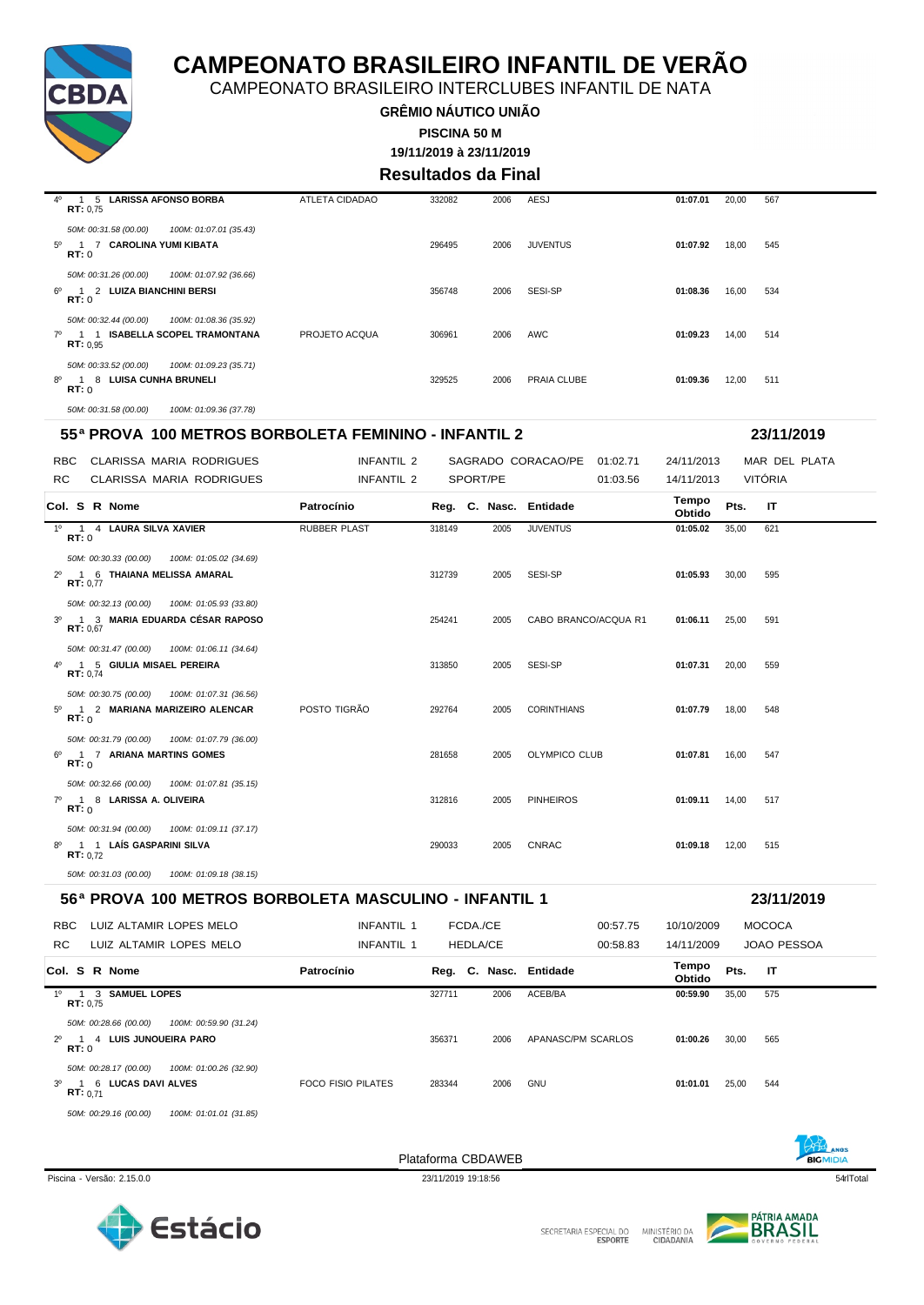

CAMPEONATO BRASILEIRO INTERCLUBES INFANTIL DE NATA

**GRÊMIO NÁUTICO UNIÃO PISCINA 50 M**

**19/11/2019 à 23/11/2019**

**Resultados da Final**

| 40          | 5 LARISSA AFONSO BORBA<br>$\overline{1}$<br>RT: 0.75                                             | ATLETA CIDADAO | 332082 | 2006 | AESJ            | 01:07.01 | 20,00 | 567 |
|-------------|--------------------------------------------------------------------------------------------------|----------------|--------|------|-----------------|----------|-------|-----|
| $5^{\circ}$ | 100M: 01:07.01 (35.43)<br>50M: 00:31.58 (00.00)<br>1 7 CAROLINA YUMI KIBATA<br>RT:0              |                | 296495 | 2006 | <b>JUVENTUS</b> | 01:07.92 | 18,00 | 545 |
| ഔ           | 50M: 00:31.26 (00.00)<br>100M: 01:07.92 (36.66)<br>1 2 LUIZA BIANCHINI BERSI<br>RT:0             |                | 356748 | 2006 | SESI-SP         | 01:08.36 | 16,00 | 534 |
|             | 50M: 00:32.44 (00.00)<br>100M: 01:08.36 (35.92)<br>7º 1 1 ISABELLA SCOPEL TRAMONTANA<br>RT: 0.95 | PROJETO ACQUA  | 306961 | 2006 | AWC             | 01:09.23 | 14,00 | 514 |
|             | 50M: 00:33.52 (00.00)<br>100M: 01:09.23 (35.71)<br>8º 1 8 LUISA CUNHA BRUNELI<br>RT: 0           |                | 329525 | 2006 | PRAIA CLUBE     | 01:09.36 | 12,00 | 511 |
|             | 50M: 00:31.58 (00.00)<br>100M: 01:09.36 (37.78)                                                  |                |        |      |                 |          |       |     |

#### **55ª PROVA 100 METROS BORBOLETA FEMININO - INFANTIL 2 23/11/2019**

| CLARISSA MARIA RODRIGUES<br>RBC.                                                                       | INFANTIL 2          |        |          | SAGRADO CORACAO/PE 01:02.71 | 24/11/2013      | MAR DEL PLATA        |  |
|--------------------------------------------------------------------------------------------------------|---------------------|--------|----------|-----------------------------|-----------------|----------------------|--|
| RC.<br>CLARISSA MARIA RODRIGUES                                                                        | INFANTIL 2          |        | SPORT/PE | 01:03.56                    | 14/11/2013      | VITÓRIA              |  |
| Col. S R Nome                                                                                          | Patrocínio          |        |          | Reg. C. Nasc. Entidade      | Tempo<br>Obtido | Pts.<br>$\mathsf{I}$ |  |
| 1º 1 4 LAURA SILVA XAVIER<br>RT:0                                                                      | <b>RUBBER PLAST</b> | 318149 | 2005     | <b>JUVENTUS</b>             | 01:05.02        | 35,00<br>621         |  |
| 50M: 00:30.33 (00.00)  100M: 01:05.02 (34.69)<br>1 6 THAIANA MELISSA AMARAL<br>$2^{\circ}$<br>RT: 0.77 |                     | 312739 | 2005     | SESI-SP                     | 01:05.93        | 30,00<br>595         |  |
| 50M: 00:32.13 (00.00) 100M: 01:05.93 (33.80)<br>3º 1 3 MARIA EDUARDA CÉSAR RAPOSO<br>RT: 0.67          |                     | 254241 | 2005     | CABO BRANCO/ACQUA R1        | 01:06.11        | 25.00<br>591         |  |
| 50M: 00:31.47 (00.00) 100M: 01:06.11 (34.64)<br>4º 1 5 GIULIA MISAEL PEREIRA<br>RT: 0.74               |                     | 313850 | 2005     | SESI-SP                     | 01:07.31        | 20.00<br>559         |  |
| 50M: 00:30.75 (00.00)  100M: 01:07.31 (36.56)<br>5º 1 2 MARIANA MARIZEIRO ALENCAR<br>RT: 0             | POSTO TIGRÃO        | 292764 | 2005     | <b>CORINTHIANS</b>          | 01:07.79        | 18,00<br>548         |  |
| 50M: 00:31.79 (00.00)  100M: 01:07.79 (36.00)<br>6º 1 7 ARIANA MARTINS GOMES<br>RT:0                   |                     | 281658 | 2005     | OLYMPICO CLUB               | 01:07.81        | 16.00<br>547         |  |
| 50M: 00:32.66 (00.00)  100M: 01:07.81 (35.15)<br>7º 1 8 LARISSA A. OLIVEIRA<br>RT:0                    |                     | 312816 | 2005     | <b>PINHEIROS</b>            | 01:09.11 14,00  | 517                  |  |
| 50M: 00:31.94 (00.00)  100M: 01:09.11 (37.17)<br>8º 1 1 LAÍS GASPARINI SILVA<br>RT: 0.72               |                     | 290033 | 2005     | <b>CNRAC</b>                | 01:09.18        | 12,00<br>515         |  |
| 50M: 00:31.03 (00.00)<br>100M: 01:09.18 (38.15)                                                        |                     |        |          |                             |                 |                      |  |

#### **56ª PROVA 100 METROS BORBOLETA MASCULINO - INFANTIL 1 23/11/2019**

|             | <b>RBC</b> | LUIZ ALTAMIR LOPES MELO                                                           | INFANTIL 1         |        | FCDA./CE |                 | 00:57.75               | 10/10/2009      |       | <b>MOCOCA</b>      |
|-------------|------------|-----------------------------------------------------------------------------------|--------------------|--------|----------|-----------------|------------------------|-----------------|-------|--------------------|
| <b>RC</b>   |            | LUIZ ALTAMIR LOPES MELO                                                           | <b>INFANTIL 1</b>  |        |          | <b>HEDLA/CE</b> | 00:58.83               | 14/11/2009      |       | <b>JOAO PESSOA</b> |
|             |            | Col. S R Nome                                                                     | Patrocínio         |        |          |                 | Reg. C. Nasc. Entidade | Tempo<br>Obtido | Pts.  | IT                 |
| 10          |            | 1 3 SAMUEL LOPES<br>RT: 0.75                                                      |                    | 327711 |          | 2006            | ACEB/BA                | 00:59.90        | 35,00 | 575                |
| $2^{\circ}$ | RT:0       | 50M: 00:28.66 (00.00)<br>100M: 00:59.90 (31.24)<br>4 LUIS JUNQUEIRA PARO          |                    | 356371 |          | 2006            | APANASC/PM SCARLOS     | 01:00.26        | 30,00 | 565                |
|             | $3^0$ 1    | 100M: 01:00.26 (32.90)<br>50M: 00:28.17 (00.00)<br>6 LUCAS DAVI ALVES<br>RT: 0.71 | FOCO FISIO PILATES | 283344 |          | 2006            | <b>GNU</b>             | 01:01.01        | 25,00 | 544                |
|             |            | 50M: 00:29.16 (00.00)<br>100M: 01:01.01 (31.85)                                   |                    |        |          |                 |                        |                 |       |                    |

Piscina - Versão: 2.15.0.0 23/11/2019 19:18:56 54qrlTotal





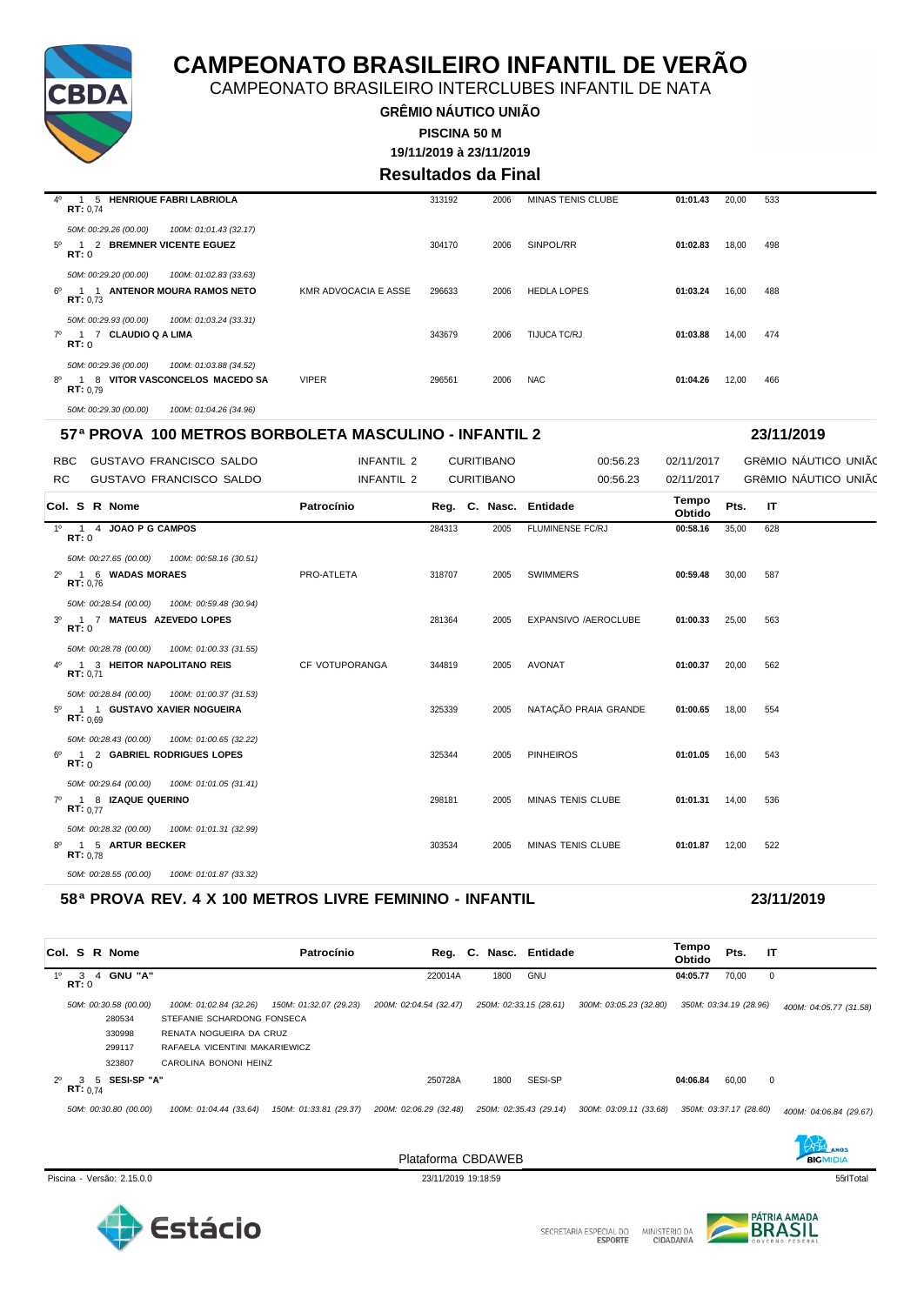

CAMPEONATO BRASILEIRO INTERCLUBES INFANTIL DE NATA

**GRÊMIO NÁUTICO UNIÃO 19/11/2019 à 23/11/2019 PISCINA 50 M**

### **Resultados da Final**

| $4^{\circ}$ | 5 HENRIQUE FABRI LABRIOLA<br>RT: 0.74                                         | 313192                                | 2006 | <b>MINAS TENIS CLUBE</b> | 01:01.43 | 20,00 | 533 |
|-------------|-------------------------------------------------------------------------------|---------------------------------------|------|--------------------------|----------|-------|-----|
|             | 50M: 00:29.26 (00.00)<br>100M: 01:01.43 (32.17)                               |                                       |      |                          |          |       |     |
| 50          | 2 BREMNER VICENTE EGUEZ<br>RT:0                                               | 304170                                | 2006 | SINPOL/RR                | 01:02.83 | 18,00 | 498 |
|             | 50M: 00:29.20 (00.00)<br>100M: 01:02.83 (33.63)                               |                                       |      |                          |          |       |     |
| െ           | 1 1 ANTENOR MOURA RAMOS NETO<br>RT: 0.73                                      | <b>KMR ADVOCACIA E ASSE</b><br>296633 | 2006 | <b>HEDLA LOPES</b>       | 01:03.24 | 16,00 | 488 |
|             | 100M: 01:03.24 (33.31)<br>50M: 00:29.93 (00.00)                               |                                       |      |                          |          |       |     |
|             | 7º 1 7 CLAUDIO Q A LIMA<br>RT:0                                               | 343679                                | 2006 | TIJUCA TC/RJ             | 01:03.88 | 14,00 | 474 |
|             | 50M: 00:29.36 (00.00)<br>100M: 01:03.88 (34.52)                               |                                       |      |                          |          |       |     |
|             | 8 VITOR VASCONCELOS MACEDO SA<br>8 <sup>0</sup> 1<br><b>VIPER</b><br>RT: 0.79 | 296561                                | 2006 | <b>NAC</b>               | 01:04.26 | 12,00 | 466 |
|             | 50M: 00:29.30 (00.00)<br>100M: 01:04.26 (34.96)                               |                                       |      |                          |          |       |     |

#### **57ª PROVA 100 METROS BORBOLETA MASCULINO - INFANTIL 2 23/11/2019**

RBC GUSTAVO FRANCISCO SALDO **INFANTIL 2 CURITIBANO 00:56.23 02/11/2017** GRêMIO NÁUTICO UNIÃO

| RC.<br><b>GUSTAVO FRANCISCO SALDO</b>                  | INFANTIL 2     |        | <b>CURITIBANO</b>      | 00:56.23             | 02/11/2017      |       | GRÊMIO NÁUTICO UNIÃO |
|--------------------------------------------------------|----------------|--------|------------------------|----------------------|-----------------|-------|----------------------|
| Col. S R Nome                                          | Patrocínio     |        | Reg. C. Nasc. Entidade |                      | Tempo<br>Obtido | Pts.  | $\mathsf{I}$         |
| 1º 1 4 JOAO P G CAMPOS<br>RT:0                         |                | 284313 | 2005                   | FLUMINENSE FC/RJ     | 00:58.16        | 35,00 | 628                  |
| 50M: 00:27.65 (00.00) 100M: 00:58.16 (30.51)           |                |        |                        |                      |                 |       |                      |
| 2º 1 6 WADAS MORAES<br>RT: 0.76                        | PRO-ATLETA     | 318707 | 2005                   | <b>SWIMMERS</b>      | 00:59.48        | 30,00 | 587                  |
| 50M: 00:28.54 (00.00)  100M: 00:59.48 (30.94)          |                |        |                        |                      |                 |       |                      |
| 3º 1 7 MATEUS AZEVEDO LOPES<br>RT:0                    |                | 281364 | 2005                   | EXPANSIVO /AEROCLUBE | 01:00.33        | 25,00 | 563                  |
| 50M: 00:28.78 (00.00)  100M: 01:00.33 (31.55)          |                |        |                        |                      |                 |       |                      |
| 4º 1 3 HEITOR NAPOLITANO REIS<br>RT: 0.71              | CF VOTUPORANGA | 344819 | 2005                   | AVONAT               | 01:00.37        | 20.00 | 562                  |
| 50M: 00:28.84 (00.00) 100M: 01:00.37 (31.53)           |                |        |                        |                      |                 |       |                      |
| 1 1 GUSTAVO XAVIER NOGUEIRA<br>$5^{\circ}$<br>RT: 0.69 |                | 325339 | 2005                   | NATAÇÃO PRAIA GRANDE | 01:00.65        | 18.00 | 554                  |
| 50M: 00:28.43 (00.00)  100M: 01:00.65 (32.22)          |                |        |                        |                      |                 |       |                      |
| 1 2 GABRIEL RODRIGUES LOPES<br>60<br>RT:0              |                | 325344 | 2005                   | <b>PINHEIROS</b>     | 01:01.05        | 16.00 | 543                  |
| 50M: 00:29.64 (00.00)  100M: 01:01.05 (31.41)          |                |        |                        |                      |                 |       |                      |
| 7º 1 8 IZAQUE QUERINO<br>RT: 0.77                      |                | 298181 | 2005                   | MINAS TENIS CLUBE    | 01:01.31 14,00  |       | 536                  |
| 50M: 00:28.32 (00.00)  100M: 01:01.31 (32.99)          |                |        |                        |                      |                 |       |                      |
| 1 5 ARTUR BECKER<br>80<br>RT: 0.78                     |                | 303534 | 2005                   | MINAS TENIS CLUBE    | 01:01.87        | 12,00 | 522                  |
| 50M: 00:28.55 (00.00)<br>100M: 01:01.87 (33.32)        |                |        |                        |                      |                 |       |                      |

#### **58ª PROVA REV. 4 X 100 METROS LIVRE FEMININO - INFANTIL 23/11/2019**

|             |                         |              | Col. S R Nome                                       |                                                                                                                  | Patrocínio             |                                   |      | Reg. C. Nasc. Entidade                   |                        | Tempo<br><b>Obtido</b> | Pts.  | IT          |                        |
|-------------|-------------------------|--------------|-----------------------------------------------------|------------------------------------------------------------------------------------------------------------------|------------------------|-----------------------------------|------|------------------------------------------|------------------------|------------------------|-------|-------------|------------------------|
| 10          | $\mathcal{R}$<br>RT:0   | $\mathbf{A}$ | <b>GNU "A"</b>                                      |                                                                                                                  |                        | 220014A                           | 1800 | GNU                                      |                        | 04:05.77               | 70,00 | $\mathbf 0$ |                        |
|             |                         |              | 50M: 00:30.58 (00.00)<br>280534<br>330998<br>299117 | 100M: 01:02.84 (32.26)<br>STEFANIE SCHARDONG FONSECA<br>RENATA NOGUEIRA DA CRUZ<br>RAFAELA VICENTINI MAKARIEWICZ | 150M: 01:32.07 (29.23) | 200M: 02:04.54 (32.47)            |      | 250M: 02:33.15 (28.61)                   | 300M: 03:05.23 (32.80) | 350M: 03:34.19 (28.96) |       |             | 400M: 04:05.77 (31.58) |
| $2^{\circ}$ | з.<br><b>RT:</b> $0.74$ | 5.           | 323807<br>SESI-SP "A"<br>50M: 00:30.80 (00.00)      | CAROLINA BONONI HEINZ                                                                                            | 150M: 01:33.81 (29.37) | 250728A<br>200M: 02:06.29 (32.48) | 1800 | <b>SESI-SP</b><br>250M: 02:35.43 (29.14) | 300M: 03:09.11 (33.68) | 04:06.84               | 60,00 | $\mathbf 0$ |                        |
|             |                         |              |                                                     | 100M: 01:04.44 (33.64)                                                                                           |                        |                                   |      |                                          |                        | 350M: 03:37.17 (28.60) |       |             | 400M: 04:06.84 (29.67) |

Piscina - Versão: 2.15.0.0 23/11/2019 19:18:59 55qrlTotal





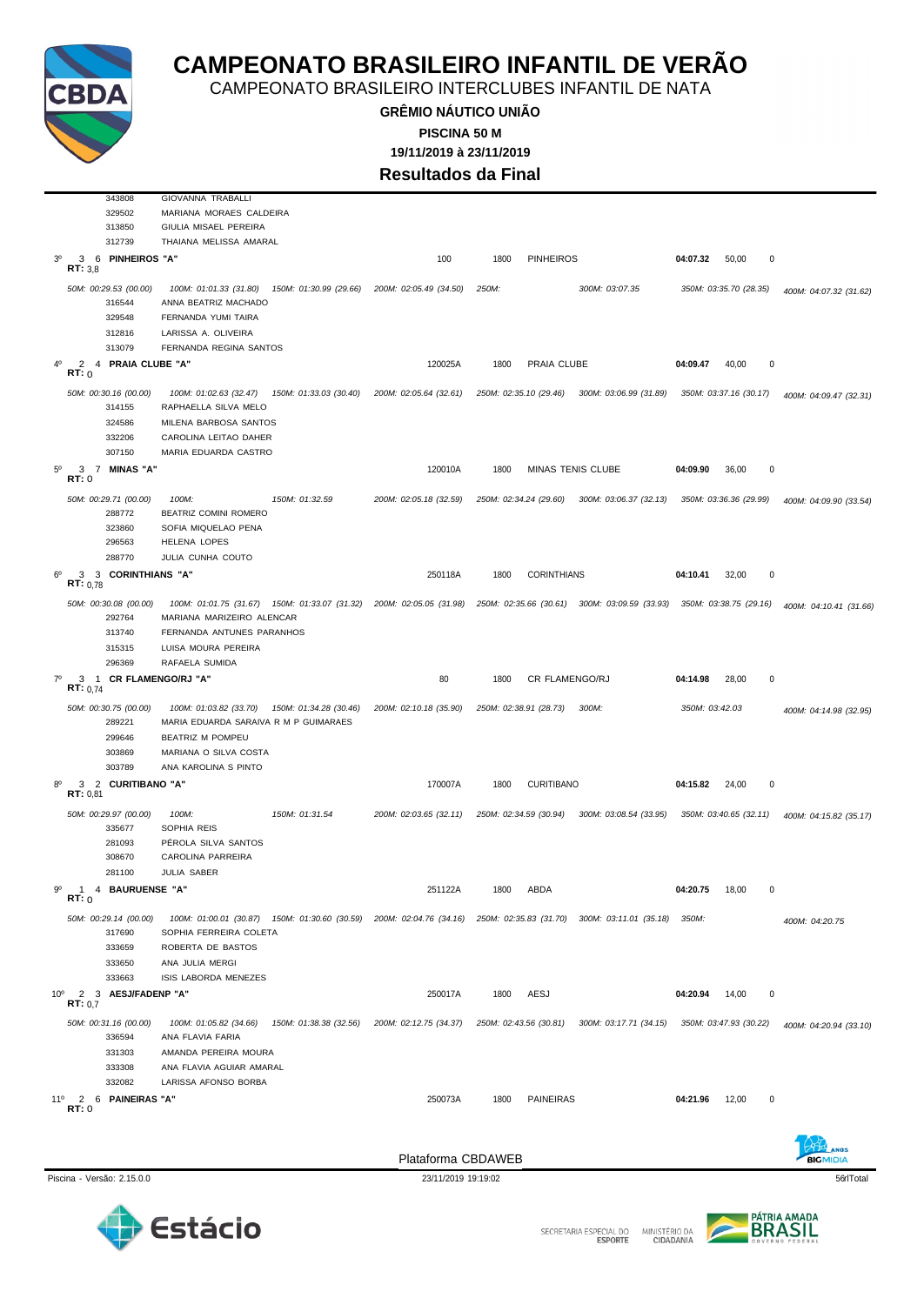

CAMPEONATO BRASILEIRO INTERCLUBES INFANTIL DE NATA

**GRÊMIO NÁUTICO UNIÃO 19/11/2019 à 23/11/2019 PISCINA 50 M Resultados da Final**

 GIOVANNA TRABALLI MARIANA MORAES CALDEIRA GIULIA MISAEL PEREIRA THAIANA MELISSA AMARAL 3º 3 6 **PINHEIROS "A"** 100 1800 PINHEIROS **04:07.32** 50,00 0 **RT:** 3,8 *50M: 00:29.53 (00.00) 100M: 01:01.33 (31.80) 150M: 01:30.99 (29.66) 200M: 02:05.49 (34.50) 250M: 300M: 03:07.35 350M: 03:35.70 (28.35) 400M: 04:07.32 (31.62)* ANNA BEATRIZ MACHADO FERNANDA YUMI TAIRA LARISSA A. OLIVEIRA FERNANDA REGINA SANTOS 4º 2 4 **PRAIA CLUBE "A"** 120025A 1800 PRAIA CLUBE **04:09.47** 40,00 0 **RT:** 0 50M: 00:30.16 (00.00) 100M: 01:02.63 (32.47) 150M: 01:33.03 (30.40) 200M: 02:05.64 (32.61) 250M: 02:35.10 (29.46) 300M: 03:06.99 (31.89) 350M: 03:37.16 (30.17) 400M: 04:09.47 (32.31) RAPHAELLA SILVA MELO MILENA BARBOSA SANTOS CAROLINA LEITAO DAHER MARIA EDUARDA CASTRO 5º 3 7 **MINAS "A"** 120010A 1800 MINAS TENIS CLUBE **04:09.90** 36,00 0 **RT:** 0 *50M: 00:29.71 (00.00) 100M: 150M: 01:32.59 200M: 02:05.18 (32.59) 250M: 02:34.24 (29.60) 300M: 03:06.37 (32.13) 350M: 03:36.36 (29.99) 400M: 04:09.90 (33.54)* BEATRIZ COMINI ROMERO SOFIA MIQUELAO PENA HELENA LOPES JULIA CUNHA COUTO 6º 3 3 **CORINTHIANS "A"** 250118A 1800 CORINTHIANS **04:10.41** 32,00 0  $R = \frac{3}{2}$ 50M: 00:30.08 (00.00) 100M: 01:01.75 (31.67) 150M: 01:33.07 (31.32) 200M: 02:05.05 (31.98) 250M: 02:35.66 (30.61) 300M: 03:09.59 (33.93) 350M: 03:38.75 (29.16) 400M: 04:10.41 (31.66)<br>292764 MARIANA MARIZEIRO ALENCAR MARIANA MARIZEIRO ALENCAR FERNANDA ANTUNES PARANHOS LUISA MOURA PEREIRA RAFAELA SUMIDA 7º 3 1 **CR FLAMENGO/RJ "A"** 80 1800 CR FLAMENGO/RJ **04:14.98** 28,00 0  $R = \frac{3}{12}$ *50M: 00:30.75 (00.00) 100M: 01:03.82 (33.70) 150M: 01:34.28 (30.46) 200M: 02:10.18 (35.90) 250M: 02:38.91 (28.73) 300M: 350M: 03:42.03 400M: 04:14.98 (32.95)* MARIA EDUARDA SARAIVA R M P GUIMARAES BEATRIZ M POMPEU MARIANA O SILVA COSTA ANA KAROLINA S PINTO 8º 3 2 **CURITIBANO "A"** 170007A 1800 CURITIBANO **04:15.82** 24,00 0 **RT:** 0,81 *50M: 00:29.97 (00.00) 100M: 150M: 01:31.54 200M: 02:03.65 (32.11) 250M: 02:34.59 (30.94) 300M: 03:08.54 (33.95) 350M: 03:40.65 (32.11) 400M: 04:15.82 (35.17)* SOPHIA REIS PÉROLA SILVA SANTOS CAROLINA PARREIRA JULIA SABER 9º 1 4 **BAURUENSE "A"** 251122A 1800 ABDA **04:20.75** 18,00 0 **RT:** 0 *50M: 00:29.14 (00.00) 100M: 01:00.01 (30.87) 150M: 01:30.60 (30.59) 200M: 02:04.76 (34.16) 250M: 02:35.83 (31.70) 300M: 03:11.01 (35.18) 350M: 400M: 04:20.75* SOPHIA FERREIRA COLETA ROBERTA DE BASTOS ANA JULIA MERGI ISIS LABORDA MENEZES 10º 2 3 **AESJ/FADENP "A"** 250017A 1800 AESJ **04:20.94** 14,00 0 **RT:** 0,7 50M: 00:31.16 (00.00) 100M: 01:05.82 (34.66) 150M: 01:38.38 (32.56) 200M: 02:12.75 (34.37) 250M: 02:43.56 (30.81) 300M: 03:17.71 (34.15) 350M: 03:47.93 (30.22) 400M: 04:20.94 (33.10) ANA FLAVIA FARIA AMANDA PEREIRA MOURA ANA FLAVIA AGUIAR AMARAL LARISSA AFONSO BORBA 11º 2 6 **PAINEIRAS "A"** 250073A 1800 PAINEIRAS **04:21.96** 12,00 0 **RT:** 0



Plataforma CBDAWEB



BICMIDIA



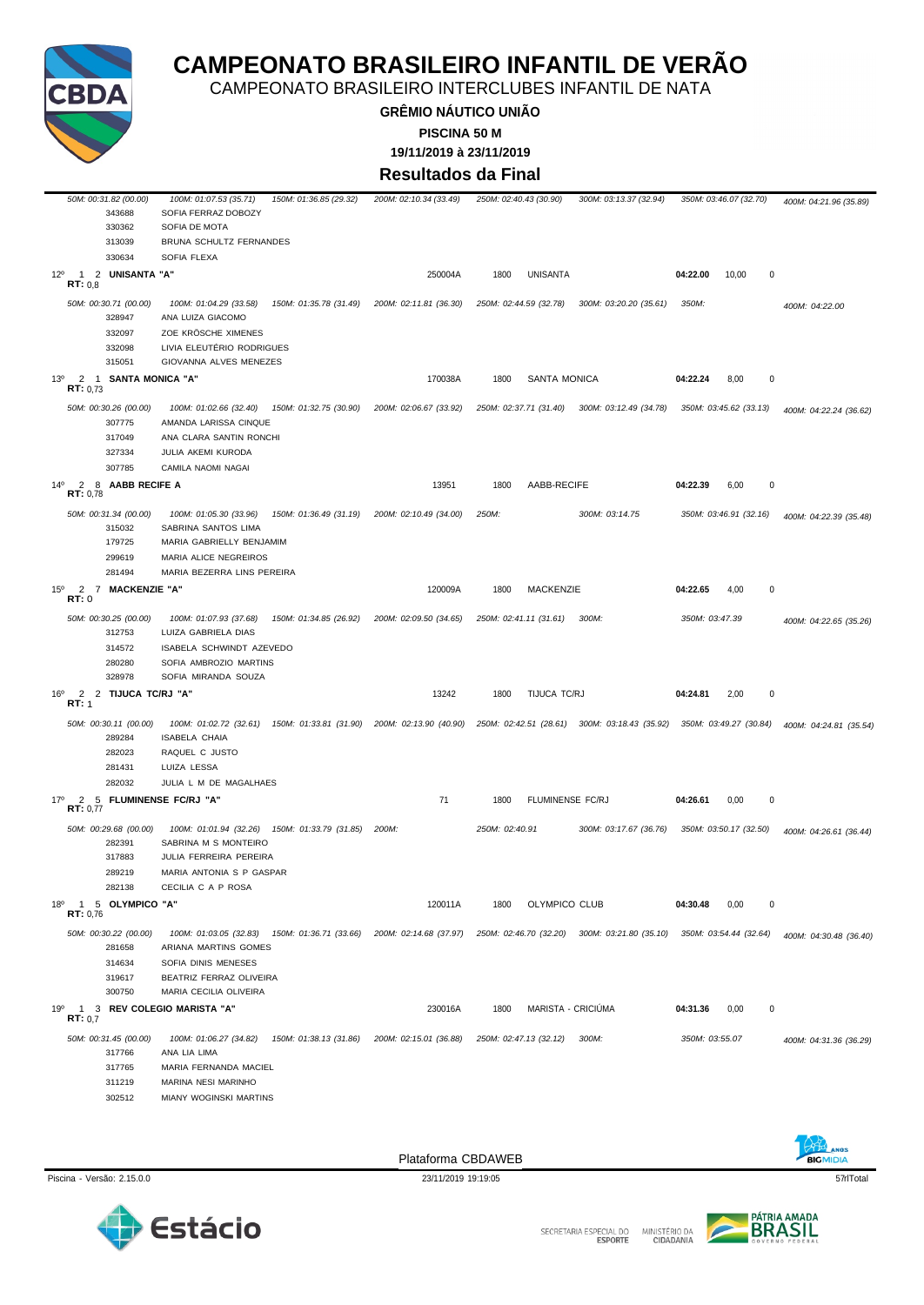

CAMPEONATO BRASILEIRO INTERCLUBES INFANTIL DE NATA

**GRÊMIO NÁUTICO UNIÃO PISCINA 50 M**

**19/11/2019 à 23/11/2019**

**Resultados da Final**

|                 |               | 50M: 00:31.82 (00.00)<br>343688<br>330362<br>313039           | 100M: 01:07.53 (35.71)<br>SOFIA FERRAZ DOBOZY<br>SOFIA DE MOTA<br>BRUNA SCHULTZ FERNANDES                                                                  | 150M: 01:36.85 (29.32) | 200M: 02:10.34 (33.49) |                | 250M: 02:40.43 (30.90) | 300M: 03:13.37 (32.94)                        |                | 350M: 03:46.07 (32.70) | 400M: 04:21.96 (35.89) |
|-----------------|---------------|---------------------------------------------------------------|------------------------------------------------------------------------------------------------------------------------------------------------------------|------------------------|------------------------|----------------|------------------------|-----------------------------------------------|----------------|------------------------|------------------------|
| $12^{\circ}$    |               | 330634<br>1 2 UNISANTA "A"                                    | SOFIA FLEXA                                                                                                                                                |                        | 250004A                | 1800           | <b>UNISANTA</b>        |                                               | 04:22.00       | 10,00<br>0             |                        |
|                 | RT: 0,8       | 50M: 00:30.71 (00.00)<br>328947                               | 100M: 01:04.29 (33.58)<br>ANA LUIZA GIACOMO<br>ZOE KRÖSCHE XIMENES                                                                                         | 150M: 01:35.78 (31.49) | 200M: 02:11.81 (36.30) |                | 250M: 02:44.59 (32.78) | 300M: 03:20.20 (35.61)                        | 350M:          |                        | 400M: 04:22.00         |
| $13^{o}$        |               | 332097<br>332098<br>315051<br>2 1 SANTA MONICA "A"            | LIVIA ELEUTÉRIO RODRIGUES<br>GIOVANNA ALVES MENEZES                                                                                                        |                        | 170038A                | 1800           | <b>SANTA MONICA</b>    |                                               | 04:22.24       | 8,00<br>0              |                        |
|                 | RT: 0.73      |                                                               |                                                                                                                                                            |                        |                        |                |                        |                                               |                |                        |                        |
|                 |               | 50M: 00:30.26 (00.00)<br>307775<br>317049                     | 100M: 01:02.66 (32.40)<br>AMANDA LARISSA CINQUE<br>ANA CLARA SANTIN RONCHI                                                                                 | 150M: 01:32.75 (30.90) | 200M: 02:06.67 (33.92) |                | 250M: 02:37.71 (31.40) | 300M: 03:12.49 (34.78)                        |                | 350M: 03:45.62 (33.13) | 400M: 04:22.24 (36.62) |
|                 |               | 327334                                                        | JULIA AKEMI KURODA                                                                                                                                         |                        |                        |                |                        |                                               |                |                        |                        |
|                 |               | 307785                                                        | CAMILA NAOMI NAGAI                                                                                                                                         |                        |                        |                |                        |                                               |                |                        |                        |
| $14^{o}$        | RT: 0,78      | 2 8 AABB RECIFE A                                             |                                                                                                                                                            |                        | 13951                  | 1800           | AABB-RECIFE            |                                               | 04:22.39       | 6,00<br>0              |                        |
|                 |               | 50M: 00:31.34 (00.00)<br>315032<br>179725<br>299619           | 100M: 01:05.30 (33.96)<br>SABRINA SANTOS LIMA<br>MARIA GABRIELLY BENJAMIM<br>MARIA ALICE NEGREIROS                                                         | 150M: 01:36.49 (31.19) | 200M: 02:10.49 (34.00) | 250M:          |                        | 300M: 03:14.75                                |                | 350M: 03:46.91 (32.16) | 400M: 04:22.39 (35.48) |
|                 |               | 281494                                                        | MARIA BEZERRA LINS PEREIRA                                                                                                                                 |                        |                        |                |                        |                                               |                |                        |                        |
| $15^{\circ}$    | RT:0          | 2 7 MACKENZIE "A"                                             |                                                                                                                                                            |                        | 120009A                | 1800           | <b>MACKENZIE</b>       |                                               | 04:22.65       | $\pmb{0}$<br>4,00      |                        |
|                 |               | 50M: 00:30.25 (00.00)<br>312753<br>314572<br>280280<br>328978 | 100M: 01:07.93 (37.68)<br>LUIZA GABRIELA DIAS<br>ISABELA SCHWINDT AZEVEDO<br>SOFIA AMBROZIO MARTINS<br>SOFIA MIRANDA SOUZA                                 | 150M: 01:34.85 (26.92) | 200M: 02:09.50 (34.65) |                | 250M: 02:41.11 (31.61) | 300M:                                         | 350M: 03:47.39 |                        | 400M: 04:22.65 (35.26) |
| 16 <sup>o</sup> | RT: 1         | 2 2 TIJUCA TC/RJ "A"                                          |                                                                                                                                                            |                        | 13242                  | 1800           | TIJUCA TC/RJ           |                                               | 04:24.81       | $\pmb{0}$<br>2,00      |                        |
|                 |               | 50M: 00:30.11 (00.00)<br>289284                               | 100M: 01:02.72 (32.61) 150M: 01:33.81 (31.90) 200M: 02:13.90 (40.90) 250M: 02:42.51 (28.61) 300M: 03:18.43 (35.92) 350M: 03:49.27 (30.84)<br>ISABELA CHAIA |                        |                        |                |                        |                                               |                |                        | 400M: 04:24.81 (35.54) |
|                 |               | 282023<br>281431                                              | RAQUEL C JUSTO<br>LUIZA LESSA                                                                                                                              |                        |                        |                |                        |                                               |                |                        |                        |
|                 |               | 282032                                                        | JULIA L M DE MAGALHAES                                                                                                                                     |                        |                        |                |                        |                                               |                |                        |                        |
| 17°             | 2<br>RT: 0,77 |                                                               | 5 FLUMINENSE FC/RJ "A"                                                                                                                                     |                        | 71                     | 1800           | FLUMINENSE FC/RJ       |                                               | 04:26.61       | 0,00<br>0              |                        |
|                 |               | 50M: 00:29.68 (00.00)<br>282391<br>317883<br>289219<br>282138 | 100M: 01:01.94 (32.26) 150M: 01:33.79 (31.85)<br>SABRINA M S MONTEIRO<br>JULIA FERREIRA PEREIRA<br>MARIA ANTONIA S P GASPAR<br>CECILIA C A P ROSA          |                        | 200M:                  | 250M: 02:40.91 |                        | 300M: 03:17.67 (36.76)                        |                | 350M: 03:50.17 (32.50) | 400M: 04:26.61 (36.44) |
| $18^{\circ}$    | RT: 0,76      | 1 5 OLYMPICO "A"                                              |                                                                                                                                                            |                        | 120011A                | 1800           | OLYMPICO CLUB          |                                               | 04:30.48       | 0,00<br>0              |                        |
|                 |               | 50M: 00:30.22 (00.00)<br>281658<br>314634                     | 100M: 01:03.05 (32.83)<br>ARIANA MARTINS GOMES<br>SOFIA DINIS MENESES                                                                                      | 150M: 01:36.71 (33.66) | 200M: 02:14.68 (37.97) |                |                        | 250M: 02:46.70 (32.20) 300M: 03:21.80 (35.10) |                | 350M: 03:54.44 (32.64) | 400M: 04:30.48 (36.40) |
|                 |               | 319617<br>300750                                              | BEATRIZ FERRAZ OLIVEIRA<br>MARIA CECILIA OLIVEIRA                                                                                                          |                        |                        |                |                        |                                               |                |                        |                        |
| 19 <sup>o</sup> | RT: 0.7       |                                                               | 1 3 REV COLEGIO MARISTA "A"                                                                                                                                |                        | 230016A                | 1800           | MARISTA - CRICIUMA     |                                               | 04:31.36       | 0,00<br>0              |                        |
|                 |               | 50M: 00:31.45 (00.00)<br>317766<br>317765                     | 100M: 01:06.27 (34.82)<br>ANA LIA LIMA<br>MARIA FERNANDA MACIEL                                                                                            | 150M: 01:38.13 (31.86) | 200M: 02:15.01 (36.88) |                | 250M: 02:47.13 (32.12) | 300M:                                         | 350M: 03:55.07 |                        | 400M: 04:31.36 (36.29) |
|                 |               | 311219<br>302512                                              | MARINA NESI MARINHO<br>MIANY WOGINSKI MARTINS                                                                                                              |                        |                        |                |                        |                                               |                |                        |                        |
|                 |               |                                                               |                                                                                                                                                            |                        |                        |                |                        |                                               |                |                        |                        |

Plataforma CBDAWEB



Piscina - Versão: 2.15.0.0 23/11/2019 19:19:05 23/11/2019 19:19:05 23/11/2019 19:19:05 57rlTotal





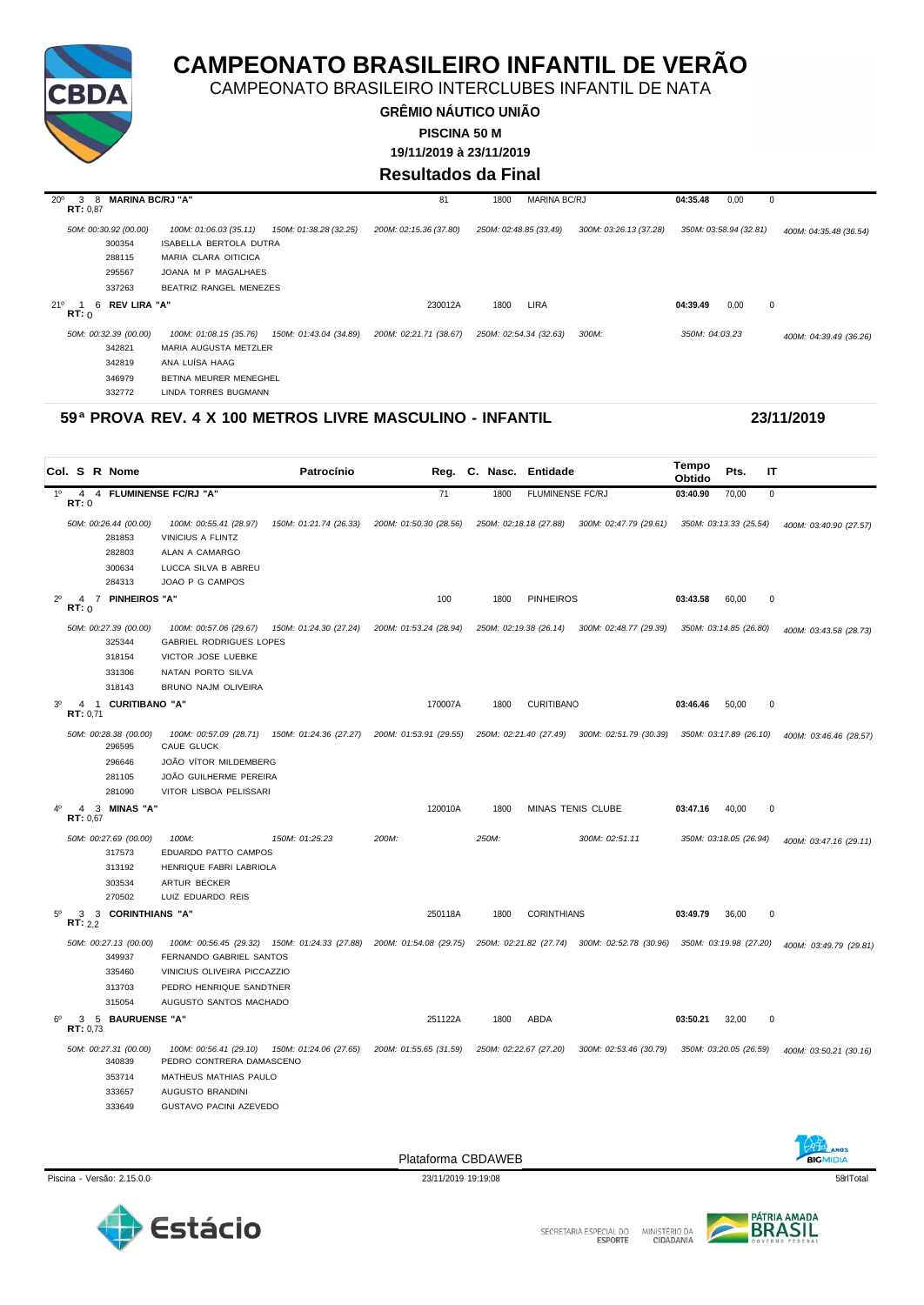

CAMPEONATO BRASILEIRO INTERCLUBES INFANTIL DE NATA

**GRÊMIO NÁUTICO UNIÃO 19/11/2019 à 23/11/2019 PISCINA 50 M**

#### **Resultados da Final**

| <b>MARINA BC/RJ "A"</b><br>$20^{\circ}$<br>3<br>8<br>RT: 0.87 |                                                  | 81                     | <b>MARINA BC/RJ</b><br>1800 |                        | 04:35.48       | 0,00                   | $\mathbf 0$ |                        |
|---------------------------------------------------------------|--------------------------------------------------|------------------------|-----------------------------|------------------------|----------------|------------------------|-------------|------------------------|
| 50M: 00:30.92 (00.00)                                         | 100M: 01:06.03 (35.11)<br>150M: 01:38.28 (32.25) | 200M: 02:15.36 (37.80) | 250M: 02:48.85 (33.49)      | 300M: 03:26.13 (37.28) |                | 350M: 03:58.94 (32.81) |             | 400M: 04:35.48 (36.54) |
| 300354                                                        | ISABELLA BERTOLA DUTRA                           |                        |                             |                        |                |                        |             |                        |
| 288115                                                        | MARIA CLARA OITICICA                             |                        |                             |                        |                |                        |             |                        |
| 295567                                                        | JOANA M P MAGALHAES                              |                        |                             |                        |                |                        |             |                        |
| 337263                                                        | BEATRIZ RANGEL MENEZES                           |                        |                             |                        |                |                        |             |                        |
| <b>REV LIRA "A"</b><br>21°<br>6<br>RT: 0                      |                                                  | 230012A                | <b>LIRA</b><br>1800         |                        | 04:39.49       | 0,00                   | $\mathbf 0$ |                        |
| 50M: 00:32.39 (00.00)                                         | 100M: 01:08.15 (35.76)<br>150M: 01:43.04 (34.89) | 200M: 02:21.71 (38.67) | 250M: 02:54.34 (32.63)      | 300M:                  | 350M: 04:03.23 |                        |             | 400M: 04:39.49 (36.26) |
| 342821                                                        | MARIA AUGUSTA METZLER                            |                        |                             |                        |                |                        |             |                        |
| 342819                                                        | ANA LUÍSA HAAG                                   |                        |                             |                        |                |                        |             |                        |
| 346979                                                        | BETINA MEURER MENEGHEL                           |                        |                             |                        |                |                        |             |                        |
| 332772                                                        | LINDA TORRES BUGMANN                             |                        |                             |                        |                |                        |             |                        |

#### **59ª PROVA REV. 4 X 100 METROS LIVRE MASCULINO - INFANTIL 23/11/2019**

|                |               | Col. S R Nome                                                 | Patrocínio                                                                                                                                                                            | Reg.                   |       | C. Nasc. Entidade                             |                        | Tempo<br>Obtido | Pts.                   | ΙT          |                        |
|----------------|---------------|---------------------------------------------------------------|---------------------------------------------------------------------------------------------------------------------------------------------------------------------------------------|------------------------|-------|-----------------------------------------------|------------------------|-----------------|------------------------|-------------|------------------------|
| $1^{\circ}$    | RT: 0         |                                                               | 4 4 FLUMINENSE FC/RJ "A"                                                                                                                                                              | 71                     | 1800  | <b>FLUMINENSE FC/RJ</b>                       |                        | 03:40.90        | 70,00                  | $\mathbf 0$ |                        |
|                |               | 50M: 00:26.44 (00.00)<br>281853<br>282803<br>300634<br>284313 | 150M: 01:21.74 (26.33)<br>100M: 00:55.41 (28.97)<br>VINICIUS A FLINTZ<br>ALAN A CAMARGO<br>LUCCA SILVA B ABREU<br>JOAO P G CAMPOS                                                     | 200M: 01:50.30 (28.56) |       | 250M: 02:18.18 (27.88)                        | 300M: 02:47.79 (29.61) |                 | 350M: 03:13.33 (25.54) |             | 400M: 03:40.90 (27.57) |
| $2^{\circ}$    | 4<br>RT: 0    | 7 PINHEIROS "A"                                               |                                                                                                                                                                                       | 100                    | 1800  | <b>PINHEIROS</b>                              |                        | 03:43.58        | 60,00                  | $\mathbf 0$ |                        |
|                |               | 50M: 00:27.39 (00.00)<br>325344<br>318154                     | 100M: 00:57.06 (29.67)<br>150M: 01:24.30 (27.24)<br><b>GABRIEL RODRIGUES LOPES</b><br>VICTOR JOSE LUEBKE                                                                              | 200M: 01:53.24 (28.94) |       | 250M: 02:19.38 (26.14)                        | 300M: 02:48.77 (29.39) |                 | 350M: 03:14.85 (26.80) |             | 400M: 03:43.58 (28.73) |
|                |               | 331306<br>318143                                              | NATAN PORTO SILVA<br>BRUNO NAJM OLIVEIRA                                                                                                                                              |                        |       |                                               |                        |                 |                        |             |                        |
| 3 <sup>o</sup> | RT: 0.71      | 4 1 CURITIBANO "A"                                            |                                                                                                                                                                                       | 170007A                | 1800  | <b>CURITIBANO</b>                             |                        | 03:46.46        | 50,00                  | $\mathbf 0$ |                        |
|                |               | 50M: 00:28.38 (00.00)<br>296595<br>296646<br>281105<br>281090 | 100M: 00:57.09 (28.71) 150M: 01:24.36 (27.27)<br>CAUE GLUCK<br>JOÃO VÍTOR MILDEMBERG<br>JOÃO GUILHERME PEREIRA<br>VITOR LISBOA PELISSARI                                              | 200M: 01:53.91 (29.55) |       | 250M: 02:21.40 (27.49) 300M: 02:51.79 (30.39) |                        |                 | 350M: 03:17.89 (26.10) |             | 400M: 03:46.46 (28.57) |
|                | 4<br>RT: 0.67 | 3 MINAS "A"                                                   |                                                                                                                                                                                       | 120010A                | 1800  | MINAS TENIS CLUBE                             |                        | 03:47.16        | 40,00                  | $\mathbf 0$ |                        |
|                |               | 50M: 00:27.69 (00.00)<br>317573<br>313192<br>303534<br>270502 | 150M: 01:25.23<br>100M:<br>EDUARDO PATTO CAMPOS<br>HENRIQUE FABRI LABRIOLA<br>ARTUR BECKER<br>LUIZ EDUARDO REIS                                                                       | 200M:                  | 250M: |                                               | 300M: 02:51.11         |                 | 350M: 03:18.05 (26.94) |             | 400M: 03:47.16 (29.11) |
| $5^{\circ}$    | 3<br>RT: 2,2  | 3 CORINTHIANS "A"                                             |                                                                                                                                                                                       | 250118A                | 1800  | <b>CORINTHIANS</b>                            |                        | 03:49.79        | 36.00                  | $\mathbf 0$ |                        |
|                |               | 50M: 00:27.13 (00.00)<br>349937<br>335460<br>313703<br>315054 | 100M: 00:56.45 (29.32)  150M: 01:24.33 (27.88)  200M: 01:54.08 (29.75)<br>FERNANDO GABRIEL SANTOS<br>VINICIUS OLIVEIRA PICCAZZIO<br>PEDRO HENRIQUE SANDTNER<br>AUGUSTO SANTOS MACHADO |                        |       | 250M: 02:21.82 (27.74) 300M: 02:52.78 (30.96) |                        |                 | 350M: 03:19.98 (27.20) |             | 400M: 03:49.79 (29.81) |
| $6^{\circ}$    | RT: 0.73      | 3 5 BAURUENSE "A"                                             |                                                                                                                                                                                       | 251122A                | 1800  | ABDA                                          |                        | 03:50.21        | 32,00                  | 0           |                        |
|                |               | 50M: 00:27.31 (00.00)<br>340839<br>353714<br>333657<br>333649 | 100M: 00:56.41 (29.10) 150M: 01:24.06 (27.65)<br>PEDRO CONTRERA DAMASCENO<br>MATHEUS MATHIAS PAULO<br>AUGUSTO BRANDINI<br>GUSTAVO PACINI AZEVEDO                                      | 200M: 01:55.65 (31.59) |       | 250M: 02:22.67 (27.20)                        | 300M: 02:53.46 (30.79) |                 | 350M: 03:20.05 (26.59) |             | 400M: 03:50.21 (30.16) |

Piscina - Versão: 2.15.0.0 23/11/2019 19:19:08 23/11/2019 19:19:08 58rlTotal 58rlTotal 58rlTotal 59rlTotal 59rlTotal 59rlTotal 59rlTotal 59rlTotal 59rlTotal 59rlTotal 59rlTotal 59rlTotal 59rlTotal 59rlTotal 59rlTotal 59rlT

Plataforma CBDAWEB





BIGMIDIA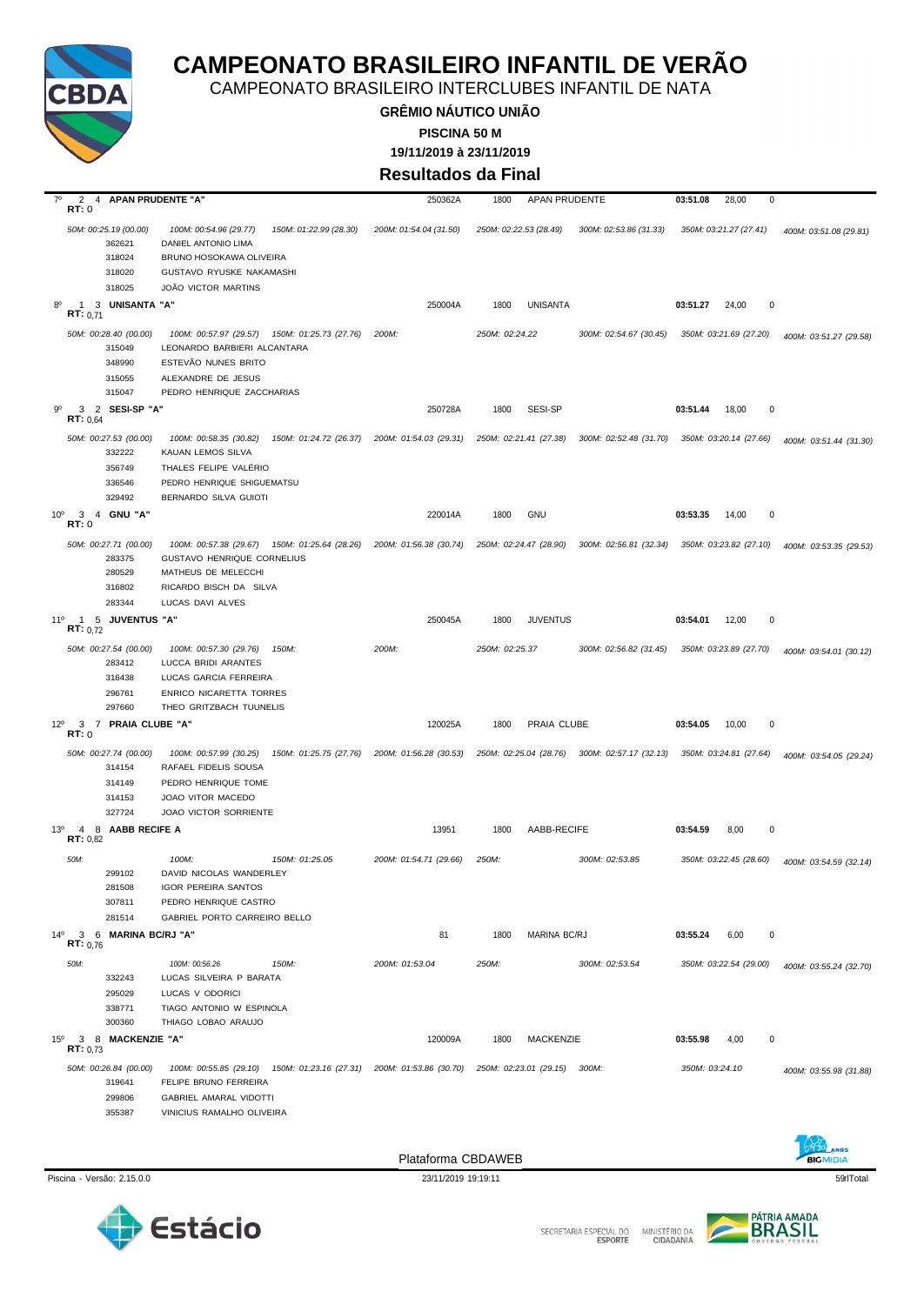

CAMPEONATO BRASILEIRO INTERCLUBES INFANTIL DE NATA

**GRÊMIO NÁUTICO UNIÃO 19/11/2019 à 23/11/2019 PISCINA 50 M**

**Resultados da Final**

| $7^\circ$       | $\overline{2}$<br>RT:0   | 4 APAN PRUDENTE "A"                       |                                                                                                                           |                        | 250362A                                                              | 1800           | APAN PRUDENTE                |                                                                      | 03:51.08       | 28,00<br>0             |                        |
|-----------------|--------------------------|-------------------------------------------|---------------------------------------------------------------------------------------------------------------------------|------------------------|----------------------------------------------------------------------|----------------|------------------------------|----------------------------------------------------------------------|----------------|------------------------|------------------------|
|                 |                          | 50M: 00:25.19 (00.00)<br>362621<br>318024 | 100M: 00:54.96 (29.77)<br><b>DANIEL ANTONIO LIMA</b><br>BRUNO HOSOKAWA OLIVEIRA                                           | 150M: 01:22.99 (28.30) | 200M: 01:54.04 (31.50)                                               |                | 250M: 02:22.53 (28.49)       | 300M: 02:53.86 (31.33)                                               |                | 350M: 03:21.27 (27.41) | 400M: 03:51.08 (29.81) |
|                 |                          | 318020                                    | GUSTAVO RYUSKE NAKAMASHI                                                                                                  |                        |                                                                      |                |                              |                                                                      |                |                        |                        |
|                 |                          | 318025                                    | JOÃO VICTOR MARTINS                                                                                                       |                        |                                                                      |                |                              |                                                                      |                |                        |                        |
| $8^{\circ}$     | $\mathbf{1}$<br>RT: 0.71 | 3 UNISANTA "A"                            |                                                                                                                           |                        | 250004A                                                              | 1800           | <b>UNISANTA</b>              |                                                                      | 03:51.27       | $\mathbf 0$<br>24,00   |                        |
|                 |                          | 50M: 00:28.40 (00.00)<br>315049           | 100M: 00:57.97 (29.57) 150M: 01:25.73 (27.76)<br>LEONARDO BARBIERI ALCANTARA                                              |                        | 200M:                                                                | 250M: 02:24.22 |                              | 300M: 02:54.67 (30.45)                                               |                | 350M: 03:21.69 (27.20) | 400M: 03:51.27 (29.58) |
|                 |                          | 348990<br>315055<br>315047                | ESTEVÃO NUNES BRITO<br>ALEXANDRE DE JESUS<br>PEDRO HENRIQUE ZACCHARIAS                                                    |                        |                                                                      |                |                              |                                                                      |                |                        |                        |
| 90              | 3<br><b>RT:</b> $0.64$   | 2 SESI-SP "A"                             |                                                                                                                           |                        | 250728A                                                              | 1800           | SESI-SP                      |                                                                      | 03:51.44       | $\mathbf 0$<br>18,00   |                        |
|                 |                          | 50M: 00:27.53 (00.00)<br>332222           | 100M: 00:58.35 (30.82)<br>KAUAN LEMOS SILVA                                                                               |                        | 150M: 01:24.72 (26.37) 200M: 01:54.03 (29.31) 250M: 02:21.41 (27.38) |                |                              | 300M: 02:52.48 (31.70) 350M: 03:20.14 (27.66)                        |                |                        | 400M: 03:51.44 (31.30) |
|                 |                          | 356749                                    | THALES FELIPE VALERIO                                                                                                     |                        |                                                                      |                |                              |                                                                      |                |                        |                        |
|                 |                          | 336546<br>329492                          | PEDRO HENRIQUE SHIGUEMATSU<br>BERNARDO SILVA GUIOTI                                                                       |                        |                                                                      |                |                              |                                                                      |                |                        |                        |
| 10 <sup>o</sup> | $\mathbf{3}$<br>RT: 0    | 4 GNU "A"                                 |                                                                                                                           |                        | 220014A                                                              | 1800           | <b>GNU</b>                   |                                                                      | 03:53.35       | 14,00<br>0             |                        |
|                 |                          | 50M: 00:27.71 (00.00)<br>283375<br>280529 | 100M: 00:57.38 (29.67) 150M: 01:25.64 (28.26) 200M: 01:56.38 (30.74)<br>GUSTAVO HENRIQUE CORNELIUS<br>MATHEUS DE MELECCHI |                        |                                                                      |                | 250M: 02:24.47 (28.90)       | 300M: 02:56.81 (32.34)                                               |                | 350M: 03:23.82 (27.10) | 400M: 03:53.35 (29.53) |
|                 |                          | 316802                                    | RICARDO BISCH DA SILVA                                                                                                    |                        |                                                                      |                |                              |                                                                      |                |                        |                        |
|                 |                          | 283344                                    | LUCAS DAVI ALVES                                                                                                          |                        |                                                                      |                |                              |                                                                      |                |                        |                        |
| 11°             | RT: 0.72                 | 1 5 JUVENTUS "A"                          |                                                                                                                           |                        | 250045A                                                              | 1800           | <b>JUVENTUS</b>              |                                                                      | 03:54.01       | 12,00<br>0             |                        |
|                 |                          | 50M: 00:27.54 (00.00)<br>283412           | 100M: 00:57.30 (29.76)<br>LUCCA BRIDI ARANTES                                                                             | 150M:                  | 200M:                                                                | 250M: 02:25.37 |                              | 300M: 02:56.82 (31.45)                                               |                | 350M: 03:23.89 (27.70) | 400M: 03:54.01 (30.12) |
|                 |                          | 316438                                    | LUCAS GARCIA FERREIRA                                                                                                     |                        |                                                                      |                |                              |                                                                      |                |                        |                        |
|                 |                          | 296761<br>297660                          | ENRICO NICARETTA TORRES<br>THEO GRITZBACH TUUNELIS                                                                        |                        |                                                                      |                |                              |                                                                      |                |                        |                        |
| $12^{\circ}$    | RT: 0                    | 3 7 PRAIA CLUBE "A"                       |                                                                                                                           |                        | 120025A                                                              | 1800           | PRAIA CLUBE                  |                                                                      | 03:54.05       | 10,00<br>0             |                        |
|                 |                          | 50M: 00:27.74 (00.00)<br>314154           | 100M: 00:57.99 (30.25)<br>RAFAEL FIDELIS SOUSA                                                                            |                        | 150M: 01:25.75 (27.76) 200M: 01:56.28 (30.53)                        |                |                              | 250M: 02:25.04 (28.76) 300M: 02:57.17 (32.13) 350M: 03:24.81 (27.64) |                |                        | 400M: 03:54.05 (29.24) |
|                 |                          | 314149                                    | PEDRO HENRIQUE TOME                                                                                                       |                        |                                                                      |                |                              |                                                                      |                |                        |                        |
|                 |                          | 314153                                    | JOAO VITOR MACEDO                                                                                                         |                        |                                                                      |                |                              |                                                                      |                |                        |                        |
|                 |                          | 327724                                    | <b>JOAO VICTOR SORRIENTE</b>                                                                                              |                        |                                                                      |                |                              |                                                                      |                |                        |                        |
| $13^{o}$        | 8<br>4<br>RT: 0,82       | AABB RECIFE A                             |                                                                                                                           |                        | 13951                                                                | 1800           | AABB-RECIFE                  |                                                                      | 03:54.59       | 8,00<br>$\mathbf 0$    |                        |
|                 | 50M:                     | 299102                                    | 100M:<br>DAVID NICOLAS WANDERLEY                                                                                          | 150M: 01:25.05         | 200M: 01:54.71 (29.66)                                               | 250M:          |                              | 300M: 02:53.85                                                       |                | 350M: 03:22.45 (28.60) | 400M: 03:54.59 (32.14) |
|                 |                          | 281508                                    | <b>IGOR PEREIRA SANTOS</b>                                                                                                |                        |                                                                      |                |                              |                                                                      |                |                        |                        |
|                 |                          | 307811<br>281514                          | PEDRO HENRIQUE CASTRO<br>GABRIEL PORTO CARREIRO BELLO                                                                     |                        |                                                                      |                |                              |                                                                      |                |                        |                        |
| $14^{\circ}$    |                          | 3 6 MARINA BC/RJ "A"                      |                                                                                                                           |                        | 81                                                                   | 1800           | MARINA BC/RJ                 |                                                                      | 03:55.24       | 6,00<br>0              |                        |
|                 | RT: 0.76                 |                                           |                                                                                                                           |                        |                                                                      |                |                              |                                                                      |                |                        |                        |
|                 | 50M:                     |                                           | 100M: 00:56.26                                                                                                            | 150M:                  | 200M: 01:53.04                                                       | 250M:          |                              | 300M: 02:53.54                                                       |                | 350M: 03:22.54 (29.00) | 400M: 03:55.24 (32.70) |
|                 |                          | 332243<br>295029                          | LUCAS SILVEIRA P BARATA<br>LUCAS V ODORICI                                                                                |                        |                                                                      |                |                              |                                                                      |                |                        |                        |
|                 |                          | 338771                                    | TIAGO ANTONIO W ESPINOLA                                                                                                  |                        |                                                                      |                |                              |                                                                      |                |                        |                        |
|                 |                          | 300360                                    | THIAGO LOBAO ARAUJO                                                                                                       |                        |                                                                      |                |                              |                                                                      |                |                        |                        |
| $15^{\circ}$    | RT: 0.73                 | 3 8 MACKENZIE "A"                         |                                                                                                                           |                        | 120009A                                                              | 1800           | MACKENZIE                    |                                                                      | 03:55.98       | 4,00<br>0              |                        |
|                 |                          | 50M: 00:26.84 (00.00)<br>319641           | 100M: 00:55.85 (29.10) 150M: 01:23.16 (27.31) 200M: 01:53.86 (30.70)<br>FELIPE BRUNO FERREIRA                             |                        |                                                                      |                | 250M: 02:23.01 (29.15) 300M: |                                                                      | 350M: 03:24.10 |                        | 400M: 03:55.98 (31.88) |
|                 |                          | 299806                                    | GABRIEL AMARAL VIDOTTI                                                                                                    |                        |                                                                      |                |                              |                                                                      |                |                        |                        |
|                 |                          | 355387                                    | VINICIUS RAMALHO OLIVEIRA                                                                                                 |                        |                                                                      |                |                              |                                                                      |                |                        |                        |









SECRETARIA ESPECIAL DO MINISTÉRIO DA<br>CIDADANIA

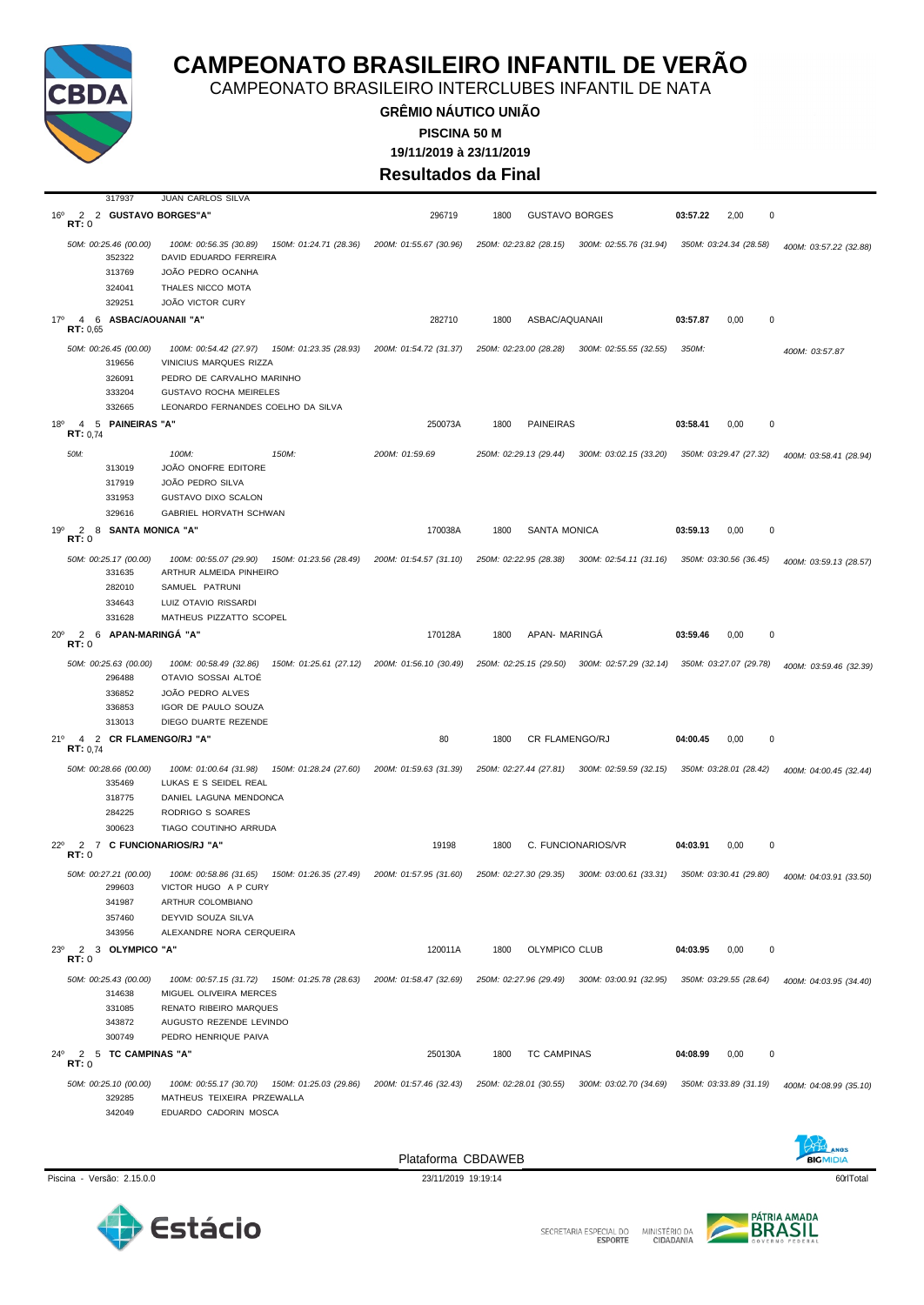

CAMPEONATO BRASILEIRO INTERCLUBES INFANTIL DE NATA

**GRÊMIO NÁUTICO UNIÃO 19/11/2019 à 23/11/2019 PISCINA 50 M Resultados da Final**

| 317937                                                                | JUAN CARLOS SILVA                                                                                                                                                           |                        |                        |                                               |                              |                        |
|-----------------------------------------------------------------------|-----------------------------------------------------------------------------------------------------------------------------------------------------------------------------|------------------------|------------------------|-----------------------------------------------|------------------------------|------------------------|
| 2 2 GUSTAVO BORGES"A"<br>16°<br>RT:0                                  |                                                                                                                                                                             | 296719                 | 1800                   | <b>GUSTAVO BORGES</b>                         | 03:57.22<br>2,00<br>$\Omega$ |                        |
| 50M: 00:25.46 (00.00)<br>352322<br>313769<br>324041<br>329251         | 150M: 01:24.71 (28.36)<br>100M: 00:56.35 (30.89)<br>DAVID EDUARDO FERREIRA<br>JOÃO PEDRO OCANHA<br>THALES NICCO MOTA<br><b>JOÃO VICTOR CURY</b>                             | 200M: 01:55.67 (30.96) | 250M: 02:23.82 (28.15) | 300M: 02:55.76 (31.94)                        | 350M: 03:24.34 (28.58)       | 400M: 03:57.22 (32.88) |
| 4 6 ASBAC/AQUANAII "A"<br>17°<br>RT: 0.65                             |                                                                                                                                                                             | 282710                 | 1800                   | ASBAC/AQUANAII                                | 03:57.87<br>0<br>0,00        |                        |
| 50M: 00:26.45 (00.00)<br>319656<br>326091<br>333204<br>332665         | 100M: 00:54.42 (27.97) 150M: 01:23.35 (28.93)<br>VINICIUS MARQUES RIZZA<br>PEDRO DE CARVALHO MARINHO<br><b>GUSTAVO ROCHA MEIRELES</b><br>LEONARDO FERNANDES COELHO DA SILVA | 200M: 01:54.72 (31.37) | 250M: 02:23.00 (28.28) | 300M: 02:55.55 (32.55)                        | 350M:                        | 400M: 03:57.87         |
| 5 PAINEIRAS "A"<br>18 <sup>o</sup><br>4<br>RT: 0.74                   |                                                                                                                                                                             | 250073A                | 1800                   | <b>PAINEIRAS</b>                              | 03:58.41<br>0<br>0,00        |                        |
| 50M:<br>313019<br>317919<br>331953<br>329616                          | 100M:<br>150M:<br>JOÃO ONOFRE EDITORE<br>JOÃO PEDRO SILVA<br>GUSTAVO DIXO SCALON<br><b>GABRIEL HORVATH SCHWAN</b>                                                           | 200M: 01:59.69         | 250M: 02:29.13 (29.44) | 300M: 03:02.15 (33.20)                        | 350M: 03:29.47 (27.32)       | 400M: 03:58.41 (28.94) |
| $\overline{2}$<br>$19^{\circ}$<br>8<br>SANTA MONICA "A"<br>RT:0       |                                                                                                                                                                             | 170038A                | 1800                   | <b>SANTA MONICA</b>                           | 03:59.13<br>0,00<br>0        |                        |
| 50M: 00:25.17 (00.00)<br>331635<br>282010<br>334643<br>331628         | 100M: 00:55.07 (29.90)<br>150M: 01:23.56 (28.49)<br>ARTHUR ALMEIDA PINHEIRO<br>SAMUEL PATRUNI<br>LUIZ OTAVIO RISSARDI<br>MATHEUS PIZZATTO SCOPEL                            | 200M: 01:54.57 (31.10) | 250M: 02:22.95 (28.38) | 300M: 02:54.11 (31.16)                        | 350M: 03:30.56 (36.45)       | 400M: 03:59.13 (28.57) |
| 2 6 APAN-MARINGÁ "A"<br>$20^{\circ}$                                  |                                                                                                                                                                             | 170128A                | 1800                   | APAN- MARINGA                                 | 03:59.46<br>0,00<br>0        |                        |
| RT:0<br>50M: 00:25.63 (00.00)<br>296488<br>336852<br>336853<br>313013 | 150M: 01:25.61 (27.12)<br>100M: 00:58.49 (32.86)<br>OTAVIO SOSSAI ALTOË<br>JOÃO PEDRO ALVES<br>IGOR DE PAULO SOUZA<br>DIEGO DUARTE REZENDE                                  | 200M: 01:56.10 (30.49) |                        | 250M: 02:25.15 (29.50) 300M: 02:57.29 (32.14) | 350M: 03:27.07 (29.78)       | 400M: 03:59.46 (32.39) |
| 4 2 CR FLAMENGO/RJ "A"<br>21°<br><b>RT:</b> $0,74$                    |                                                                                                                                                                             | 80                     | 1800                   | CR FLAMENGO/RJ                                | 04:00.45<br>0,00<br>0        |                        |
| 50M: 00:28.66 (00.00)<br>335469<br>318775<br>284225<br>300623         | 100M: 01:00.64 (31.98)<br>150M: 01:28.24 (27.60)<br>LUKAS E S SEIDEL REAL<br>DANIEL LAGUNA MENDONCA<br>RODRIGO S SOARES<br>TIAGO COUTINHO ARRUDA                            | 200M: 01:59.63 (31.39) | 250M: 02:27.44 (27.81) | 300M: 02:59.59 (32.15)                        | 350M: 03:28.01 (28.42)       | 400M: 04:00.45 (32.44) |
| $\overline{2}$<br>$22^{\circ}$<br>7 C FUNCIONARIOS/RJ "A"<br>RT:0     |                                                                                                                                                                             | 19198                  | 1800                   | C. FUNCIONARIOS/VR                            | 04:03.91<br>0<br>0,00        |                        |
| 50M: 00:27.21 (00.00)<br>299603<br>341987<br>357460<br>343956         | 100M: 00:58.86 (31.65)<br>150M: 01:26.35 (27.49)<br>VICTOR HUGO A P CURY<br>ARTHUR COLOMBIANO<br>DEYVID SOUZA SILVA<br>ALEXANDRE NORA CERQUEIRA                             | 200M: 01:57.95 (31.60) | 250M: 02:27.30 (29.35) | 300M: 03:00.61 (33.31)                        | 350M: 03:30.41 (29.80)       | 400M: 04:03.91 (33.50) |
| $\overline{2}$<br>$23^{\circ}$<br>3 OLYMPICO "A"<br>RT:0              |                                                                                                                                                                             | 120011A                | 1800                   | OLYMPICO CLUB                                 | 0<br>04:03.95<br>0,00        |                        |
| 50M: 00:25.43 (00.00)<br>314638<br>331085<br>343872<br>300749         | 100M: 00:57.15 (31.72)  150M: 01:25.78 (28.63)<br>MIGUEL OLIVEIRA MERCES<br>RENATO RIBEIRO MARQUES<br>AUGUSTO REZENDE LEVINDO<br>PEDRO HENRIQUE PAIVA                       | 200M: 01:58.47 (32.69) | 250M: 02:27.96 (29.49) | 300M: 03:00.91 (32.95)                        | 350M: 03:29.55 (28.64)       | 400M: 04:03.95 (34.40) |
| 24°<br>2 5 TC CAMPINAS "A"<br>RT:0                                    |                                                                                                                                                                             | 250130A                | 1800                   | <b>TC CAMPINAS</b>                            | 04:08.99<br>0,00<br>0        |                        |
| 50M: 00:25.10 (00.00)<br>329285<br>342049                             | 100M: 00:55.17 (30.70)  150M: 01:25.03 (29.86)<br>MATHEUS TEIXEIRA PRZEWALLA<br>EDUARDO CADORIN MOSCA                                                                       | 200M: 01:57.46 (32.43) | 250M: 02:28.01 (30.55) | 300M: 03:02.70 (34.69)                        | 350M: 03:33.89 (31.19)       | 400M: 04:08.99 (35.10) |
|                                                                       |                                                                                                                                                                             |                        |                        |                                               |                              |                        |

Piscina - Versão: 2.15.0.0 23/11/2019 19:19:14 23/11/2019 19:19:14 60riTotal





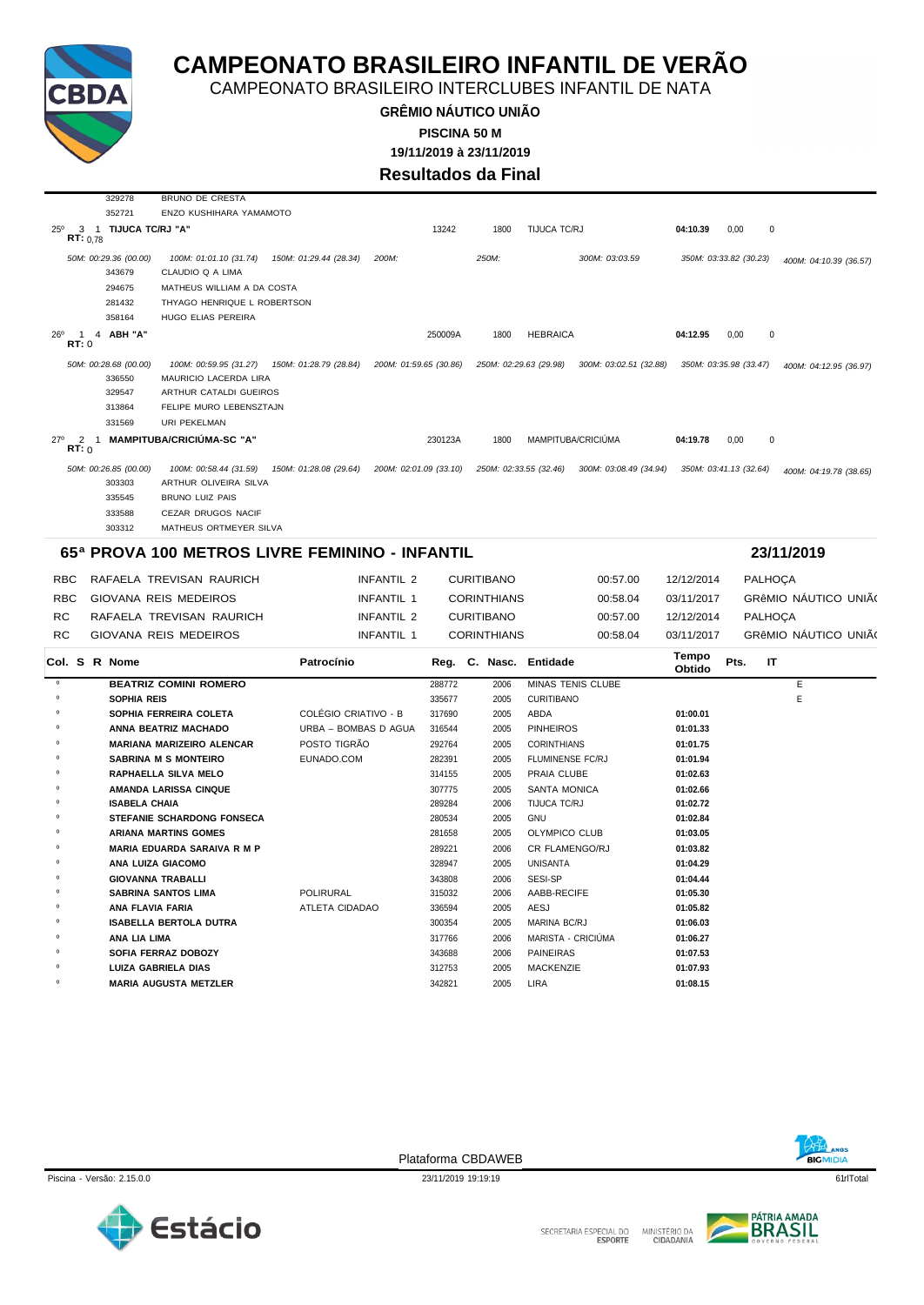

329278 BRUNO DE CRESTA

# **CAMPEONATO BRASILEIRO INFANTIL DE VERÃO**

CAMPEONATO BRASILEIRO INTERCLUBES INFANTIL DE NATA

**GRÊMIO NÁUTICO UNIÃO 19/11/2019 à 23/11/2019 PISCINA 50 M**

**Resultados da Final**

|                                                         | 352721                          | ENZO KUSHIHARA YAMAMOTO                        |                        |                        |         |                    |                                                  |                 |                        |                        |  |
|---------------------------------------------------------|---------------------------------|------------------------------------------------|------------------------|------------------------|---------|--------------------|--------------------------------------------------|-----------------|------------------------|------------------------|--|
| $25^{\circ}$<br>RT: 0.78                                | 3 1 TIJUCA TC/RJ "A"            |                                                |                        |                        | 13242   | 1800               | TIJUCA TC/RJ                                     | 04:10.39        | 0,00<br>$\Omega$       |                        |  |
|                                                         |                                 |                                                |                        | 200M:                  |         | 250M:              | 300M: 03:03.59                                   |                 |                        |                        |  |
|                                                         | 50M: 00:29.36 (00.00)<br>343679 | 100M: 01:01.10 (31.74)<br>CLAUDIO Q A LIMA     | 150M: 01:29.44 (28.34) |                        |         |                    |                                                  |                 | 350M: 03:33.82 (30.23) | 400M: 04:10.39 (36.57) |  |
|                                                         | 294675                          | MATHEUS WILLIAM A DA COSTA                     |                        |                        |         |                    |                                                  |                 |                        |                        |  |
|                                                         | 281432                          | THYAGO HENRIQUE L ROBERTSON                    |                        |                        |         |                    |                                                  |                 |                        |                        |  |
|                                                         | 358164                          | HUGO ELIAS PEREIRA                             |                        |                        |         |                    |                                                  |                 |                        |                        |  |
| $26^{\circ}$<br>-1                                      | 4 ABH "A"                       |                                                |                        |                        | 250009A | 1800               | <b>HEBRAICA</b>                                  | 04:12.95        | 0,00<br>$\pmb{0}$      |                        |  |
| RT: 0                                                   |                                 |                                                |                        |                        |         |                    |                                                  |                 |                        |                        |  |
|                                                         | 50M: 00:28.68 (00.00)           | 100M: 00:59.95 (31.27)                         | 150M: 01:28.79 (28.84) | 200M: 01:59.65 (30.86) |         |                    | 250M: 02:29.63 (29.98)<br>300M: 03:02.51 (32.88) |                 | 350M: 03:35.98 (33.47) | 400M: 04:12.95 (36.97) |  |
|                                                         | 336550                          | MAURICIO LACERDA LIRA                          |                        |                        |         |                    |                                                  |                 |                        |                        |  |
|                                                         | 329547                          | ARTHUR CATALDI GUEIROS                         |                        |                        |         |                    |                                                  |                 |                        |                        |  |
|                                                         | 313864                          | FELIPE MURO LEBENSZTAJN                        |                        |                        |         |                    |                                                  |                 |                        |                        |  |
|                                                         | 331569                          | URI PEKELMAN                                   |                        |                        |         |                    |                                                  |                 |                        |                        |  |
| $27^\circ$<br>$\overline{2}$<br>$\overline{1}$<br>RT: 0 |                                 | <b>MAMPITUBA/CRICIÚMA-SC "A"</b>               |                        |                        | 230123A | 1800               | MAMPITUBA/CRICIÚMA                               | 04:19.78        | 0,00<br>$\mathbf 0$    |                        |  |
|                                                         | 50M: 00:26.85 (00.00)           | 100M: 00:58.44 (31.59)                         | 150M: 01:28.08 (29.64) | 200M: 02:01.09 (33.10) |         |                    | 250M: 02:33.55 (32.46)<br>300M: 03:08.49 (34.94) |                 | 350M: 03:41.13 (32.64) | 400M: 04:19.78 (38.65) |  |
|                                                         | 303303                          | ARTHUR OLIVEIRA SILVA                          |                        |                        |         |                    |                                                  |                 |                        |                        |  |
|                                                         | 335545                          | BRUNO LUIZ PAIS                                |                        |                        |         |                    |                                                  |                 |                        |                        |  |
|                                                         | 333588                          | CEZAR DRUGOS NACIF                             |                        |                        |         |                    |                                                  |                 |                        |                        |  |
|                                                         | 303312                          | MATHEUS ORTMEYER SILVA                         |                        |                        |         |                    |                                                  |                 |                        |                        |  |
|                                                         |                                 | 65ª PROVA 100 METROS LIVRE FEMININO - INFANTIL |                        |                        |         |                    |                                                  |                 |                        | 23/11/2019             |  |
| <b>RBC</b>                                              |                                 | RAFAELA TREVISAN RAURICH                       |                        | INFANTIL 2             |         | <b>CURITIBANO</b>  | 00:57.00                                         | 12/12/2014      | <b>PALHOÇA</b>         |                        |  |
| <b>RBC</b>                                              |                                 | GIOVANA REIS MEDEIROS                          |                        |                        |         |                    | 00:58.04                                         | 03/11/2017      |                        | GRÊMIO NÁUTICO UNIÃO   |  |
|                                                         |                                 |                                                |                        | <b>INFANTIL 1</b>      |         | <b>CORINTHIANS</b> |                                                  |                 |                        |                        |  |
| <b>RC</b>                                               |                                 | RAFAELA TREVISAN RAURICH                       |                        | <b>INFANTIL 2</b>      |         | <b>CURITIBANO</b>  | 00:57.00                                         | 12/12/2014      | <b>PALHOÇA</b>         |                        |  |
| <b>RC</b>                                               |                                 | GIOVANA REIS MEDEIROS                          |                        | INFANTIL 1             |         | <b>CORINTHIANS</b> | 00:58.04                                         | 03/11/2017      |                        | GRÊMIO NÁUTICO UNIÃO   |  |
| Col. S R Nome                                           |                                 |                                                | Patrocínio             |                        |         |                    | Reg. C. Nasc. Entidade                           | Tempo<br>Obtido | Pts.<br>IT             |                        |  |
| $\circ$                                                 |                                 | <b>BEATRIZ COMINI ROMERO</b>                   |                        |                        | 288772  | 2006               | MINAS TENIS CLUBE                                |                 |                        | Е                      |  |
| $\circ$                                                 | <b>SOPHIA REIS</b>              |                                                |                        |                        | 335677  | 2005               | <b>CURITIBANO</b>                                |                 |                        | E                      |  |
| $\circ$                                                 |                                 | SOPHIA FERREIRA COLETA                         | COLÉGIO CRIATIVO - B   |                        | 317690  | 2005               | <b>ABDA</b>                                      | 01:00.01        |                        |                        |  |
| $\circ$                                                 |                                 | ANNA BEATRIZ MACHADO                           | URBA - BOMBAS D AGUA   |                        | 316544  | 2005               | <b>PINHEIROS</b>                                 | 01:01.33        |                        |                        |  |
| $\Omega$                                                |                                 | <b>MARIANA MARIZEIRO ALENCAR</b>               | POSTO TIGRÃO           |                        | 292764  | 2005               | <b>CORINTHIANS</b>                               | 01:01.75        |                        |                        |  |
| $\circ$                                                 |                                 | <b>SABRINA M S MONTEIRO</b>                    | EUNADO.COM             |                        | 282391  | 2005               | FLUMINENSE FC/RJ                                 | 01:01.94        |                        |                        |  |
| $\circ$                                                 |                                 | <b>RAPHAELLA SILVA MELO</b>                    |                        |                        | 314155  | 2005               | PRAIA CLUBE                                      | 01:02.63        |                        |                        |  |
| $\Omega$                                                |                                 | AMANDA LARISSA CINQUE                          |                        |                        | 307775  | 2005               | <b>SANTA MONICA</b>                              | 01:02.66        |                        |                        |  |
| $\circ$                                                 | <b>ISABELA CHAIA</b>            |                                                |                        |                        | 289284  | 2006               | TIJUCA TC/RJ                                     | 01:02.72        |                        |                        |  |
| $\circ$                                                 |                                 | <b>STEFANIE SCHARDONG FONSECA</b>              |                        |                        | 280534  | 2005               | <b>GNU</b>                                       | 01:02.84        |                        |                        |  |
| $\circ$                                                 |                                 | <b>ARIANA MARTINS GOMES</b>                    |                        |                        | 281658  | 2005               | <b>OLYMPICO CLUB</b>                             | 01:03.05        |                        |                        |  |
| $\Omega$                                                |                                 | <b>MARIA EDUARDA SARAIVA R M P</b>             |                        |                        | 289221  | 2006               | CR FLAMENGO/RJ                                   | 01:03.82        |                        |                        |  |
| $\Omega$                                                |                                 | ANA LUIZA GIACOMO                              |                        |                        | 328947  | 2005               | <b>UNISANTA</b>                                  | 01:04.29        |                        |                        |  |
| $\circ$                                                 |                                 | <b>GIOVANNA TRABALLI</b>                       |                        |                        | 343808  | 2006               | SESI-SP                                          | 01:04.44        |                        |                        |  |
| $\mathsf{o}\,$                                          |                                 | <b>SABRINA SANTOS LIMA</b>                     | <b>POLIRURAL</b>       |                        | 315032  | 2006               | AABB-RECIFE                                      | 01:05.30        |                        |                        |  |
| $\mathsf{o}\,$                                          | ANA FLAVIA FARIA                |                                                | <b>ATLETA CIDADAO</b>  |                        | 336594  | 2005               | <b>AESJ</b>                                      | 01:05.82        |                        |                        |  |
| $\circ$                                                 |                                 | <b>ISABELLA BERTOLA DUTRA</b>                  |                        |                        | 300354  | 2005               | MARINA BC/RJ                                     | 01:06.03        |                        |                        |  |
| $\circ$                                                 | ANA LIA LIMA                    |                                                |                        |                        | 317766  | 2006               | MARISTA - CRICIÚMA                               | 01:06.27        |                        |                        |  |
| $\circ$                                                 |                                 | SOFIA FERRAZ DOBOZY                            |                        |                        | 343688  | 2006               | <b>PAINEIRAS</b>                                 | 01:07.53        |                        |                        |  |
| $\Omega$                                                |                                 | <b>LUIZA GABRIELA DIAS</b>                     |                        |                        | 312753  | 2005               | <b>MACKENZIE</b>                                 | 01:07.93        |                        |                        |  |

Plataforma CBDAWEB

º **MARIA AUGUSTA METZLER** 342821 2005 LIRA **01:08.15**





SECRETARIA ESPECIAL DO